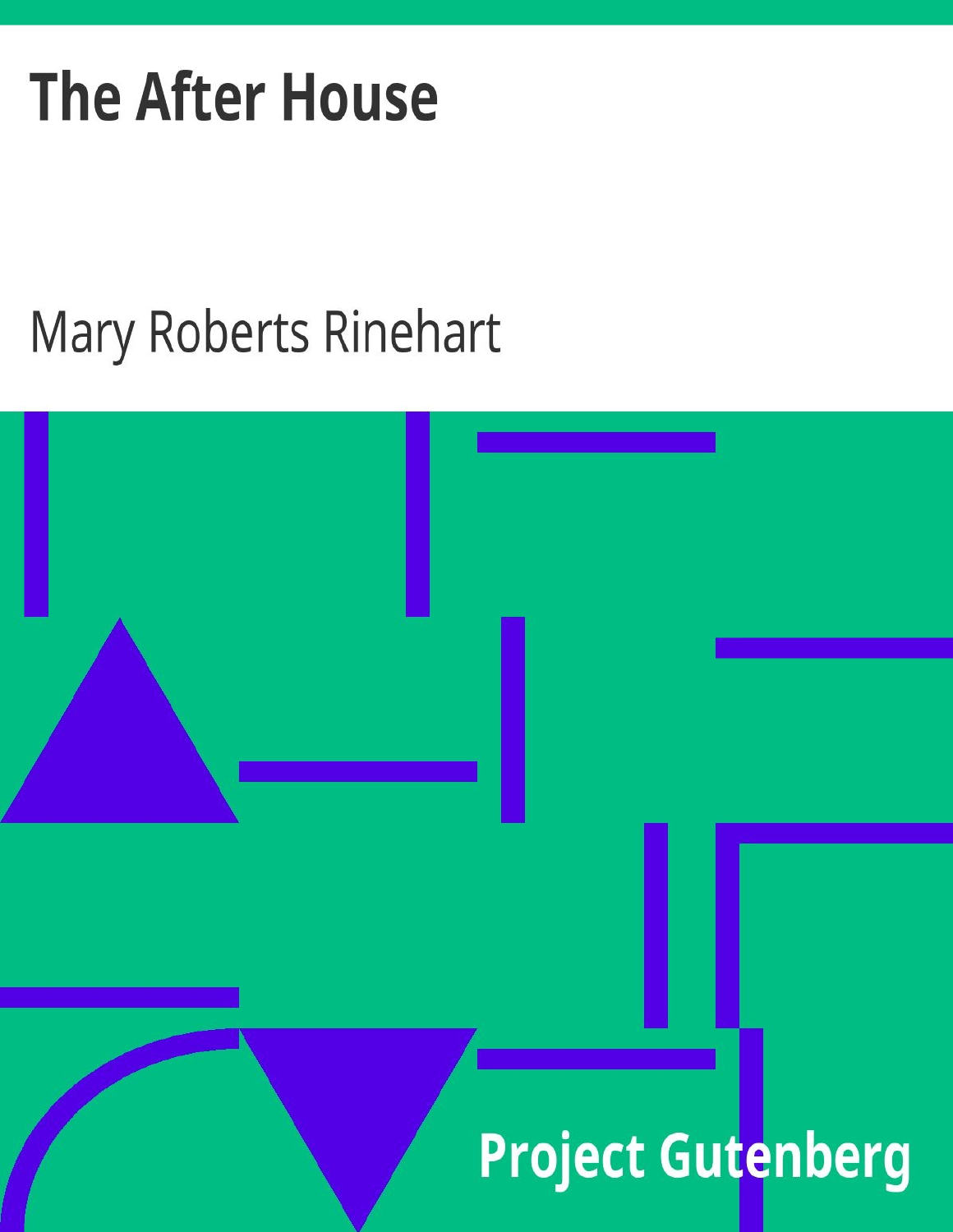# **The After House**

## Mary Roberts Rinehart

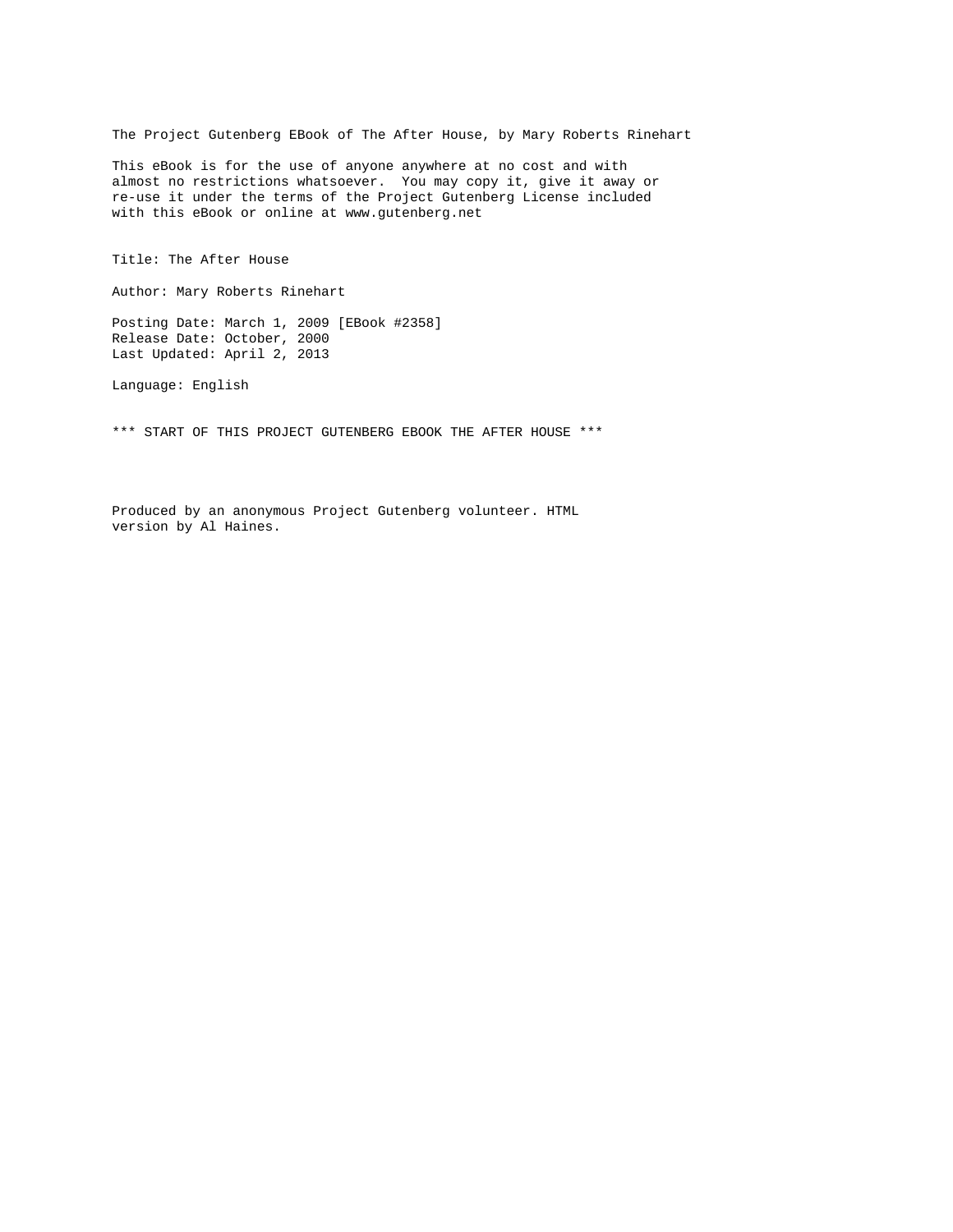The Project Gutenberg EBook of The After House, by Mary Roberts Rinehart

This eBook is for the use of anyone anywhere at no cost and with almost no restrictions whatsoever. You may copy it, give it away or re-use it under the terms of the Project Gutenberg License included with this eBook or online at www.gutenberg.net

Title: The After House

Author: Mary Roberts Rinehart

Posting Date: March 1, 2009 [EBook #2358] Release Date: October, 2000 Last Updated: April 2, 2013

Language: English

\*\*\* START OF THIS PROJECT GUTENBERG EBOOK THE AFTER HOUSE \*\*\*

Produced by an anonymous Project Gutenberg volunteer. HTML version by Al Haines.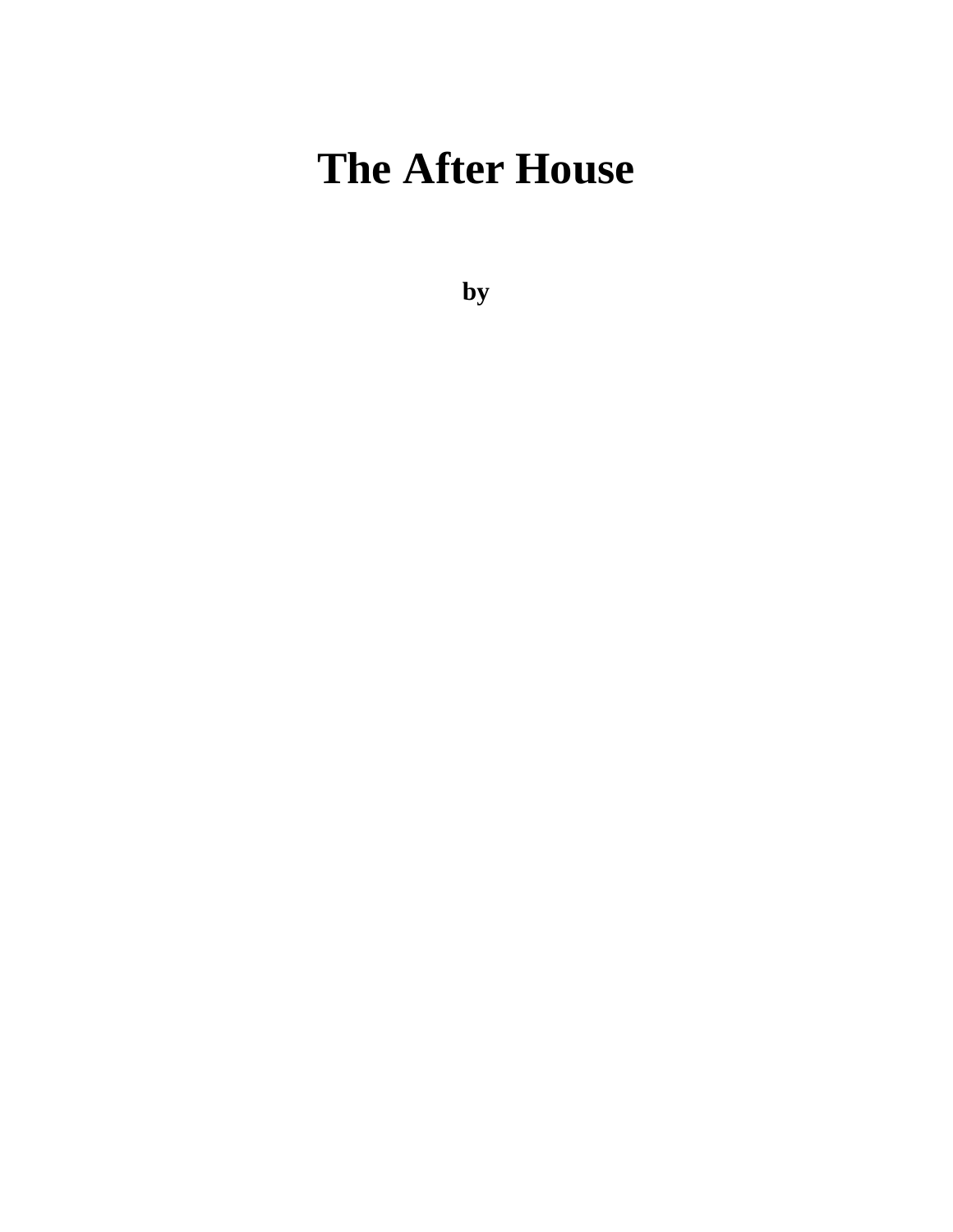## **The After House**

**by**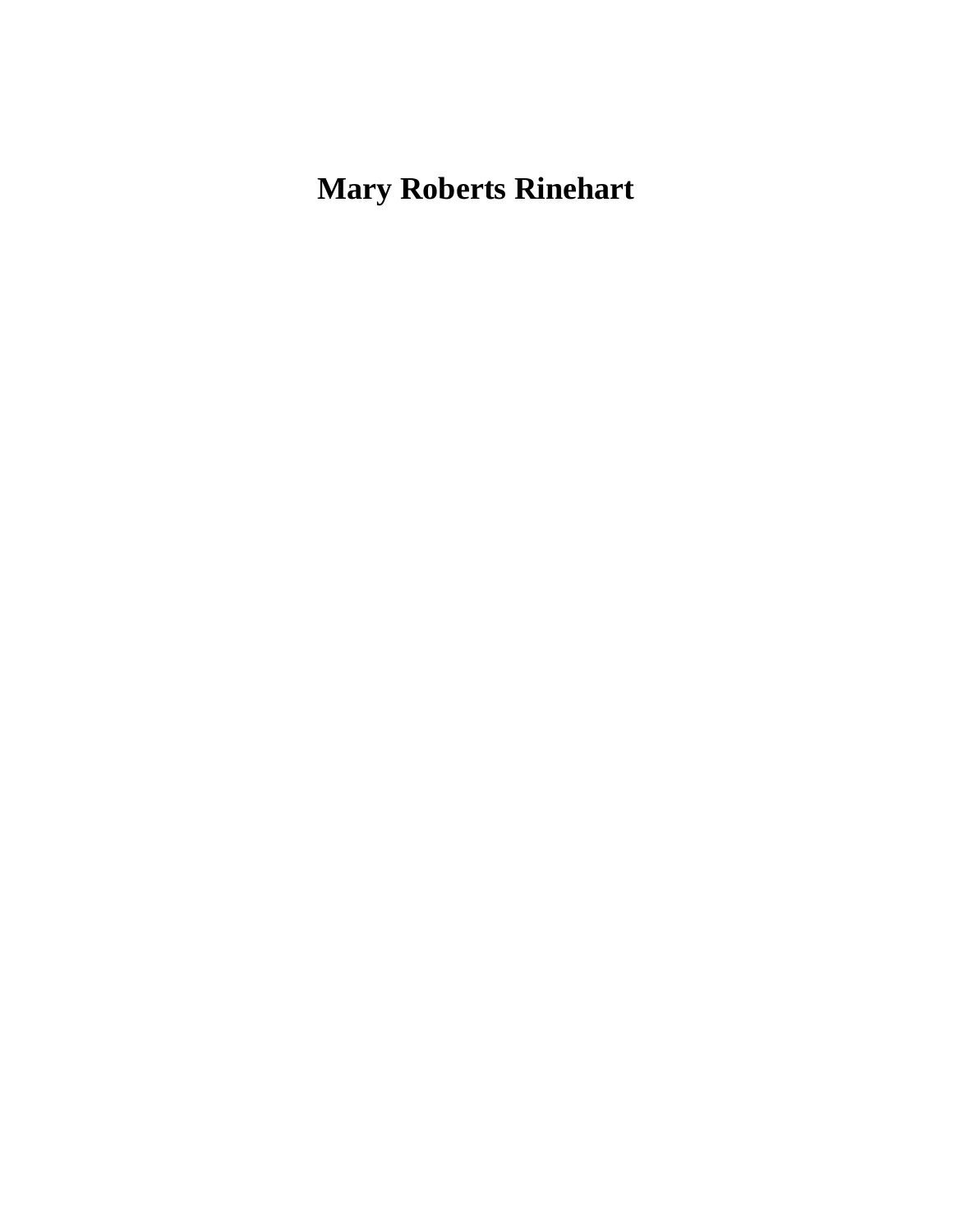### **Mary Roberts Rinehart**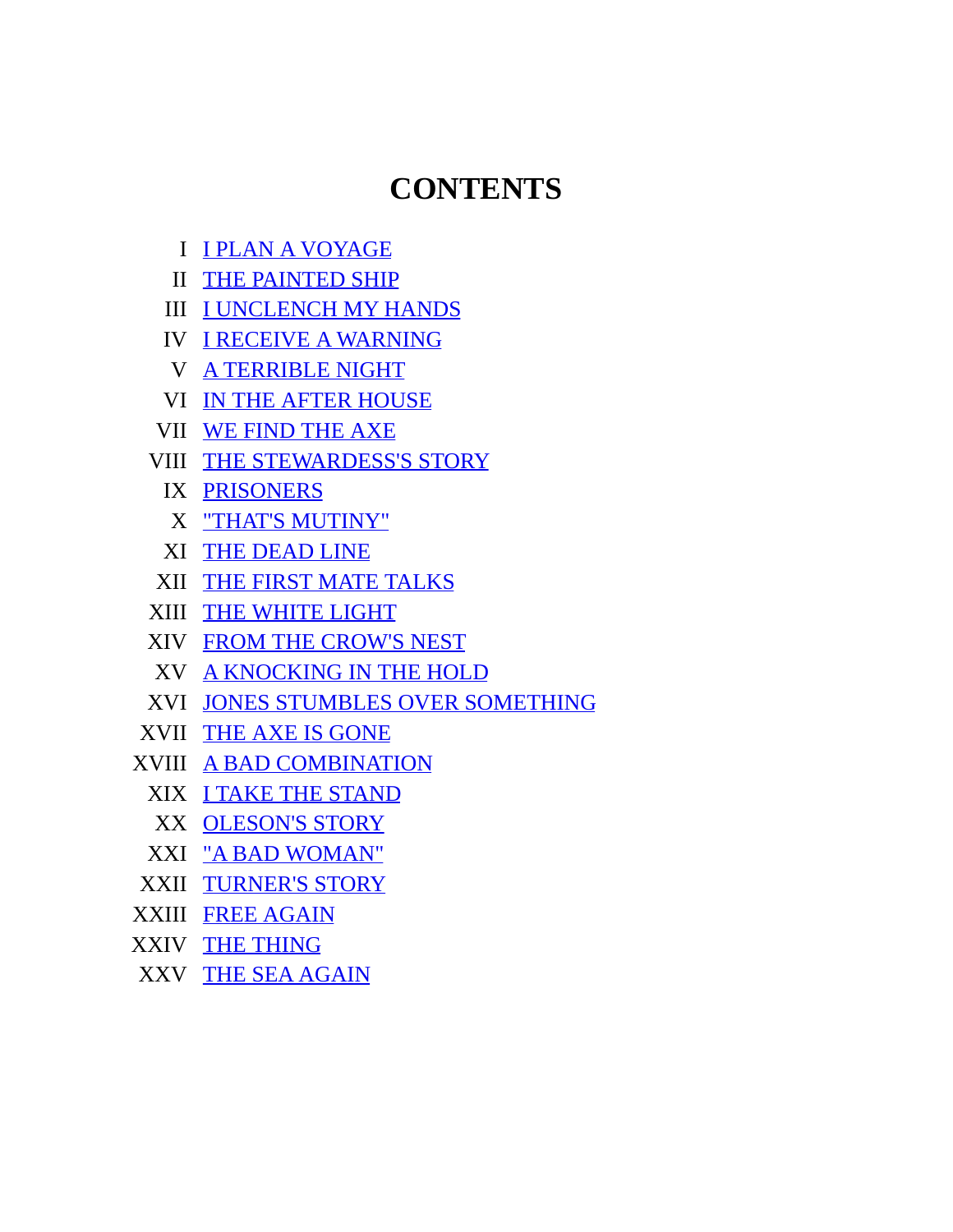#### **CONTENTS**

- I I PLAN A [VOYAGE](#page-4-0)
- II THE [PAINTED](#page-9-0) SHIP
- III I [UNCLENCH](#page-13-0) MY HANDS
- IV I RECEIVE A [WARNING](#page-20-0)
- V A [TERRIBLE](#page-28-0) NIGHT
- VI IN THE AFTER [HOUSE](#page-32-0)
- VII WE [FIND](#page-38-0) THE AXE
- VIII THE [STEWARDESS'S](#page-44-0) STORY
	- IX [PRISONERS](#page-50-0)
	- X "THAT'S [MUTINY"](#page-55-0)
	- XI THE [DEAD](#page-61-0) LINE
- XII THE FIRST MATE [TALKS](#page-67-0)
- XIII THE [WHITE](#page-73-0) LIGHT
- XIV FROM THE [CROW'S](#page-77-0) NEST
- XV A [KNOCKING](#page-82-0) IN THE HOLD
- XVI JONES STUMBLES OVER [SOMETHING](#page-88-0)
- XVII THE AXE IS [GONE](#page-93-0)
- XVIII A BAD [COMBINATION](#page-100-0)
	- XIX I TAKE THE [STAND](#page-105-0)
	- XX [OLESON'S](#page-112-0) STORY
	- XXI "A BAD [WOMAN"](#page-121-0)
- XXII [TURNER'S](#page-132-0) STORY
- XXIII FREE [AGAIN](#page-143-0)
- XXIV THE [THING](#page-148-0)
- <span id="page-4-0"></span>XXV THE SEA [AGAIN](#page-156-0)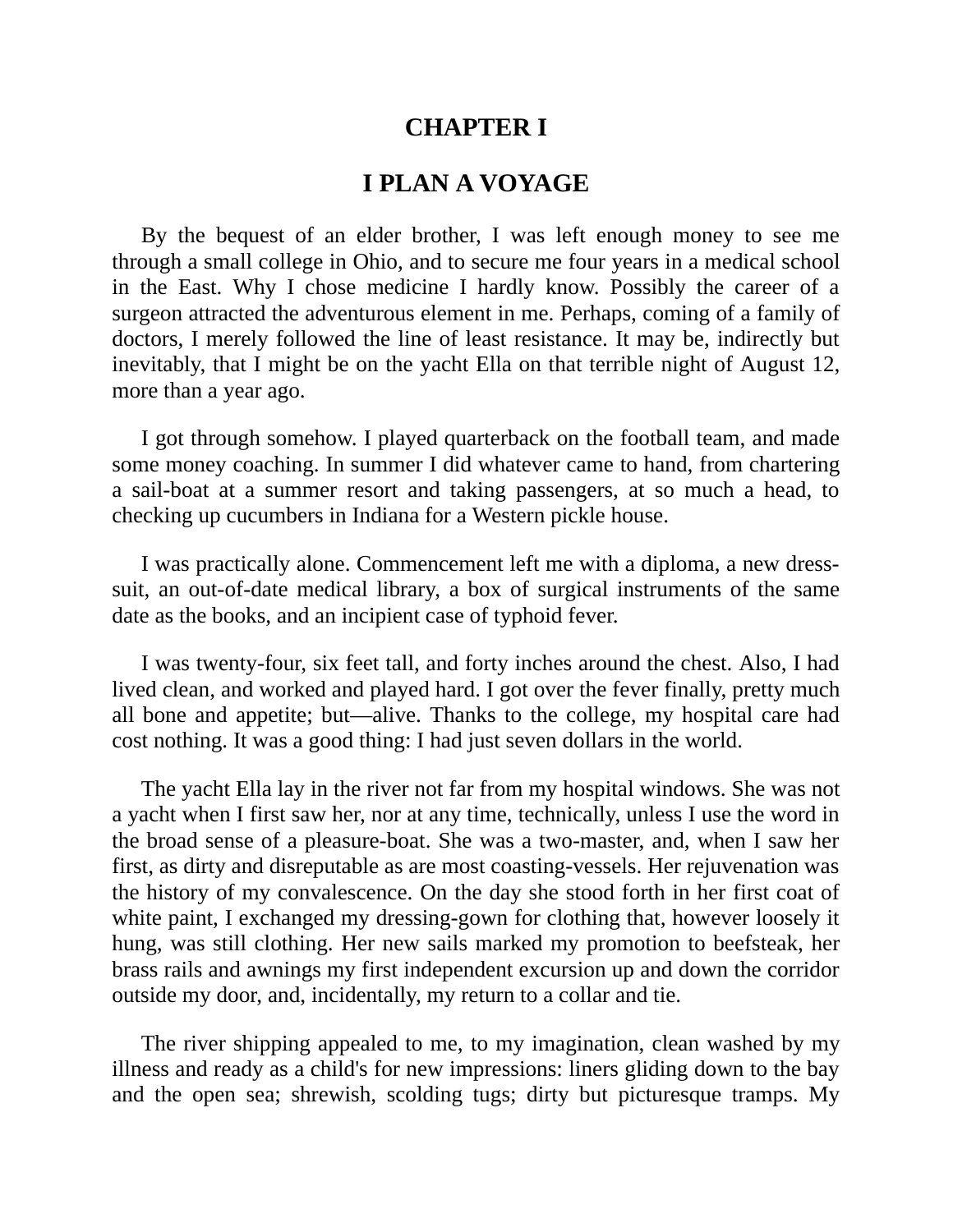#### **CHAPTER I**

#### **I PLAN A VOYAGE**

By the bequest of an elder brother, I was left enough money to see me through a small college in Ohio, and to secure me four years in a medical school in the East. Why I chose medicine I hardly know. Possibly the career of a surgeon attracted the adventurous element in me. Perhaps, coming of a family of doctors, I merely followed the line of least resistance. It may be, indirectly but inevitably, that I might be on the yacht Ella on that terrible night of August 12, more than a year ago.

I got through somehow. I played quarterback on the football team, and made some money coaching. In summer I did whatever came to hand, from chartering a sail-boat at a summer resort and taking passengers, at so much a head, to checking up cucumbers in Indiana for a Western pickle house.

I was practically alone. Commencement left me with a diploma, a new dresssuit, an out-of-date medical library, a box of surgical instruments of the same date as the books, and an incipient case of typhoid fever.

I was twenty-four, six feet tall, and forty inches around the chest. Also, I had lived clean, and worked and played hard. I got over the fever finally, pretty much all bone and appetite; but—alive. Thanks to the college, my hospital care had cost nothing. It was a good thing: I had just seven dollars in the world.

The yacht Ella lay in the river not far from my hospital windows. She was not a yacht when I first saw her, nor at any time, technically, unless I use the word in the broad sense of a pleasure-boat. She was a two-master, and, when I saw her first, as dirty and disreputable as are most coasting-vessels. Her rejuvenation was the history of my convalescence. On the day she stood forth in her first coat of white paint, I exchanged my dressing-gown for clothing that, however loosely it hung, was still clothing. Her new sails marked my promotion to beefsteak, her brass rails and awnings my first independent excursion up and down the corridor outside my door, and, incidentally, my return to a collar and tie.

The river shipping appealed to me, to my imagination, clean washed by my illness and ready as a child's for new impressions: liners gliding down to the bay and the open sea; shrewish, scolding tugs; dirty but picturesque tramps. My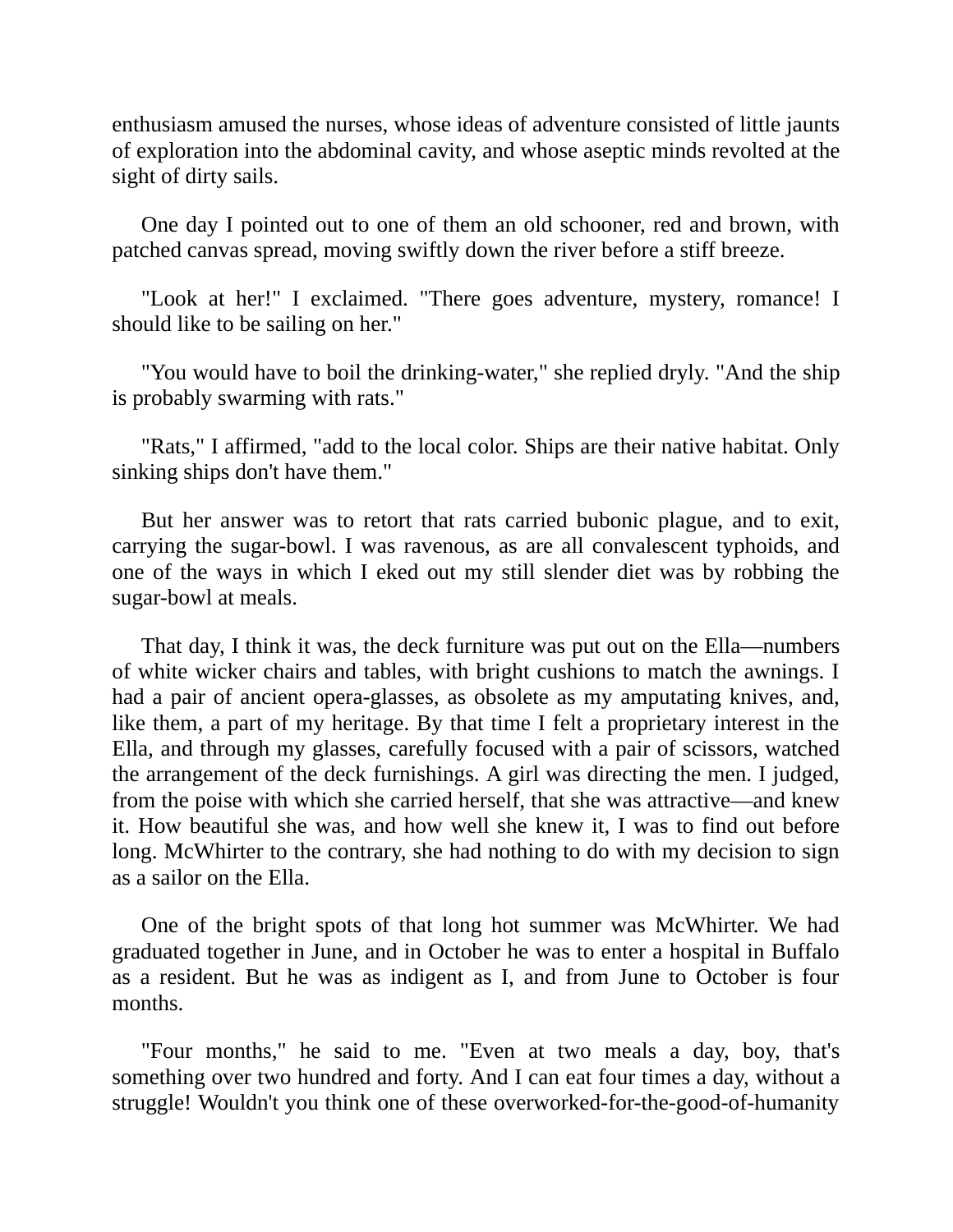enthusiasm amused the nurses, whose ideas of adventure consisted of little jaunts of exploration into the abdominal cavity, and whose aseptic minds revolted at the sight of dirty sails.

One day I pointed out to one of them an old schooner, red and brown, with patched canvas spread, moving swiftly down the river before a stiff breeze.

"Look at her!" I exclaimed. "There goes adventure, mystery, romance! I should like to be sailing on her."

"You would have to boil the drinking-water," she replied dryly. "And the ship is probably swarming with rats."

"Rats," I affirmed, "add to the local color. Ships are their native habitat. Only sinking ships don't have them."

But her answer was to retort that rats carried bubonic plague, and to exit, carrying the sugar-bowl. I was ravenous, as are all convalescent typhoids, and one of the ways in which I eked out my still slender diet was by robbing the sugar-bowl at meals.

That day, I think it was, the deck furniture was put out on the Ella—numbers of white wicker chairs and tables, with bright cushions to match the awnings. I had a pair of ancient opera-glasses, as obsolete as my amputating knives, and, like them, a part of my heritage. By that time I felt a proprietary interest in the Ella, and through my glasses, carefully focused with a pair of scissors, watched the arrangement of the deck furnishings. A girl was directing the men. I judged, from the poise with which she carried herself, that she was attractive—and knew it. How beautiful she was, and how well she knew it, I was to find out before long. McWhirter to the contrary, she had nothing to do with my decision to sign as a sailor on the Ella.

One of the bright spots of that long hot summer was McWhirter. We had graduated together in June, and in October he was to enter a hospital in Buffalo as a resident. But he was as indigent as I, and from June to October is four months.

"Four months," he said to me. "Even at two meals a day, boy, that's something over two hundred and forty. And I can eat four times a day, without a struggle! Wouldn't you think one of these overworked-for-the-good-of-humanity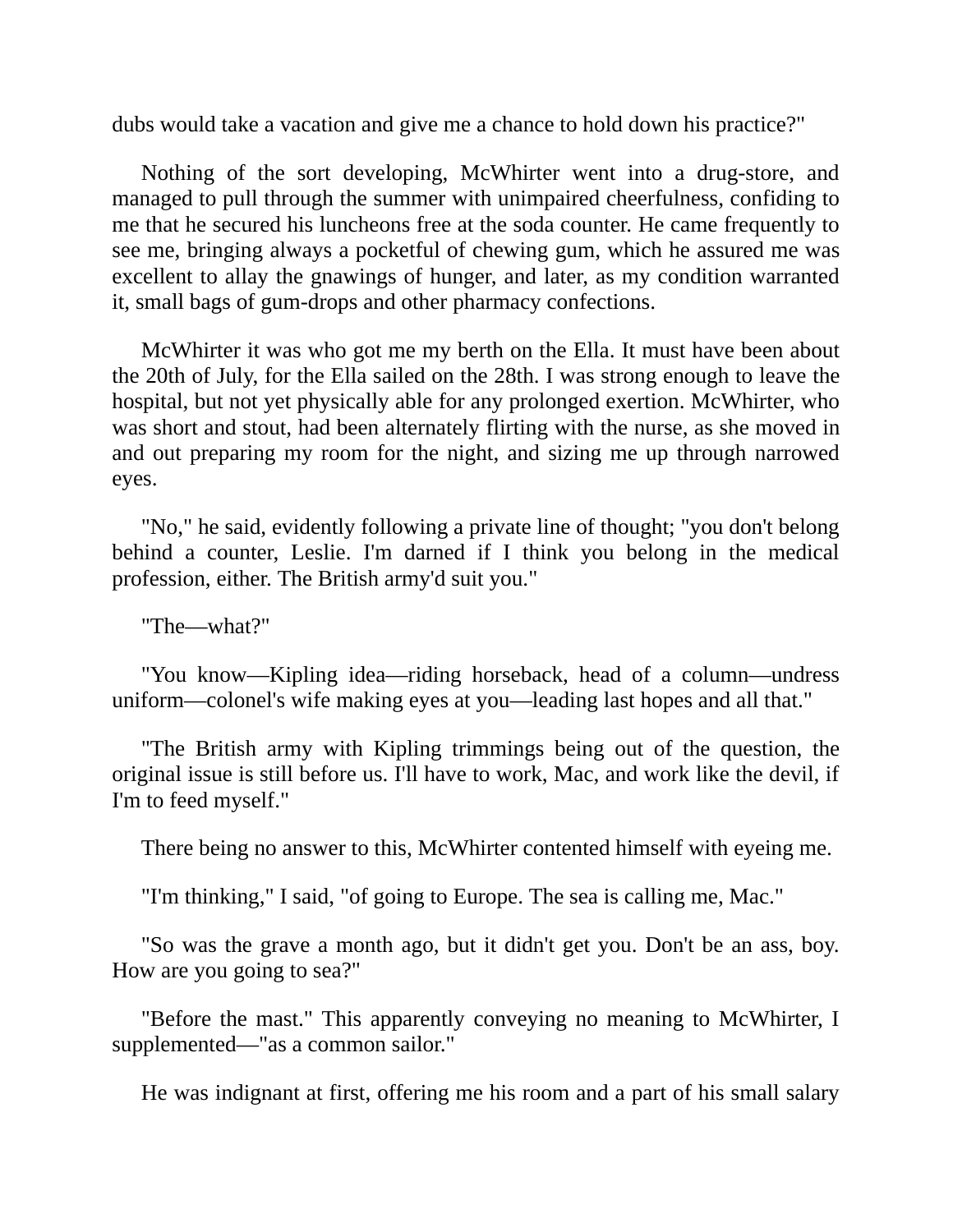dubs would take a vacation and give me a chance to hold down his practice?"

Nothing of the sort developing, McWhirter went into a drug-store, and managed to pull through the summer with unimpaired cheerfulness, confiding to me that he secured his luncheons free at the soda counter. He came frequently to see me, bringing always a pocketful of chewing gum, which he assured me was excellent to allay the gnawings of hunger, and later, as my condition warranted it, small bags of gum-drops and other pharmacy confections.

McWhirter it was who got me my berth on the Ella. It must have been about the 20th of July, for the Ella sailed on the 28th. I was strong enough to leave the hospital, but not yet physically able for any prolonged exertion. McWhirter, who was short and stout, had been alternately flirting with the nurse, as she moved in and out preparing my room for the night, and sizing me up through narrowed eyes.

"No," he said, evidently following a private line of thought; "you don't belong behind a counter, Leslie. I'm darned if I think you belong in the medical profession, either. The British army'd suit you."

"The—what?"

"You know—Kipling idea—riding horseback, head of a column—undress uniform—colonel's wife making eyes at you—leading last hopes and all that."

"The British army with Kipling trimmings being out of the question, the original issue is still before us. I'll have to work, Mac, and work like the devil, if I'm to feed myself."

There being no answer to this, McWhirter contented himself with eyeing me.

"I'm thinking," I said, "of going to Europe. The sea is calling me, Mac."

"So was the grave a month ago, but it didn't get you. Don't be an ass, boy. How are you going to sea?"

"Before the mast." This apparently conveying no meaning to McWhirter, I supplemented—"as a common sailor."

He was indignant at first, offering me his room and a part of his small salary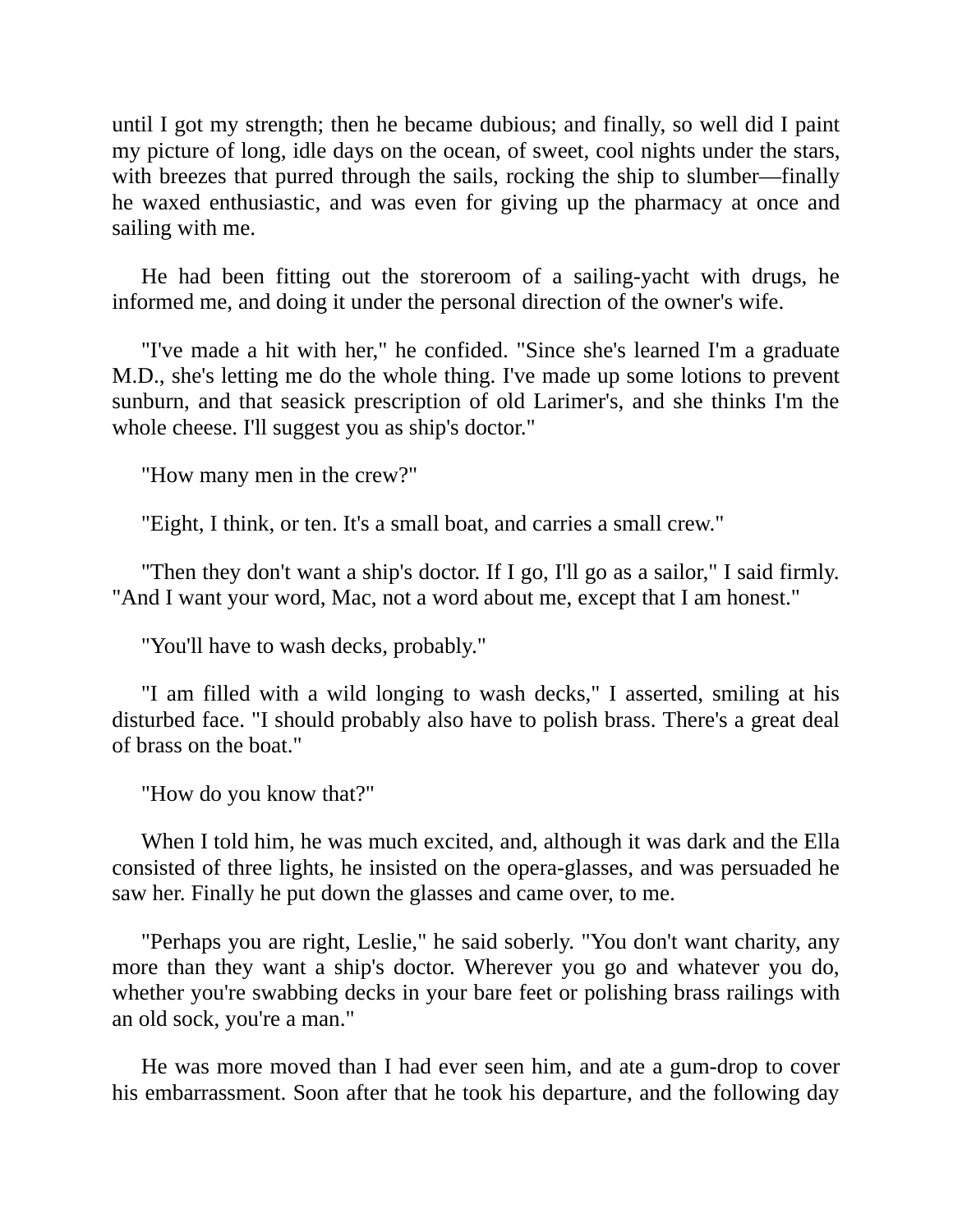until I got my strength; then he became dubious; and finally, so well did I paint my picture of long, idle days on the ocean, of sweet, cool nights under the stars, with breezes that purred through the sails, rocking the ship to slumber—finally he waxed enthusiastic, and was even for giving up the pharmacy at once and sailing with me.

He had been fitting out the storeroom of a sailing-yacht with drugs, he informed me, and doing it under the personal direction of the owner's wife.

"I've made a hit with her," he confided. "Since she's learned I'm a graduate M.D., she's letting me do the whole thing. I've made up some lotions to prevent sunburn, and that seasick prescription of old Larimer's, and she thinks I'm the whole cheese. I'll suggest you as ship's doctor."

"How many men in the crew?"

"Eight, I think, or ten. It's a small boat, and carries a small crew."

"Then they don't want a ship's doctor. If I go, I'll go as a sailor," I said firmly. "And I want your word, Mac, not a word about me, except that I am honest."

"You'll have to wash decks, probably."

"I am filled with a wild longing to wash decks," I asserted, smiling at his disturbed face. "I should probably also have to polish brass. There's a great deal of brass on the boat."

"How do you know that?"

When I told him, he was much excited, and, although it was dark and the Ella consisted of three lights, he insisted on the opera-glasses, and was persuaded he saw her. Finally he put down the glasses and came over, to me.

"Perhaps you are right, Leslie," he said soberly. "You don't want charity, any more than they want a ship's doctor. Wherever you go and whatever you do, whether you're swabbing decks in your bare feet or polishing brass railings with an old sock, you're a man."

He was more moved than I had ever seen him, and ate a gum-drop to cover his embarrassment. Soon after that he took his departure, and the following day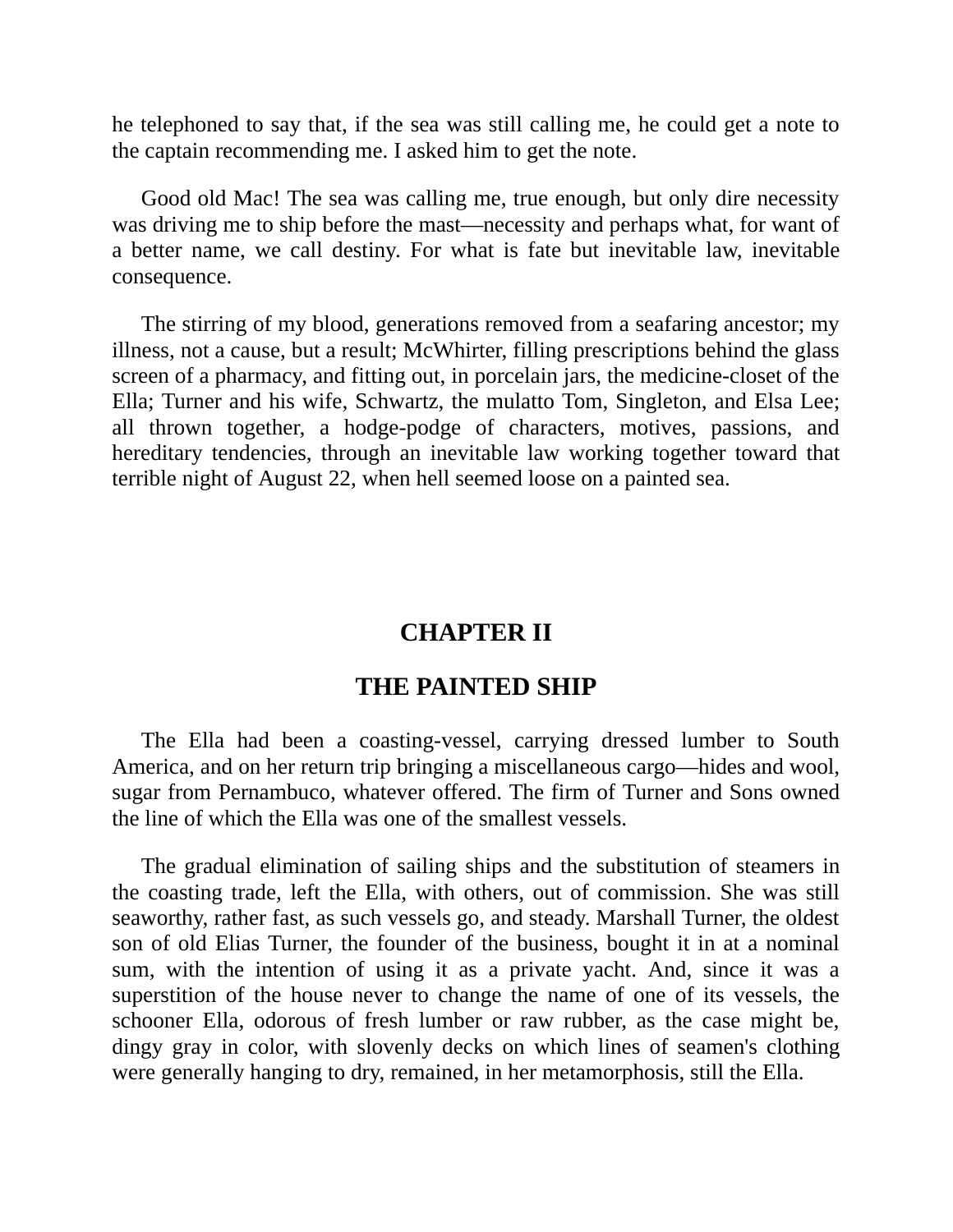he telephoned to say that, if the sea was still calling me, he could get a note to the captain recommending me. I asked him to get the note.

Good old Mac! The sea was calling me, true enough, but only dire necessity was driving me to ship before the mast—necessity and perhaps what, for want of a better name, we call destiny. For what is fate but inevitable law, inevitable consequence.

<span id="page-9-0"></span>The stirring of my blood, generations removed from a seafaring ancestor; my illness, not a cause, but a result; McWhirter, filling prescriptions behind the glass screen of a pharmacy, and fitting out, in porcelain jars, the medicine-closet of the Ella; Turner and his wife, Schwartz, the mulatto Tom, Singleton, and Elsa Lee; all thrown together, a hodge-podge of characters, motives, passions, and hereditary tendencies, through an inevitable law working together toward that terrible night of August 22, when hell seemed loose on a painted sea.

#### **CHAPTER II**

#### **THE PAINTED SHIP**

The Ella had been a coasting-vessel, carrying dressed lumber to South America, and on her return trip bringing a miscellaneous cargo—hides and wool, sugar from Pernambuco, whatever offered. The firm of Turner and Sons owned the line of which the Ella was one of the smallest vessels.

The gradual elimination of sailing ships and the substitution of steamers in the coasting trade, left the Ella, with others, out of commission. She was still seaworthy, rather fast, as such vessels go, and steady. Marshall Turner, the oldest son of old Elias Turner, the founder of the business, bought it in at a nominal sum, with the intention of using it as a private yacht. And, since it was a superstition of the house never to change the name of one of its vessels, the schooner Ella, odorous of fresh lumber or raw rubber, as the case might be, dingy gray in color, with slovenly decks on which lines of seamen's clothing were generally hanging to dry, remained, in her metamorphosis, still the Ella.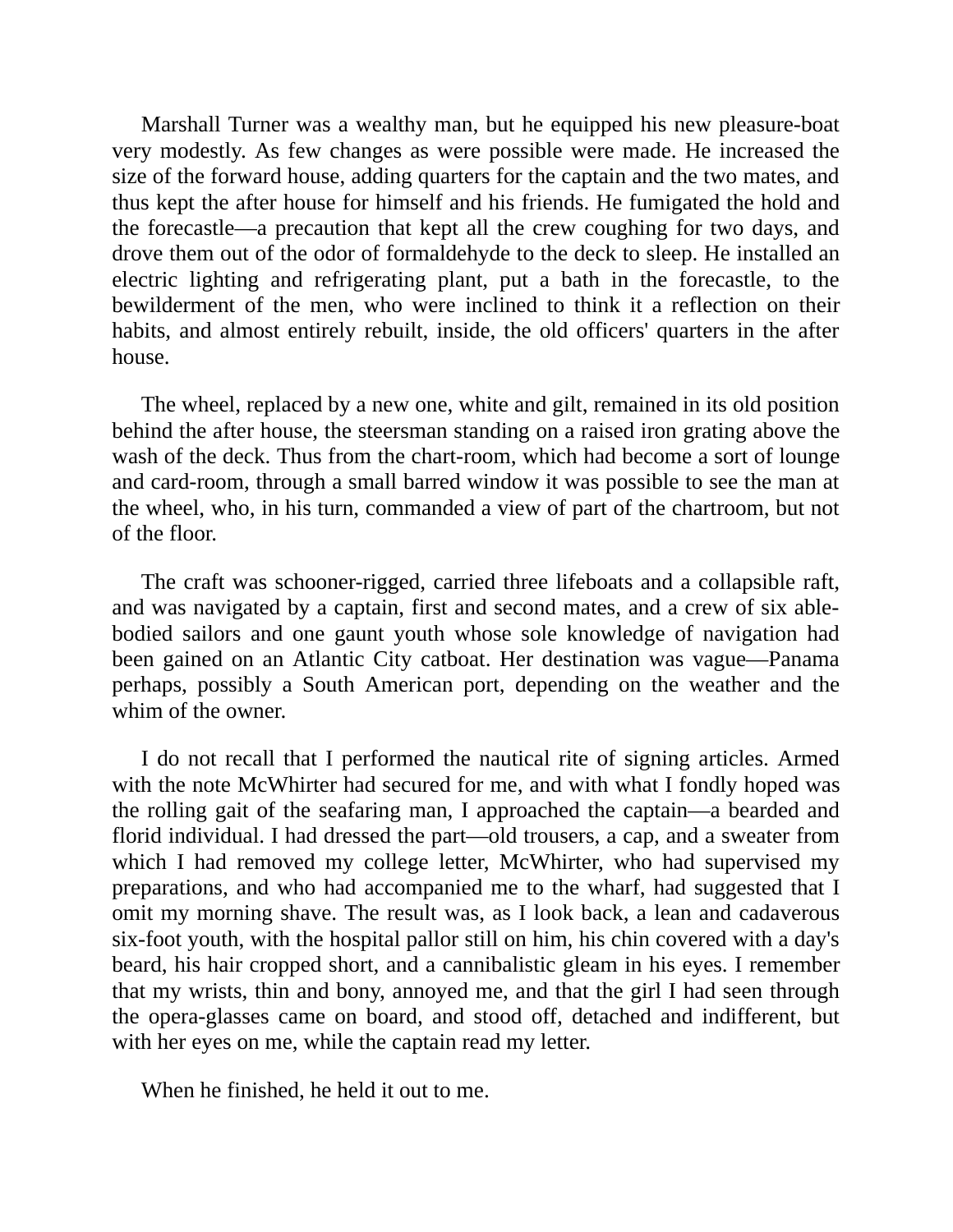Marshall Turner was a wealthy man, but he equipped his new pleasure-boat very modestly. As few changes as were possible were made. He increased the size of the forward house, adding quarters for the captain and the two mates, and thus kept the after house for himself and his friends. He fumigated the hold and the forecastle—a precaution that kept all the crew coughing for two days, and drove them out of the odor of formaldehyde to the deck to sleep. He installed an electric lighting and refrigerating plant, put a bath in the forecastle, to the bewilderment of the men, who were inclined to think it a reflection on their habits, and almost entirely rebuilt, inside, the old officers' quarters in the after house.

The wheel, replaced by a new one, white and gilt, remained in its old position behind the after house, the steersman standing on a raised iron grating above the wash of the deck. Thus from the chart-room, which had become a sort of lounge and card-room, through a small barred window it was possible to see the man at the wheel, who, in his turn, commanded a view of part of the chartroom, but not of the floor.

The craft was schooner-rigged, carried three lifeboats and a collapsible raft, and was navigated by a captain, first and second mates, and a crew of six ablebodied sailors and one gaunt youth whose sole knowledge of navigation had been gained on an Atlantic City catboat. Her destination was vague—Panama perhaps, possibly a South American port, depending on the weather and the whim of the owner.

I do not recall that I performed the nautical rite of signing articles. Armed with the note McWhirter had secured for me, and with what I fondly hoped was the rolling gait of the seafaring man, I approached the captain—a bearded and florid individual. I had dressed the part—old trousers, a cap, and a sweater from which I had removed my college letter, McWhirter, who had supervised my preparations, and who had accompanied me to the wharf, had suggested that I omit my morning shave. The result was, as I look back, a lean and cadaverous six-foot youth, with the hospital pallor still on him, his chin covered with a day's beard, his hair cropped short, and a cannibalistic gleam in his eyes. I remember that my wrists, thin and bony, annoyed me, and that the girl I had seen through the opera-glasses came on board, and stood off, detached and indifferent, but with her eyes on me, while the captain read my letter.

When he finished, he held it out to me.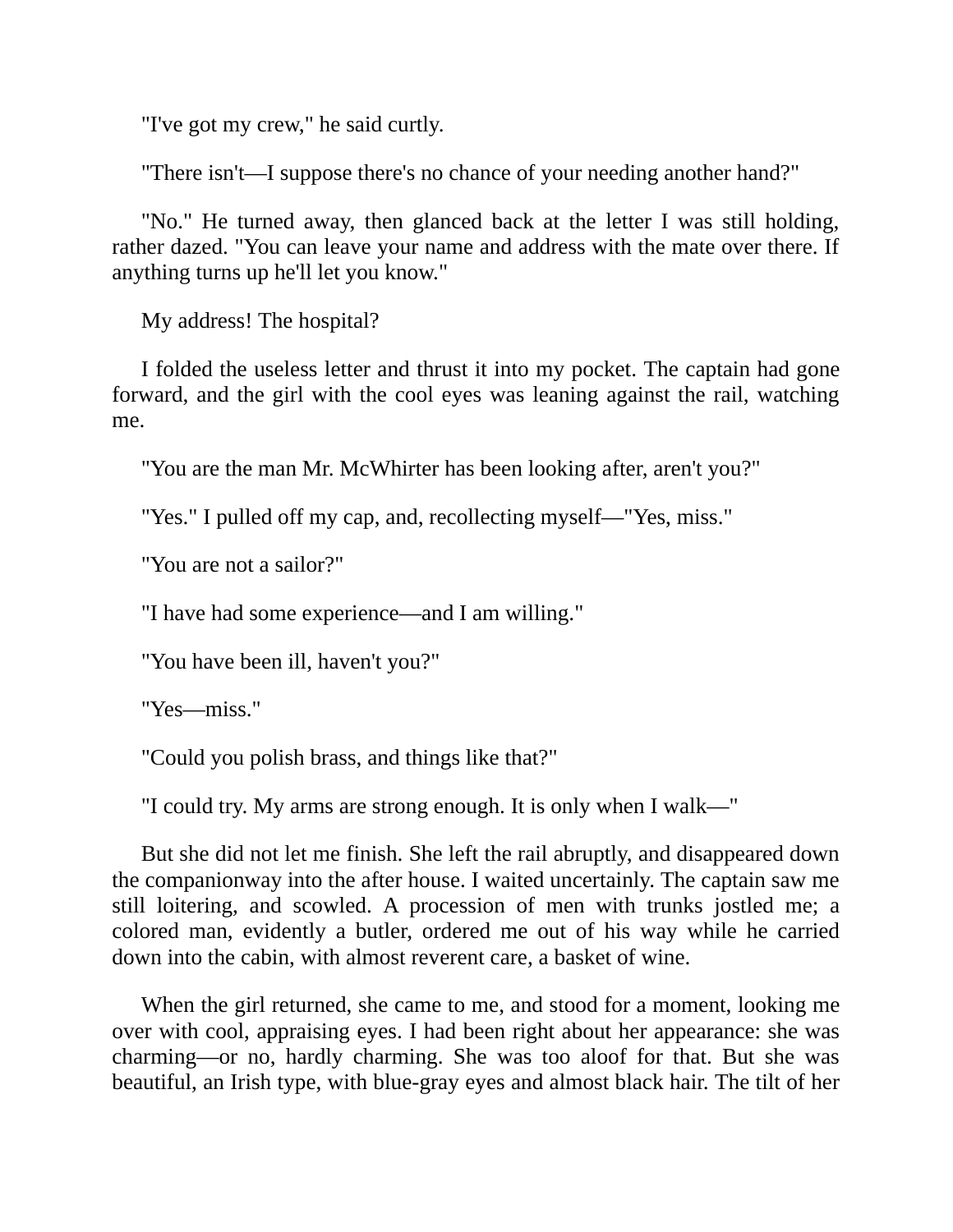"I've got my crew," he said curtly.

"There isn't—I suppose there's no chance of your needing another hand?"

"No." He turned away, then glanced back at the letter I was still holding, rather dazed. "You can leave your name and address with the mate over there. If anything turns up he'll let you know."

My address! The hospital?

I folded the useless letter and thrust it into my pocket. The captain had gone forward, and the girl with the cool eyes was leaning against the rail, watching me.

"You are the man Mr. McWhirter has been looking after, aren't you?"

"Yes." I pulled off my cap, and, recollecting myself—"Yes, miss."

"You are not a sailor?"

"I have had some experience—and I am willing."

"You have been ill, haven't you?"

"Yes—miss."

"Could you polish brass, and things like that?"

"I could try. My arms are strong enough. It is only when I walk—"

But she did not let me finish. She left the rail abruptly, and disappeared down the companionway into the after house. I waited uncertainly. The captain saw me still loitering, and scowled. A procession of men with trunks jostled me; a colored man, evidently a butler, ordered me out of his way while he carried down into the cabin, with almost reverent care, a basket of wine.

When the girl returned, she came to me, and stood for a moment, looking me over with cool, appraising eyes. I had been right about her appearance: she was charming—or no, hardly charming. She was too aloof for that. But she was beautiful, an Irish type, with blue-gray eyes and almost black hair. The tilt of her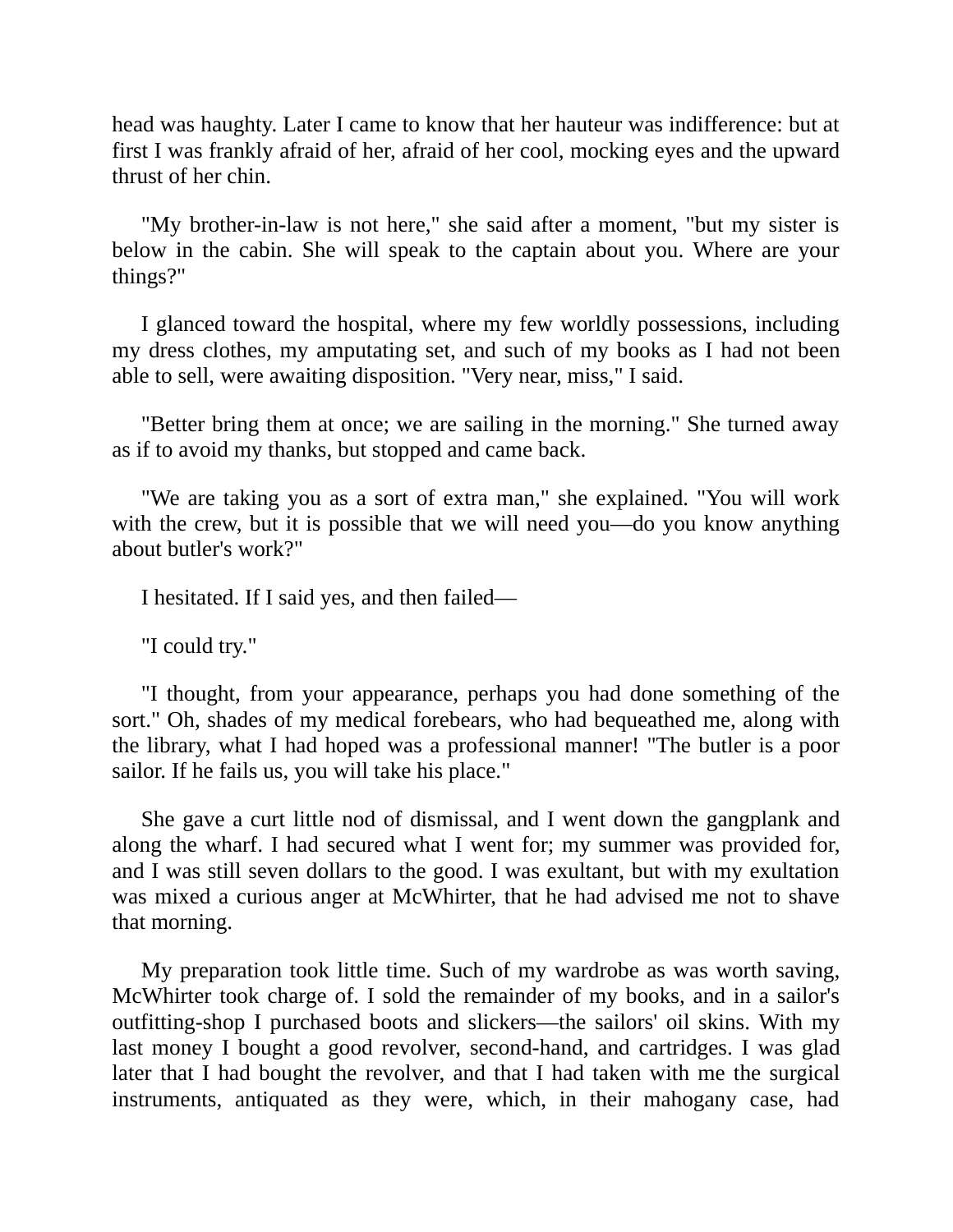head was haughty. Later I came to know that her hauteur was indifference: but at first I was frankly afraid of her, afraid of her cool, mocking eyes and the upward thrust of her chin.

"My brother-in-law is not here," she said after a moment, "but my sister is below in the cabin. She will speak to the captain about you. Where are your things?"

I glanced toward the hospital, where my few worldly possessions, including my dress clothes, my amputating set, and such of my books as I had not been able to sell, were awaiting disposition. "Very near, miss," I said.

"Better bring them at once; we are sailing in the morning." She turned away as if to avoid my thanks, but stopped and came back.

"We are taking you as a sort of extra man," she explained. "You will work with the crew, but it is possible that we will need you—do you know anything about butler's work?"

I hesitated. If I said yes, and then failed—

"I could try."

"I thought, from your appearance, perhaps you had done something of the sort." Oh, shades of my medical forebears, who had bequeathed me, along with the library, what I had hoped was a professional manner! "The butler is a poor sailor. If he fails us, you will take his place."

She gave a curt little nod of dismissal, and I went down the gangplank and along the wharf. I had secured what I went for; my summer was provided for, and I was still seven dollars to the good. I was exultant, but with my exultation was mixed a curious anger at McWhirter, that he had advised me not to shave that morning.

My preparation took little time. Such of my wardrobe as was worth saving, McWhirter took charge of. I sold the remainder of my books, and in a sailor's outfitting-shop I purchased boots and slickers—the sailors' oil skins. With my last money I bought a good revolver, second-hand, and cartridges. I was glad later that I had bought the revolver, and that I had taken with me the surgical instruments, antiquated as they were, which, in their mahogany case, had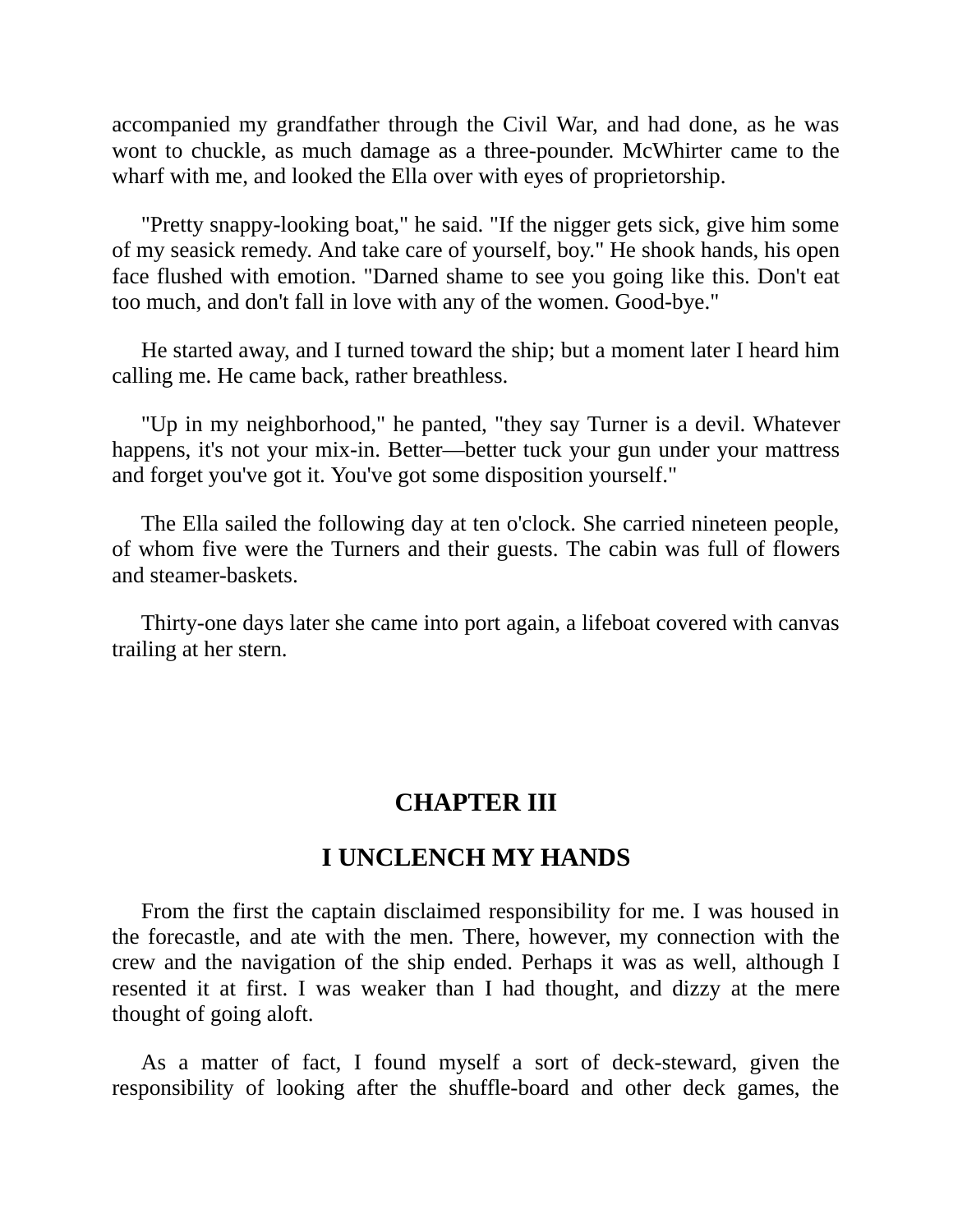accompanied my grandfather through the Civil War, and had done, as he was wont to chuckle, as much damage as a three-pounder. McWhirter came to the wharf with me, and looked the Ella over with eyes of proprietorship.

"Pretty snappy-looking boat," he said. "If the nigger gets sick, give him some of my seasick remedy. And take care of yourself, boy." He shook hands, his open face flushed with emotion. "Darned shame to see you going like this. Don't eat too much, and don't fall in love with any of the women. Good-bye."

He started away, and I turned toward the ship; but a moment later I heard him calling me. He came back, rather breathless.

"Up in my neighborhood," he panted, "they say Turner is a devil. Whatever happens, it's not your mix-in. Better—better tuck your gun under your mattress and forget you've got it. You've got some disposition yourself."

The Ella sailed the following day at ten o'clock. She carried nineteen people, of whom five were the Turners and their guests. The cabin was full of flowers and steamer-baskets.

<span id="page-13-0"></span>Thirty-one days later she came into port again, a lifeboat covered with canvas trailing at her stern.

#### **CHAPTER III**

#### **I UNCLENCH MY HANDS**

From the first the captain disclaimed responsibility for me. I was housed in the forecastle, and ate with the men. There, however, my connection with the crew and the navigation of the ship ended. Perhaps it was as well, although I resented it at first. I was weaker than I had thought, and dizzy at the mere thought of going aloft.

As a matter of fact, I found myself a sort of deck-steward, given the responsibility of looking after the shuffle-board and other deck games, the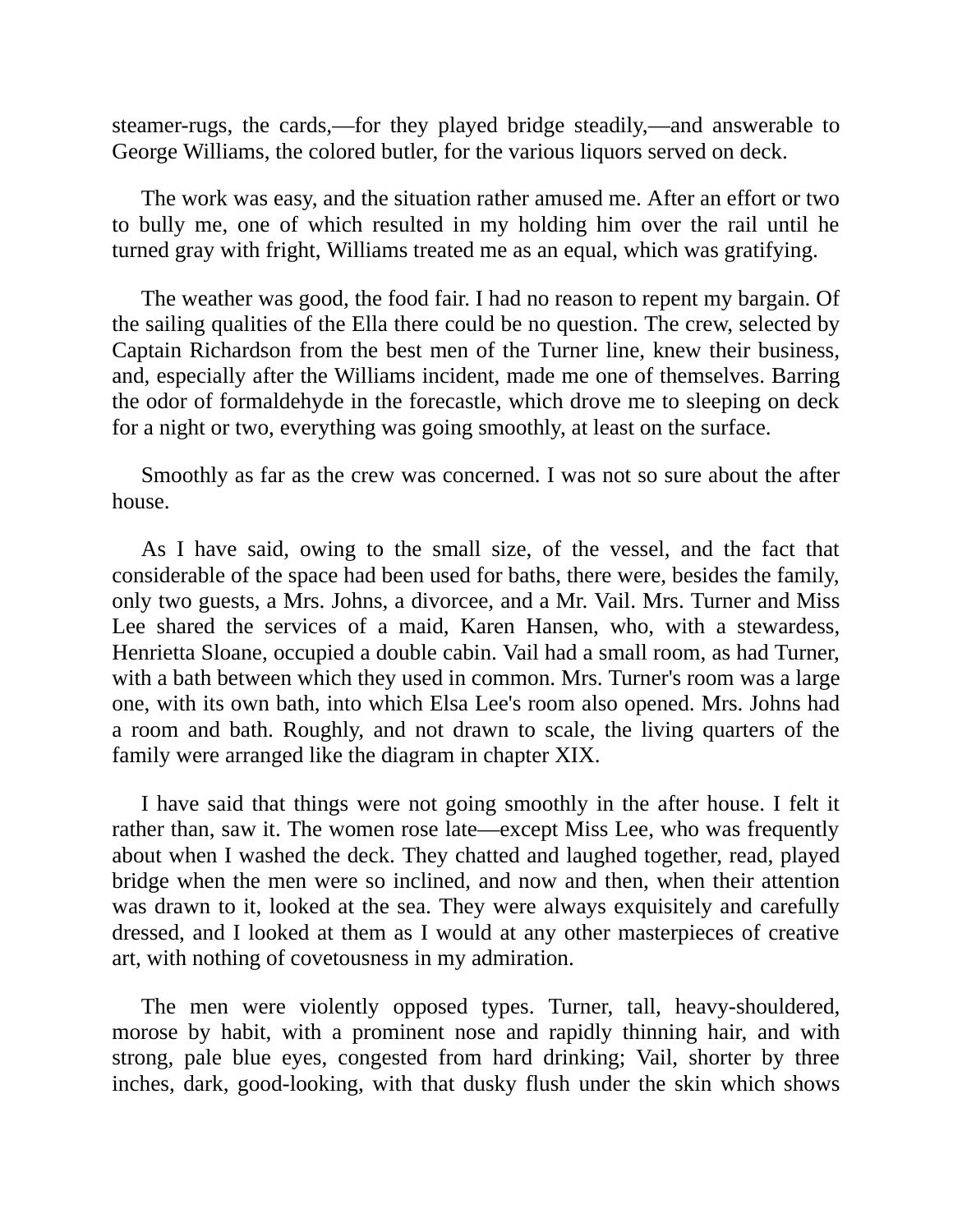steamer-rugs, the cards,—for they played bridge steadily,—and answerable to George Williams, the colored butler, for the various liquors served on deck.

The work was easy, and the situation rather amused me. After an effort or two to bully me, one of which resulted in my holding him over the rail until he turned gray with fright, Williams treated me as an equal, which was gratifying.

The weather was good, the food fair. I had no reason to repent my bargain. Of the sailing qualities of the Ella there could be no question. The crew, selected by Captain Richardson from the best men of the Turner line, knew their business, and, especially after the Williams incident, made me one of themselves. Barring the odor of formaldehyde in the forecastle, which drove me to sleeping on deck for a night or two, everything was going smoothly, at least on the surface.

Smoothly as far as the crew was concerned. I was not so sure about the after house.

As I have said, owing to the small size, of the vessel, and the fact that considerable of the space had been used for baths, there were, besides the family, only two guests, a Mrs. Johns, a divorcee, and a Mr. Vail. Mrs. Turner and Miss Lee shared the services of a maid, Karen Hansen, who, with a stewardess, Henrietta Sloane, occupied a double cabin. Vail had a small room, as had Turner, with a bath between which they used in common. Mrs. Turner's room was a large one, with its own bath, into which Elsa Lee's room also opened. Mrs. Johns had a room and bath. Roughly, and not drawn to scale, the living quarters of the family were arranged like the diagram in chapter XIX.

I have said that things were not going smoothly in the after house. I felt it rather than, saw it. The women rose late—except Miss Lee, who was frequently about when I washed the deck. They chatted and laughed together, read, played bridge when the men were so inclined, and now and then, when their attention was drawn to it, looked at the sea. They were always exquisitely and carefully dressed, and I looked at them as I would at any other masterpieces of creative art, with nothing of covetousness in my admiration.

The men were violently opposed types. Turner, tall, heavy-shouldered, morose by habit, with a prominent nose and rapidly thinning hair, and with strong, pale blue eyes, congested from hard drinking; Vail, shorter by three inches, dark, good-looking, with that dusky flush under the skin which shows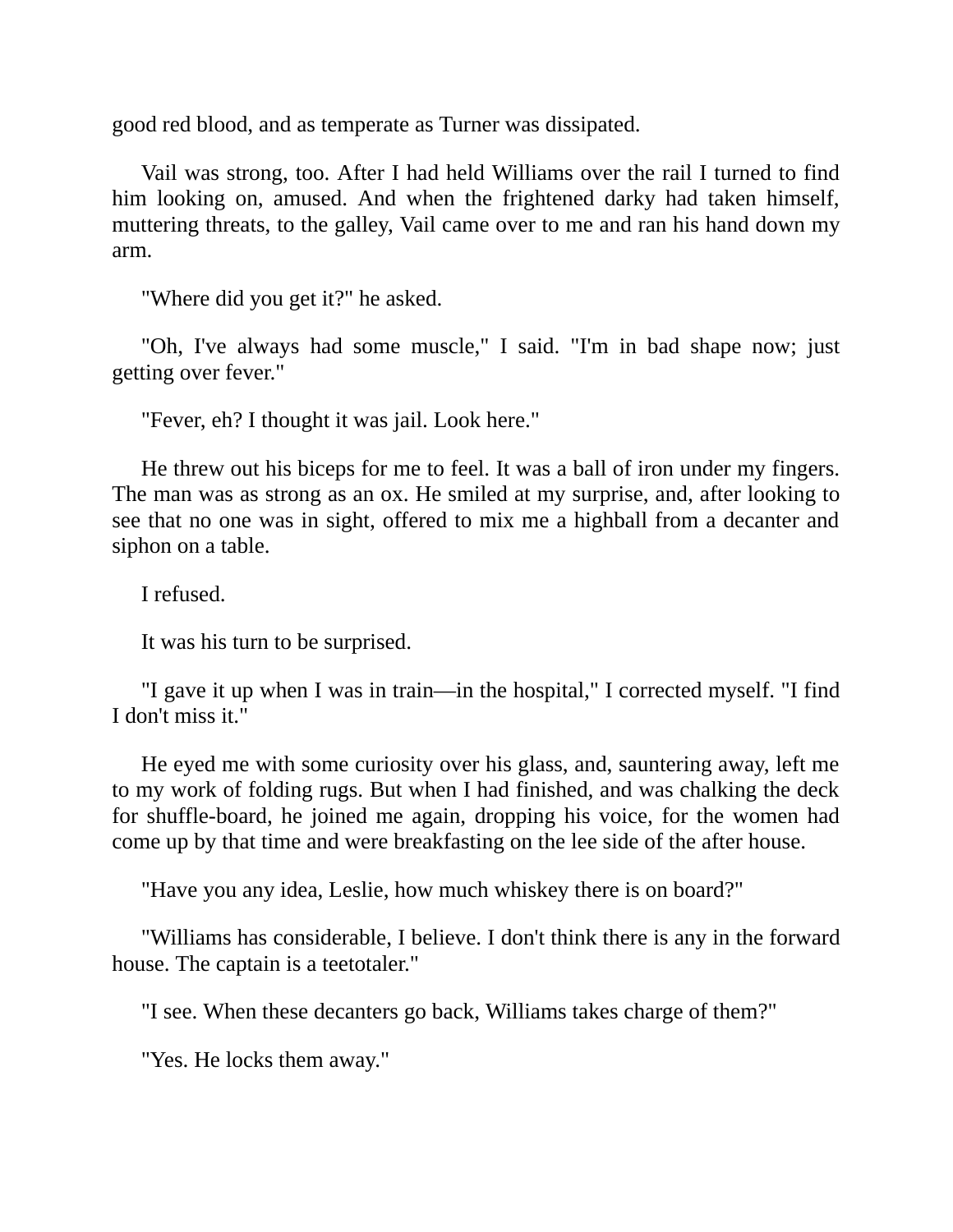good red blood, and as temperate as Turner was dissipated.

Vail was strong, too. After I had held Williams over the rail I turned to find him looking on, amused. And when the frightened darky had taken himself, muttering threats, to the galley, Vail came over to me and ran his hand down my arm.

"Where did you get it?" he asked.

"Oh, I've always had some muscle," I said. "I'm in bad shape now; just getting over fever."

"Fever, eh? I thought it was jail. Look here."

He threw out his biceps for me to feel. It was a ball of iron under my fingers. The man was as strong as an ox. He smiled at my surprise, and, after looking to see that no one was in sight, offered to mix me a highball from a decanter and siphon on a table.

I refused.

It was his turn to be surprised.

"I gave it up when I was in train—in the hospital," I corrected myself. "I find I don't miss it."

He eyed me with some curiosity over his glass, and, sauntering away, left me to my work of folding rugs. But when I had finished, and was chalking the deck for shuffle-board, he joined me again, dropping his voice, for the women had come up by that time and were breakfasting on the lee side of the after house.

"Have you any idea, Leslie, how much whiskey there is on board?"

"Williams has considerable, I believe. I don't think there is any in the forward house. The captain is a teetotaler."

"I see. When these decanters go back, Williams takes charge of them?"

"Yes. He locks them away."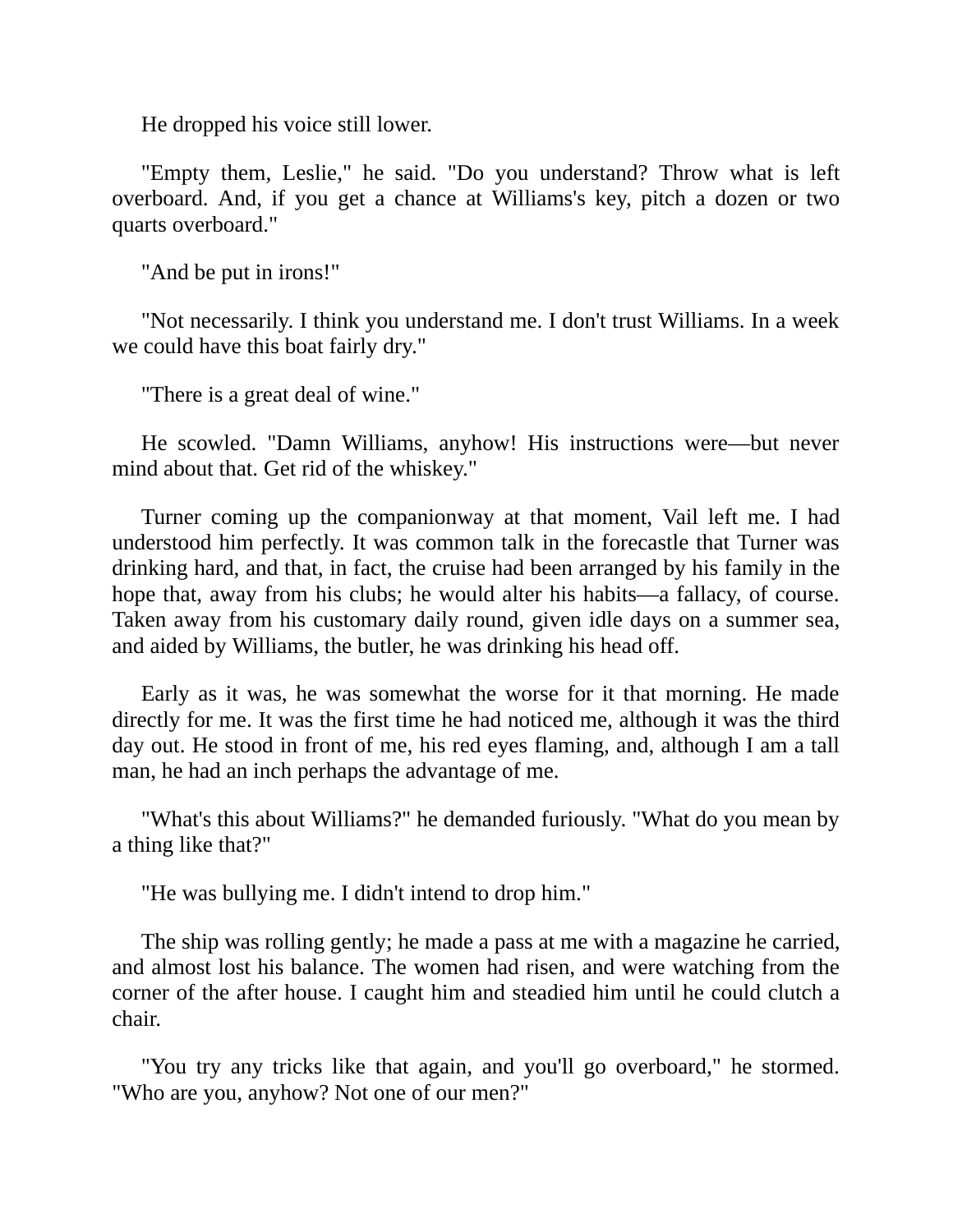He dropped his voice still lower.

"Empty them, Leslie," he said. "Do you understand? Throw what is left overboard. And, if you get a chance at Williams's key, pitch a dozen or two quarts overboard."

"And be put in irons!"

"Not necessarily. I think you understand me. I don't trust Williams. In a week we could have this boat fairly dry."

"There is a great deal of wine."

He scowled. "Damn Williams, anyhow! His instructions were—but never mind about that. Get rid of the whiskey."

Turner coming up the companionway at that moment, Vail left me. I had understood him perfectly. It was common talk in the forecastle that Turner was drinking hard, and that, in fact, the cruise had been arranged by his family in the hope that, away from his clubs; he would alter his habits—a fallacy, of course. Taken away from his customary daily round, given idle days on a summer sea, and aided by Williams, the butler, he was drinking his head off.

Early as it was, he was somewhat the worse for it that morning. He made directly for me. It was the first time he had noticed me, although it was the third day out. He stood in front of me, his red eyes flaming, and, although I am a tall man, he had an inch perhaps the advantage of me.

"What's this about Williams?" he demanded furiously. "What do you mean by a thing like that?"

"He was bullying me. I didn't intend to drop him."

The ship was rolling gently; he made a pass at me with a magazine he carried, and almost lost his balance. The women had risen, and were watching from the corner of the after house. I caught him and steadied him until he could clutch a chair.

"You try any tricks like that again, and you'll go overboard," he stormed. "Who are you, anyhow? Not one of our men?"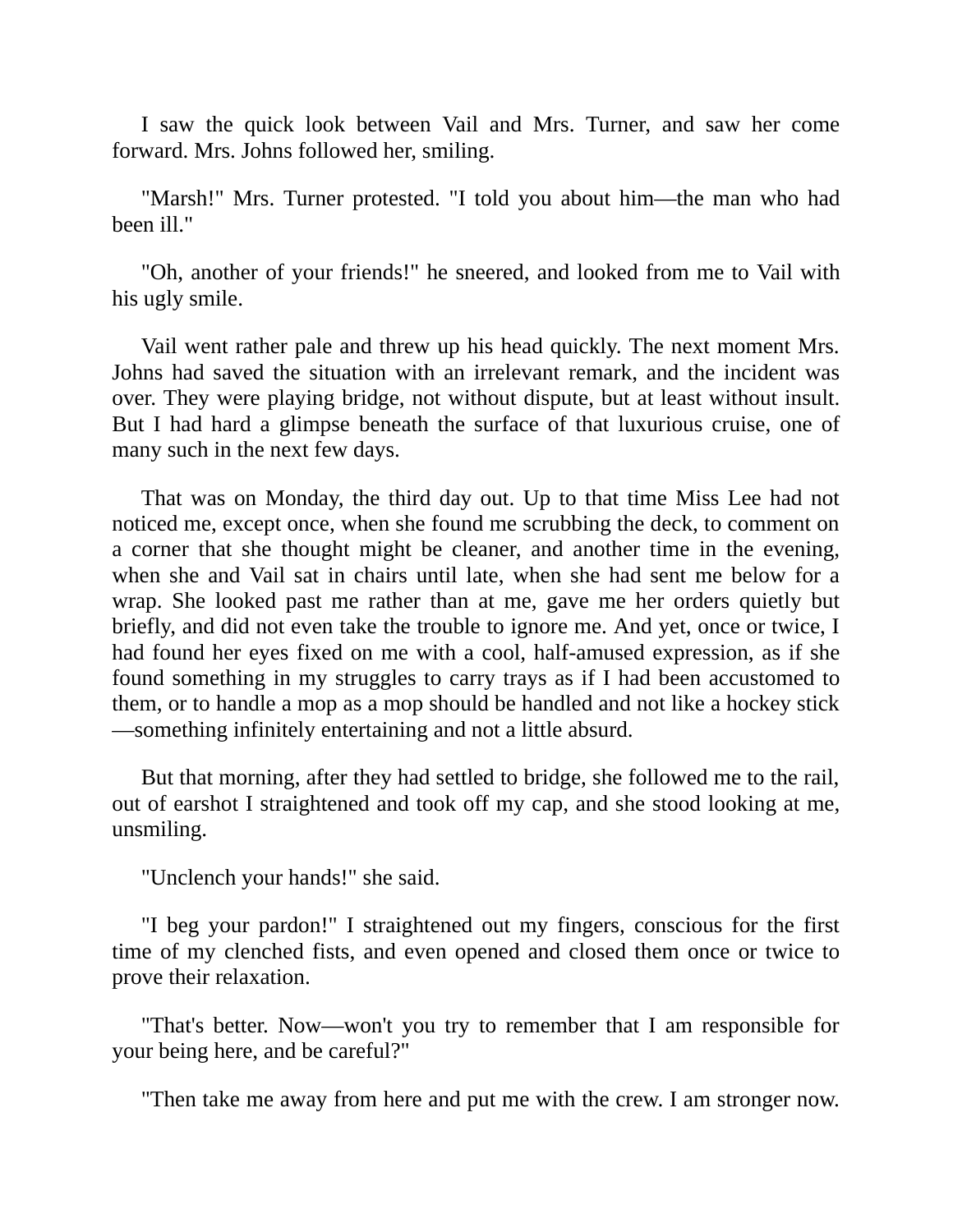I saw the quick look between Vail and Mrs. Turner, and saw her come forward. Mrs. Johns followed her, smiling.

"Marsh!" Mrs. Turner protested. "I told you about him—the man who had been ill."

"Oh, another of your friends!" he sneered, and looked from me to Vail with his ugly smile.

Vail went rather pale and threw up his head quickly. The next moment Mrs. Johns had saved the situation with an irrelevant remark, and the incident was over. They were playing bridge, not without dispute, but at least without insult. But I had hard a glimpse beneath the surface of that luxurious cruise, one of many such in the next few days.

That was on Monday, the third day out. Up to that time Miss Lee had not noticed me, except once, when she found me scrubbing the deck, to comment on a corner that she thought might be cleaner, and another time in the evening, when she and Vail sat in chairs until late, when she had sent me below for a wrap. She looked past me rather than at me, gave me her orders quietly but briefly, and did not even take the trouble to ignore me. And yet, once or twice, I had found her eyes fixed on me with a cool, half-amused expression, as if she found something in my struggles to carry trays as if I had been accustomed to them, or to handle a mop as a mop should be handled and not like a hockey stick —something infinitely entertaining and not a little absurd.

But that morning, after they had settled to bridge, she followed me to the rail, out of earshot I straightened and took off my cap, and she stood looking at me, unsmiling.

"Unclench your hands!" she said.

"I beg your pardon!" I straightened out my fingers, conscious for the first time of my clenched fists, and even opened and closed them once or twice to prove their relaxation.

"That's better. Now—won't you try to remember that I am responsible for your being here, and be careful?"

"Then take me away from here and put me with the crew. I am stronger now.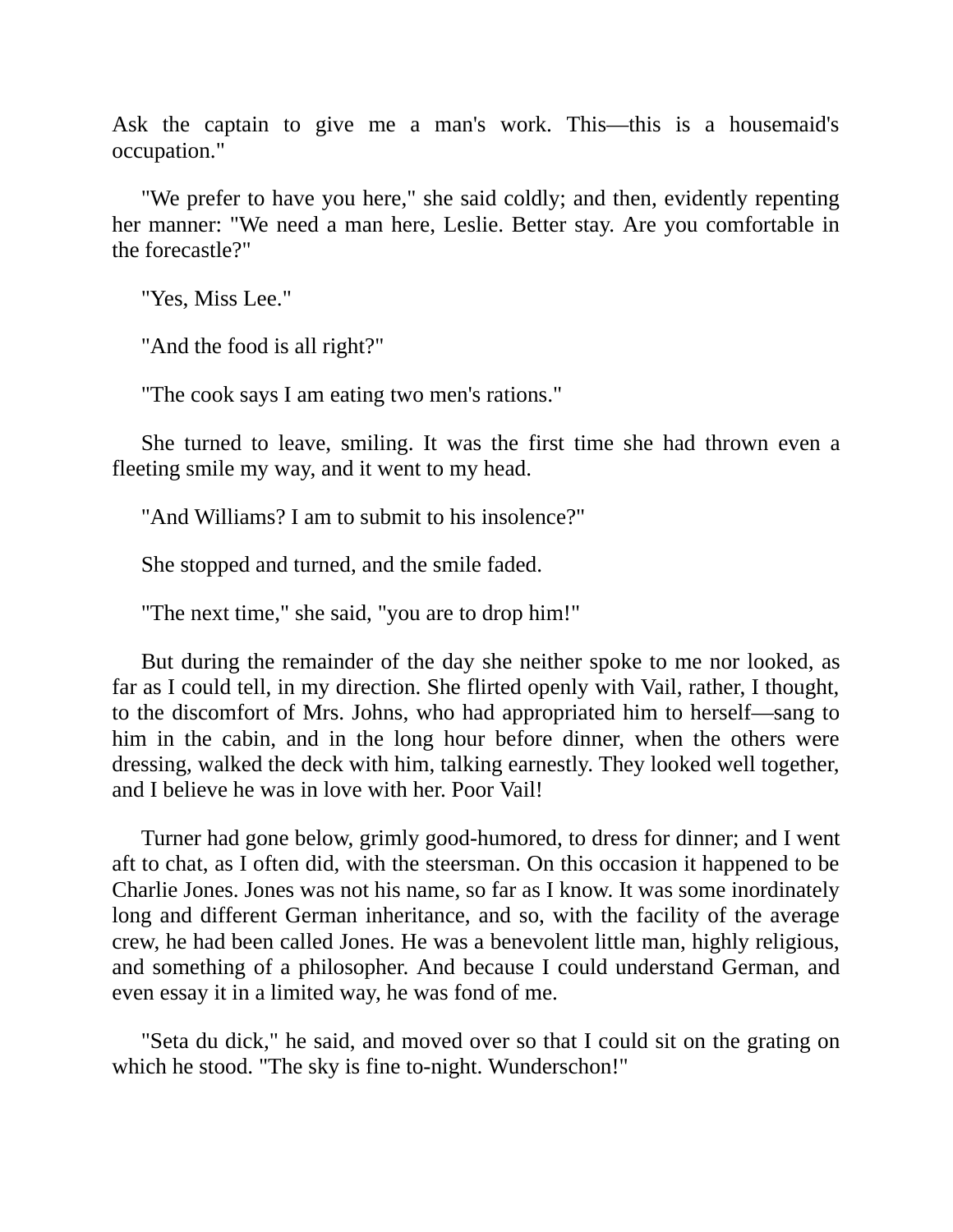Ask the captain to give me a man's work. This—this is a housemaid's occupation."

"We prefer to have you here," she said coldly; and then, evidently repenting her manner: "We need a man here, Leslie. Better stay. Are you comfortable in the forecastle?"

"Yes, Miss Lee."

"And the food is all right?"

"The cook says I am eating two men's rations."

She turned to leave, smiling. It was the first time she had thrown even a fleeting smile my way, and it went to my head.

"And Williams? I am to submit to his insolence?"

She stopped and turned, and the smile faded.

"The next time," she said, "you are to drop him!"

But during the remainder of the day she neither spoke to me nor looked, as far as I could tell, in my direction. She flirted openly with Vail, rather, I thought, to the discomfort of Mrs. Johns, who had appropriated him to herself—sang to him in the cabin, and in the long hour before dinner, when the others were dressing, walked the deck with him, talking earnestly. They looked well together, and I believe he was in love with her. Poor Vail!

Turner had gone below, grimly good-humored, to dress for dinner; and I went aft to chat, as I often did, with the steersman. On this occasion it happened to be Charlie Jones. Jones was not his name, so far as I know. It was some inordinately long and different German inheritance, and so, with the facility of the average crew, he had been called Jones. He was a benevolent little man, highly religious, and something of a philosopher. And because I could understand German, and even essay it in a limited way, he was fond of me.

"Seta du dick," he said, and moved over so that I could sit on the grating on which he stood. "The sky is fine to-night. Wunderschon!"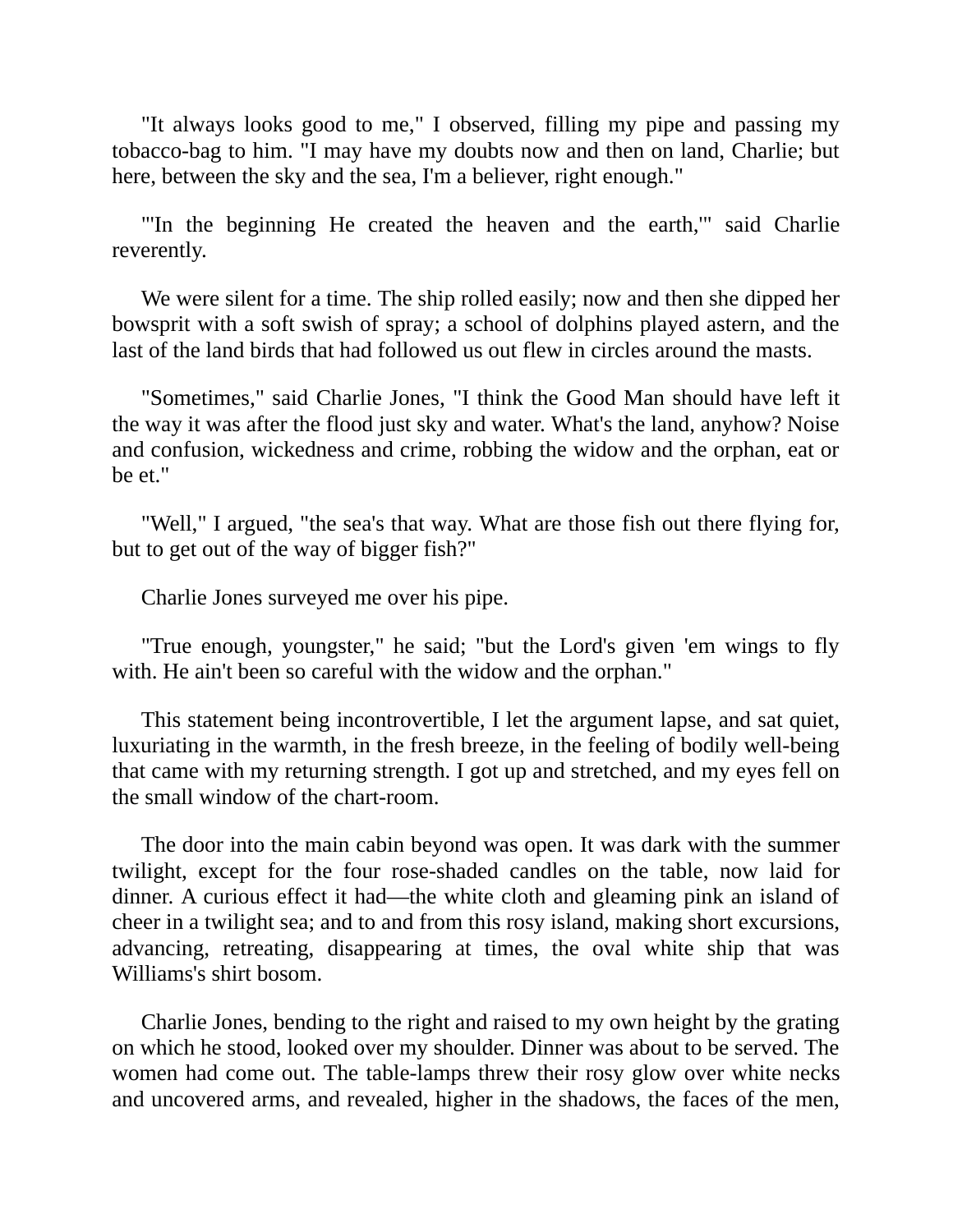"It always looks good to me," I observed, filling my pipe and passing my tobacco-bag to him. "I may have my doubts now and then on land, Charlie; but here, between the sky and the sea, I'm a believer, right enough."

"'In the beginning He created the heaven and the earth,'" said Charlie reverently.

We were silent for a time. The ship rolled easily; now and then she dipped her bowsprit with a soft swish of spray; a school of dolphins played astern, and the last of the land birds that had followed us out flew in circles around the masts.

"Sometimes," said Charlie Jones, "I think the Good Man should have left it the way it was after the flood just sky and water. What's the land, anyhow? Noise and confusion, wickedness and crime, robbing the widow and the orphan, eat or be et."

"Well," I argued, "the sea's that way. What are those fish out there flying for, but to get out of the way of bigger fish?"

Charlie Jones surveyed me over his pipe.

"True enough, youngster," he said; "but the Lord's given 'em wings to fly with. He ain't been so careful with the widow and the orphan."

This statement being incontrovertible, I let the argument lapse, and sat quiet, luxuriating in the warmth, in the fresh breeze, in the feeling of bodily well-being that came with my returning strength. I got up and stretched, and my eyes fell on the small window of the chart-room.

The door into the main cabin beyond was open. It was dark with the summer twilight, except for the four rose-shaded candles on the table, now laid for dinner. A curious effect it had—the white cloth and gleaming pink an island of cheer in a twilight sea; and to and from this rosy island, making short excursions, advancing, retreating, disappearing at times, the oval white ship that was Williams's shirt bosom.

Charlie Jones, bending to the right and raised to my own height by the grating on which he stood, looked over my shoulder. Dinner was about to be served. The women had come out. The table-lamps threw their rosy glow over white necks and uncovered arms, and revealed, higher in the shadows, the faces of the men,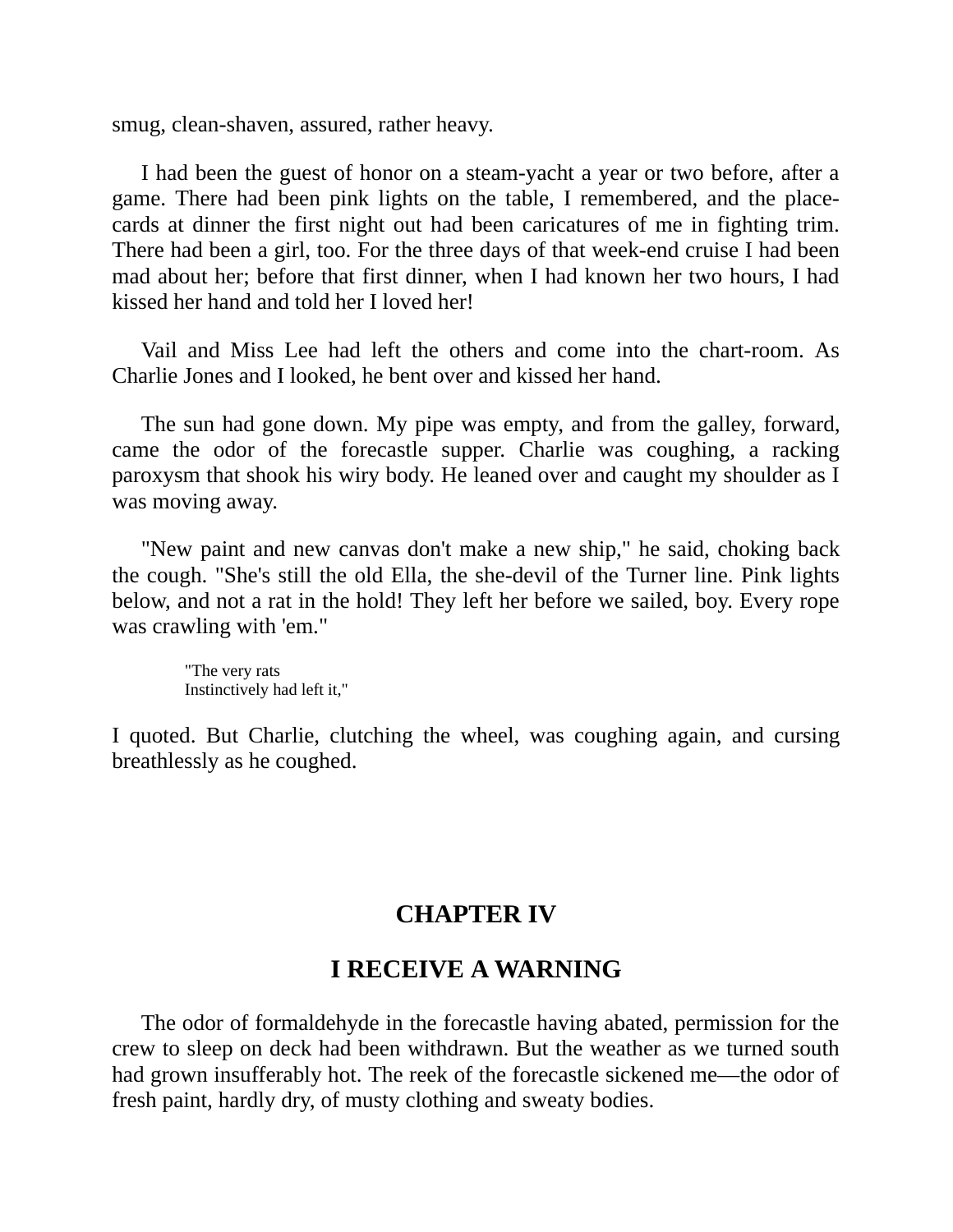smug, clean-shaven, assured, rather heavy.

I had been the guest of honor on a steam-yacht a year or two before, after a game. There had been pink lights on the table, I remembered, and the placecards at dinner the first night out had been caricatures of me in fighting trim. There had been a girl, too. For the three days of that week-end cruise I had been mad about her; before that first dinner, when I had known her two hours, I had kissed her hand and told her I loved her!

Vail and Miss Lee had left the others and come into the chart-room. As Charlie Jones and I looked, he bent over and kissed her hand.

The sun had gone down. My pipe was empty, and from the galley, forward, came the odor of the forecastle supper. Charlie was coughing, a racking paroxysm that shook his wiry body. He leaned over and caught my shoulder as I was moving away.

"New paint and new canvas don't make a new ship," he said, choking back the cough. "She's still the old Ella, the she-devil of the Turner line. Pink lights below, and not a rat in the hold! They left her before we sailed, boy. Every rope was crawling with 'em."

> "The very rats Instinctively had left it,"

<span id="page-20-0"></span>I quoted. But Charlie, clutching the wheel, was coughing again, and cursing breathlessly as he coughed.

#### **CHAPTER IV**

#### **I RECEIVE A WARNING**

The odor of formaldehyde in the forecastle having abated, permission for the crew to sleep on deck had been withdrawn. But the weather as we turned south had grown insufferably hot. The reek of the forecastle sickened me—the odor of fresh paint, hardly dry, of musty clothing and sweaty bodies.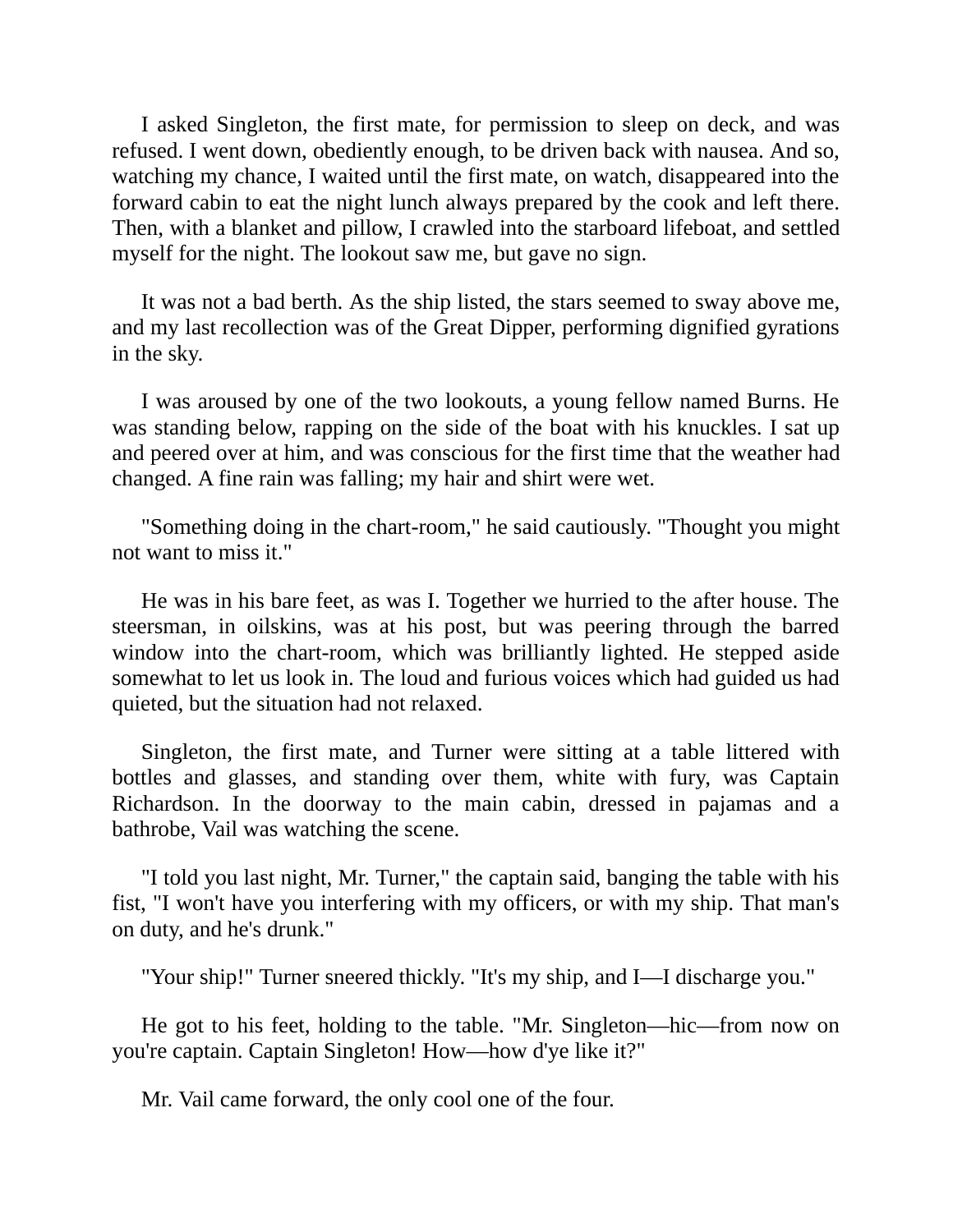I asked Singleton, the first mate, for permission to sleep on deck, and was refused. I went down, obediently enough, to be driven back with nausea. And so, watching my chance, I waited until the first mate, on watch, disappeared into the forward cabin to eat the night lunch always prepared by the cook and left there. Then, with a blanket and pillow, I crawled into the starboard lifeboat, and settled myself for the night. The lookout saw me, but gave no sign.

It was not a bad berth. As the ship listed, the stars seemed to sway above me, and my last recollection was of the Great Dipper, performing dignified gyrations in the sky.

I was aroused by one of the two lookouts, a young fellow named Burns. He was standing below, rapping on the side of the boat with his knuckles. I sat up and peered over at him, and was conscious for the first time that the weather had changed. A fine rain was falling; my hair and shirt were wet.

"Something doing in the chart-room," he said cautiously. "Thought you might not want to miss it."

He was in his bare feet, as was I. Together we hurried to the after house. The steersman, in oilskins, was at his post, but was peering through the barred window into the chart-room, which was brilliantly lighted. He stepped aside somewhat to let us look in. The loud and furious voices which had guided us had quieted, but the situation had not relaxed.

Singleton, the first mate, and Turner were sitting at a table littered with bottles and glasses, and standing over them, white with fury, was Captain Richardson. In the doorway to the main cabin, dressed in pajamas and a bathrobe, Vail was watching the scene.

"I told you last night, Mr. Turner," the captain said, banging the table with his fist, "I won't have you interfering with my officers, or with my ship. That man's on duty, and he's drunk."

"Your ship!" Turner sneered thickly. "It's my ship, and I—I discharge you."

He got to his feet, holding to the table. "Mr. Singleton—hic—from now on you're captain. Captain Singleton! How—how d'ye like it?"

Mr. Vail came forward, the only cool one of the four.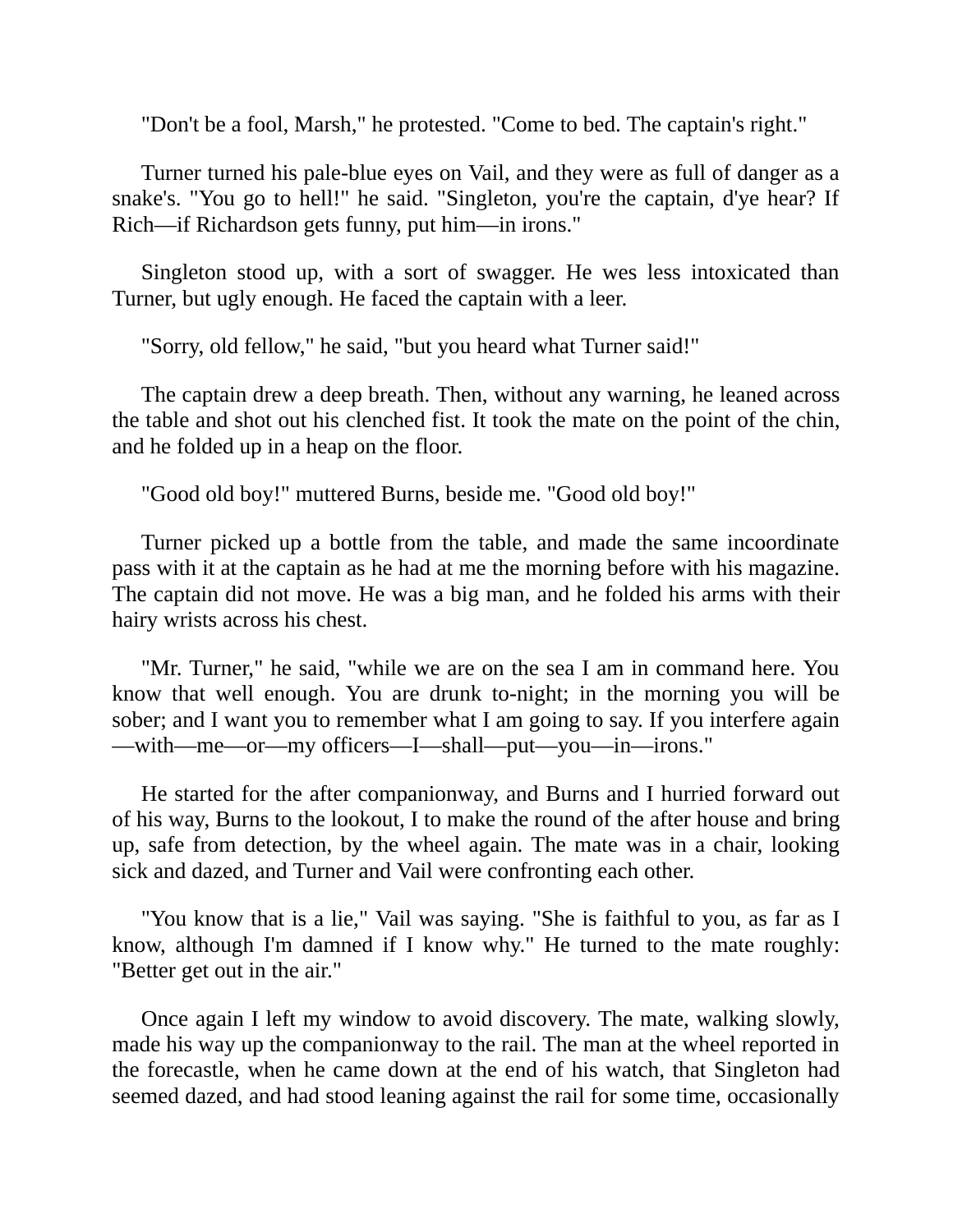"Don't be a fool, Marsh," he protested. "Come to bed. The captain's right."

Turner turned his pale-blue eyes on Vail, and they were as full of danger as a snake's. "You go to hell!" he said. "Singleton, you're the captain, d'ye hear? If Rich—if Richardson gets funny, put him—in irons."

Singleton stood up, with a sort of swagger. He wes less intoxicated than Turner, but ugly enough. He faced the captain with a leer.

"Sorry, old fellow," he said, "but you heard what Turner said!"

The captain drew a deep breath. Then, without any warning, he leaned across the table and shot out his clenched fist. It took the mate on the point of the chin, and he folded up in a heap on the floor.

"Good old boy!" muttered Burns, beside me. "Good old boy!"

Turner picked up a bottle from the table, and made the same incoordinate pass with it at the captain as he had at me the morning before with his magazine. The captain did not move. He was a big man, and he folded his arms with their hairy wrists across his chest.

"Mr. Turner," he said, "while we are on the sea I am in command here. You know that well enough. You are drunk to-night; in the morning you will be sober; and I want you to remember what I am going to say. If you interfere again —with—me—or—my officers—I—shall—put—you—in—irons."

He started for the after companionway, and Burns and I hurried forward out of his way, Burns to the lookout, I to make the round of the after house and bring up, safe from detection, by the wheel again. The mate was in a chair, looking sick and dazed, and Turner and Vail were confronting each other.

"You know that is a lie," Vail was saying. "She is faithful to you, as far as I know, although I'm damned if I know why." He turned to the mate roughly: "Better get out in the air."

Once again I left my window to avoid discovery. The mate, walking slowly, made his way up the companionway to the rail. The man at the wheel reported in the forecastle, when he came down at the end of his watch, that Singleton had seemed dazed, and had stood leaning against the rail for some time, occasionally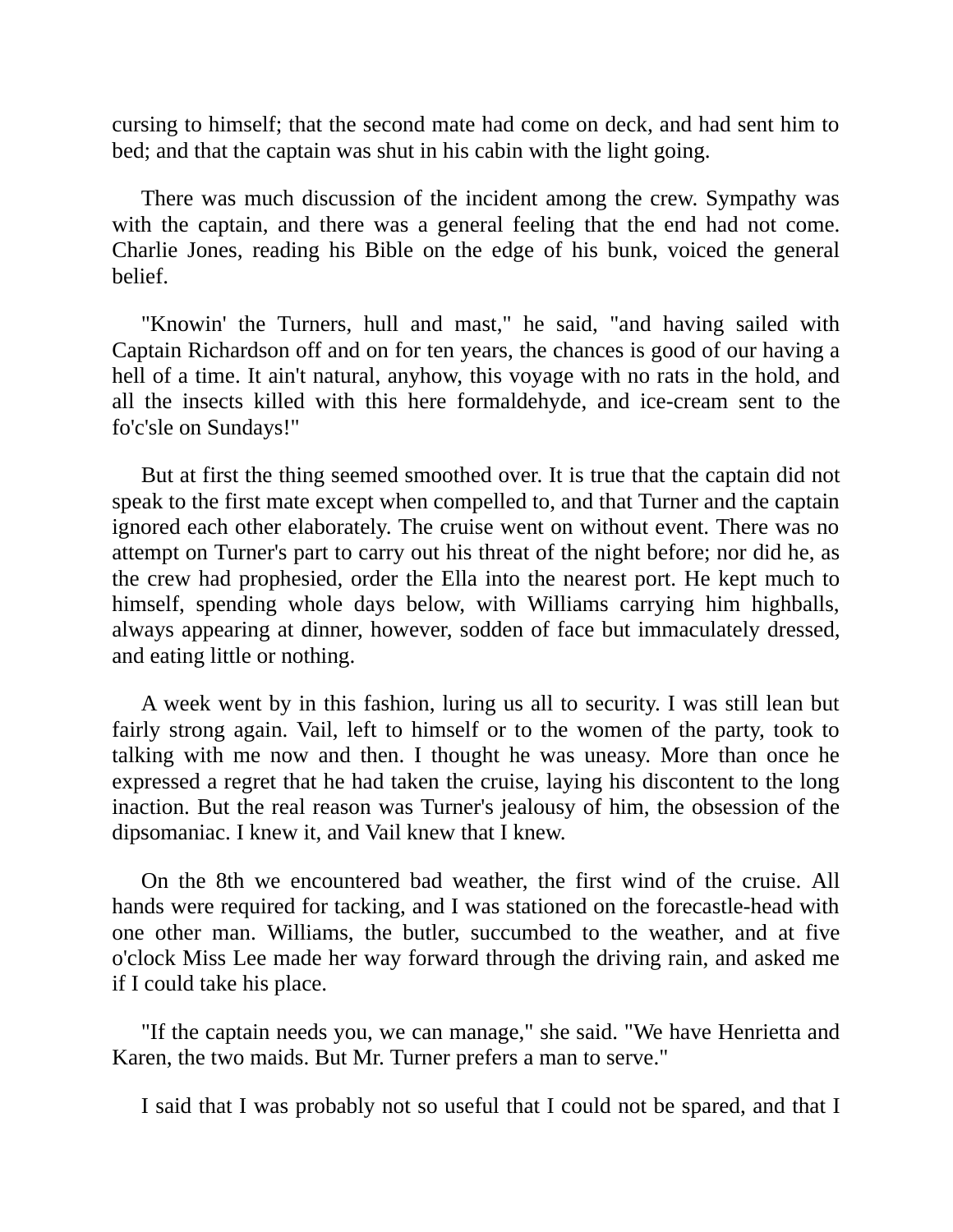cursing to himself; that the second mate had come on deck, and had sent him to bed; and that the captain was shut in his cabin with the light going.

There was much discussion of the incident among the crew. Sympathy was with the captain, and there was a general feeling that the end had not come. Charlie Jones, reading his Bible on the edge of his bunk, voiced the general belief.

"Knowin' the Turners, hull and mast," he said, "and having sailed with Captain Richardson off and on for ten years, the chances is good of our having a hell of a time. It ain't natural, anyhow, this voyage with no rats in the hold, and all the insects killed with this here formaldehyde, and ice-cream sent to the fo'c'sle on Sundays!"

But at first the thing seemed smoothed over. It is true that the captain did not speak to the first mate except when compelled to, and that Turner and the captain ignored each other elaborately. The cruise went on without event. There was no attempt on Turner's part to carry out his threat of the night before; nor did he, as the crew had prophesied, order the Ella into the nearest port. He kept much to himself, spending whole days below, with Williams carrying him highballs, always appearing at dinner, however, sodden of face but immaculately dressed, and eating little or nothing.

A week went by in this fashion, luring us all to security. I was still lean but fairly strong again. Vail, left to himself or to the women of the party, took to talking with me now and then. I thought he was uneasy. More than once he expressed a regret that he had taken the cruise, laying his discontent to the long inaction. But the real reason was Turner's jealousy of him, the obsession of the dipsomaniac. I knew it, and Vail knew that I knew.

On the 8th we encountered bad weather, the first wind of the cruise. All hands were required for tacking, and I was stationed on the forecastle-head with one other man. Williams, the butler, succumbed to the weather, and at five o'clock Miss Lee made her way forward through the driving rain, and asked me if I could take his place.

"If the captain needs you, we can manage," she said. "We have Henrietta and Karen, the two maids. But Mr. Turner prefers a man to serve."

I said that I was probably not so useful that I could not be spared, and that I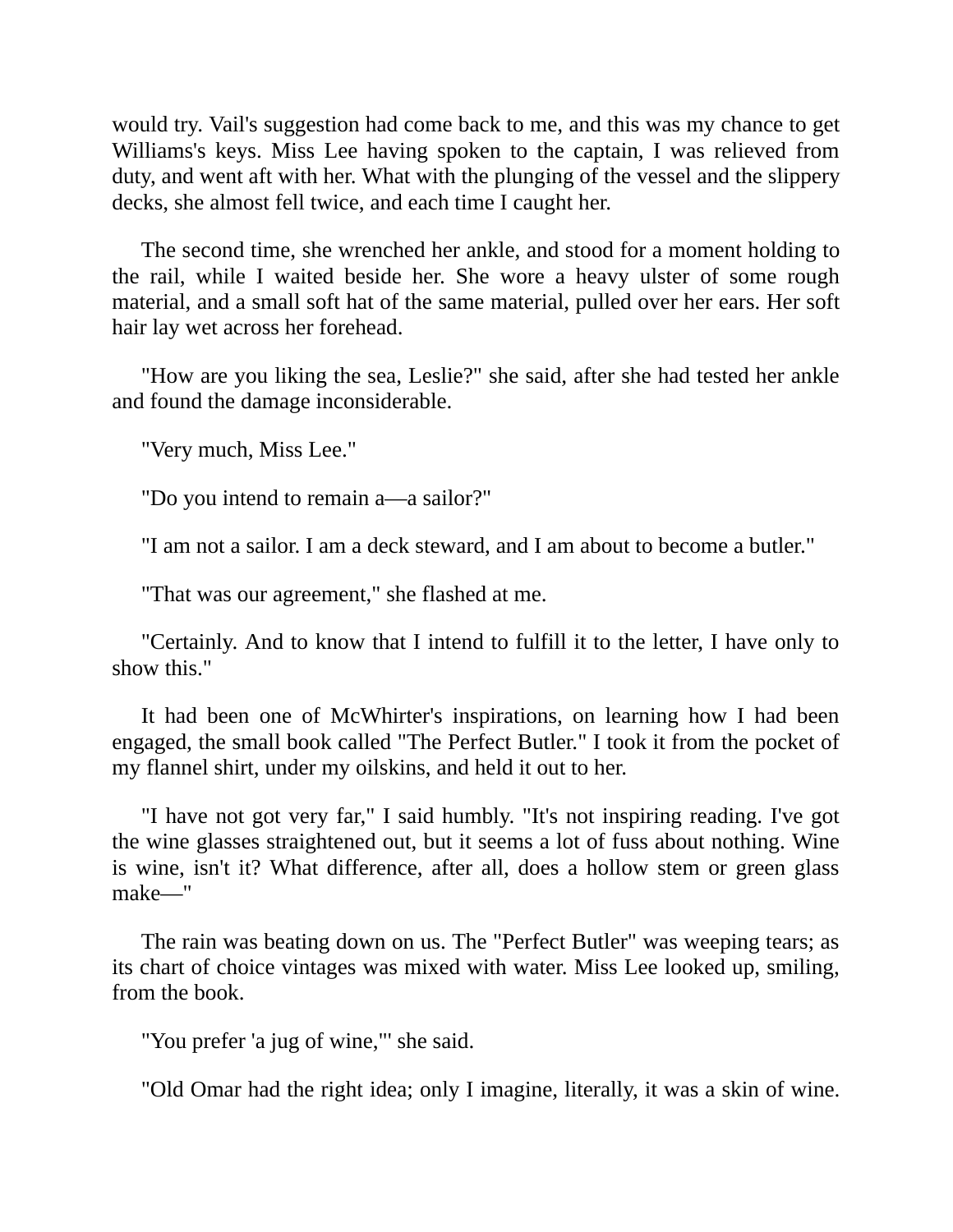would try. Vail's suggestion had come back to me, and this was my chance to get Williams's keys. Miss Lee having spoken to the captain, I was relieved from duty, and went aft with her. What with the plunging of the vessel and the slippery decks, she almost fell twice, and each time I caught her.

The second time, she wrenched her ankle, and stood for a moment holding to the rail, while I waited beside her. She wore a heavy ulster of some rough material, and a small soft hat of the same material, pulled over her ears. Her soft hair lay wet across her forehead.

"How are you liking the sea, Leslie?" she said, after she had tested her ankle and found the damage inconsiderable.

"Very much, Miss Lee."

"Do you intend to remain a—a sailor?"

"I am not a sailor. I am a deck steward, and I am about to become a butler."

"That was our agreement," she flashed at me.

"Certainly. And to know that I intend to fulfill it to the letter, I have only to show this."

It had been one of McWhirter's inspirations, on learning how I had been engaged, the small book called "The Perfect Butler." I took it from the pocket of my flannel shirt, under my oilskins, and held it out to her.

"I have not got very far," I said humbly. "It's not inspiring reading. I've got the wine glasses straightened out, but it seems a lot of fuss about nothing. Wine is wine, isn't it? What difference, after all, does a hollow stem or green glass make—"

The rain was beating down on us. The "Perfect Butler" was weeping tears; as its chart of choice vintages was mixed with water. Miss Lee looked up, smiling, from the book.

"You prefer 'a jug of wine,"' she said.

"Old Omar had the right idea; only I imagine, literally, it was a skin of wine.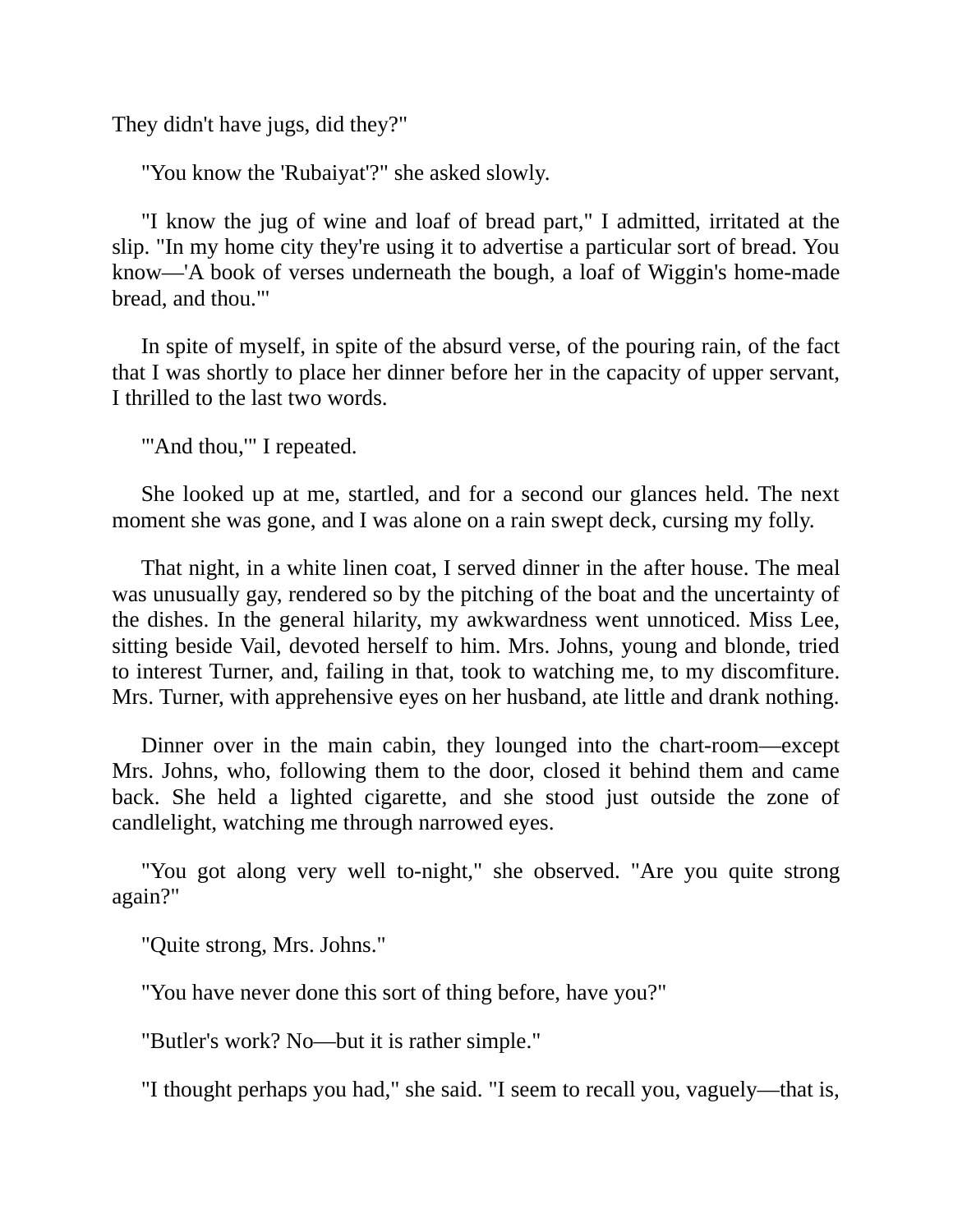They didn't have jugs, did they?"

"You know the 'Rubaiyat'?" she asked slowly.

"I know the jug of wine and loaf of bread part," I admitted, irritated at the slip. "In my home city they're using it to advertise a particular sort of bread. You know—'A book of verses underneath the bough, a loaf of Wiggin's home-made bread, and thou."'

In spite of myself, in spite of the absurd verse, of the pouring rain, of the fact that I was shortly to place her dinner before her in the capacity of upper servant, I thrilled to the last two words.

"'And thou,"' I repeated.

She looked up at me, startled, and for a second our glances held. The next moment she was gone, and I was alone on a rain swept deck, cursing my folly.

That night, in a white linen coat, I served dinner in the after house. The meal was unusually gay, rendered so by the pitching of the boat and the uncertainty of the dishes. In the general hilarity, my awkwardness went unnoticed. Miss Lee, sitting beside Vail, devoted herself to him. Mrs. Johns, young and blonde, tried to interest Turner, and, failing in that, took to watching me, to my discomfiture. Mrs. Turner, with apprehensive eyes on her husband, ate little and drank nothing.

Dinner over in the main cabin, they lounged into the chart-room—except Mrs. Johns, who, following them to the door, closed it behind them and came back. She held a lighted cigarette, and she stood just outside the zone of candlelight, watching me through narrowed eyes.

"You got along very well to-night," she observed. "Are you quite strong again?"

"Quite strong, Mrs. Johns."

"You have never done this sort of thing before, have you?"

"Butler's work? No—but it is rather simple."

"I thought perhaps you had," she said. "I seem to recall you, vaguely—that is,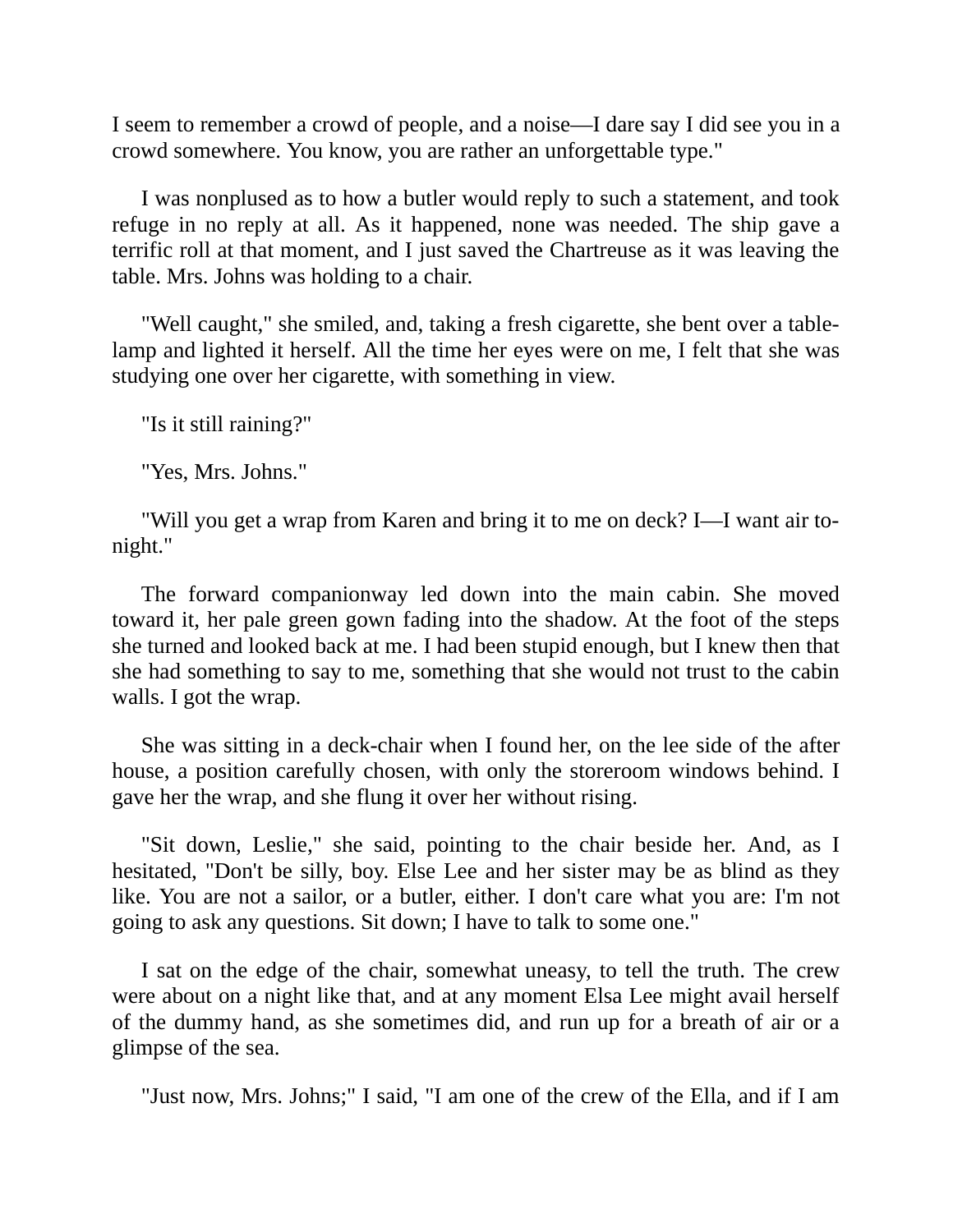I seem to remember a crowd of people, and a noise—I dare say I did see you in a crowd somewhere. You know, you are rather an unforgettable type."

I was nonplused as to how a butler would reply to such a statement, and took refuge in no reply at all. As it happened, none was needed. The ship gave a terrific roll at that moment, and I just saved the Chartreuse as it was leaving the table. Mrs. Johns was holding to a chair.

"Well caught," she smiled, and, taking a fresh cigarette, she bent over a tablelamp and lighted it herself. All the time her eyes were on me, I felt that she was studying one over her cigarette, with something in view.

"Is it still raining?"

"Yes, Mrs. Johns."

"Will you get a wrap from Karen and bring it to me on deck? I—I want air tonight."

The forward companionway led down into the main cabin. She moved toward it, her pale green gown fading into the shadow. At the foot of the steps she turned and looked back at me. I had been stupid enough, but I knew then that she had something to say to me, something that she would not trust to the cabin walls. I got the wrap.

She was sitting in a deck-chair when I found her, on the lee side of the after house, a position carefully chosen, with only the storeroom windows behind. I gave her the wrap, and she flung it over her without rising.

"Sit down, Leslie," she said, pointing to the chair beside her. And, as I hesitated, "Don't be silly, boy. Else Lee and her sister may be as blind as they like. You are not a sailor, or a butler, either. I don't care what you are: I'm not going to ask any questions. Sit down; I have to talk to some one."

I sat on the edge of the chair, somewhat uneasy, to tell the truth. The crew were about on a night like that, and at any moment Elsa Lee might avail herself of the dummy hand, as she sometimes did, and run up for a breath of air or a glimpse of the sea.

"Just now, Mrs. Johns;" I said, "I am one of the crew of the Ella, and if I am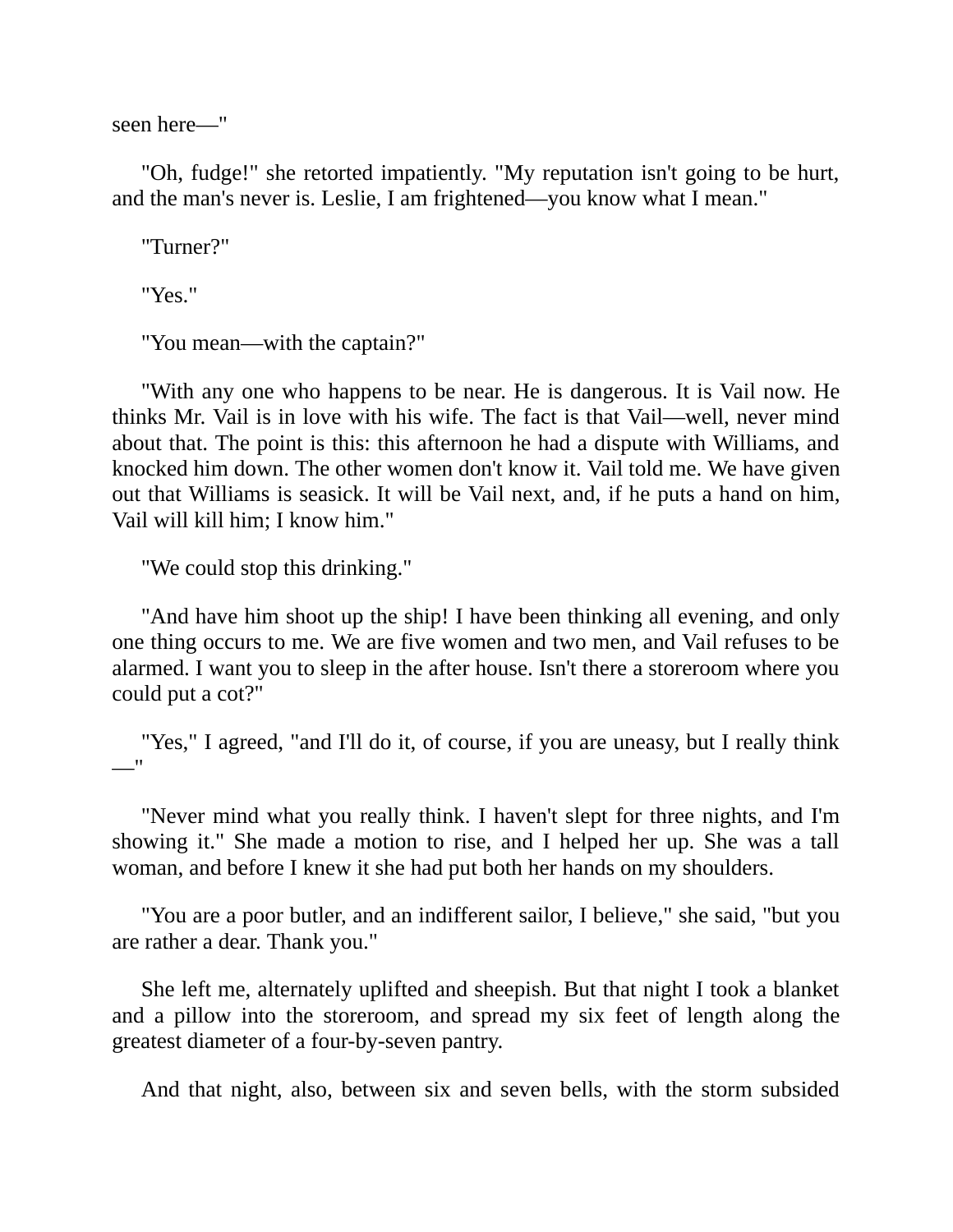seen here—"

"Oh, fudge!" she retorted impatiently. "My reputation isn't going to be hurt, and the man's never is. Leslie, I am frightened—you know what I mean."

"Turner?"

"Yes."

"You mean—with the captain?"

"With any one who happens to be near. He is dangerous. It is Vail now. He thinks Mr. Vail is in love with his wife. The fact is that Vail—well, never mind about that. The point is this: this afternoon he had a dispute with Williams, and knocked him down. The other women don't know it. Vail told me. We have given out that Williams is seasick. It will be Vail next, and, if he puts a hand on him, Vail will kill him; I know him."

"We could stop this drinking."

"And have him shoot up the ship! I have been thinking all evening, and only one thing occurs to me. We are five women and two men, and Vail refuses to be alarmed. I want you to sleep in the after house. Isn't there a storeroom where you could put a cot?"

"Yes," I agreed, "and I'll do it, of course, if you are uneasy, but I really think —"

"Never mind what you really think. I haven't slept for three nights, and I'm showing it." She made a motion to rise, and I helped her up. She was a tall woman, and before I knew it she had put both her hands on my shoulders.

"You are a poor butler, and an indifferent sailor, I believe," she said, "but you are rather a dear. Thank you."

She left me, alternately uplifted and sheepish. But that night I took a blanket and a pillow into the storeroom, and spread my six feet of length along the greatest diameter of a four-by-seven pantry.

And that night, also, between six and seven bells, with the storm subsided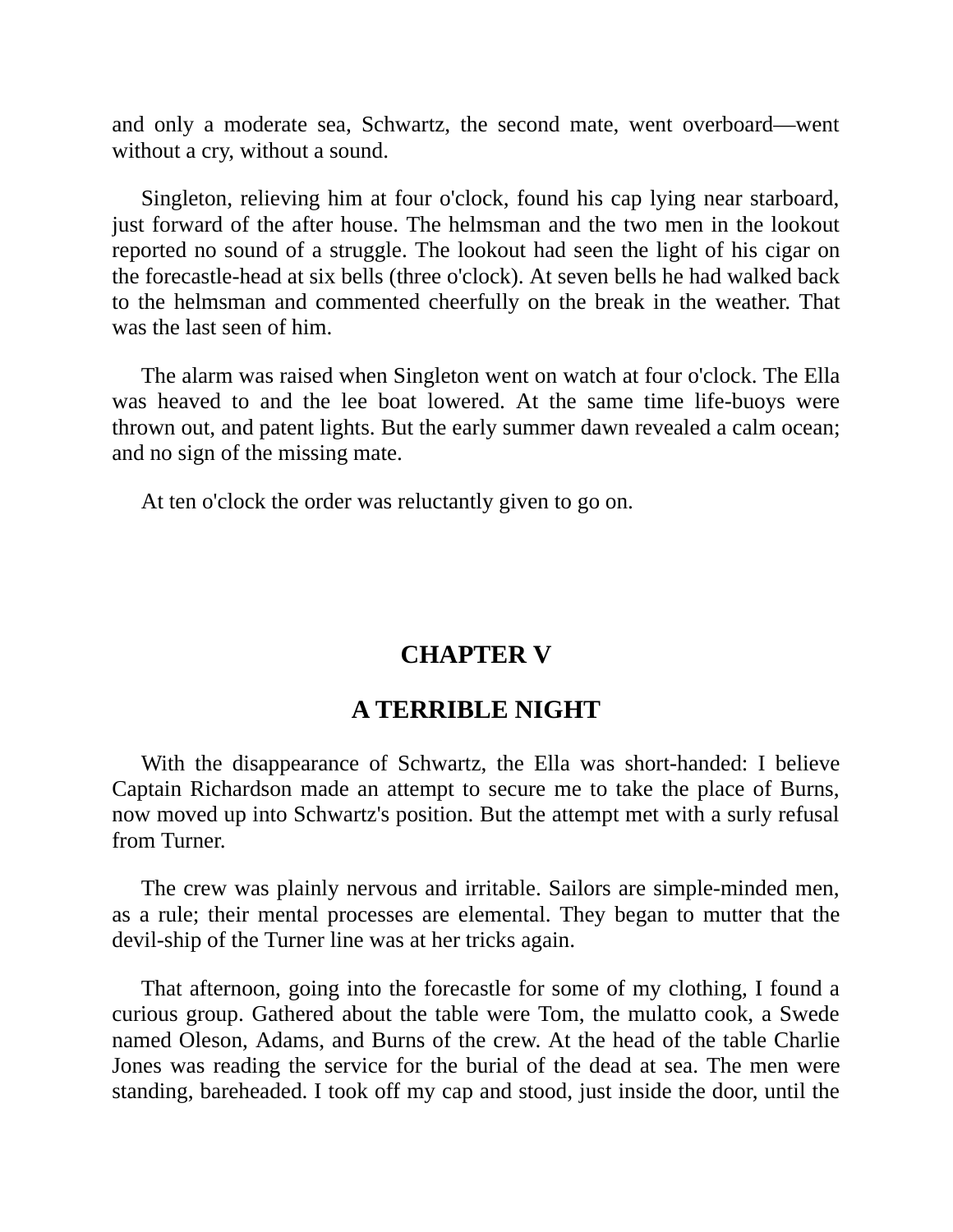and only a moderate sea, Schwartz, the second mate, went overboard—went without a cry, without a sound.

Singleton, relieving him at four o'clock, found his cap lying near starboard, just forward of the after house. The helmsman and the two men in the lookout reported no sound of a struggle. The lookout had seen the light of his cigar on the forecastle-head at six bells (three o'clock). At seven bells he had walked back to the helmsman and commented cheerfully on the break in the weather. That was the last seen of him.

The alarm was raised when Singleton went on watch at four o'clock. The Ella was heaved to and the lee boat lowered. At the same time life-buoys were thrown out, and patent lights. But the early summer dawn revealed a calm ocean; and no sign of the missing mate.

<span id="page-28-0"></span>At ten o'clock the order was reluctantly given to go on.

#### **CHAPTER V**

#### **A TERRIBLE NIGHT**

With the disappearance of Schwartz, the Ella was short-handed: I believe Captain Richardson made an attempt to secure me to take the place of Burns, now moved up into Schwartz's position. But the attempt met with a surly refusal from Turner.

The crew was plainly nervous and irritable. Sailors are simple-minded men, as a rule; their mental processes are elemental. They began to mutter that the devil-ship of the Turner line was at her tricks again.

That afternoon, going into the forecastle for some of my clothing, I found a curious group. Gathered about the table were Tom, the mulatto cook, a Swede named Oleson, Adams, and Burns of the crew. At the head of the table Charlie Jones was reading the service for the burial of the dead at sea. The men were standing, bareheaded. I took off my cap and stood, just inside the door, until the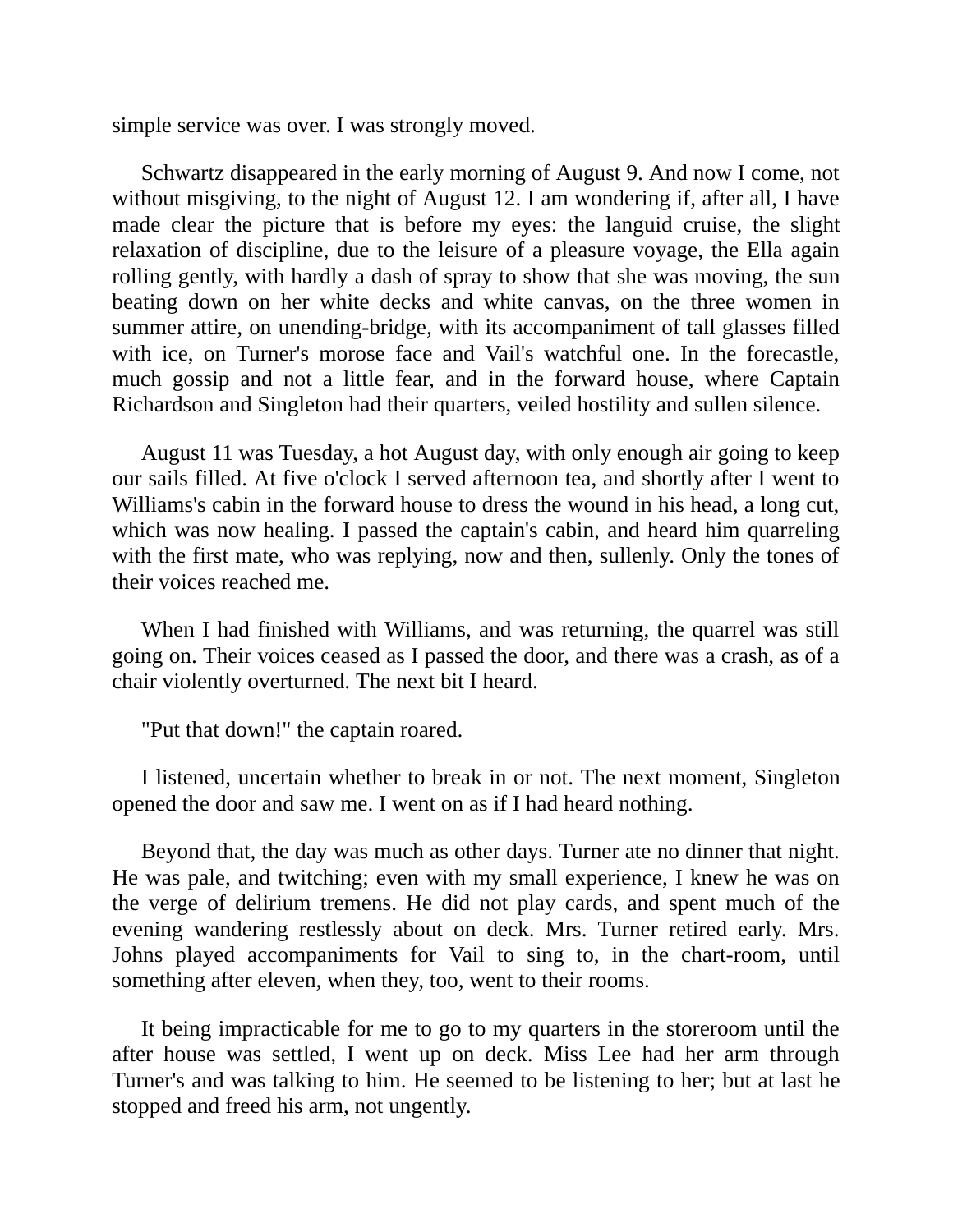simple service was over. I was strongly moved.

Schwartz disappeared in the early morning of August 9. And now I come, not without misgiving, to the night of August 12. I am wondering if, after all, I have made clear the picture that is before my eyes: the languid cruise, the slight relaxation of discipline, due to the leisure of a pleasure voyage, the Ella again rolling gently, with hardly a dash of spray to show that she was moving, the sun beating down on her white decks and white canvas, on the three women in summer attire, on unending-bridge, with its accompaniment of tall glasses filled with ice, on Turner's morose face and Vail's watchful one. In the forecastle, much gossip and not a little fear, and in the forward house, where Captain Richardson and Singleton had their quarters, veiled hostility and sullen silence.

August 11 was Tuesday, a hot August day, with only enough air going to keep our sails filled. At five o'clock I served afternoon tea, and shortly after I went to Williams's cabin in the forward house to dress the wound in his head, a long cut, which was now healing. I passed the captain's cabin, and heard him quarreling with the first mate, who was replying, now and then, sullenly. Only the tones of their voices reached me.

When I had finished with Williams, and was returning, the quarrel was still going on. Their voices ceased as I passed the door, and there was a crash, as of a chair violently overturned. The next bit I heard.

"Put that down!" the captain roared.

I listened, uncertain whether to break in or not. The next moment, Singleton opened the door and saw me. I went on as if I had heard nothing.

Beyond that, the day was much as other days. Turner ate no dinner that night. He was pale, and twitching; even with my small experience, I knew he was on the verge of delirium tremens. He did not play cards, and spent much of the evening wandering restlessly about on deck. Mrs. Turner retired early. Mrs. Johns played accompaniments for Vail to sing to, in the chart-room, until something after eleven, when they, too, went to their rooms.

It being impracticable for me to go to my quarters in the storeroom until the after house was settled, I went up on deck. Miss Lee had her arm through Turner's and was talking to him. He seemed to be listening to her; but at last he stopped and freed his arm, not ungently.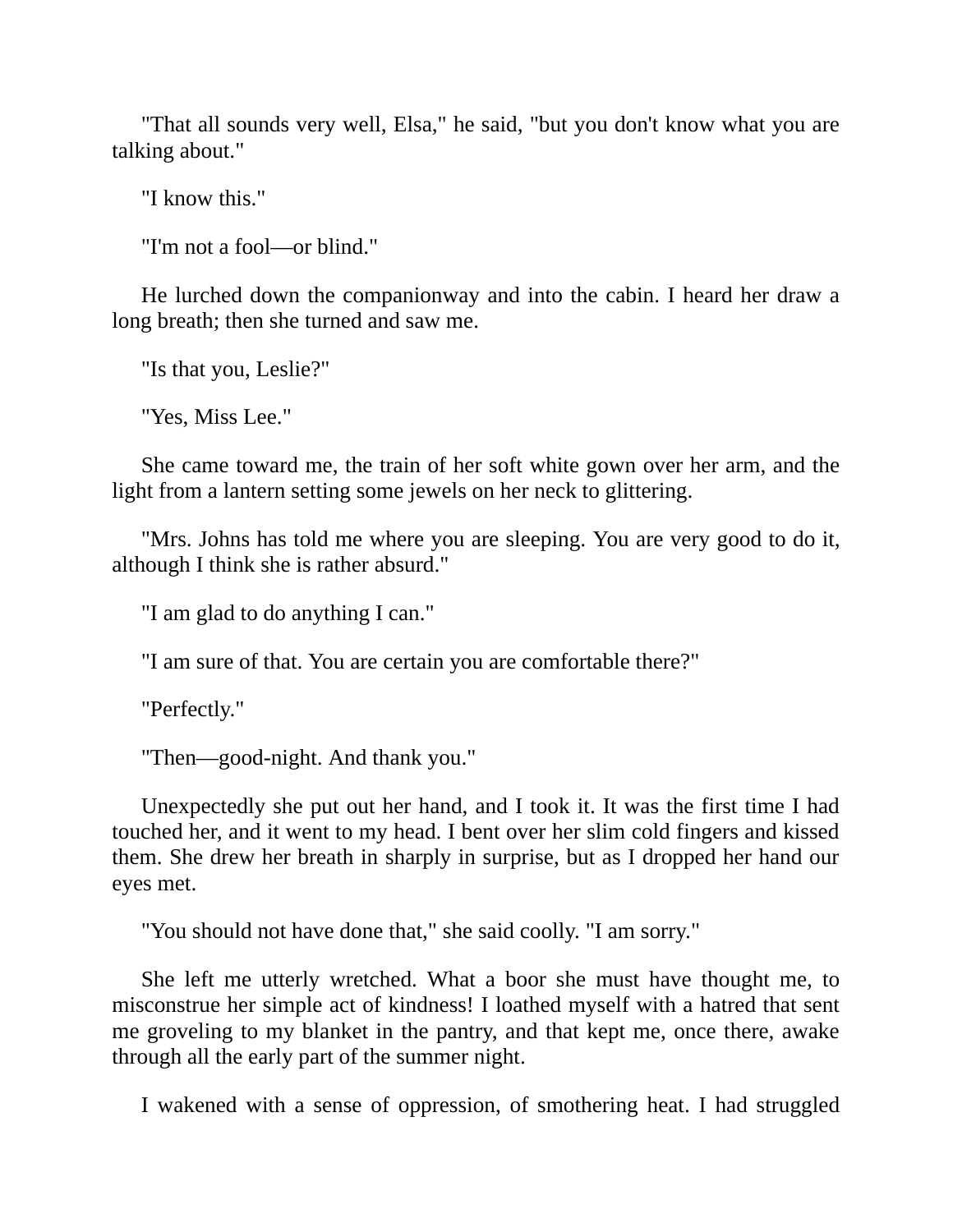"That all sounds very well, Elsa," he said, "but you don't know what you are talking about."

"I know this."

"I'm not a fool—or blind."

He lurched down the companionway and into the cabin. I heard her draw a long breath; then she turned and saw me.

"Is that you, Leslie?"

"Yes, Miss Lee."

She came toward me, the train of her soft white gown over her arm, and the light from a lantern setting some jewels on her neck to glittering.

"Mrs. Johns has told me where you are sleeping. You are very good to do it, although I think she is rather absurd."

"I am glad to do anything I can."

"I am sure of that. You are certain you are comfortable there?"

"Perfectly."

"Then—good-night. And thank you."

Unexpectedly she put out her hand, and I took it. It was the first time I had touched her, and it went to my head. I bent over her slim cold fingers and kissed them. She drew her breath in sharply in surprise, but as I dropped her hand our eyes met.

"You should not have done that," she said coolly. "I am sorry."

She left me utterly wretched. What a boor she must have thought me, to misconstrue her simple act of kindness! I loathed myself with a hatred that sent me groveling to my blanket in the pantry, and that kept me, once there, awake through all the early part of the summer night.

I wakened with a sense of oppression, of smothering heat. I had struggled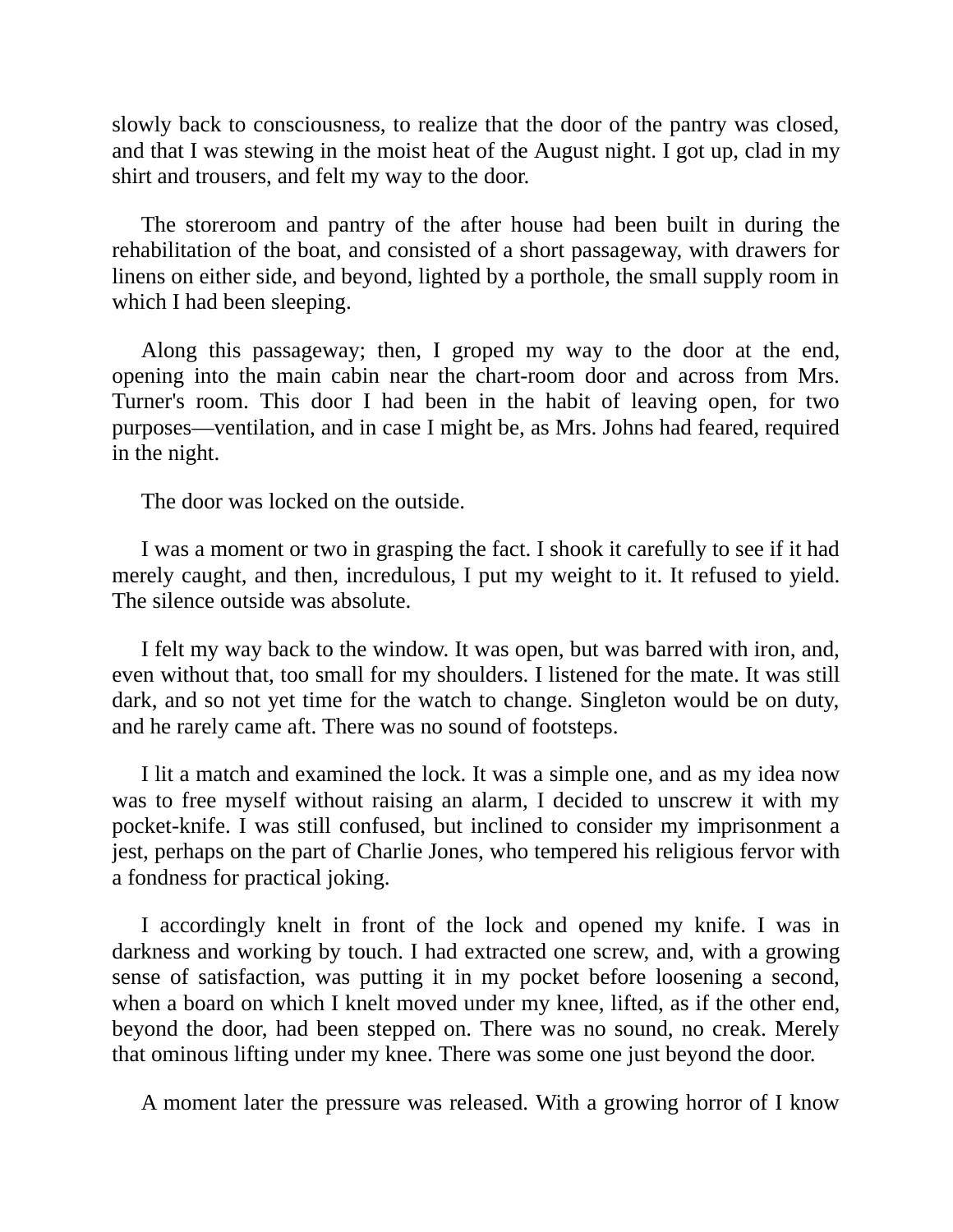slowly back to consciousness, to realize that the door of the pantry was closed, and that I was stewing in the moist heat of the August night. I got up, clad in my shirt and trousers, and felt my way to the door.

The storeroom and pantry of the after house had been built in during the rehabilitation of the boat, and consisted of a short passageway, with drawers for linens on either side, and beyond, lighted by a porthole, the small supply room in which I had been sleeping.

Along this passageway; then, I groped my way to the door at the end, opening into the main cabin near the chart-room door and across from Mrs. Turner's room. This door I had been in the habit of leaving open, for two purposes—ventilation, and in case I might be, as Mrs. Johns had feared, required in the night.

The door was locked on the outside.

I was a moment or two in grasping the fact. I shook it carefully to see if it had merely caught, and then, incredulous, I put my weight to it. It refused to yield. The silence outside was absolute.

I felt my way back to the window. It was open, but was barred with iron, and, even without that, too small for my shoulders. I listened for the mate. It was still dark, and so not yet time for the watch to change. Singleton would be on duty, and he rarely came aft. There was no sound of footsteps.

I lit a match and examined the lock. It was a simple one, and as my idea now was to free myself without raising an alarm, I decided to unscrew it with my pocket-knife. I was still confused, but inclined to consider my imprisonment a jest, perhaps on the part of Charlie Jones, who tempered his religious fervor with a fondness for practical joking.

I accordingly knelt in front of the lock and opened my knife. I was in darkness and working by touch. I had extracted one screw, and, with a growing sense of satisfaction, was putting it in my pocket before loosening a second, when a board on which I knelt moved under my knee, lifted, as if the other end, beyond the door, had been stepped on. There was no sound, no creak. Merely that ominous lifting under my knee. There was some one just beyond the door.

A moment later the pressure was released. With a growing horror of I know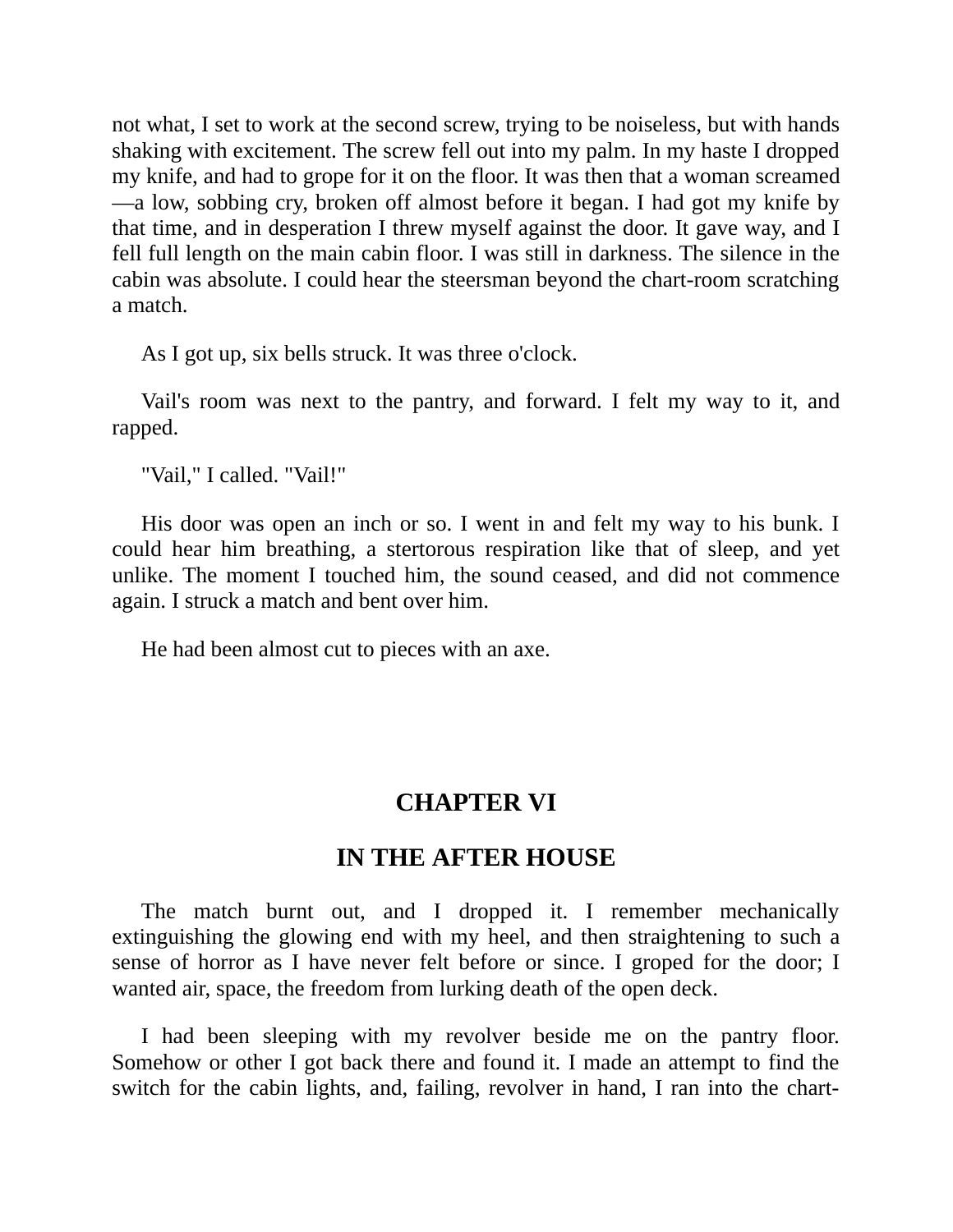not what, I set to work at the second screw, trying to be noiseless, but with hands shaking with excitement. The screw fell out into my palm. In my haste I dropped my knife, and had to grope for it on the floor. It was then that a woman screamed —a low, sobbing cry, broken off almost before it began. I had got my knife by that time, and in desperation I threw myself against the door. It gave way, and I fell full length on the main cabin floor. I was still in darkness. The silence in the cabin was absolute. I could hear the steersman beyond the chart-room scratching a match.

As I got up, six bells struck. It was three o'clock.

Vail's room was next to the pantry, and forward. I felt my way to it, and rapped.

"Vail," I called. "Vail!"

His door was open an inch or so. I went in and felt my way to his bunk. I could hear him breathing, a stertorous respiration like that of sleep, and yet unlike. The moment I touched him, the sound ceased, and did not commence again. I struck a match and bent over him.

<span id="page-32-0"></span>He had been almost cut to pieces with an axe.

#### **CHAPTER VI**

#### **IN THE AFTER HOUSE**

The match burnt out, and I dropped it. I remember mechanically extinguishing the glowing end with my heel, and then straightening to such a sense of horror as I have never felt before or since. I groped for the door; I wanted air, space, the freedom from lurking death of the open deck.

I had been sleeping with my revolver beside me on the pantry floor. Somehow or other I got back there and found it. I made an attempt to find the switch for the cabin lights, and, failing, revolver in hand, I ran into the chart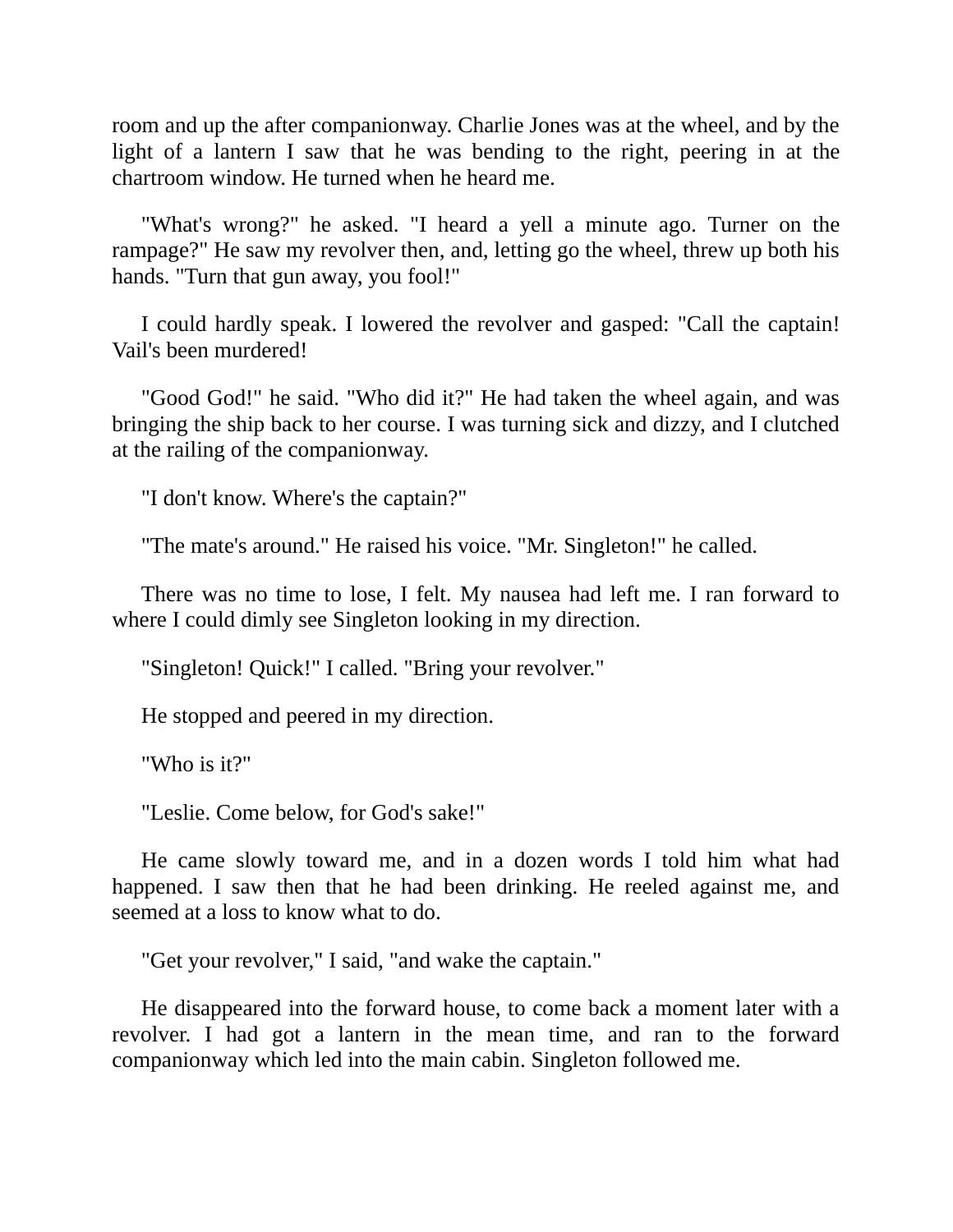room and up the after companionway. Charlie Jones was at the wheel, and by the light of a lantern I saw that he was bending to the right, peering in at the chartroom window. He turned when he heard me.

"What's wrong?" he asked. "I heard a yell a minute ago. Turner on the rampage?" He saw my revolver then, and, letting go the wheel, threw up both his hands. "Turn that gun away, you fool!"

I could hardly speak. I lowered the revolver and gasped: "Call the captain! Vail's been murdered!

"Good God!" he said. "Who did it?" He had taken the wheel again, and was bringing the ship back to her course. I was turning sick and dizzy, and I clutched at the railing of the companionway.

"I don't know. Where's the captain?"

"The mate's around." He raised his voice. "Mr. Singleton!" he called.

There was no time to lose, I felt. My nausea had left me. I ran forward to where I could dimly see Singleton looking in my direction.

"Singleton! Quick!" I called. "Bring your revolver."

He stopped and peered in my direction.

"Who is it?"

"Leslie. Come below, for God's sake!"

He came slowly toward me, and in a dozen words I told him what had happened. I saw then that he had been drinking. He reeled against me, and seemed at a loss to know what to do.

"Get your revolver," I said, "and wake the captain."

He disappeared into the forward house, to come back a moment later with a revolver. I had got a lantern in the mean time, and ran to the forward companionway which led into the main cabin. Singleton followed me.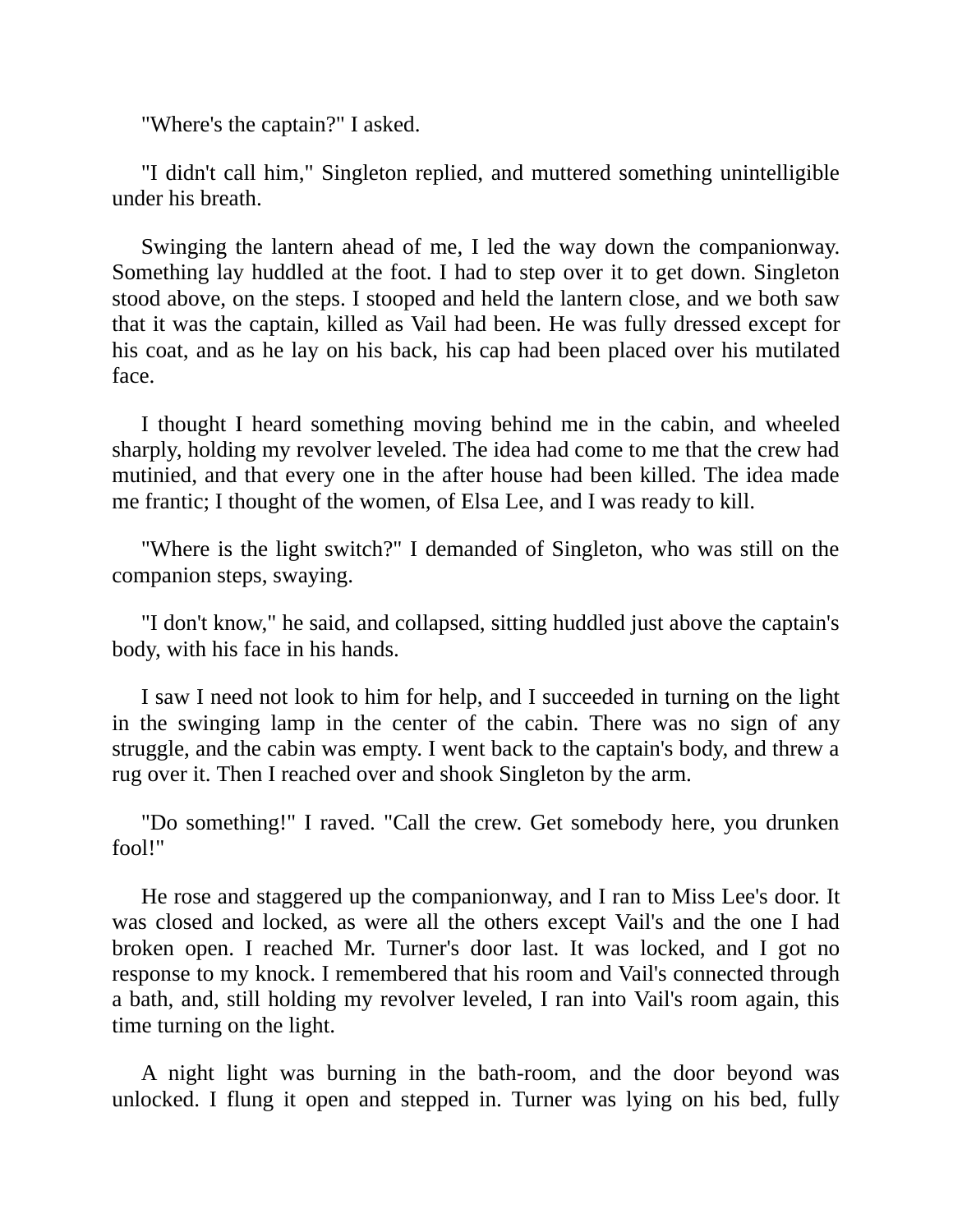"Where's the captain?" I asked.

"I didn't call him," Singleton replied, and muttered something unintelligible under his breath.

Swinging the lantern ahead of me, I led the way down the companionway. Something lay huddled at the foot. I had to step over it to get down. Singleton stood above, on the steps. I stooped and held the lantern close, and we both saw that it was the captain, killed as Vail had been. He was fully dressed except for his coat, and as he lay on his back, his cap had been placed over his mutilated face.

I thought I heard something moving behind me in the cabin, and wheeled sharply, holding my revolver leveled. The idea had come to me that the crew had mutinied, and that every one in the after house had been killed. The idea made me frantic; I thought of the women, of Elsa Lee, and I was ready to kill.

"Where is the light switch?" I demanded of Singleton, who was still on the companion steps, swaying.

"I don't know," he said, and collapsed, sitting huddled just above the captain's body, with his face in his hands.

I saw I need not look to him for help, and I succeeded in turning on the light in the swinging lamp in the center of the cabin. There was no sign of any struggle, and the cabin was empty. I went back to the captain's body, and threw a rug over it. Then I reached over and shook Singleton by the arm.

"Do something!" I raved. "Call the crew. Get somebody here, you drunken fool!"

He rose and staggered up the companionway, and I ran to Miss Lee's door. It was closed and locked, as were all the others except Vail's and the one I had broken open. I reached Mr. Turner's door last. It was locked, and I got no response to my knock. I remembered that his room and Vail's connected through a bath, and, still holding my revolver leveled, I ran into Vail's room again, this time turning on the light.

A night light was burning in the bath-room, and the door beyond was unlocked. I flung it open and stepped in. Turner was lying on his bed, fully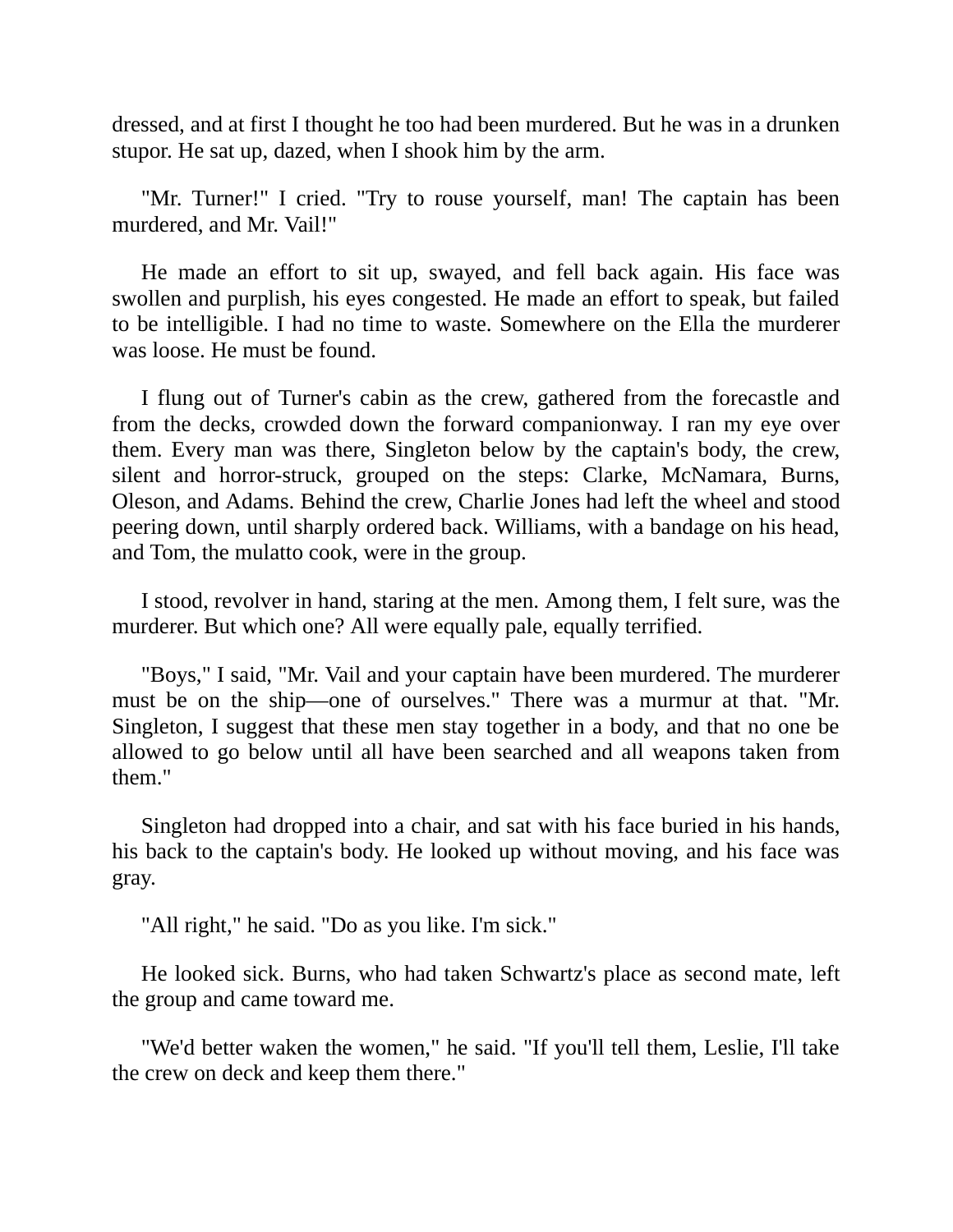dressed, and at first I thought he too had been murdered. But he was in a drunken stupor. He sat up, dazed, when I shook him by the arm.

"Mr. Turner!" I cried. "Try to rouse yourself, man! The captain has been murdered, and Mr. Vail!"

He made an effort to sit up, swayed, and fell back again. His face was swollen and purplish, his eyes congested. He made an effort to speak, but failed to be intelligible. I had no time to waste. Somewhere on the Ella the murderer was loose. He must be found.

I flung out of Turner's cabin as the crew, gathered from the forecastle and from the decks, crowded down the forward companionway. I ran my eye over them. Every man was there, Singleton below by the captain's body, the crew, silent and horror-struck, grouped on the steps: Clarke, McNamara, Burns, Oleson, and Adams. Behind the crew, Charlie Jones had left the wheel and stood peering down, until sharply ordered back. Williams, with a bandage on his head, and Tom, the mulatto cook, were in the group.

I stood, revolver in hand, staring at the men. Among them, I felt sure, was the murderer. But which one? All were equally pale, equally terrified.

"Boys," I said, "Mr. Vail and your captain have been murdered. The murderer must be on the ship—one of ourselves." There was a murmur at that. "Mr. Singleton, I suggest that these men stay together in a body, and that no one be allowed to go below until all have been searched and all weapons taken from them."

Singleton had dropped into a chair, and sat with his face buried in his hands, his back to the captain's body. He looked up without moving, and his face was gray.

"All right," he said. "Do as you like. I'm sick."

He looked sick. Burns, who had taken Schwartz's place as second mate, left the group and came toward me.

"We'd better waken the women," he said. "If you'll tell them, Leslie, I'll take the crew on deck and keep them there."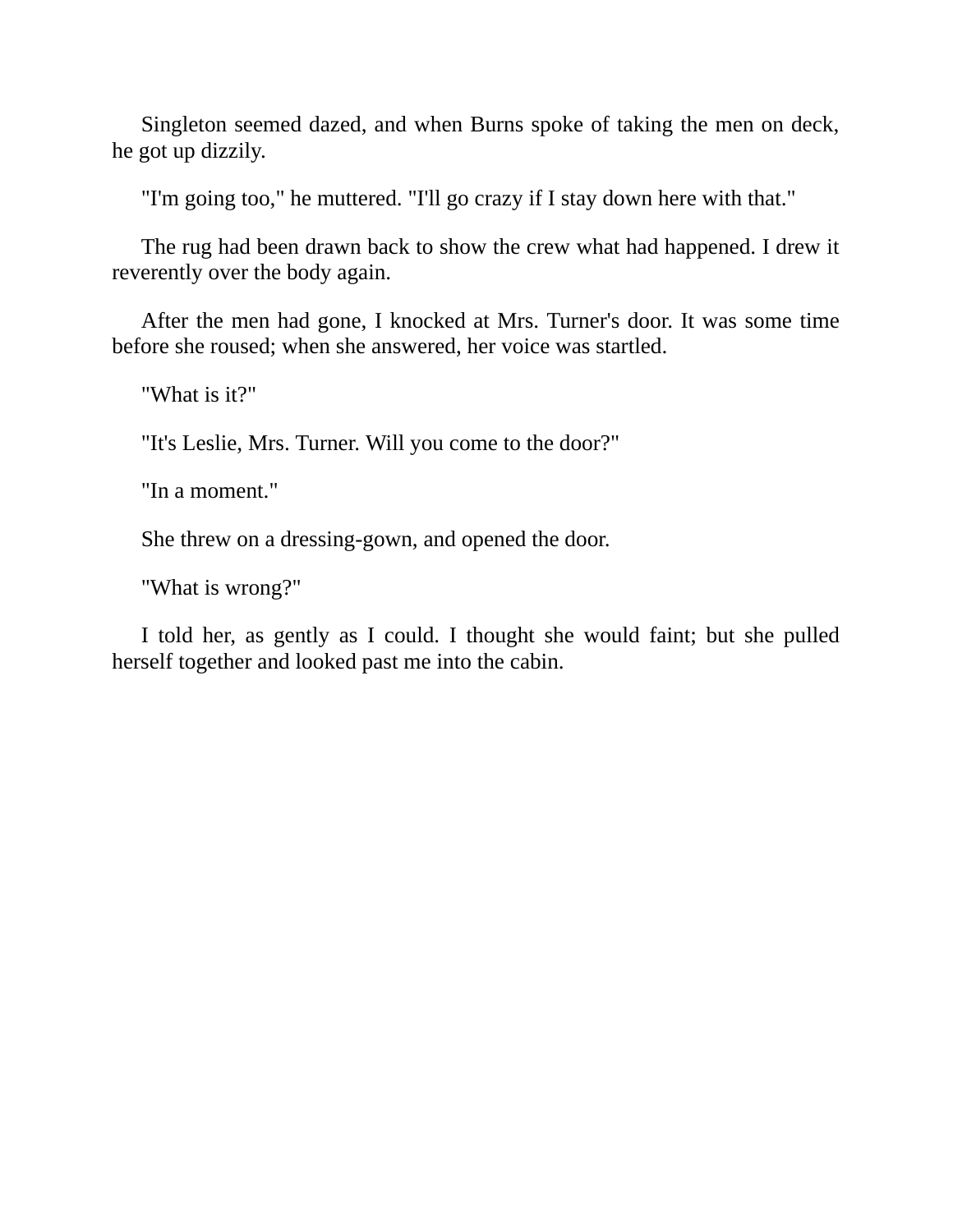Singleton seemed dazed, and when Burns spoke of taking the men on deck, he got up dizzily.

"I'm going too," he muttered. "I'll go crazy if I stay down here with that."

The rug had been drawn back to show the crew what had happened. I drew it reverently over the body again.

After the men had gone, I knocked at Mrs. Turner's door. It was some time before she roused; when she answered, her voice was startled.

"What is it?"

"It's Leslie, Mrs. Turner. Will you come to the door?"

"In a moment."

She threw on a dressing-gown, and opened the door.

"What is wrong?"

I told her, as gently as I could. I thought she would faint; but she pulled herself together and looked past me into the cabin.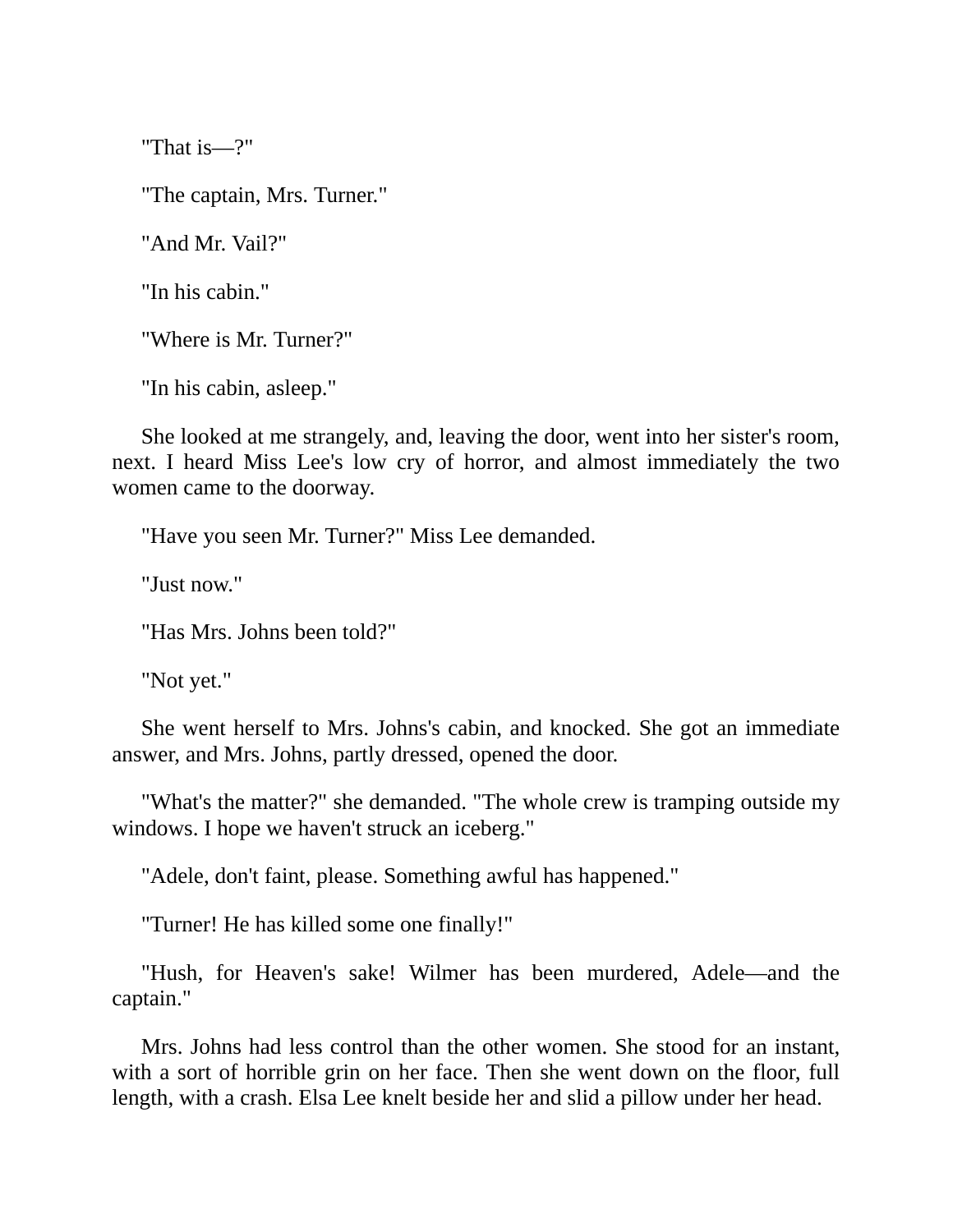"That is—?"

"The captain, Mrs. Turner."

"And Mr. Vail?"

"In his cabin."

"Where is Mr. Turner?"

"In his cabin, asleep."

She looked at me strangely, and, leaving the door, went into her sister's room, next. I heard Miss Lee's low cry of horror, and almost immediately the two women came to the doorway.

"Have you seen Mr. Turner?" Miss Lee demanded.

"Just now."

"Has Mrs. Johns been told?"

"Not yet."

She went herself to Mrs. Johns's cabin, and knocked. She got an immediate answer, and Mrs. Johns, partly dressed, opened the door.

"What's the matter?" she demanded. "The whole crew is tramping outside my windows. I hope we haven't struck an iceberg."

"Adele, don't faint, please. Something awful has happened."

"Turner! He has killed some one finally!"

"Hush, for Heaven's sake! Wilmer has been murdered, Adele—and the captain."

Mrs. Johns had less control than the other women. She stood for an instant, with a sort of horrible grin on her face. Then she went down on the floor, full length, with a crash. Elsa Lee knelt beside her and slid a pillow under her head.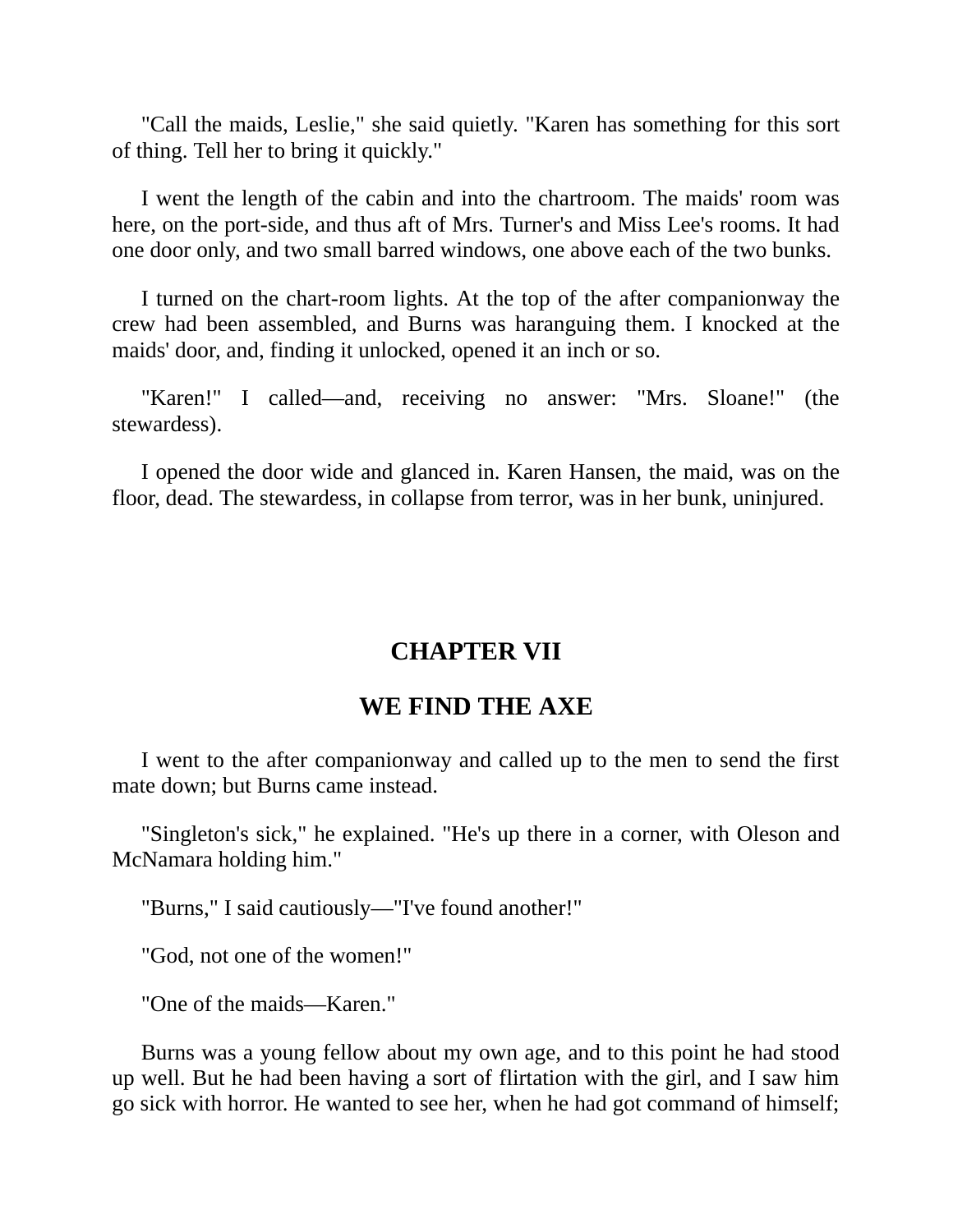"Call the maids, Leslie," she said quietly. "Karen has something for this sort of thing. Tell her to bring it quickly."

I went the length of the cabin and into the chartroom. The maids' room was here, on the port-side, and thus aft of Mrs. Turner's and Miss Lee's rooms. It had one door only, and two small barred windows, one above each of the two bunks.

I turned on the chart-room lights. At the top of the after companionway the crew had been assembled, and Burns was haranguing them. I knocked at the maids' door, and, finding it unlocked, opened it an inch or so.

"Karen!" I called—and, receiving no answer: "Mrs. Sloane!" (the stewardess).

I opened the door wide and glanced in. Karen Hansen, the maid, was on the floor, dead. The stewardess, in collapse from terror, was in her bunk, uninjured.

### **CHAPTER VII**

### **WE FIND THE AXE**

I went to the after companionway and called up to the men to send the first mate down; but Burns came instead.

"Singleton's sick," he explained. "He's up there in a corner, with Oleson and McNamara holding him."

"Burns," I said cautiously—"I've found another!"

"God, not one of the women!"

"One of the maids—Karen."

Burns was a young fellow about my own age, and to this point he had stood up well. But he had been having a sort of flirtation with the girl, and I saw him go sick with horror. He wanted to see her, when he had got command of himself;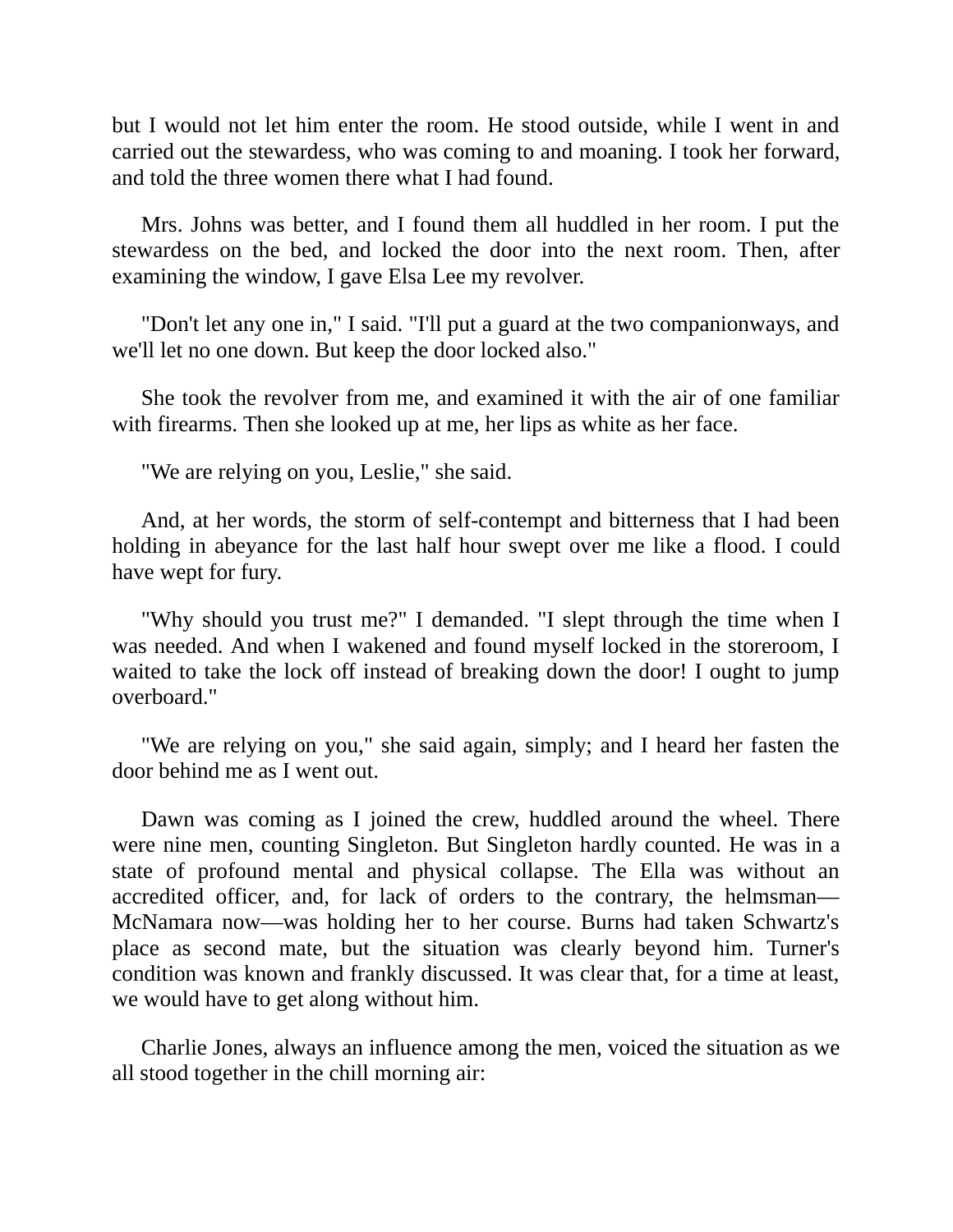but I would not let him enter the room. He stood outside, while I went in and carried out the stewardess, who was coming to and moaning. I took her forward, and told the three women there what I had found.

Mrs. Johns was better, and I found them all huddled in her room. I put the stewardess on the bed, and locked the door into the next room. Then, after examining the window, I gave Elsa Lee my revolver.

"Don't let any one in," I said. "I'll put a guard at the two companionways, and we'll let no one down. But keep the door locked also."

She took the revolver from me, and examined it with the air of one familiar with firearms. Then she looked up at me, her lips as white as her face.

"We are relying on you, Leslie," she said.

And, at her words, the storm of self-contempt and bitterness that I had been holding in abeyance for the last half hour swept over me like a flood. I could have wept for fury.

"Why should you trust me?" I demanded. "I slept through the time when I was needed. And when I wakened and found myself locked in the storeroom, I waited to take the lock off instead of breaking down the door! I ought to jump overboard."

"We are relying on you," she said again, simply; and I heard her fasten the door behind me as I went out.

Dawn was coming as I joined the crew, huddled around the wheel. There were nine men, counting Singleton. But Singleton hardly counted. He was in a state of profound mental and physical collapse. The Ella was without an accredited officer, and, for lack of orders to the contrary, the helmsman— McNamara now—was holding her to her course. Burns had taken Schwartz's place as second mate, but the situation was clearly beyond him. Turner's condition was known and frankly discussed. It was clear that, for a time at least, we would have to get along without him.

Charlie Jones, always an influence among the men, voiced the situation as we all stood together in the chill morning air: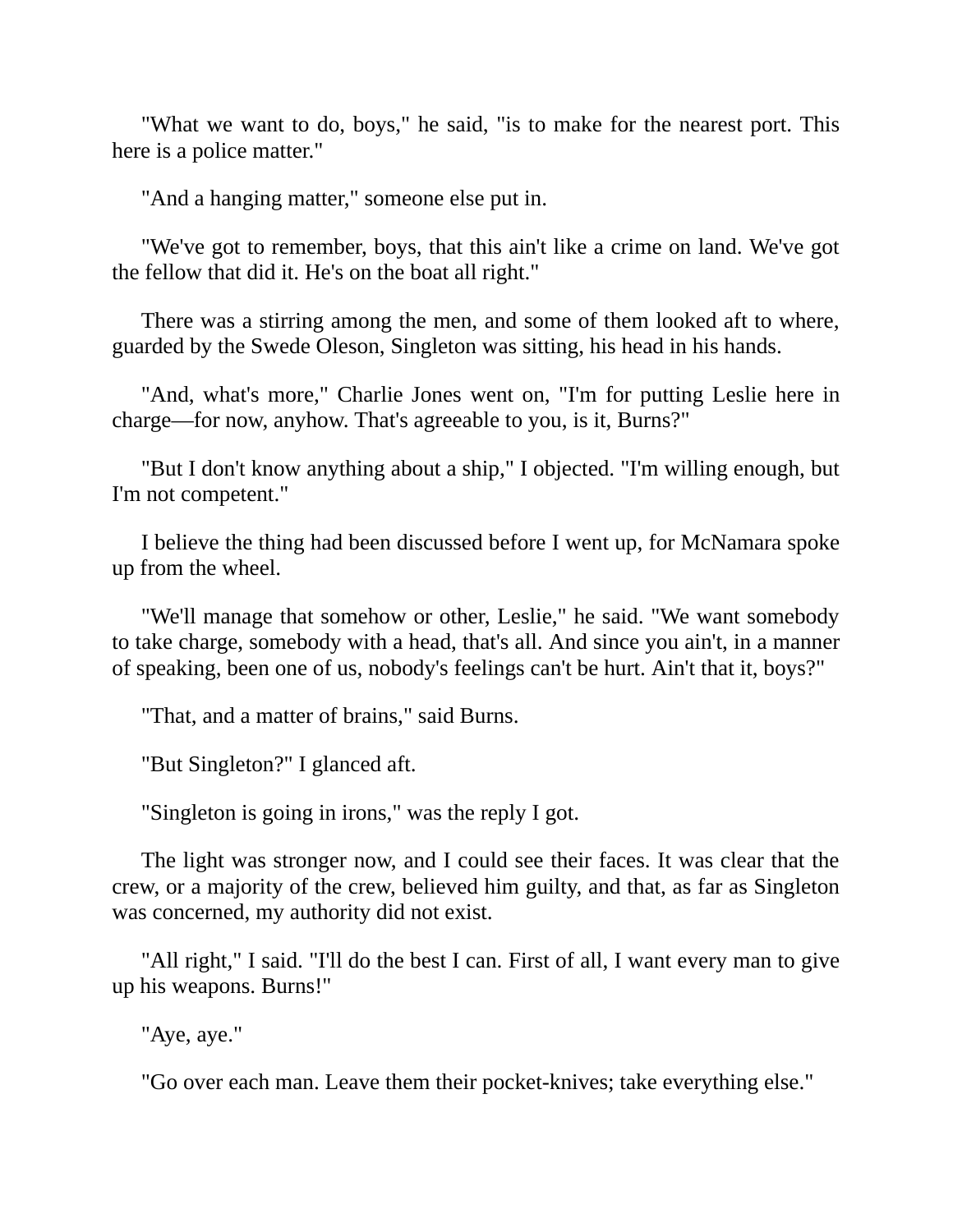"What we want to do, boys," he said, "is to make for the nearest port. This here is a police matter."

"And a hanging matter," someone else put in.

"We've got to remember, boys, that this ain't like a crime on land. We've got the fellow that did it. He's on the boat all right."

There was a stirring among the men, and some of them looked aft to where, guarded by the Swede Oleson, Singleton was sitting, his head in his hands.

"And, what's more," Charlie Jones went on, "I'm for putting Leslie here in charge—for now, anyhow. That's agreeable to you, is it, Burns?"

"But I don't know anything about a ship," I objected. "I'm willing enough, but I'm not competent."

I believe the thing had been discussed before I went up, for McNamara spoke up from the wheel.

"We'll manage that somehow or other, Leslie," he said. "We want somebody to take charge, somebody with a head, that's all. And since you ain't, in a manner of speaking, been one of us, nobody's feelings can't be hurt. Ain't that it, boys?"

"That, and a matter of brains," said Burns.

"But Singleton?" I glanced aft.

"Singleton is going in irons," was the reply I got.

The light was stronger now, and I could see their faces. It was clear that the crew, or a majority of the crew, believed him guilty, and that, as far as Singleton was concerned, my authority did not exist.

"All right," I said. "I'll do the best I can. First of all, I want every man to give up his weapons. Burns!"

"Aye, aye."

"Go over each man. Leave them their pocket-knives; take everything else."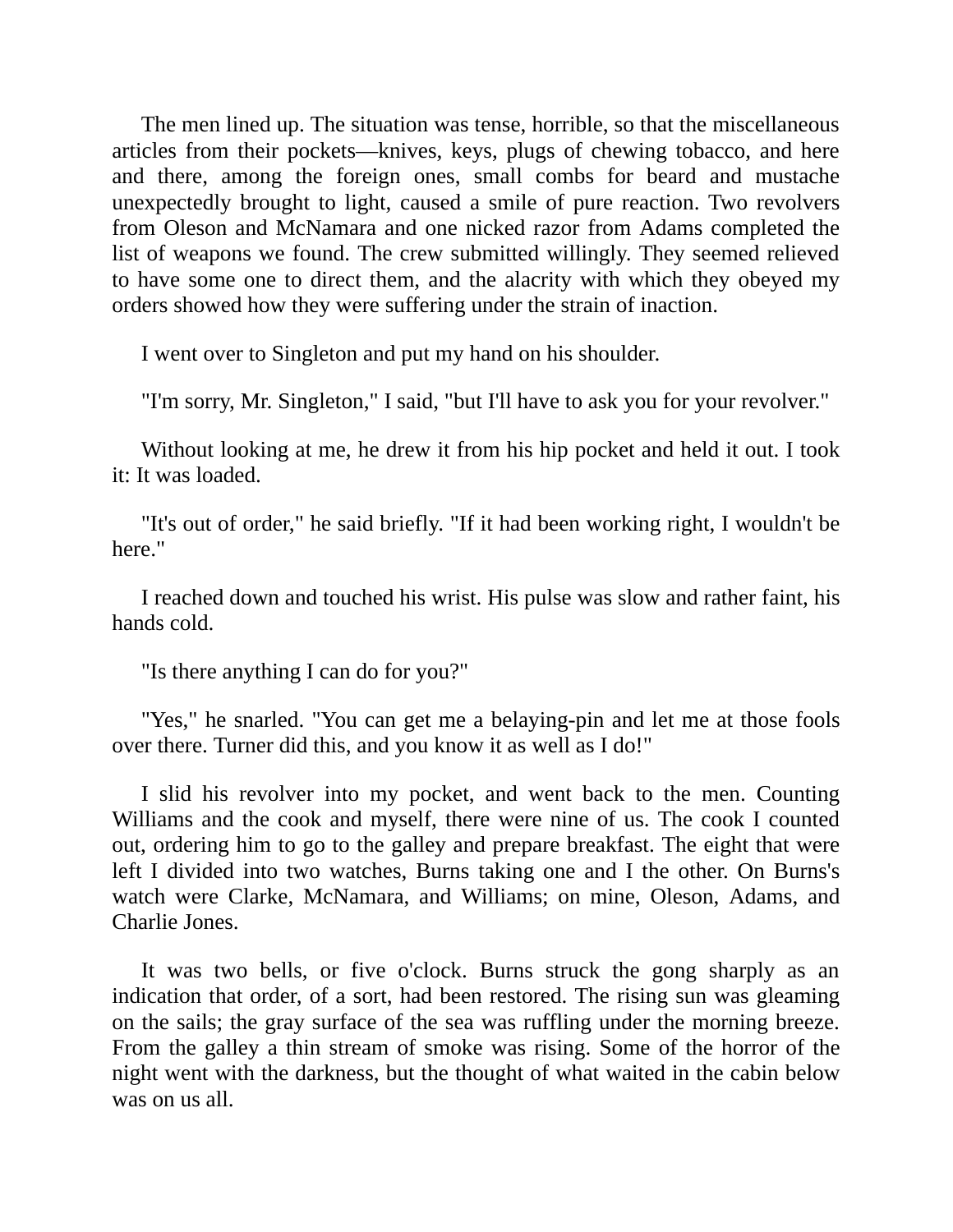The men lined up. The situation was tense, horrible, so that the miscellaneous articles from their pockets—knives, keys, plugs of chewing tobacco, and here and there, among the foreign ones, small combs for beard and mustache unexpectedly brought to light, caused a smile of pure reaction. Two revolvers from Oleson and McNamara and one nicked razor from Adams completed the list of weapons we found. The crew submitted willingly. They seemed relieved to have some one to direct them, and the alacrity with which they obeyed my orders showed how they were suffering under the strain of inaction.

I went over to Singleton and put my hand on his shoulder.

"I'm sorry, Mr. Singleton," I said, "but I'll have to ask you for your revolver."

Without looking at me, he drew it from his hip pocket and held it out. I took it: It was loaded.

"It's out of order," he said briefly. "If it had been working right, I wouldn't be here."

I reached down and touched his wrist. His pulse was slow and rather faint, his hands cold.

"Is there anything I can do for you?"

"Yes," he snarled. "You can get me a belaying-pin and let me at those fools over there. Turner did this, and you know it as well as I do!"

I slid his revolver into my pocket, and went back to the men. Counting Williams and the cook and myself, there were nine of us. The cook I counted out, ordering him to go to the galley and prepare breakfast. The eight that were left I divided into two watches, Burns taking one and I the other. On Burns's watch were Clarke, McNamara, and Williams; on mine, Oleson, Adams, and Charlie Jones.

It was two bells, or five o'clock. Burns struck the gong sharply as an indication that order, of a sort, had been restored. The rising sun was gleaming on the sails; the gray surface of the sea was ruffling under the morning breeze. From the galley a thin stream of smoke was rising. Some of the horror of the night went with the darkness, but the thought of what waited in the cabin below was on us all.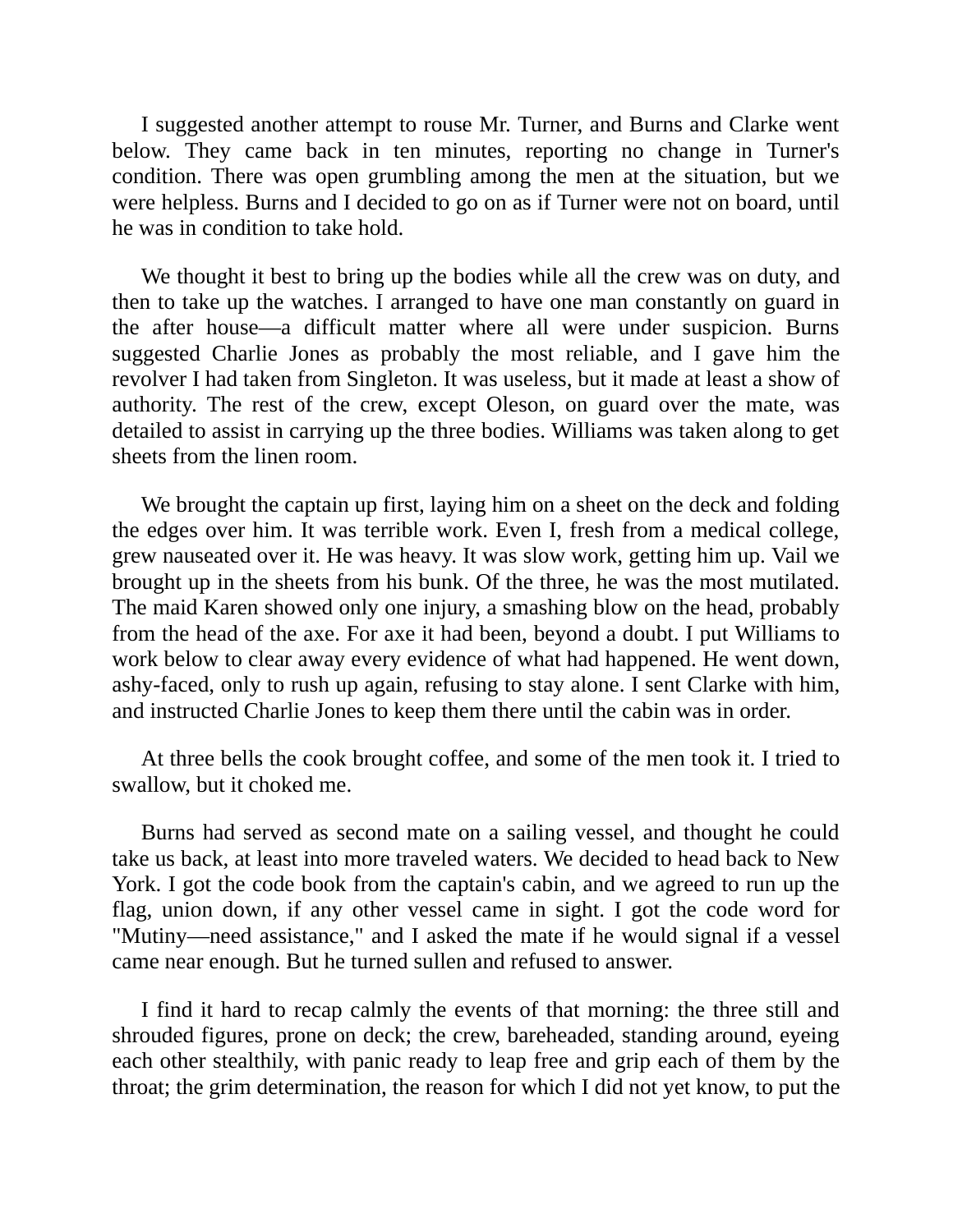I suggested another attempt to rouse Mr. Turner, and Burns and Clarke went below. They came back in ten minutes, reporting no change in Turner's condition. There was open grumbling among the men at the situation, but we were helpless. Burns and I decided to go on as if Turner were not on board, until he was in condition to take hold.

We thought it best to bring up the bodies while all the crew was on duty, and then to take up the watches. I arranged to have one man constantly on guard in the after house—a difficult matter where all were under suspicion. Burns suggested Charlie Jones as probably the most reliable, and I gave him the revolver I had taken from Singleton. It was useless, but it made at least a show of authority. The rest of the crew, except Oleson, on guard over the mate, was detailed to assist in carrying up the three bodies. Williams was taken along to get sheets from the linen room.

We brought the captain up first, laying him on a sheet on the deck and folding the edges over him. It was terrible work. Even I, fresh from a medical college, grew nauseated over it. He was heavy. It was slow work, getting him up. Vail we brought up in the sheets from his bunk. Of the three, he was the most mutilated. The maid Karen showed only one injury, a smashing blow on the head, probably from the head of the axe. For axe it had been, beyond a doubt. I put Williams to work below to clear away every evidence of what had happened. He went down, ashy-faced, only to rush up again, refusing to stay alone. I sent Clarke with him, and instructed Charlie Jones to keep them there until the cabin was in order.

At three bells the cook brought coffee, and some of the men took it. I tried to swallow, but it choked me.

Burns had served as second mate on a sailing vessel, and thought he could take us back, at least into more traveled waters. We decided to head back to New York. I got the code book from the captain's cabin, and we agreed to run up the flag, union down, if any other vessel came in sight. I got the code word for "Mutiny—need assistance," and I asked the mate if he would signal if a vessel came near enough. But he turned sullen and refused to answer.

I find it hard to recap calmly the events of that morning: the three still and shrouded figures, prone on deck; the crew, bareheaded, standing around, eyeing each other stealthily, with panic ready to leap free and grip each of them by the throat; the grim determination, the reason for which I did not yet know, to put the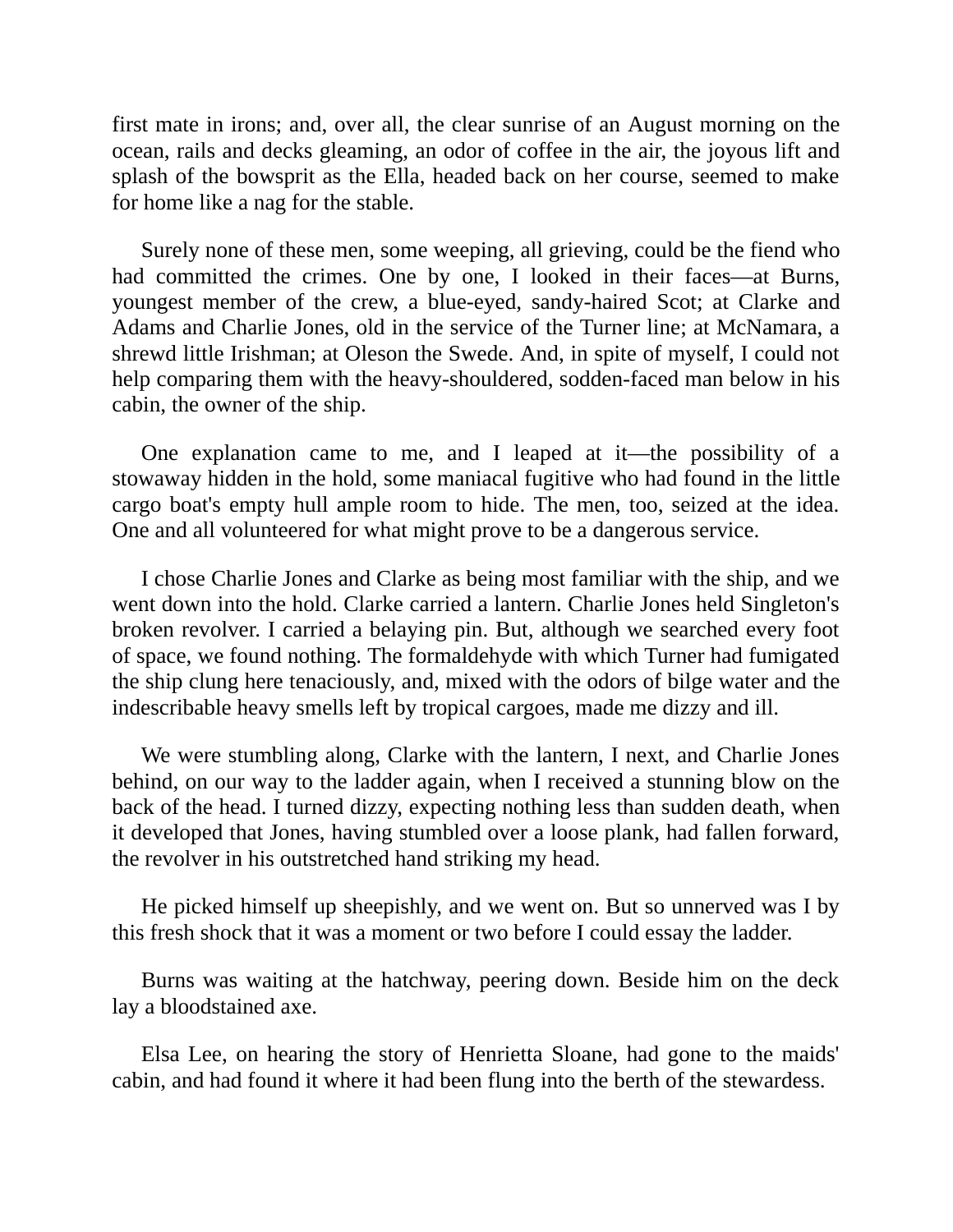first mate in irons; and, over all, the clear sunrise of an August morning on the ocean, rails and decks gleaming, an odor of coffee in the air, the joyous lift and splash of the bowsprit as the Ella, headed back on her course, seemed to make for home like a nag for the stable.

Surely none of these men, some weeping, all grieving, could be the fiend who had committed the crimes. One by one, I looked in their faces—at Burns, youngest member of the crew, a blue-eyed, sandy-haired Scot; at Clarke and Adams and Charlie Jones, old in the service of the Turner line; at McNamara, a shrewd little Irishman; at Oleson the Swede. And, in spite of myself, I could not help comparing them with the heavy-shouldered, sodden-faced man below in his cabin, the owner of the ship.

One explanation came to me, and I leaped at it—the possibility of a stowaway hidden in the hold, some maniacal fugitive who had found in the little cargo boat's empty hull ample room to hide. The men, too, seized at the idea. One and all volunteered for what might prove to be a dangerous service.

I chose Charlie Jones and Clarke as being most familiar with the ship, and we went down into the hold. Clarke carried a lantern. Charlie Jones held Singleton's broken revolver. I carried a belaying pin. But, although we searched every foot of space, we found nothing. The formaldehyde with which Turner had fumigated the ship clung here tenaciously, and, mixed with the odors of bilge water and the indescribable heavy smells left by tropical cargoes, made me dizzy and ill.

We were stumbling along, Clarke with the lantern, I next, and Charlie Jones behind, on our way to the ladder again, when I received a stunning blow on the back of the head. I turned dizzy, expecting nothing less than sudden death, when it developed that Jones, having stumbled over a loose plank, had fallen forward, the revolver in his outstretched hand striking my head.

He picked himself up sheepishly, and we went on. But so unnerved was I by this fresh shock that it was a moment or two before I could essay the ladder.

Burns was waiting at the hatchway, peering down. Beside him on the deck lay a bloodstained axe.

Elsa Lee, on hearing the story of Henrietta Sloane, had gone to the maids' cabin, and had found it where it had been flung into the berth of the stewardess.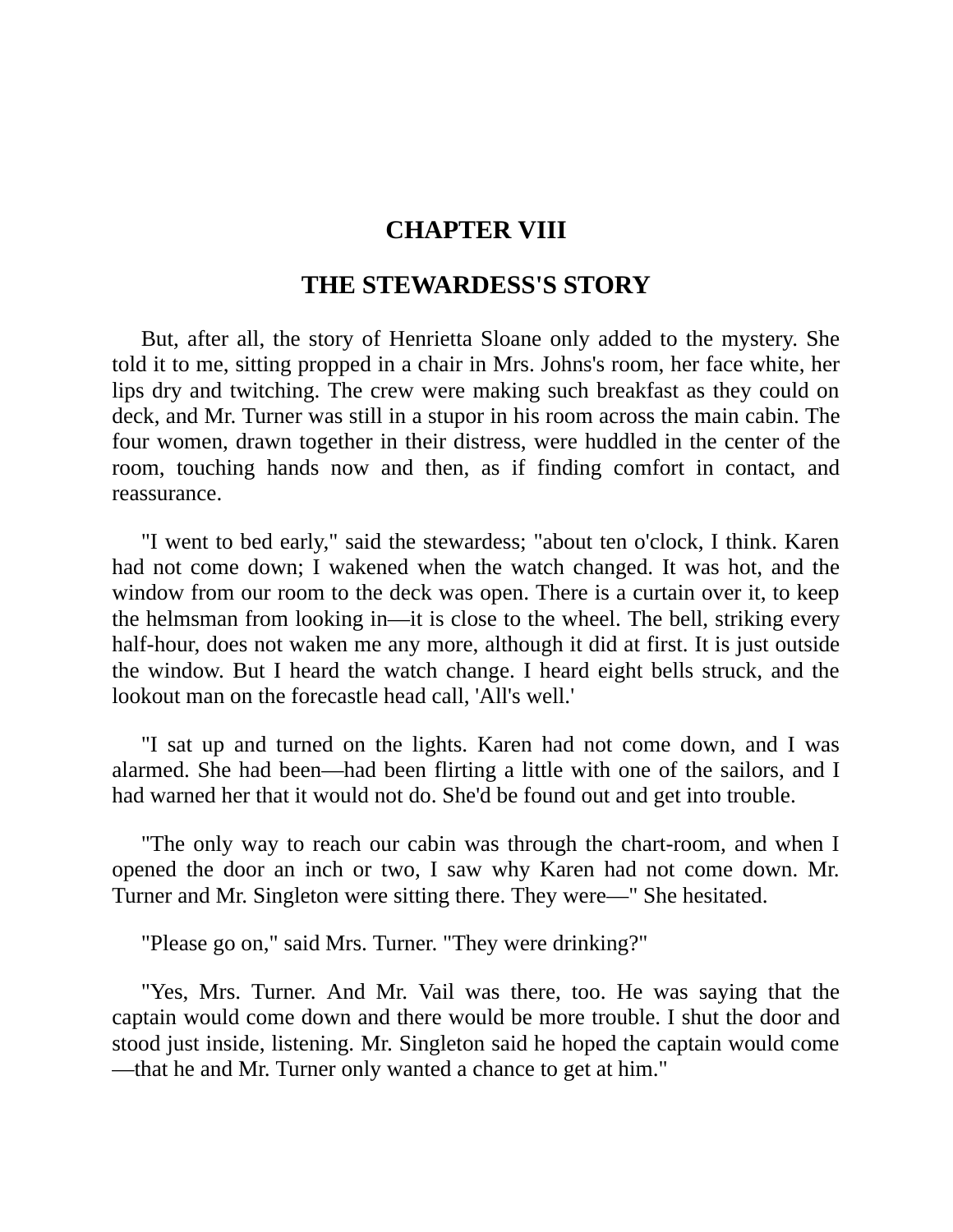### **CHAPTER VIII**

### **THE STEWARDESS'S STORY**

But, after all, the story of Henrietta Sloane only added to the mystery. She told it to me, sitting propped in a chair in Mrs. Johns's room, her face white, her lips dry and twitching. The crew were making such breakfast as they could on deck, and Mr. Turner was still in a stupor in his room across the main cabin. The four women, drawn together in their distress, were huddled in the center of the room, touching hands now and then, as if finding comfort in contact, and reassurance.

"I went to bed early," said the stewardess; "about ten o'clock, I think. Karen had not come down; I wakened when the watch changed. It was hot, and the window from our room to the deck was open. There is a curtain over it, to keep the helmsman from looking in—it is close to the wheel. The bell, striking every half-hour, does not waken me any more, although it did at first. It is just outside the window. But I heard the watch change. I heard eight bells struck, and the lookout man on the forecastle head call, 'All's well.'

"I sat up and turned on the lights. Karen had not come down, and I was alarmed. She had been—had been flirting a little with one of the sailors, and I had warned her that it would not do. She'd be found out and get into trouble.

"The only way to reach our cabin was through the chart-room, and when I opened the door an inch or two, I saw why Karen had not come down. Mr. Turner and Mr. Singleton were sitting there. They were—" She hesitated.

"Please go on," said Mrs. Turner. "They were drinking?"

"Yes, Mrs. Turner. And Mr. Vail was there, too. He was saying that the captain would come down and there would be more trouble. I shut the door and stood just inside, listening. Mr. Singleton said he hoped the captain would come —that he and Mr. Turner only wanted a chance to get at him."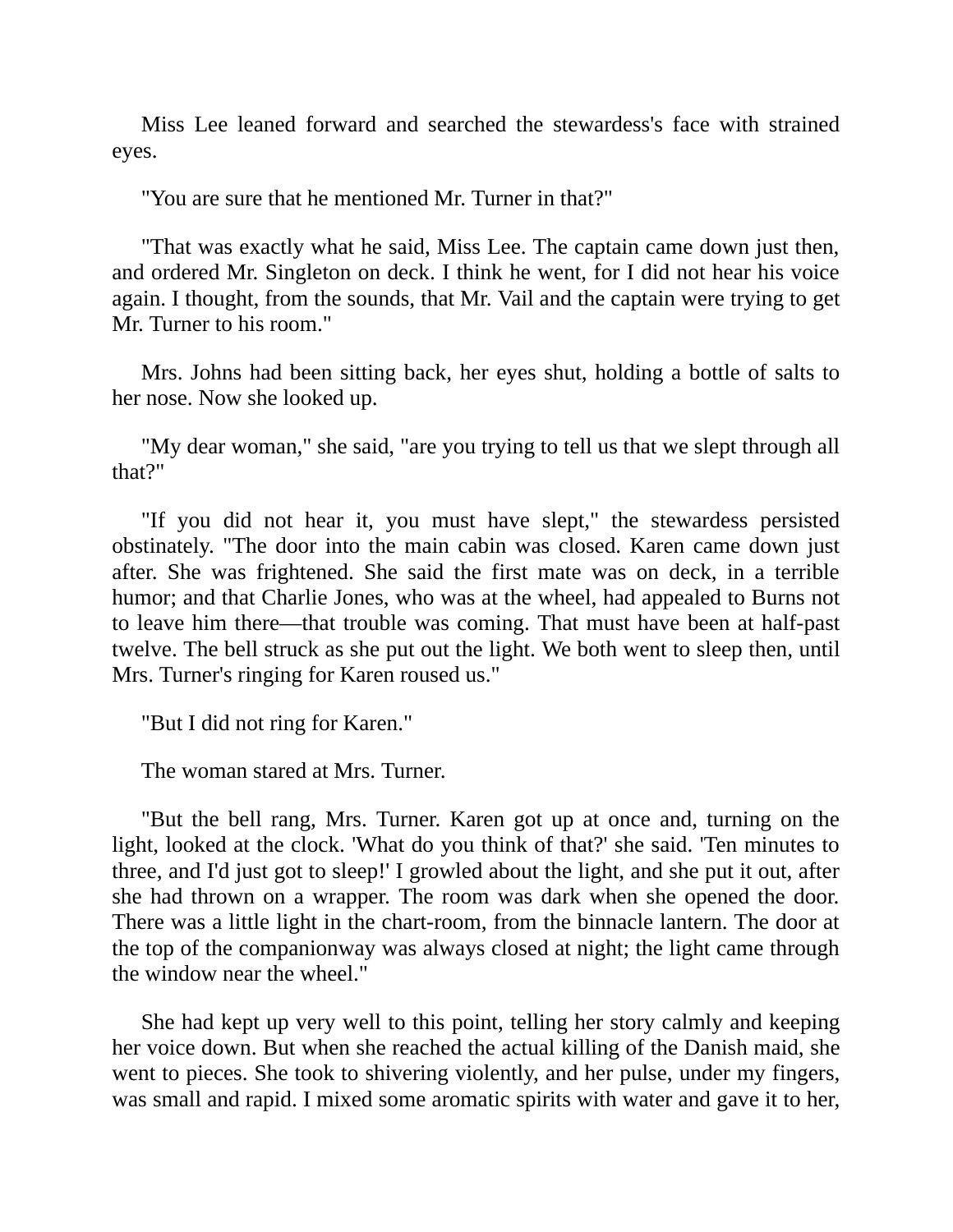Miss Lee leaned forward and searched the stewardess's face with strained eyes.

"You are sure that he mentioned Mr. Turner in that?"

"That was exactly what he said, Miss Lee. The captain came down just then, and ordered Mr. Singleton on deck. I think he went, for I did not hear his voice again. I thought, from the sounds, that Mr. Vail and the captain were trying to get Mr. Turner to his room."

Mrs. Johns had been sitting back, her eyes shut, holding a bottle of salts to her nose. Now she looked up.

"My dear woman," she said, "are you trying to tell us that we slept through all that?"

"If you did not hear it, you must have slept," the stewardess persisted obstinately. "The door into the main cabin was closed. Karen came down just after. She was frightened. She said the first mate was on deck, in a terrible humor; and that Charlie Jones, who was at the wheel, had appealed to Burns not to leave him there—that trouble was coming. That must have been at half-past twelve. The bell struck as she put out the light. We both went to sleep then, until Mrs. Turner's ringing for Karen roused us."

"But I did not ring for Karen."

The woman stared at Mrs. Turner.

"But the bell rang, Mrs. Turner. Karen got up at once and, turning on the light, looked at the clock. 'What do you think of that?' she said. 'Ten minutes to three, and I'd just got to sleep!' I growled about the light, and she put it out, after she had thrown on a wrapper. The room was dark when she opened the door. There was a little light in the chart-room, from the binnacle lantern. The door at the top of the companionway was always closed at night; the light came through the window near the wheel."

She had kept up very well to this point, telling her story calmly and keeping her voice down. But when she reached the actual killing of the Danish maid, she went to pieces. She took to shivering violently, and her pulse, under my fingers, was small and rapid. I mixed some aromatic spirits with water and gave it to her,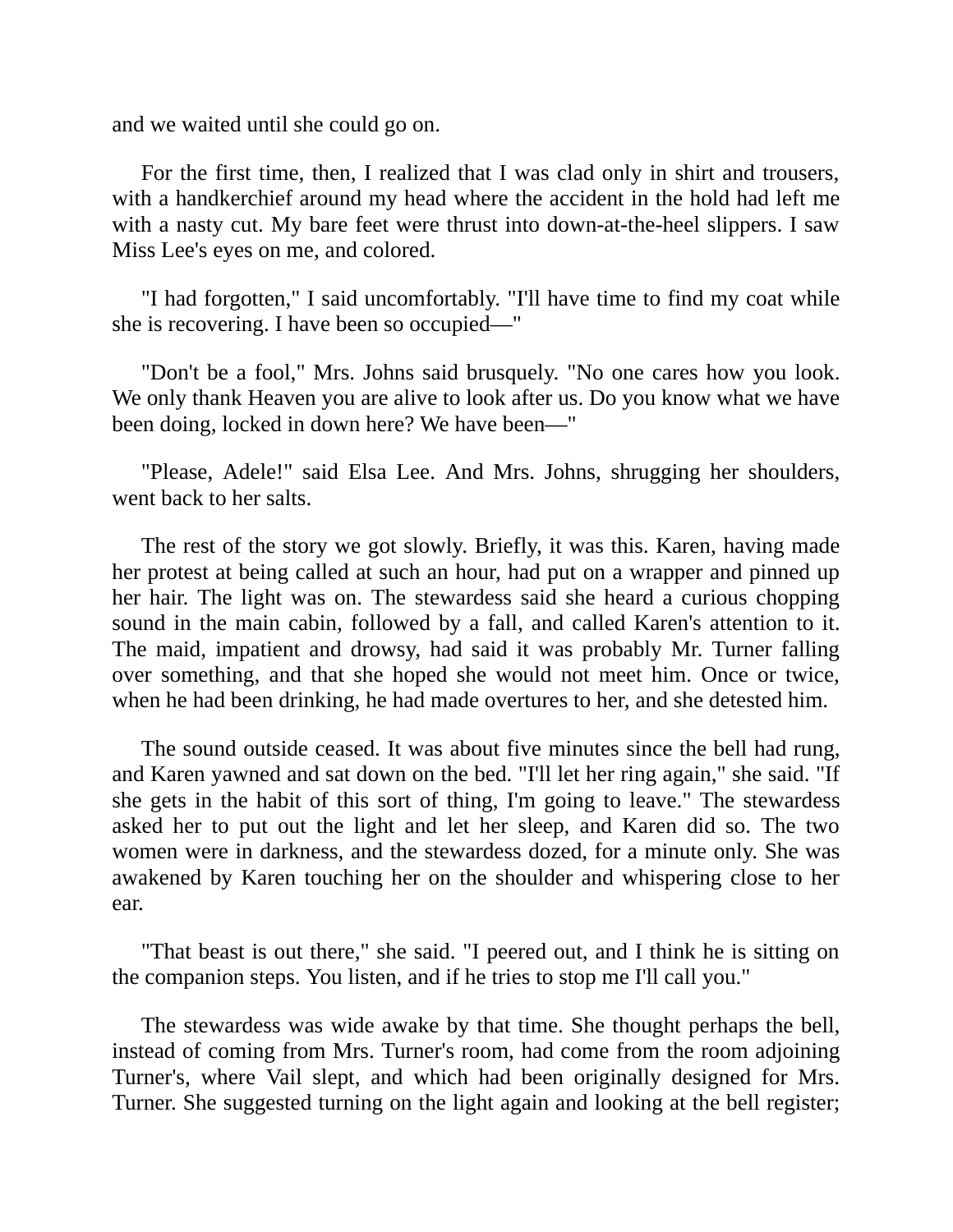and we waited until she could go on.

For the first time, then, I realized that I was clad only in shirt and trousers, with a handkerchief around my head where the accident in the hold had left me with a nasty cut. My bare feet were thrust into down-at-the-heel slippers. I saw Miss Lee's eyes on me, and colored.

"I had forgotten," I said uncomfortably. "I'll have time to find my coat while she is recovering. I have been so occupied—"

"Don't be a fool," Mrs. Johns said brusquely. "No one cares how you look. We only thank Heaven you are alive to look after us. Do you know what we have been doing, locked in down here? We have been—"

"Please, Adele!" said Elsa Lee. And Mrs. Johns, shrugging her shoulders, went back to her salts.

The rest of the story we got slowly. Briefly, it was this. Karen, having made her protest at being called at such an hour, had put on a wrapper and pinned up her hair. The light was on. The stewardess said she heard a curious chopping sound in the main cabin, followed by a fall, and called Karen's attention to it. The maid, impatient and drowsy, had said it was probably Mr. Turner falling over something, and that she hoped she would not meet him. Once or twice, when he had been drinking, he had made overtures to her, and she detested him.

The sound outside ceased. It was about five minutes since the bell had rung, and Karen yawned and sat down on the bed. "I'll let her ring again," she said. "If she gets in the habit of this sort of thing, I'm going to leave." The stewardess asked her to put out the light and let her sleep, and Karen did so. The two women were in darkness, and the stewardess dozed, for a minute only. She was awakened by Karen touching her on the shoulder and whispering close to her ear.

"That beast is out there," she said. "I peered out, and I think he is sitting on the companion steps. You listen, and if he tries to stop me I'll call you."

The stewardess was wide awake by that time. She thought perhaps the bell, instead of coming from Mrs. Turner's room, had come from the room adjoining Turner's, where Vail slept, and which had been originally designed for Mrs. Turner. She suggested turning on the light again and looking at the bell register;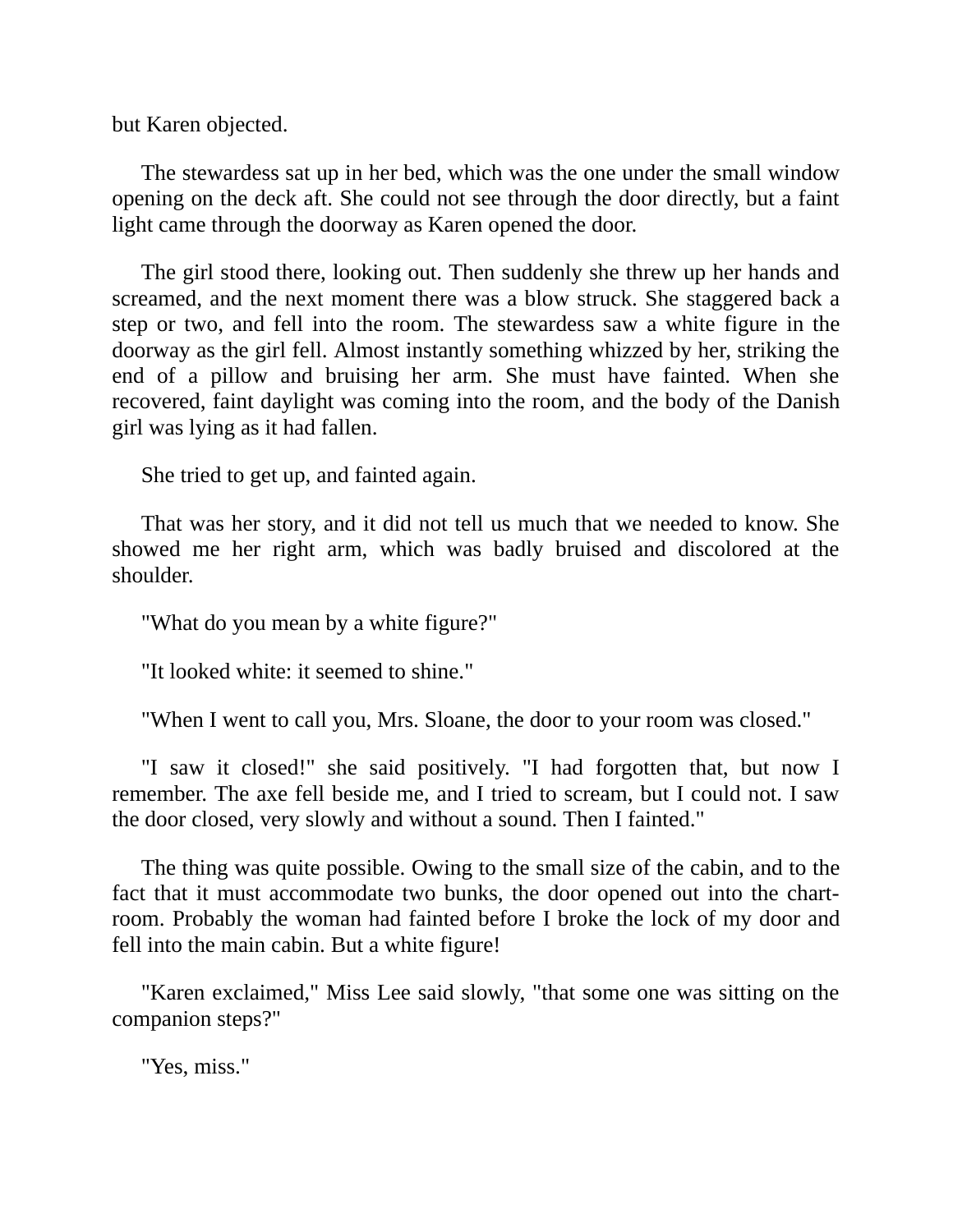but Karen objected.

The stewardess sat up in her bed, which was the one under the small window opening on the deck aft. She could not see through the door directly, but a faint light came through the doorway as Karen opened the door.

The girl stood there, looking out. Then suddenly she threw up her hands and screamed, and the next moment there was a blow struck. She staggered back a step or two, and fell into the room. The stewardess saw a white figure in the doorway as the girl fell. Almost instantly something whizzed by her, striking the end of a pillow and bruising her arm. She must have fainted. When she recovered, faint daylight was coming into the room, and the body of the Danish girl was lying as it had fallen.

She tried to get up, and fainted again.

That was her story, and it did not tell us much that we needed to know. She showed me her right arm, which was badly bruised and discolored at the shoulder.

"What do you mean by a white figure?"

"It looked white: it seemed to shine."

"When I went to call you, Mrs. Sloane, the door to your room was closed."

"I saw it closed!" she said positively. "I had forgotten that, but now I remember. The axe fell beside me, and I tried to scream, but I could not. I saw the door closed, very slowly and without a sound. Then I fainted."

The thing was quite possible. Owing to the small size of the cabin, and to the fact that it must accommodate two bunks, the door opened out into the chartroom. Probably the woman had fainted before I broke the lock of my door and fell into the main cabin. But a white figure!

"Karen exclaimed," Miss Lee said slowly, "that some one was sitting on the companion steps?"

"Yes, miss."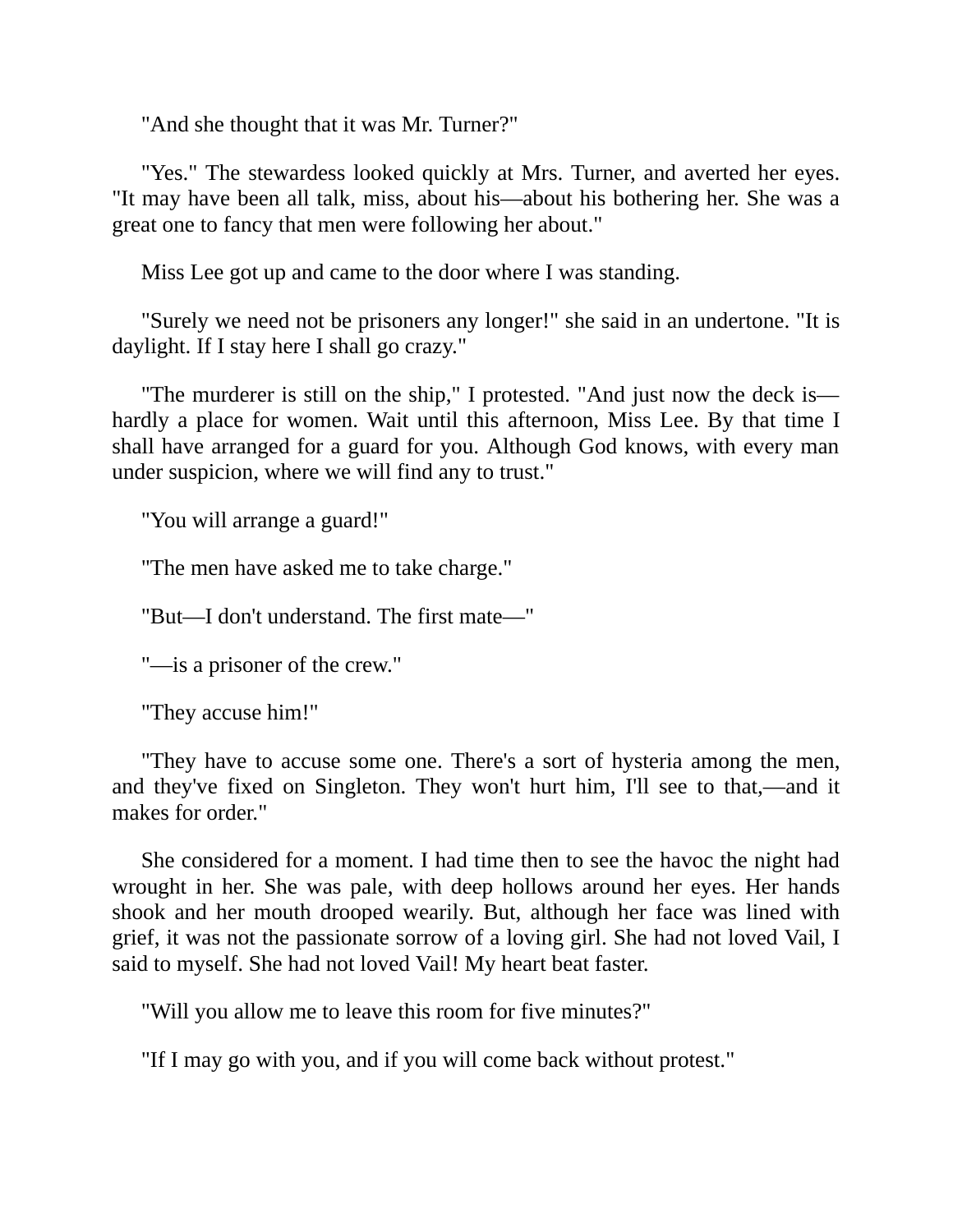"And she thought that it was Mr. Turner?"

"Yes." The stewardess looked quickly at Mrs. Turner, and averted her eyes. "It may have been all talk, miss, about his—about his bothering her. She was a great one to fancy that men were following her about."

Miss Lee got up and came to the door where I was standing.

"Surely we need not be prisoners any longer!" she said in an undertone. "It is daylight. If I stay here I shall go crazy."

"The murderer is still on the ship," I protested. "And just now the deck is hardly a place for women. Wait until this afternoon, Miss Lee. By that time I shall have arranged for a guard for you. Although God knows, with every man under suspicion, where we will find any to trust."

"You will arrange a guard!"

"The men have asked me to take charge."

"But—I don't understand. The first mate—"

"—is a prisoner of the crew."

"They accuse him!"

"They have to accuse some one. There's a sort of hysteria among the men, and they've fixed on Singleton. They won't hurt him, I'll see to that,—and it makes for order."

She considered for a moment. I had time then to see the havoc the night had wrought in her. She was pale, with deep hollows around her eyes. Her hands shook and her mouth drooped wearily. But, although her face was lined with grief, it was not the passionate sorrow of a loving girl. She had not loved Vail, I said to myself. She had not loved Vail! My heart beat faster.

"Will you allow me to leave this room for five minutes?"

"If I may go with you, and if you will come back without protest."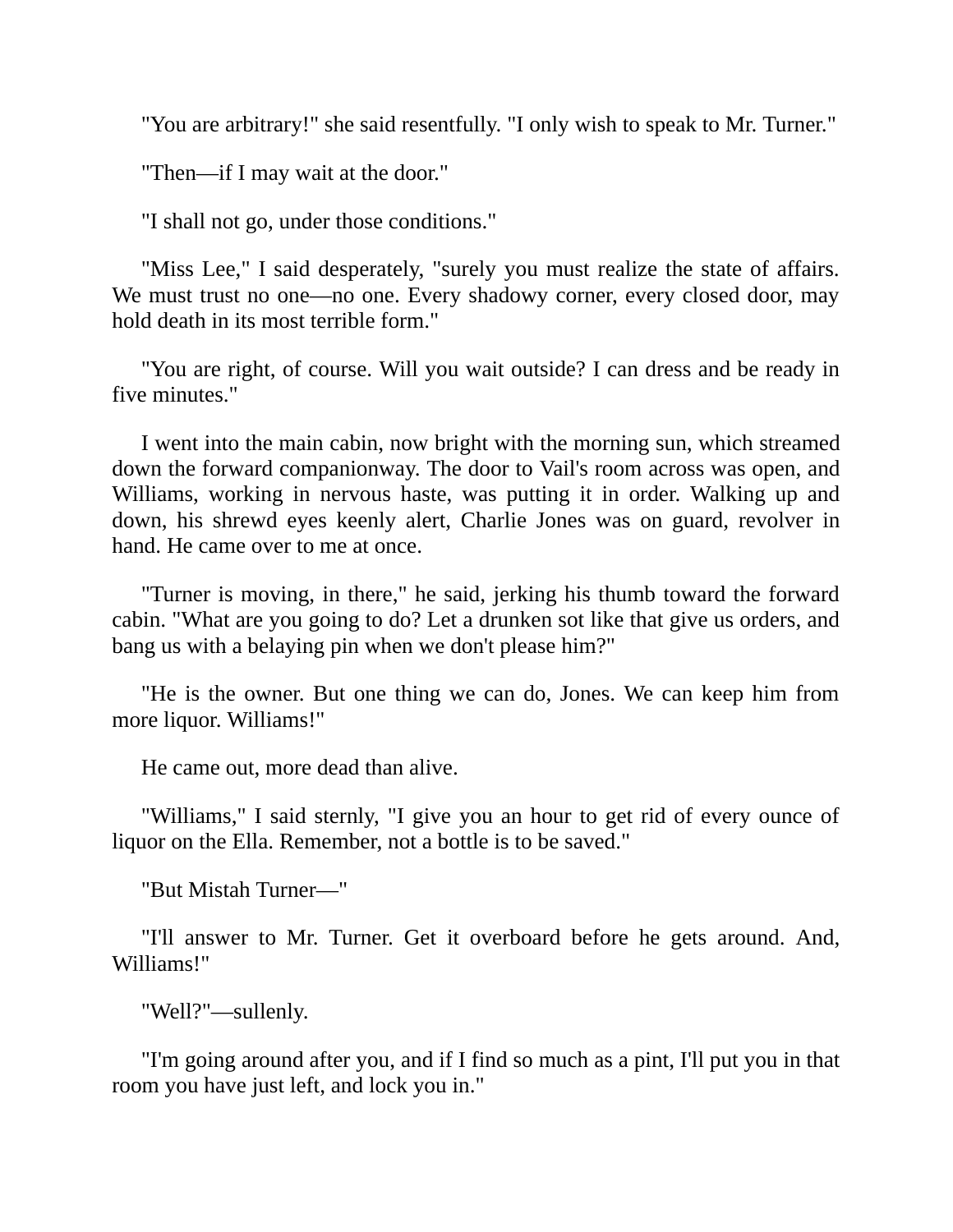"You are arbitrary!" she said resentfully. "I only wish to speak to Mr. Turner."

"Then—if I may wait at the door."

"I shall not go, under those conditions."

"Miss Lee," I said desperately, "surely you must realize the state of affairs. We must trust no one—no one. Every shadowy corner, every closed door, may hold death in its most terrible form."

"You are right, of course. Will you wait outside? I can dress and be ready in five minutes."

I went into the main cabin, now bright with the morning sun, which streamed down the forward companionway. The door to Vail's room across was open, and Williams, working in nervous haste, was putting it in order. Walking up and down, his shrewd eyes keenly alert, Charlie Jones was on guard, revolver in hand. He came over to me at once.

"Turner is moving, in there," he said, jerking his thumb toward the forward cabin. "What are you going to do? Let a drunken sot like that give us orders, and bang us with a belaying pin when we don't please him?"

"He is the owner. But one thing we can do, Jones. We can keep him from more liquor. Williams!"

He came out, more dead than alive.

"Williams," I said sternly, "I give you an hour to get rid of every ounce of liquor on the Ella. Remember, not a bottle is to be saved."

"But Mistah Turner—"

"I'll answer to Mr. Turner. Get it overboard before he gets around. And, Williams!"

"Well?"—sullenly.

"I'm going around after you, and if I find so much as a pint, I'll put you in that room you have just left, and lock you in."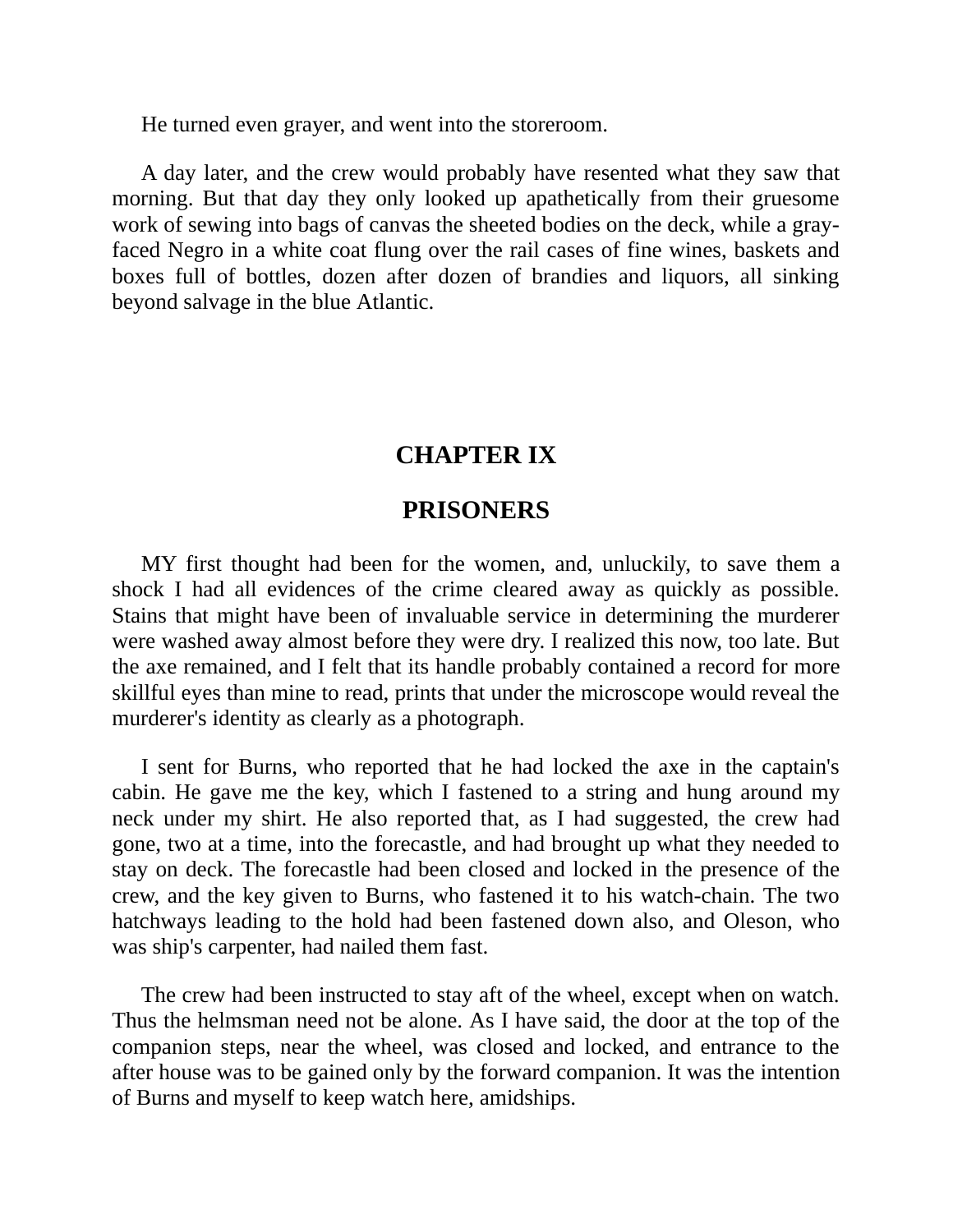He turned even grayer, and went into the storeroom.

A day later, and the crew would probably have resented what they saw that morning. But that day they only looked up apathetically from their gruesome work of sewing into bags of canvas the sheeted bodies on the deck, while a grayfaced Negro in a white coat flung over the rail cases of fine wines, baskets and boxes full of bottles, dozen after dozen of brandies and liquors, all sinking beyond salvage in the blue Atlantic.

# **CHAPTER IX**

#### **PRISONERS**

MY first thought had been for the women, and, unluckily, to save them a shock I had all evidences of the crime cleared away as quickly as possible. Stains that might have been of invaluable service in determining the murderer were washed away almost before they were dry. I realized this now, too late. But the axe remained, and I felt that its handle probably contained a record for more skillful eyes than mine to read, prints that under the microscope would reveal the murderer's identity as clearly as a photograph.

I sent for Burns, who reported that he had locked the axe in the captain's cabin. He gave me the key, which I fastened to a string and hung around my neck under my shirt. He also reported that, as I had suggested, the crew had gone, two at a time, into the forecastle, and had brought up what they needed to stay on deck. The forecastle had been closed and locked in the presence of the crew, and the key given to Burns, who fastened it to his watch-chain. The two hatchways leading to the hold had been fastened down also, and Oleson, who was ship's carpenter, had nailed them fast.

The crew had been instructed to stay aft of the wheel, except when on watch. Thus the helmsman need not be alone. As I have said, the door at the top of the companion steps, near the wheel, was closed and locked, and entrance to the after house was to be gained only by the forward companion. It was the intention of Burns and myself to keep watch here, amidships.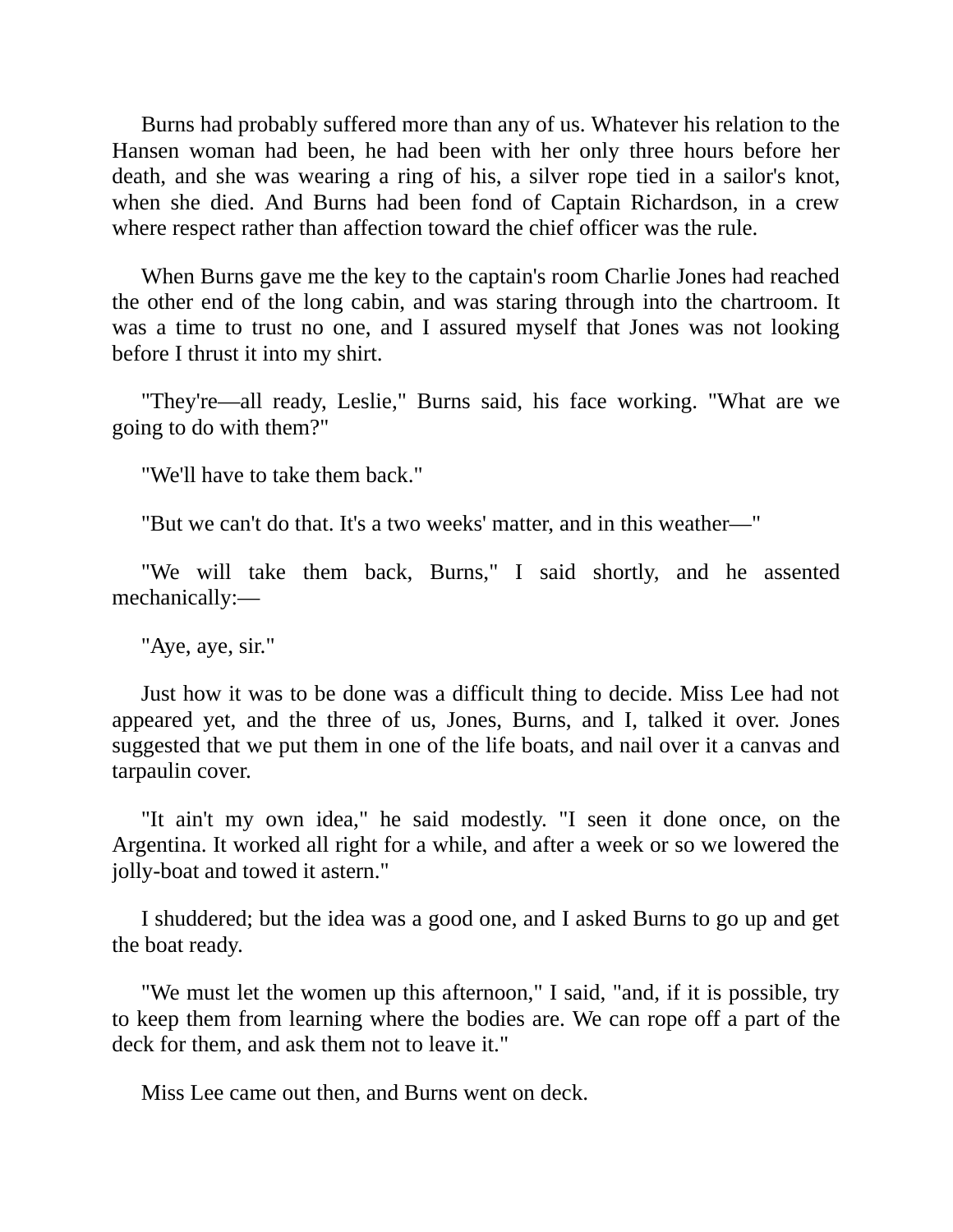Burns had probably suffered more than any of us. Whatever his relation to the Hansen woman had been, he had been with her only three hours before her death, and she was wearing a ring of his, a silver rope tied in a sailor's knot, when she died. And Burns had been fond of Captain Richardson, in a crew where respect rather than affection toward the chief officer was the rule.

When Burns gave me the key to the captain's room Charlie Jones had reached the other end of the long cabin, and was staring through into the chartroom. It was a time to trust no one, and I assured myself that Jones was not looking before I thrust it into my shirt.

"They're—all ready, Leslie," Burns said, his face working. "What are we going to do with them?"

"We'll have to take them back."

"But we can't do that. It's a two weeks' matter, and in this weather—"

"We will take them back, Burns," I said shortly, and he assented mechanically:—

"Aye, aye, sir."

Just how it was to be done was a difficult thing to decide. Miss Lee had not appeared yet, and the three of us, Jones, Burns, and I, talked it over. Jones suggested that we put them in one of the life boats, and nail over it a canvas and tarpaulin cover.

"It ain't my own idea," he said modestly. "I seen it done once, on the Argentina. It worked all right for a while, and after a week or so we lowered the jolly-boat and towed it astern."

I shuddered; but the idea was a good one, and I asked Burns to go up and get the boat ready.

"We must let the women up this afternoon," I said, "and, if it is possible, try to keep them from learning where the bodies are. We can rope off a part of the deck for them, and ask them not to leave it."

Miss Lee came out then, and Burns went on deck.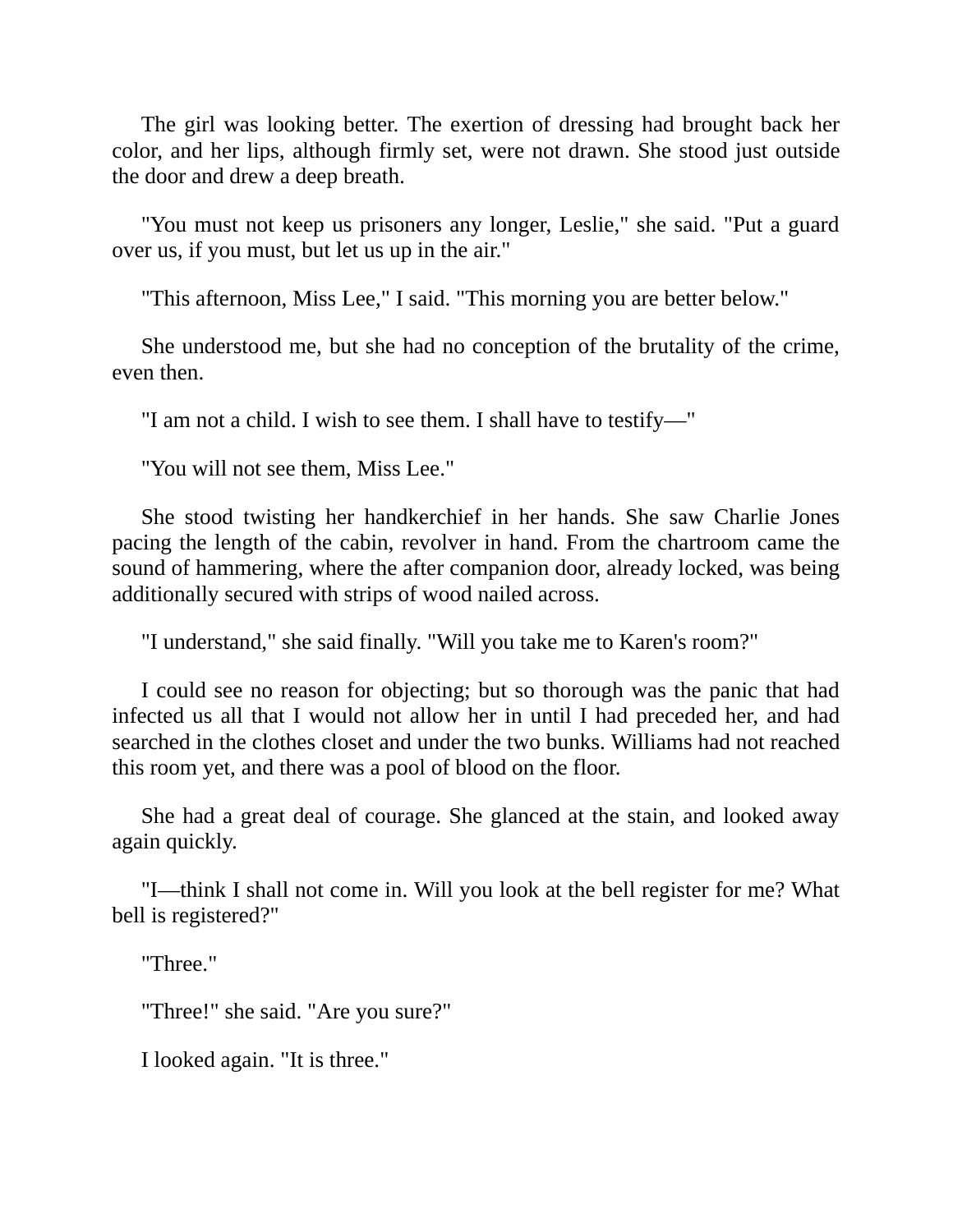The girl was looking better. The exertion of dressing had brought back her color, and her lips, although firmly set, were not drawn. She stood just outside the door and drew a deep breath.

"You must not keep us prisoners any longer, Leslie," she said. "Put a guard over us, if you must, but let us up in the air."

"This afternoon, Miss Lee," I said. "This morning you are better below."

She understood me, but she had no conception of the brutality of the crime, even then.

"I am not a child. I wish to see them. I shall have to testify—"

"You will not see them, Miss Lee."

She stood twisting her handkerchief in her hands. She saw Charlie Jones pacing the length of the cabin, revolver in hand. From the chartroom came the sound of hammering, where the after companion door, already locked, was being additionally secured with strips of wood nailed across.

"I understand," she said finally. "Will you take me to Karen's room?"

I could see no reason for objecting; but so thorough was the panic that had infected us all that I would not allow her in until I had preceded her, and had searched in the clothes closet and under the two bunks. Williams had not reached this room yet, and there was a pool of blood on the floor.

She had a great deal of courage. She glanced at the stain, and looked away again quickly.

"I—think I shall not come in. Will you look at the bell register for me? What bell is registered?"

"Three."

"Three!" she said. "Are you sure?"

I looked again. "It is three."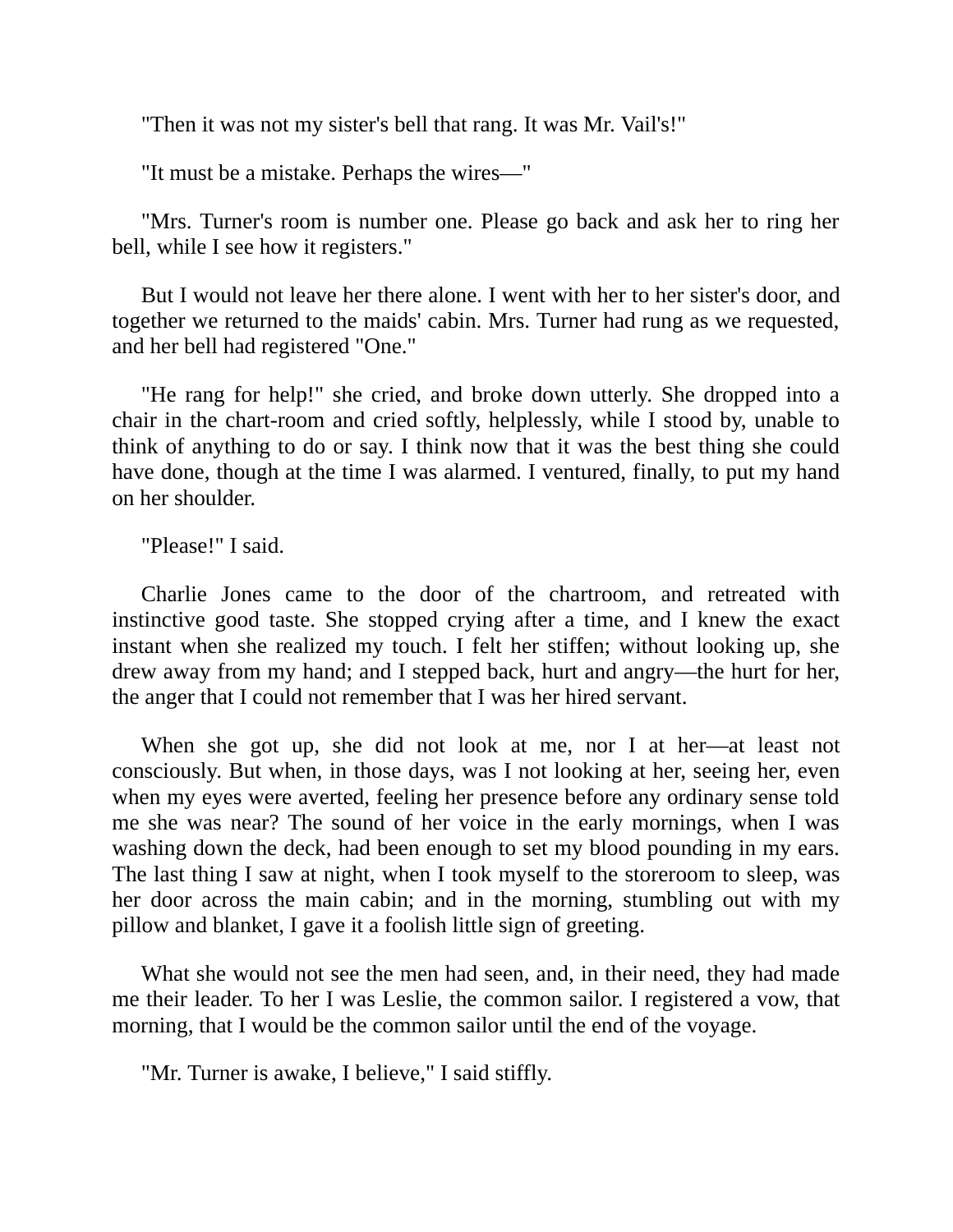"Then it was not my sister's bell that rang. It was Mr. Vail's!"

"It must be a mistake. Perhaps the wires—"

"Mrs. Turner's room is number one. Please go back and ask her to ring her bell, while I see how it registers."

But I would not leave her there alone. I went with her to her sister's door, and together we returned to the maids' cabin. Mrs. Turner had rung as we requested, and her bell had registered "One."

"He rang for help!" she cried, and broke down utterly. She dropped into a chair in the chart-room and cried softly, helplessly, while I stood by, unable to think of anything to do or say. I think now that it was the best thing she could have done, though at the time I was alarmed. I ventured, finally, to put my hand on her shoulder.

"Please!" I said.

Charlie Jones came to the door of the chartroom, and retreated with instinctive good taste. She stopped crying after a time, and I knew the exact instant when she realized my touch. I felt her stiffen; without looking up, she drew away from my hand; and I stepped back, hurt and angry—the hurt for her, the anger that I could not remember that I was her hired servant.

When she got up, she did not look at me, nor I at her—at least not consciously. But when, in those days, was I not looking at her, seeing her, even when my eyes were averted, feeling her presence before any ordinary sense told me she was near? The sound of her voice in the early mornings, when I was washing down the deck, had been enough to set my blood pounding in my ears. The last thing I saw at night, when I took myself to the storeroom to sleep, was her door across the main cabin; and in the morning, stumbling out with my pillow and blanket, I gave it a foolish little sign of greeting.

What she would not see the men had seen, and, in their need, they had made me their leader. To her I was Leslie, the common sailor. I registered a vow, that morning, that I would be the common sailor until the end of the voyage.

"Mr. Turner is awake, I believe," I said stiffly.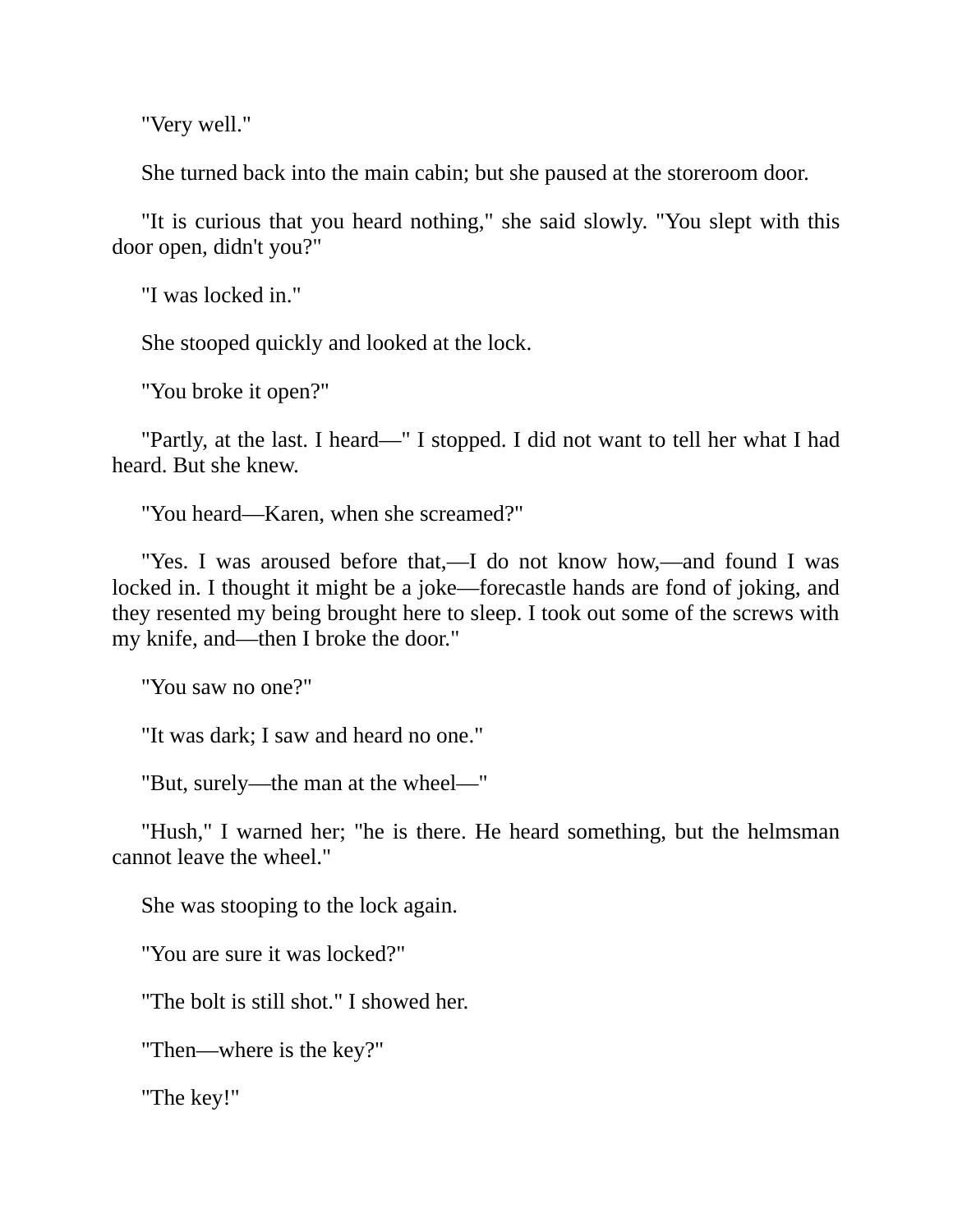"Very well."

She turned back into the main cabin; but she paused at the storeroom door.

"It is curious that you heard nothing," she said slowly. "You slept with this door open, didn't you?"

"I was locked in."

She stooped quickly and looked at the lock.

"You broke it open?"

"Partly, at the last. I heard—" I stopped. I did not want to tell her what I had heard. But she knew.

"You heard—Karen, when she screamed?"

"Yes. I was aroused before that,—I do not know how,—and found I was locked in. I thought it might be a joke—forecastle hands are fond of joking, and they resented my being brought here to sleep. I took out some of the screws with my knife, and—then I broke the door."

"You saw no one?"

"It was dark; I saw and heard no one."

"But, surely—the man at the wheel—"

"Hush," I warned her; "he is there. He heard something, but the helmsman cannot leave the wheel."

She was stooping to the lock again.

"You are sure it was locked?"

"The bolt is still shot." I showed her.

"Then—where is the key?"

"The key!"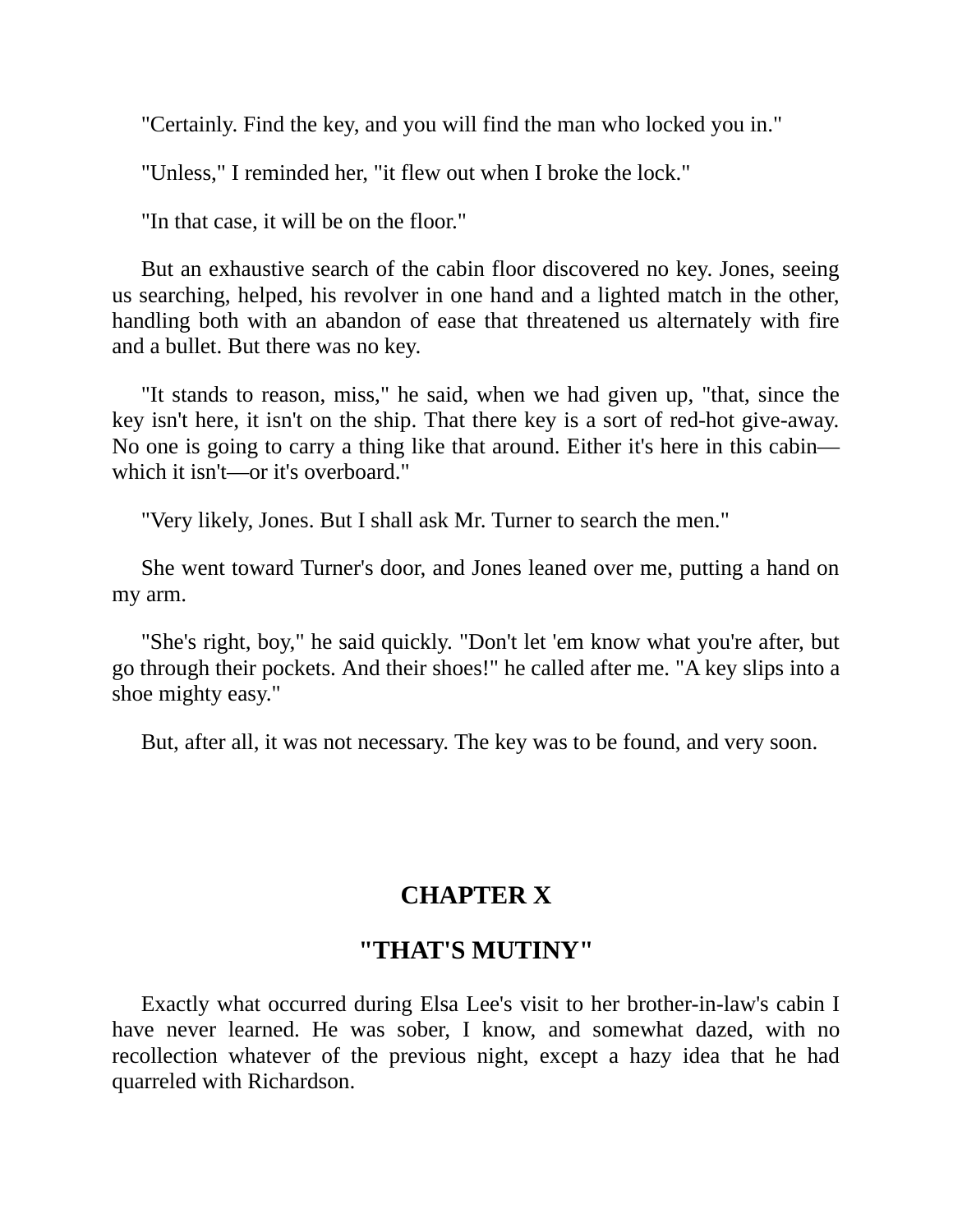"Certainly. Find the key, and you will find the man who locked you in."

"Unless," I reminded her, "it flew out when I broke the lock."

"In that case, it will be on the floor."

But an exhaustive search of the cabin floor discovered no key. Jones, seeing us searching, helped, his revolver in one hand and a lighted match in the other, handling both with an abandon of ease that threatened us alternately with fire and a bullet. But there was no key.

"It stands to reason, miss," he said, when we had given up, "that, since the key isn't here, it isn't on the ship. That there key is a sort of red-hot give-away. No one is going to carry a thing like that around. Either it's here in this cabin which it isn't—or it's overboard."

"Very likely, Jones. But I shall ask Mr. Turner to search the men."

She went toward Turner's door, and Jones leaned over me, putting a hand on my arm.

"She's right, boy," he said quickly. "Don't let 'em know what you're after, but go through their pockets. And their shoes!" he called after me. "A key slips into a shoe mighty easy."

But, after all, it was not necessary. The key was to be found, and very soon.

# **CHAPTER X**

### **"THAT'S MUTINY"**

Exactly what occurred during Elsa Lee's visit to her brother-in-law's cabin I have never learned. He was sober, I know, and somewhat dazed, with no recollection whatever of the previous night, except a hazy idea that he had quarreled with Richardson.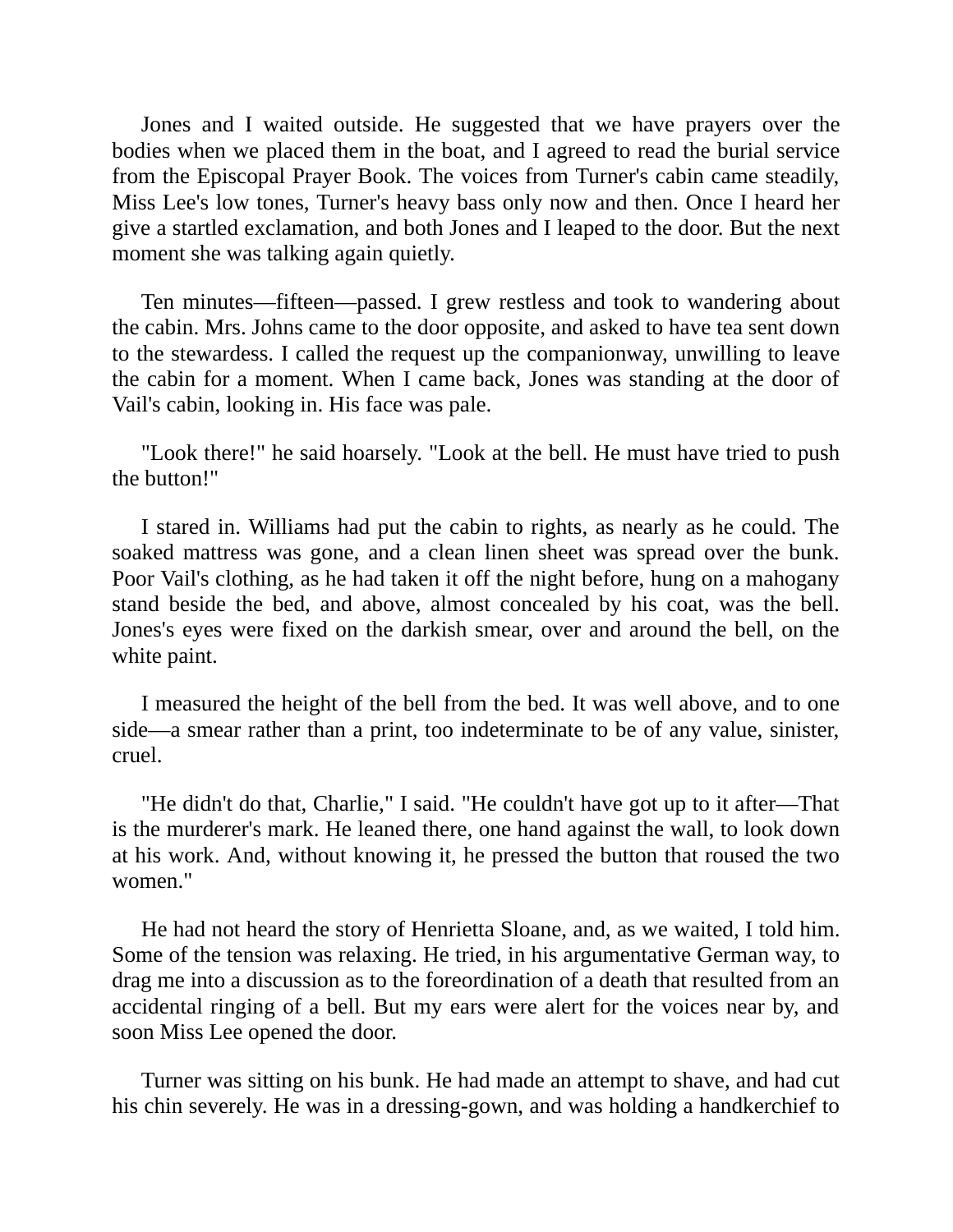Jones and I waited outside. He suggested that we have prayers over the bodies when we placed them in the boat, and I agreed to read the burial service from the Episcopal Prayer Book. The voices from Turner's cabin came steadily, Miss Lee's low tones, Turner's heavy bass only now and then. Once I heard her give a startled exclamation, and both Jones and I leaped to the door. But the next moment she was talking again quietly.

Ten minutes—fifteen—passed. I grew restless and took to wandering about the cabin. Mrs. Johns came to the door opposite, and asked to have tea sent down to the stewardess. I called the request up the companionway, unwilling to leave the cabin for a moment. When I came back, Jones was standing at the door of Vail's cabin, looking in. His face was pale.

"Look there!" he said hoarsely. "Look at the bell. He must have tried to push the button!"

I stared in. Williams had put the cabin to rights, as nearly as he could. The soaked mattress was gone, and a clean linen sheet was spread over the bunk. Poor Vail's clothing, as he had taken it off the night before, hung on a mahogany stand beside the bed, and above, almost concealed by his coat, was the bell. Jones's eyes were fixed on the darkish smear, over and around the bell, on the white paint.

I measured the height of the bell from the bed. It was well above, and to one side—a smear rather than a print, too indeterminate to be of any value, sinister, cruel.

"He didn't do that, Charlie," I said. "He couldn't have got up to it after—That is the murderer's mark. He leaned there, one hand against the wall, to look down at his work. And, without knowing it, he pressed the button that roused the two women."

He had not heard the story of Henrietta Sloane, and, as we waited, I told him. Some of the tension was relaxing. He tried, in his argumentative German way, to drag me into a discussion as to the foreordination of a death that resulted from an accidental ringing of a bell. But my ears were alert for the voices near by, and soon Miss Lee opened the door.

Turner was sitting on his bunk. He had made an attempt to shave, and had cut his chin severely. He was in a dressing-gown, and was holding a handkerchief to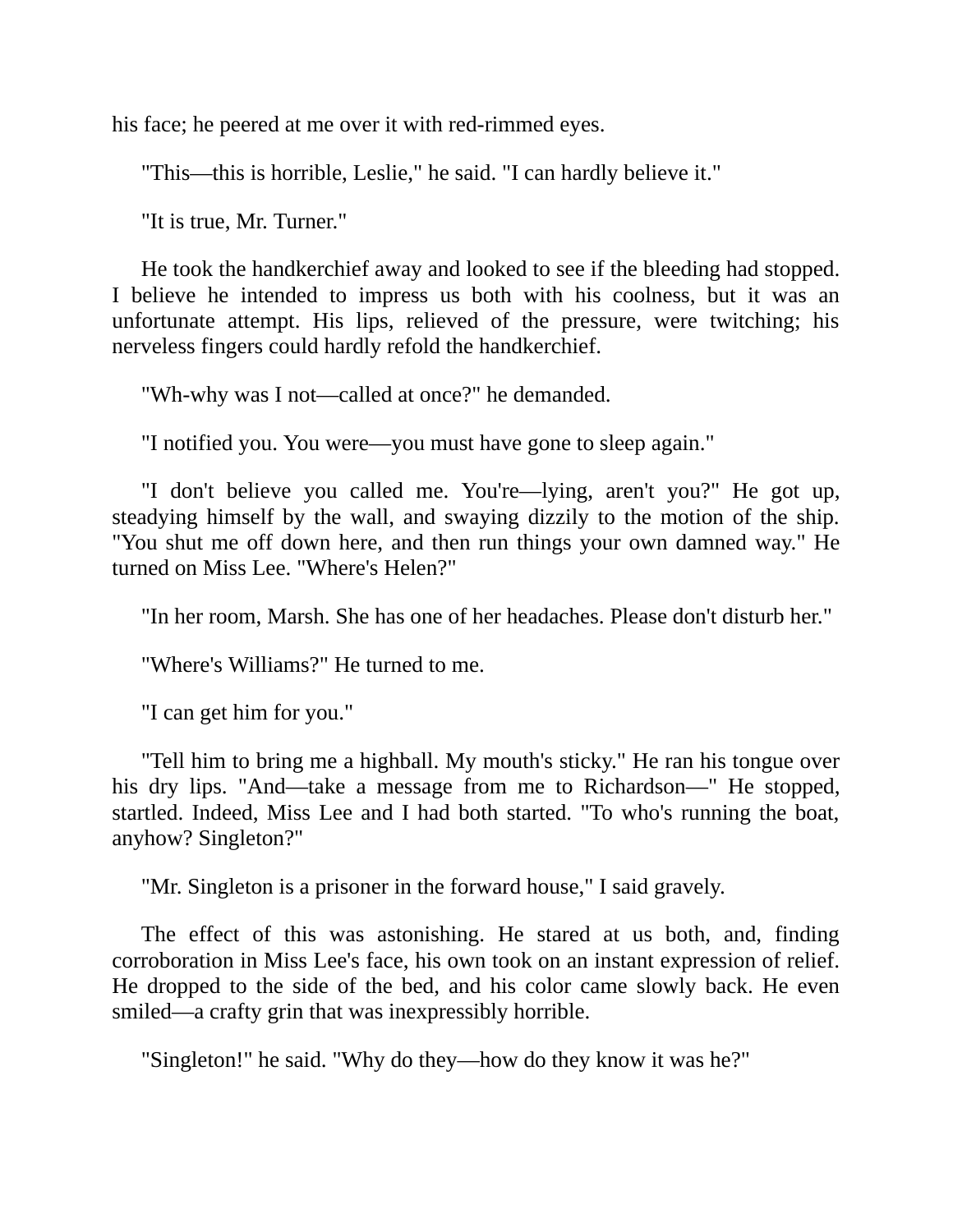his face; he peered at me over it with red-rimmed eyes.

"This—this is horrible, Leslie," he said. "I can hardly believe it."

"It is true, Mr. Turner."

He took the handkerchief away and looked to see if the bleeding had stopped. I believe he intended to impress us both with his coolness, but it was an unfortunate attempt. His lips, relieved of the pressure, were twitching; his nerveless fingers could hardly refold the handkerchief.

"Wh-why was I not—called at once?" he demanded.

"I notified you. You were—you must have gone to sleep again."

"I don't believe you called me. You're—lying, aren't you?" He got up, steadying himself by the wall, and swaying dizzily to the motion of the ship. "You shut me off down here, and then run things your own damned way." He turned on Miss Lee. "Where's Helen?"

"In her room, Marsh. She has one of her headaches. Please don't disturb her."

"Where's Williams?" He turned to me.

"I can get him for you."

"Tell him to bring me a highball. My mouth's sticky." He ran his tongue over his dry lips. "And—take a message from me to Richardson—" He stopped, startled. Indeed, Miss Lee and I had both started. "To who's running the boat, anyhow? Singleton?"

"Mr. Singleton is a prisoner in the forward house," I said gravely.

The effect of this was astonishing. He stared at us both, and, finding corroboration in Miss Lee's face, his own took on an instant expression of relief. He dropped to the side of the bed, and his color came slowly back. He even smiled—a crafty grin that was inexpressibly horrible.

"Singleton!" he said. "Why do they—how do they know it was he?"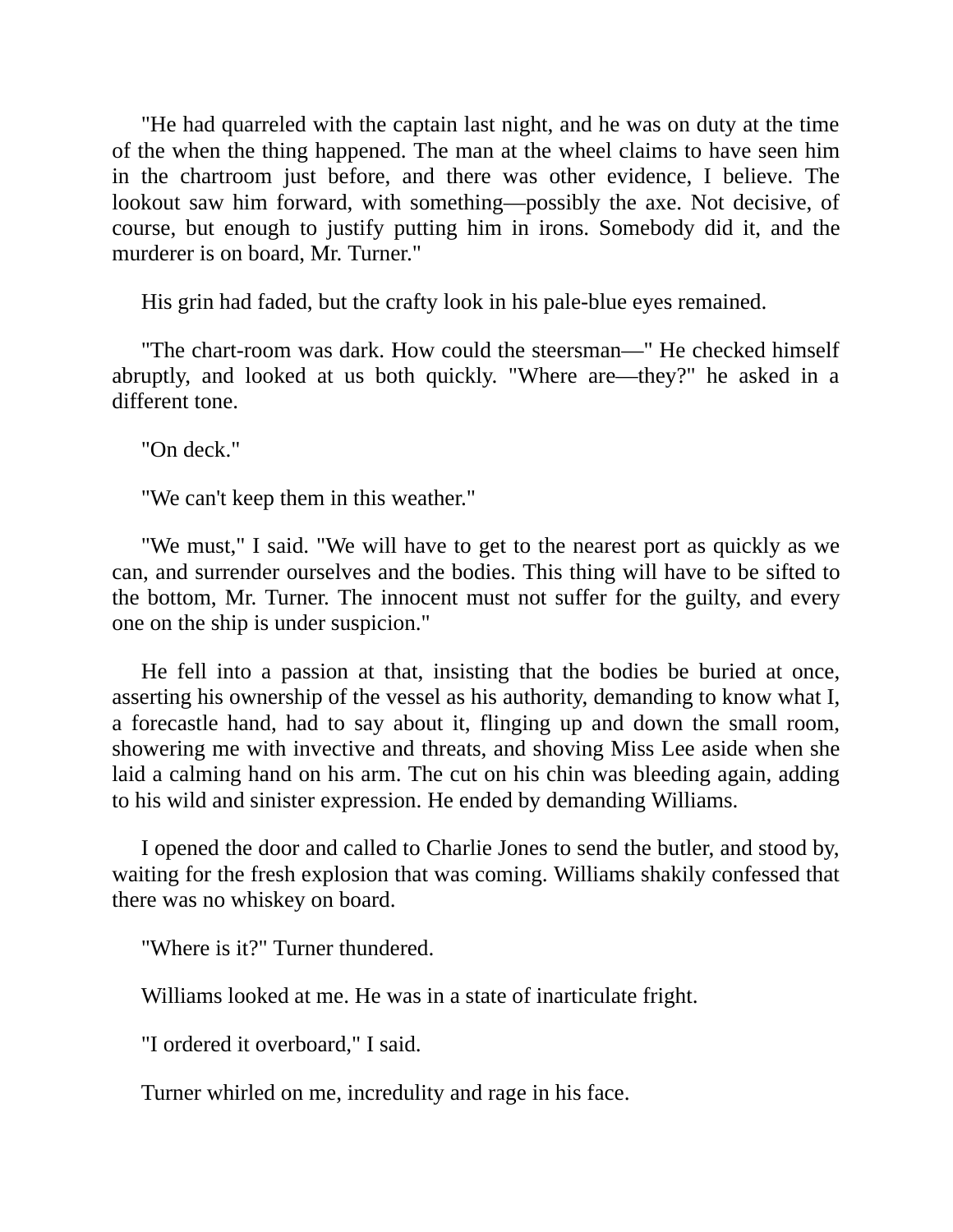"He had quarreled with the captain last night, and he was on duty at the time of the when the thing happened. The man at the wheel claims to have seen him in the chartroom just before, and there was other evidence, I believe. The lookout saw him forward, with something—possibly the axe. Not decisive, of course, but enough to justify putting him in irons. Somebody did it, and the murderer is on board, Mr. Turner."

His grin had faded, but the crafty look in his pale-blue eyes remained.

"The chart-room was dark. How could the steersman—" He checked himself abruptly, and looked at us both quickly. "Where are—they?" he asked in a different tone.

"On deck."

"We can't keep them in this weather."

"We must," I said. "We will have to get to the nearest port as quickly as we can, and surrender ourselves and the bodies. This thing will have to be sifted to the bottom, Mr. Turner. The innocent must not suffer for the guilty, and every one on the ship is under suspicion."

He fell into a passion at that, insisting that the bodies be buried at once, asserting his ownership of the vessel as his authority, demanding to know what I, a forecastle hand, had to say about it, flinging up and down the small room, showering me with invective and threats, and shoving Miss Lee aside when she laid a calming hand on his arm. The cut on his chin was bleeding again, adding to his wild and sinister expression. He ended by demanding Williams.

I opened the door and called to Charlie Jones to send the butler, and stood by, waiting for the fresh explosion that was coming. Williams shakily confessed that there was no whiskey on board.

"Where is it?" Turner thundered.

Williams looked at me. He was in a state of inarticulate fright.

"I ordered it overboard," I said.

Turner whirled on me, incredulity and rage in his face.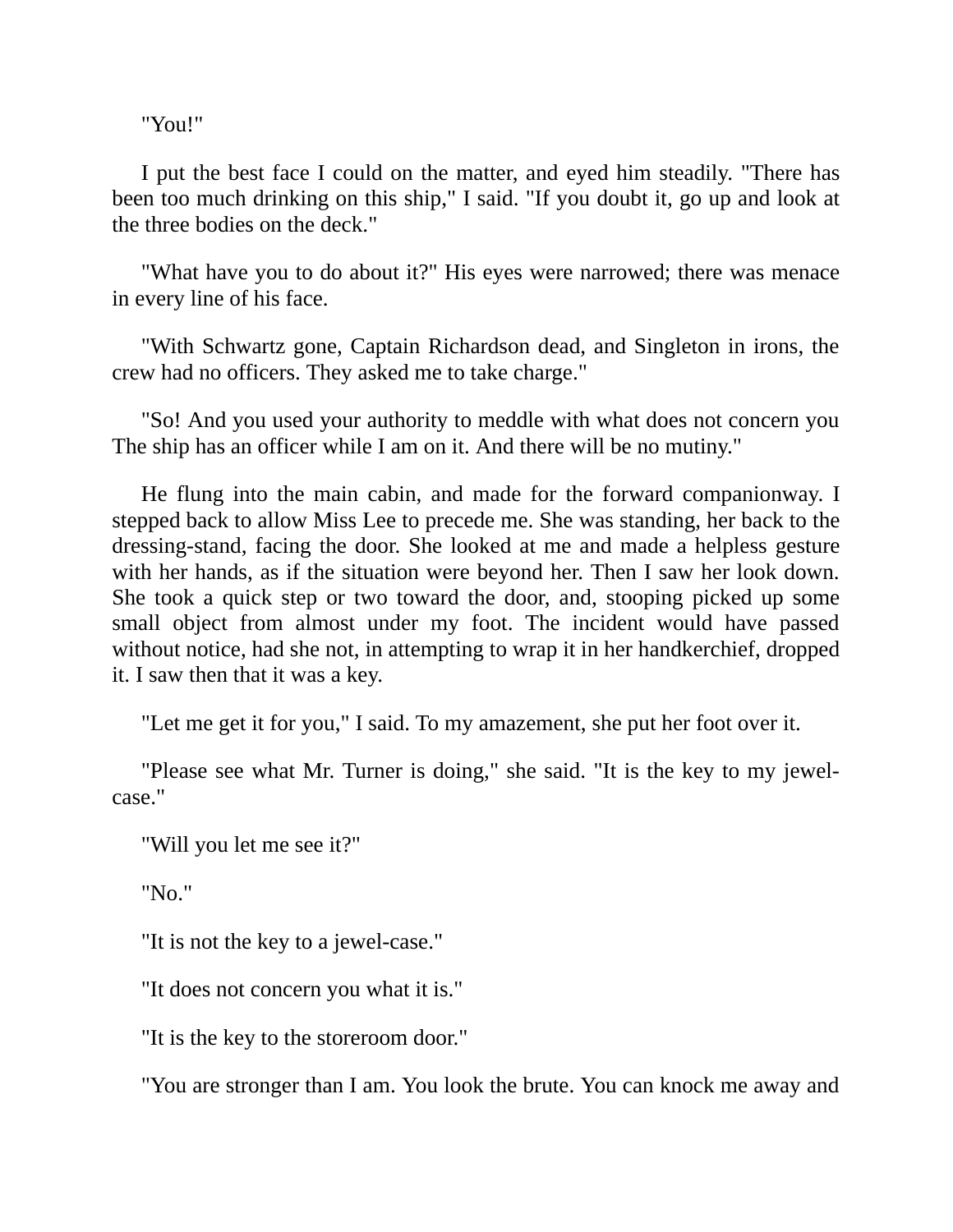"You!"

I put the best face I could on the matter, and eyed him steadily. "There has been too much drinking on this ship," I said. "If you doubt it, go up and look at the three bodies on the deck."

"What have you to do about it?" His eyes were narrowed; there was menace in every line of his face.

"With Schwartz gone, Captain Richardson dead, and Singleton in irons, the crew had no officers. They asked me to take charge."

"So! And you used your authority to meddle with what does not concern you The ship has an officer while I am on it. And there will be no mutiny."

He flung into the main cabin, and made for the forward companionway. I stepped back to allow Miss Lee to precede me. She was standing, her back to the dressing-stand, facing the door. She looked at me and made a helpless gesture with her hands, as if the situation were beyond her. Then I saw her look down. She took a quick step or two toward the door, and, stooping picked up some small object from almost under my foot. The incident would have passed without notice, had she not, in attempting to wrap it in her handkerchief, dropped it. I saw then that it was a key.

"Let me get it for you," I said. To my amazement, she put her foot over it.

"Please see what Mr. Turner is doing," she said. "It is the key to my jewelcase."

"Will you let me see it?"

"No."

"It is not the key to a jewel-case."

"It does not concern you what it is."

"It is the key to the storeroom door."

"You are stronger than I am. You look the brute. You can knock me away and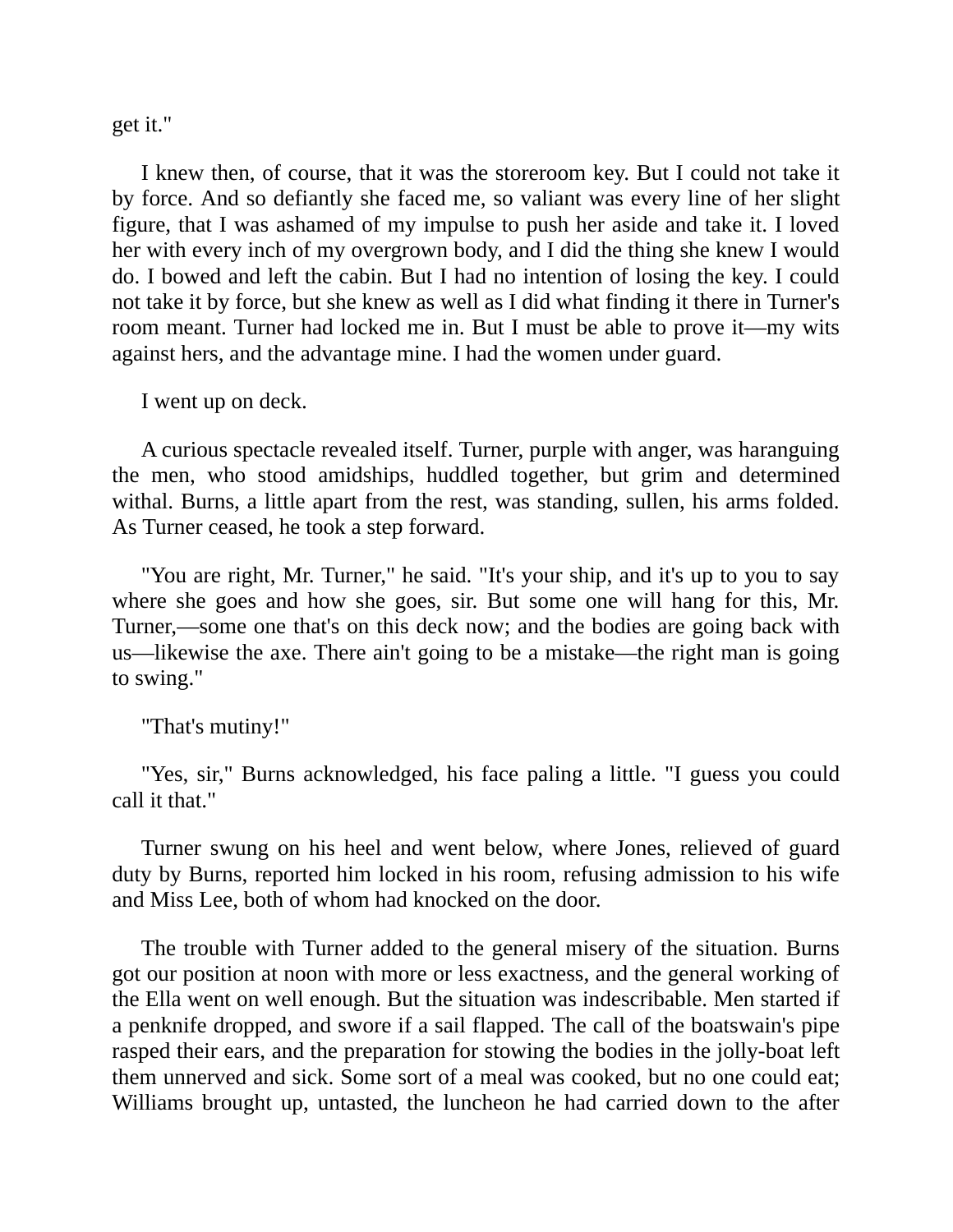get it."

I knew then, of course, that it was the storeroom key. But I could not take it by force. And so defiantly she faced me, so valiant was every line of her slight figure, that I was ashamed of my impulse to push her aside and take it. I loved her with every inch of my overgrown body, and I did the thing she knew I would do. I bowed and left the cabin. But I had no intention of losing the key. I could not take it by force, but she knew as well as I did what finding it there in Turner's room meant. Turner had locked me in. But I must be able to prove it—my wits against hers, and the advantage mine. I had the women under guard.

I went up on deck.

A curious spectacle revealed itself. Turner, purple with anger, was haranguing the men, who stood amidships, huddled together, but grim and determined withal. Burns, a little apart from the rest, was standing, sullen, his arms folded. As Turner ceased, he took a step forward.

"You are right, Mr. Turner," he said. "It's your ship, and it's up to you to say where she goes and how she goes, sir. But some one will hang for this, Mr. Turner,—some one that's on this deck now; and the bodies are going back with us—likewise the axe. There ain't going to be a mistake—the right man is going to swing."

```
"That's mutiny!"
```
"Yes, sir," Burns acknowledged, his face paling a little. "I guess you could call it that."

Turner swung on his heel and went below, where Jones, relieved of guard duty by Burns, reported him locked in his room, refusing admission to his wife and Miss Lee, both of whom had knocked on the door.

The trouble with Turner added to the general misery of the situation. Burns got our position at noon with more or less exactness, and the general working of the Ella went on well enough. But the situation was indescribable. Men started if a penknife dropped, and swore if a sail flapped. The call of the boatswain's pipe rasped their ears, and the preparation for stowing the bodies in the jolly-boat left them unnerved and sick. Some sort of a meal was cooked, but no one could eat; Williams brought up, untasted, the luncheon he had carried down to the after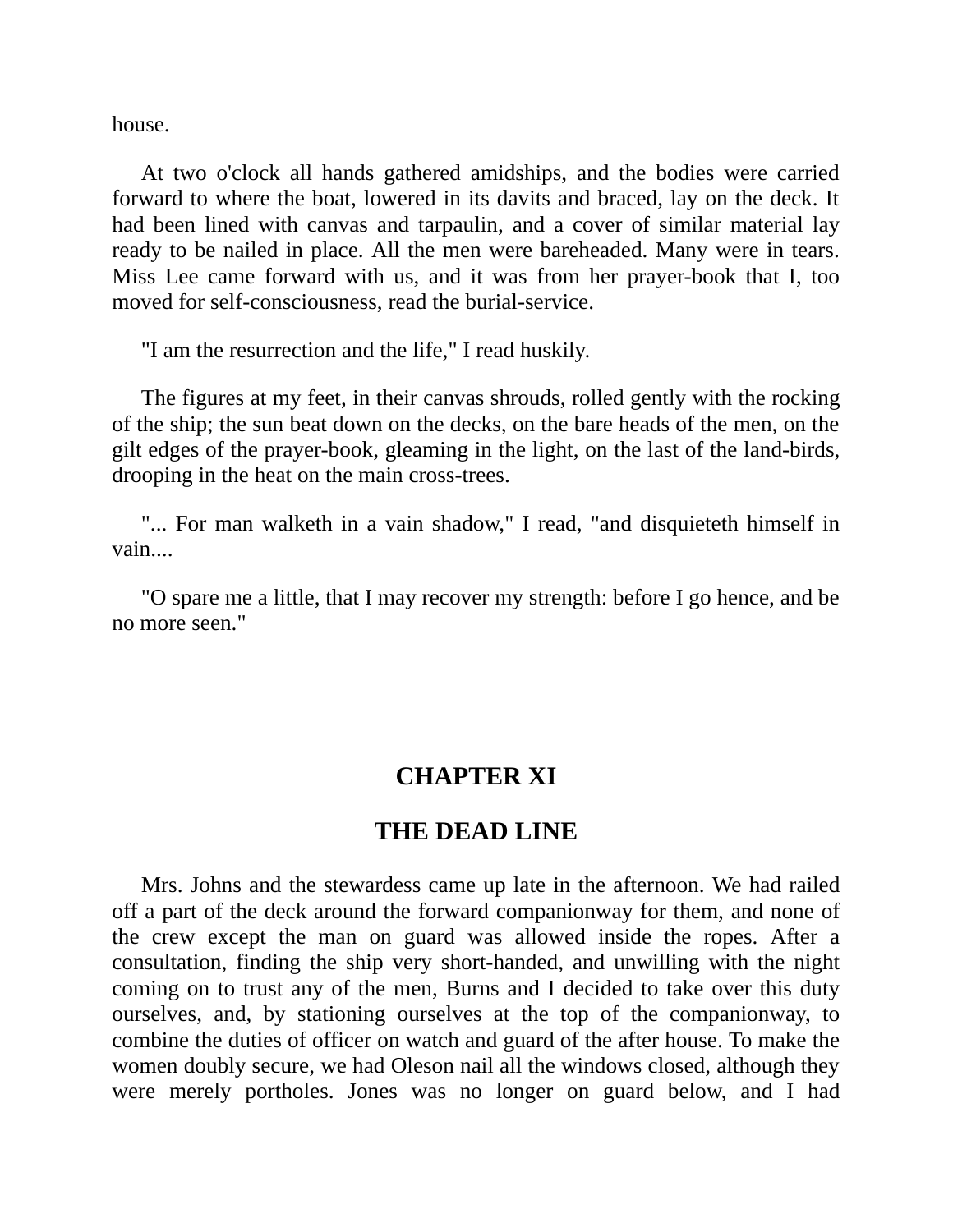house.

At two o'clock all hands gathered amidships, and the bodies were carried forward to where the boat, lowered in its davits and braced, lay on the deck. It had been lined with canvas and tarpaulin, and a cover of similar material lay ready to be nailed in place. All the men were bareheaded. Many were in tears. Miss Lee came forward with us, and it was from her prayer-book that I, too moved for self-consciousness, read the burial-service.

"I am the resurrection and the life," I read huskily.

The figures at my feet, in their canvas shrouds, rolled gently with the rocking of the ship; the sun beat down on the decks, on the bare heads of the men, on the gilt edges of the prayer-book, gleaming in the light, on the last of the land-birds, drooping in the heat on the main cross-trees.

"... For man walketh in a vain shadow," I read, "and disquieteth himself in vain....

"O spare me a little, that I may recover my strength: before I go hence, and be no more seen."

### **CHAPTER XI**

### **THE DEAD LINE**

Mrs. Johns and the stewardess came up late in the afternoon. We had railed off a part of the deck around the forward companionway for them, and none of the crew except the man on guard was allowed inside the ropes. After a consultation, finding the ship very short-handed, and unwilling with the night coming on to trust any of the men, Burns and I decided to take over this duty ourselves, and, by stationing ourselves at the top of the companionway, to combine the duties of officer on watch and guard of the after house. To make the women doubly secure, we had Oleson nail all the windows closed, although they were merely portholes. Jones was no longer on guard below, and I had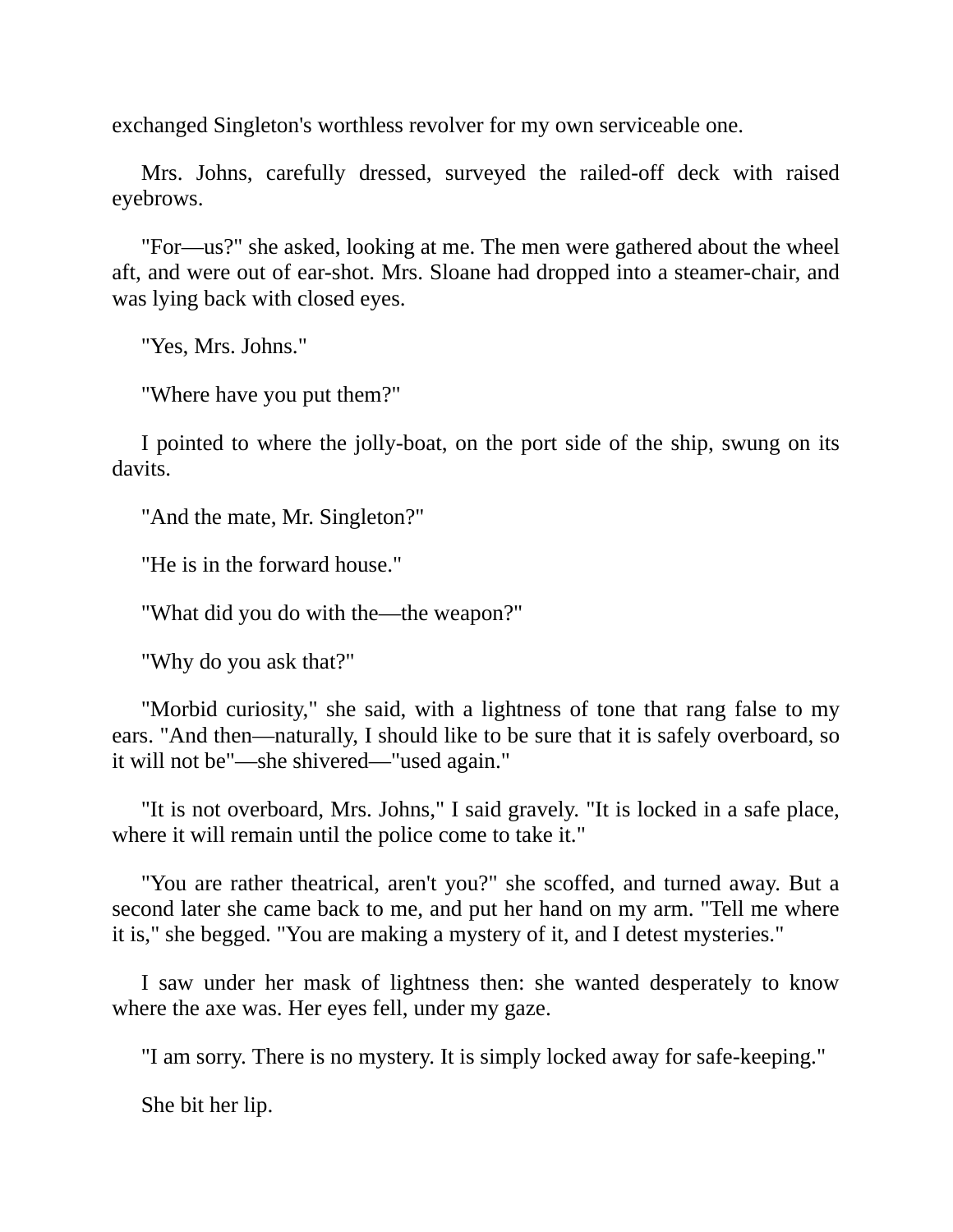exchanged Singleton's worthless revolver for my own serviceable one.

Mrs. Johns, carefully dressed, surveyed the railed-off deck with raised eyebrows.

"For—us?" she asked, looking at me. The men were gathered about the wheel aft, and were out of ear-shot. Mrs. Sloane had dropped into a steamer-chair, and was lying back with closed eyes.

"Yes, Mrs. Johns."

"Where have you put them?"

I pointed to where the jolly-boat, on the port side of the ship, swung on its davits.

"And the mate, Mr. Singleton?"

"He is in the forward house."

"What did you do with the—the weapon?"

"Why do you ask that?"

"Morbid curiosity," she said, with a lightness of tone that rang false to my ears. "And then—naturally, I should like to be sure that it is safely overboard, so it will not be"—she shivered—"used again."

"It is not overboard, Mrs. Johns," I said gravely. "It is locked in a safe place, where it will remain until the police come to take it."

"You are rather theatrical, aren't you?" she scoffed, and turned away. But a second later she came back to me, and put her hand on my arm. "Tell me where it is," she begged. "You are making a mystery of it, and I detest mysteries."

I saw under her mask of lightness then: she wanted desperately to know where the axe was. Her eyes fell, under my gaze.

"I am sorry. There is no mystery. It is simply locked away for safe-keeping."

She bit her lip.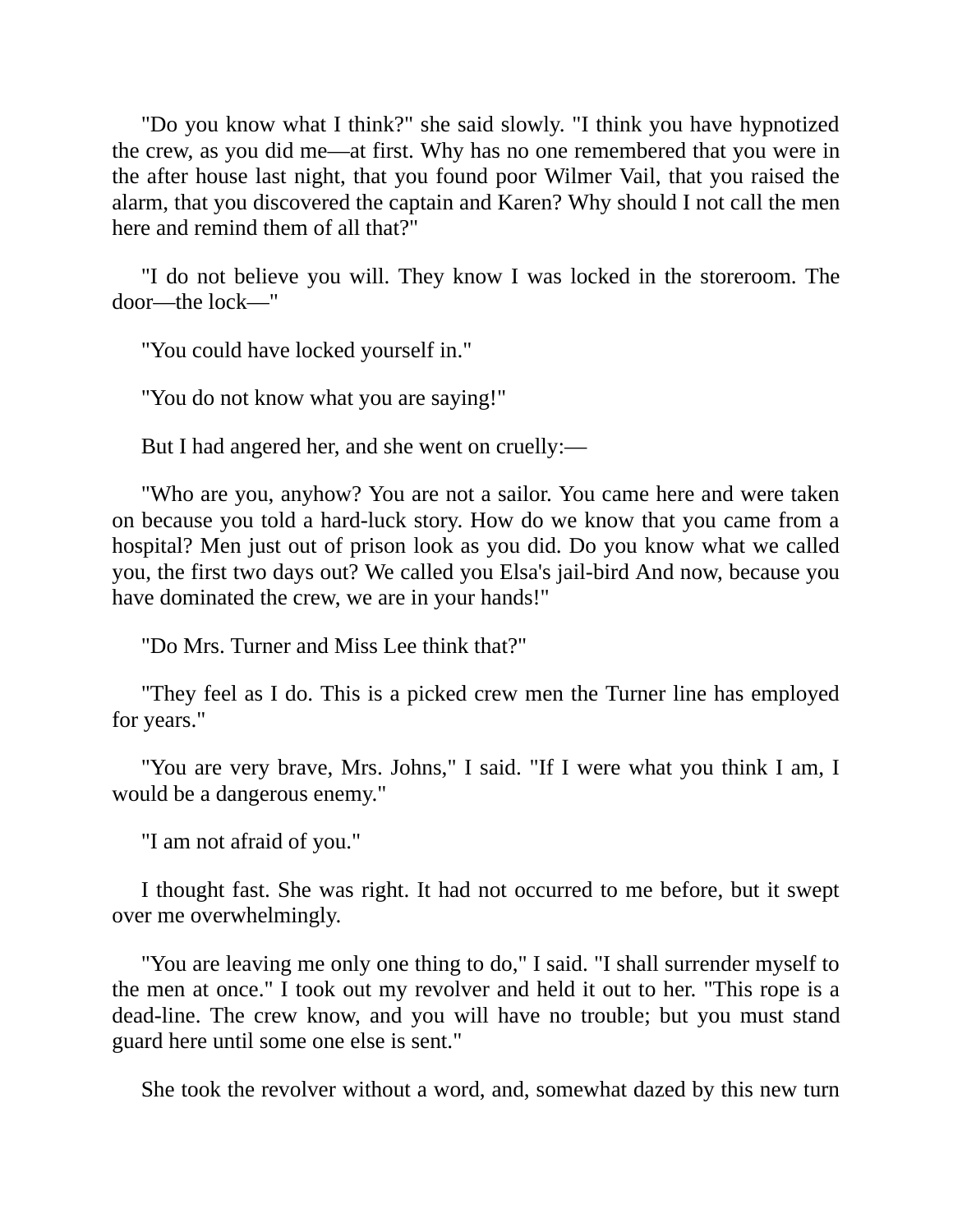"Do you know what I think?" she said slowly. "I think you have hypnotized the crew, as you did me—at first. Why has no one remembered that you were in the after house last night, that you found poor Wilmer Vail, that you raised the alarm, that you discovered the captain and Karen? Why should I not call the men here and remind them of all that?"

"I do not believe you will. They know I was locked in the storeroom. The door—the lock—"

"You could have locked yourself in."

"You do not know what you are saying!"

But I had angered her, and she went on cruelly:—

"Who are you, anyhow? You are not a sailor. You came here and were taken on because you told a hard-luck story. How do we know that you came from a hospital? Men just out of prison look as you did. Do you know what we called you, the first two days out? We called you Elsa's jail-bird And now, because you have dominated the crew, we are in your hands!"

"Do Mrs. Turner and Miss Lee think that?"

"They feel as I do. This is a picked crew men the Turner line has employed for years."

"You are very brave, Mrs. Johns," I said. "If I were what you think I am, I would be a dangerous enemy."

"I am not afraid of you."

I thought fast. She was right. It had not occurred to me before, but it swept over me overwhelmingly.

"You are leaving me only one thing to do," I said. "I shall surrender myself to the men at once." I took out my revolver and held it out to her. "This rope is a dead-line. The crew know, and you will have no trouble; but you must stand guard here until some one else is sent."

She took the revolver without a word, and, somewhat dazed by this new turn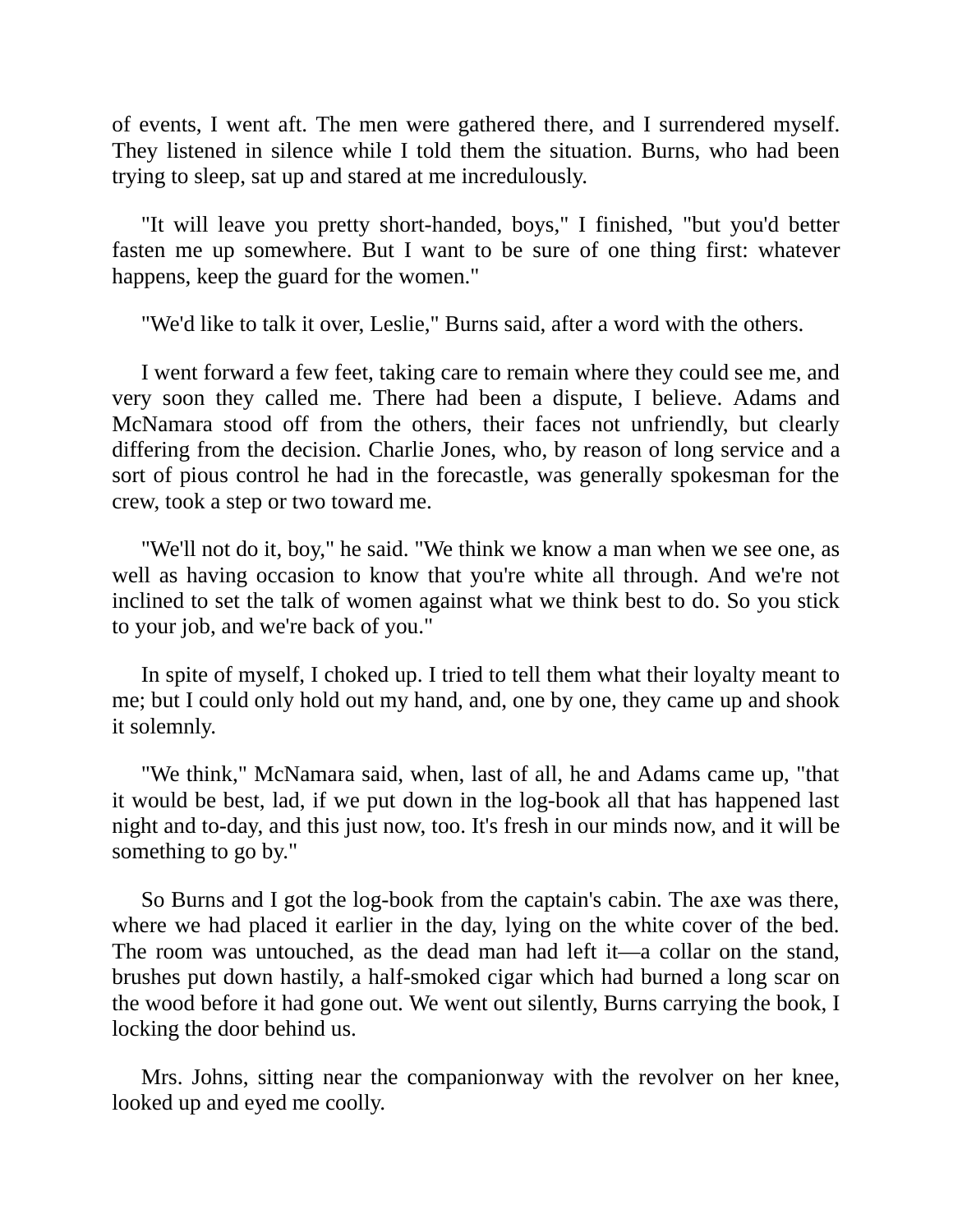of events, I went aft. The men were gathered there, and I surrendered myself. They listened in silence while I told them the situation. Burns, who had been trying to sleep, sat up and stared at me incredulously.

"It will leave you pretty short-handed, boys," I finished, "but you'd better fasten me up somewhere. But I want to be sure of one thing first: whatever happens, keep the guard for the women."

"We'd like to talk it over, Leslie," Burns said, after a word with the others.

I went forward a few feet, taking care to remain where they could see me, and very soon they called me. There had been a dispute, I believe. Adams and McNamara stood off from the others, their faces not unfriendly, but clearly differing from the decision. Charlie Jones, who, by reason of long service and a sort of pious control he had in the forecastle, was generally spokesman for the crew, took a step or two toward me.

"We'll not do it, boy," he said. "We think we know a man when we see one, as well as having occasion to know that you're white all through. And we're not inclined to set the talk of women against what we think best to do. So you stick to your job, and we're back of you."

In spite of myself, I choked up. I tried to tell them what their loyalty meant to me; but I could only hold out my hand, and, one by one, they came up and shook it solemnly.

"We think," McNamara said, when, last of all, he and Adams came up, "that it would be best, lad, if we put down in the log-book all that has happened last night and to-day, and this just now, too. It's fresh in our minds now, and it will be something to go by."

So Burns and I got the log-book from the captain's cabin. The axe was there, where we had placed it earlier in the day, lying on the white cover of the bed. The room was untouched, as the dead man had left it—a collar on the stand, brushes put down hastily, a half-smoked cigar which had burned a long scar on the wood before it had gone out. We went out silently, Burns carrying the book, I locking the door behind us.

Mrs. Johns, sitting near the companionway with the revolver on her knee, looked up and eyed me coolly.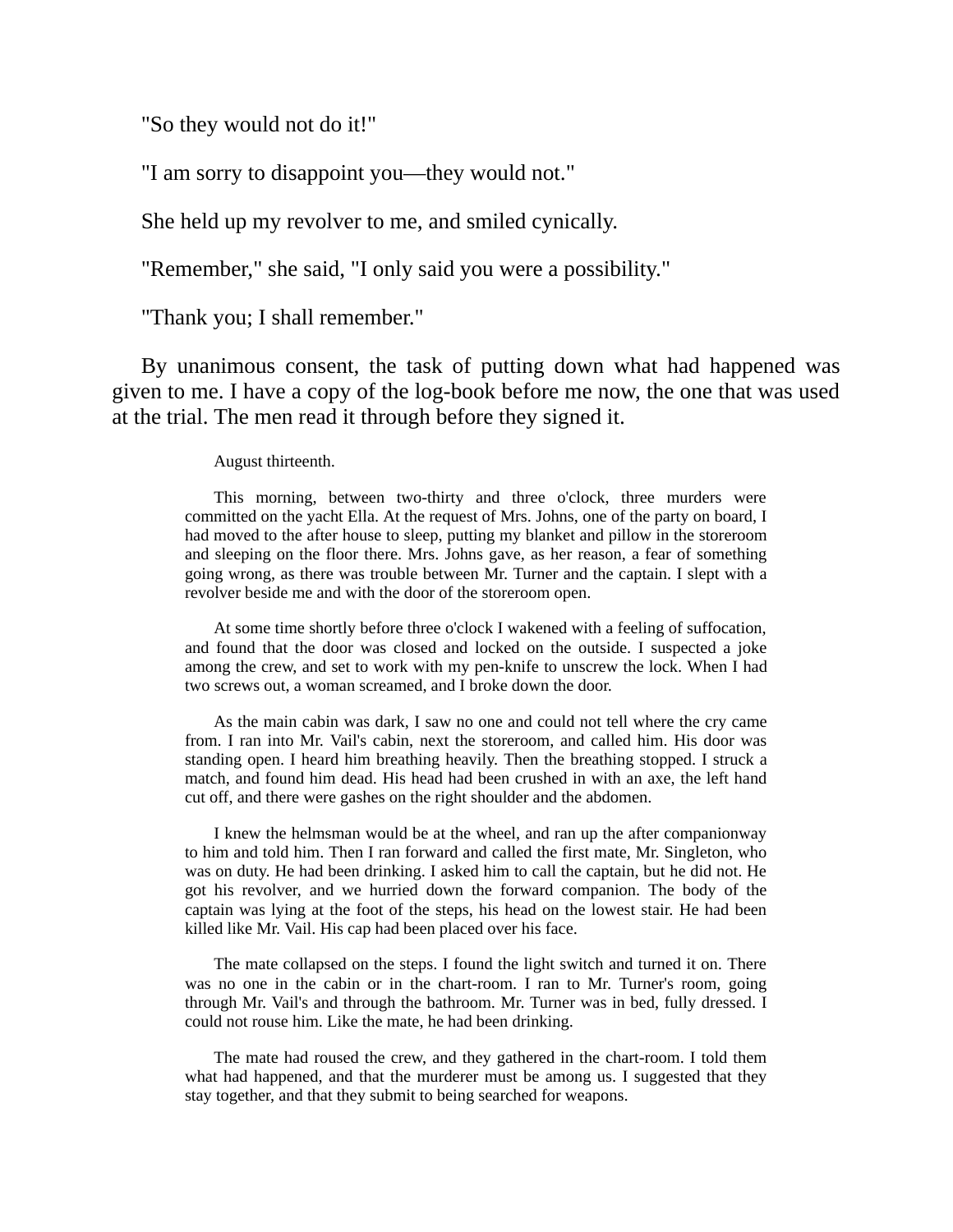"So they would not do it!"

"I am sorry to disappoint you—they would not."

She held up my revolver to me, and smiled cynically.

"Remember," she said, "I only said you were a possibility."

"Thank you; I shall remember."

By unanimous consent, the task of putting down what had happened was given to me. I have a copy of the log-book before me now, the one that was used at the trial. The men read it through before they signed it.

August thirteenth.

This morning, between two-thirty and three o'clock, three murders were committed on the yacht Ella. At the request of Mrs. Johns, one of the party on board, I had moved to the after house to sleep, putting my blanket and pillow in the storeroom and sleeping on the floor there. Mrs. Johns gave, as her reason, a fear of something going wrong, as there was trouble between Mr. Turner and the captain. I slept with a revolver beside me and with the door of the storeroom open.

At some time shortly before three o'clock I wakened with a feeling of suffocation, and found that the door was closed and locked on the outside. I suspected a joke among the crew, and set to work with my pen-knife to unscrew the lock. When I had two screws out, a woman screamed, and I broke down the door.

As the main cabin was dark, I saw no one and could not tell where the cry came from. I ran into Mr. Vail's cabin, next the storeroom, and called him. His door was standing open. I heard him breathing heavily. Then the breathing stopped. I struck a match, and found him dead. His head had been crushed in with an axe, the left hand cut off, and there were gashes on the right shoulder and the abdomen.

I knew the helmsman would be at the wheel, and ran up the after companionway to him and told him. Then I ran forward and called the first mate, Mr. Singleton, who was on duty. He had been drinking. I asked him to call the captain, but he did not. He got his revolver, and we hurried down the forward companion. The body of the captain was lying at the foot of the steps, his head on the lowest stair. He had been killed like Mr. Vail. His cap had been placed over his face.

The mate collapsed on the steps. I found the light switch and turned it on. There was no one in the cabin or in the chart-room. I ran to Mr. Turner's room, going through Mr. Vail's and through the bathroom. Mr. Turner was in bed, fully dressed. I could not rouse him. Like the mate, he had been drinking.

The mate had roused the crew, and they gathered in the chart-room. I told them what had happened, and that the murderer must be among us. I suggested that they stay together, and that they submit to being searched for weapons.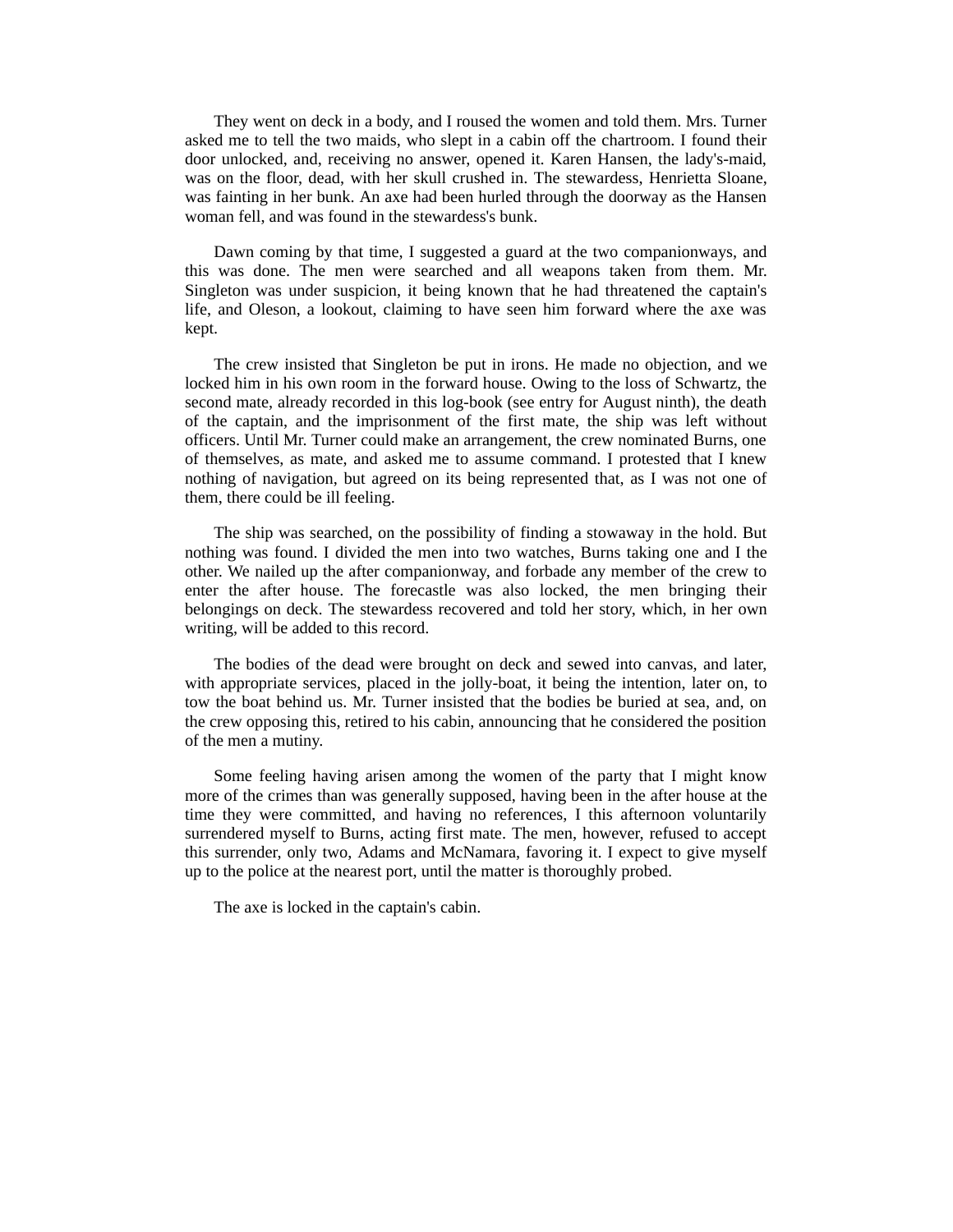They went on deck in a body, and I roused the women and told them. Mrs. Turner asked me to tell the two maids, who slept in a cabin off the chartroom. I found their door unlocked, and, receiving no answer, opened it. Karen Hansen, the lady's-maid, was on the floor, dead, with her skull crushed in. The stewardess, Henrietta Sloane, was fainting in her bunk. An axe had been hurled through the doorway as the Hansen woman fell, and was found in the stewardess's bunk.

Dawn coming by that time, I suggested a guard at the two companionways, and this was done. The men were searched and all weapons taken from them. Mr. Singleton was under suspicion, it being known that he had threatened the captain's life, and Oleson, a lookout, claiming to have seen him forward where the axe was kept.

The crew insisted that Singleton be put in irons. He made no objection, and we locked him in his own room in the forward house. Owing to the loss of Schwartz, the second mate, already recorded in this log-book (see entry for August ninth), the death of the captain, and the imprisonment of the first mate, the ship was left without officers. Until Mr. Turner could make an arrangement, the crew nominated Burns, one of themselves, as mate, and asked me to assume command. I protested that I knew nothing of navigation, but agreed on its being represented that, as I was not one of them, there could be ill feeling.

The ship was searched, on the possibility of finding a stowaway in the hold. But nothing was found. I divided the men into two watches, Burns taking one and I the other. We nailed up the after companionway, and forbade any member of the crew to enter the after house. The forecastle was also locked, the men bringing their belongings on deck. The stewardess recovered and told her story, which, in her own writing, will be added to this record.

The bodies of the dead were brought on deck and sewed into canvas, and later, with appropriate services, placed in the jolly-boat, it being the intention, later on, to tow the boat behind us. Mr. Turner insisted that the bodies be buried at sea, and, on the crew opposing this, retired to his cabin, announcing that he considered the position of the men a mutiny.

Some feeling having arisen among the women of the party that I might know more of the crimes than was generally supposed, having been in the after house at the time they were committed, and having no references, I this afternoon voluntarily surrendered myself to Burns, acting first mate. The men, however, refused to accept this surrender, only two, Adams and McNamara, favoring it. I expect to give myself up to the police at the nearest port, until the matter is thoroughly probed.

The axe is locked in the captain's cabin.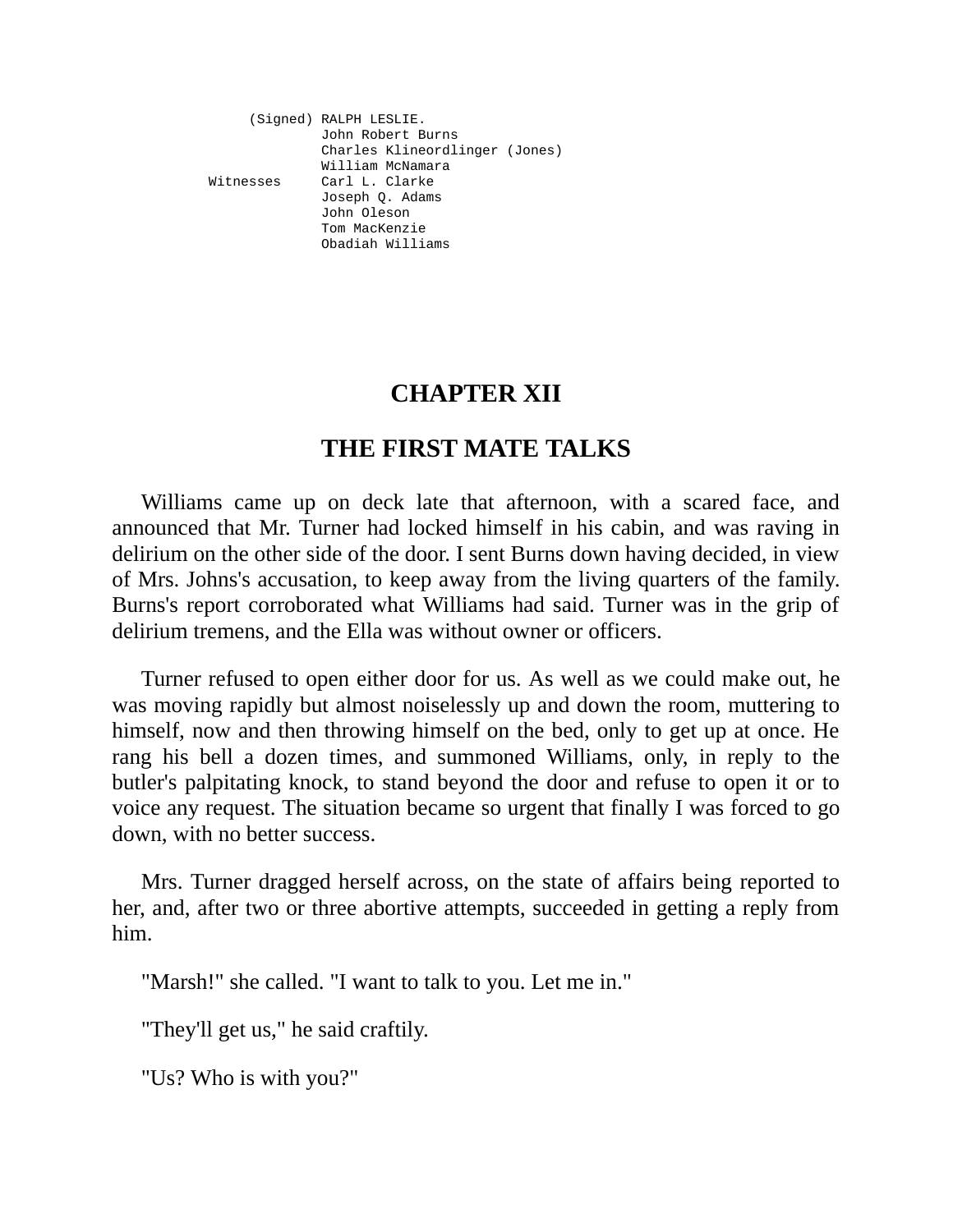(Signed) RALPH LESLIE. John Robert Burns Charles Klineordlinger (Jones) William McNamara Witnesses Carl L. Clarke Joseph Q. Adams John Oleson Tom MacKenzie Obadiah Williams

# **CHAPTER XII**

# **THE FIRST MATE TALKS**

Williams came up on deck late that afternoon, with a scared face, and announced that Mr. Turner had locked himself in his cabin, and was raving in delirium on the other side of the door. I sent Burns down having decided, in view of Mrs. Johns's accusation, to keep away from the living quarters of the family. Burns's report corroborated what Williams had said. Turner was in the grip of delirium tremens, and the Ella was without owner or officers.

Turner refused to open either door for us. As well as we could make out, he was moving rapidly but almost noiselessly up and down the room, muttering to himself, now and then throwing himself on the bed, only to get up at once. He rang his bell a dozen times, and summoned Williams, only, in reply to the butler's palpitating knock, to stand beyond the door and refuse to open it or to voice any request. The situation became so urgent that finally I was forced to go down, with no better success.

Mrs. Turner dragged herself across, on the state of affairs being reported to her, and, after two or three abortive attempts, succeeded in getting a reply from him.

"Marsh!" she called. "I want to talk to you. Let me in."

"They'll get us," he said craftily.

"Us? Who is with you?"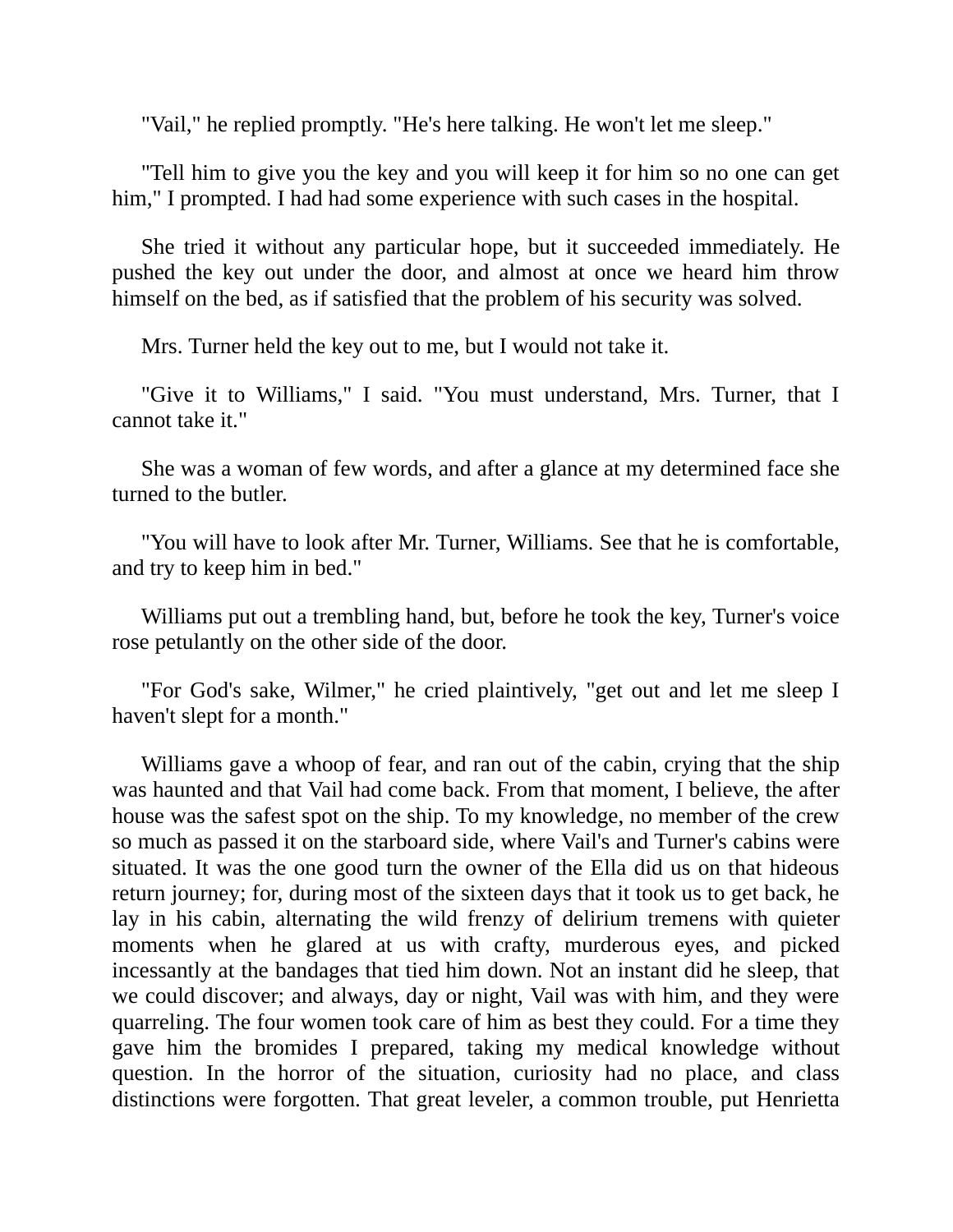"Vail," he replied promptly. "He's here talking. He won't let me sleep."

"Tell him to give you the key and you will keep it for him so no one can get him," I prompted. I had had some experience with such cases in the hospital.

She tried it without any particular hope, but it succeeded immediately. He pushed the key out under the door, and almost at once we heard him throw himself on the bed, as if satisfied that the problem of his security was solved.

Mrs. Turner held the key out to me, but I would not take it.

"Give it to Williams," I said. "You must understand, Mrs. Turner, that I cannot take it."

She was a woman of few words, and after a glance at my determined face she turned to the butler.

"You will have to look after Mr. Turner, Williams. See that he is comfortable, and try to keep him in bed."

Williams put out a trembling hand, but, before he took the key, Turner's voice rose petulantly on the other side of the door.

"For God's sake, Wilmer," he cried plaintively, "get out and let me sleep I haven't slept for a month."

Williams gave a whoop of fear, and ran out of the cabin, crying that the ship was haunted and that Vail had come back. From that moment, I believe, the after house was the safest spot on the ship. To my knowledge, no member of the crew so much as passed it on the starboard side, where Vail's and Turner's cabins were situated. It was the one good turn the owner of the Ella did us on that hideous return journey; for, during most of the sixteen days that it took us to get back, he lay in his cabin, alternating the wild frenzy of delirium tremens with quieter moments when he glared at us with crafty, murderous eyes, and picked incessantly at the bandages that tied him down. Not an instant did he sleep, that we could discover; and always, day or night, Vail was with him, and they were quarreling. The four women took care of him as best they could. For a time they gave him the bromides I prepared, taking my medical knowledge without question. In the horror of the situation, curiosity had no place, and class distinctions were forgotten. That great leveler, a common trouble, put Henrietta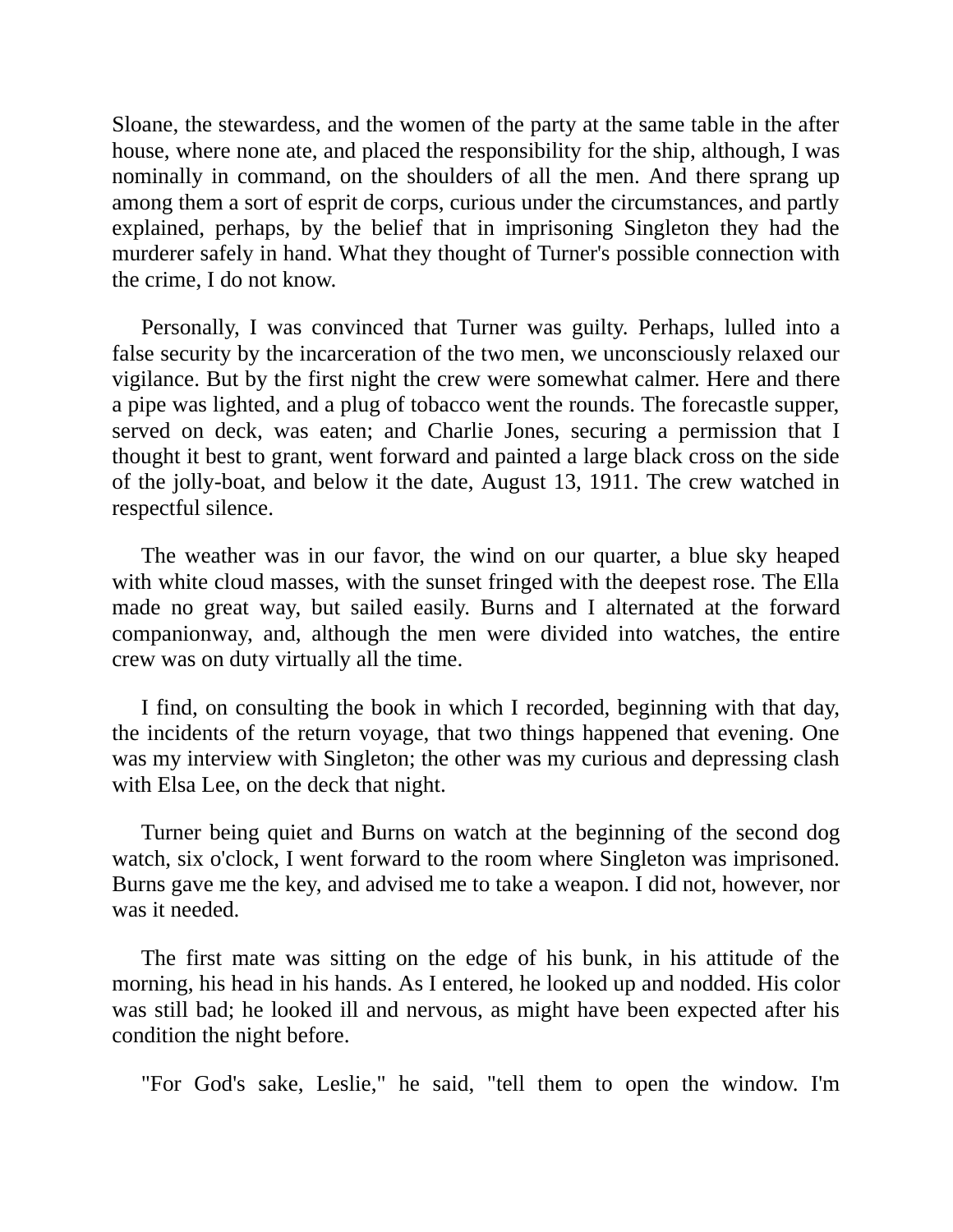Sloane, the stewardess, and the women of the party at the same table in the after house, where none ate, and placed the responsibility for the ship, although, I was nominally in command, on the shoulders of all the men. And there sprang up among them a sort of esprit de corps, curious under the circumstances, and partly explained, perhaps, by the belief that in imprisoning Singleton they had the murderer safely in hand. What they thought of Turner's possible connection with the crime, I do not know.

Personally, I was convinced that Turner was guilty. Perhaps, lulled into a false security by the incarceration of the two men, we unconsciously relaxed our vigilance. But by the first night the crew were somewhat calmer. Here and there a pipe was lighted, and a plug of tobacco went the rounds. The forecastle supper, served on deck, was eaten; and Charlie Jones, securing a permission that I thought it best to grant, went forward and painted a large black cross on the side of the jolly-boat, and below it the date, August 13, 1911. The crew watched in respectful silence.

The weather was in our favor, the wind on our quarter, a blue sky heaped with white cloud masses, with the sunset fringed with the deepest rose. The Ella made no great way, but sailed easily. Burns and I alternated at the forward companionway, and, although the men were divided into watches, the entire crew was on duty virtually all the time.

I find, on consulting the book in which I recorded, beginning with that day, the incidents of the return voyage, that two things happened that evening. One was my interview with Singleton; the other was my curious and depressing clash with Elsa Lee, on the deck that night.

Turner being quiet and Burns on watch at the beginning of the second dog watch, six o'clock, I went forward to the room where Singleton was imprisoned. Burns gave me the key, and advised me to take a weapon. I did not, however, nor was it needed.

The first mate was sitting on the edge of his bunk, in his attitude of the morning, his head in his hands. As I entered, he looked up and nodded. His color was still bad; he looked ill and nervous, as might have been expected after his condition the night before.

"For God's sake, Leslie," he said, "tell them to open the window. I'm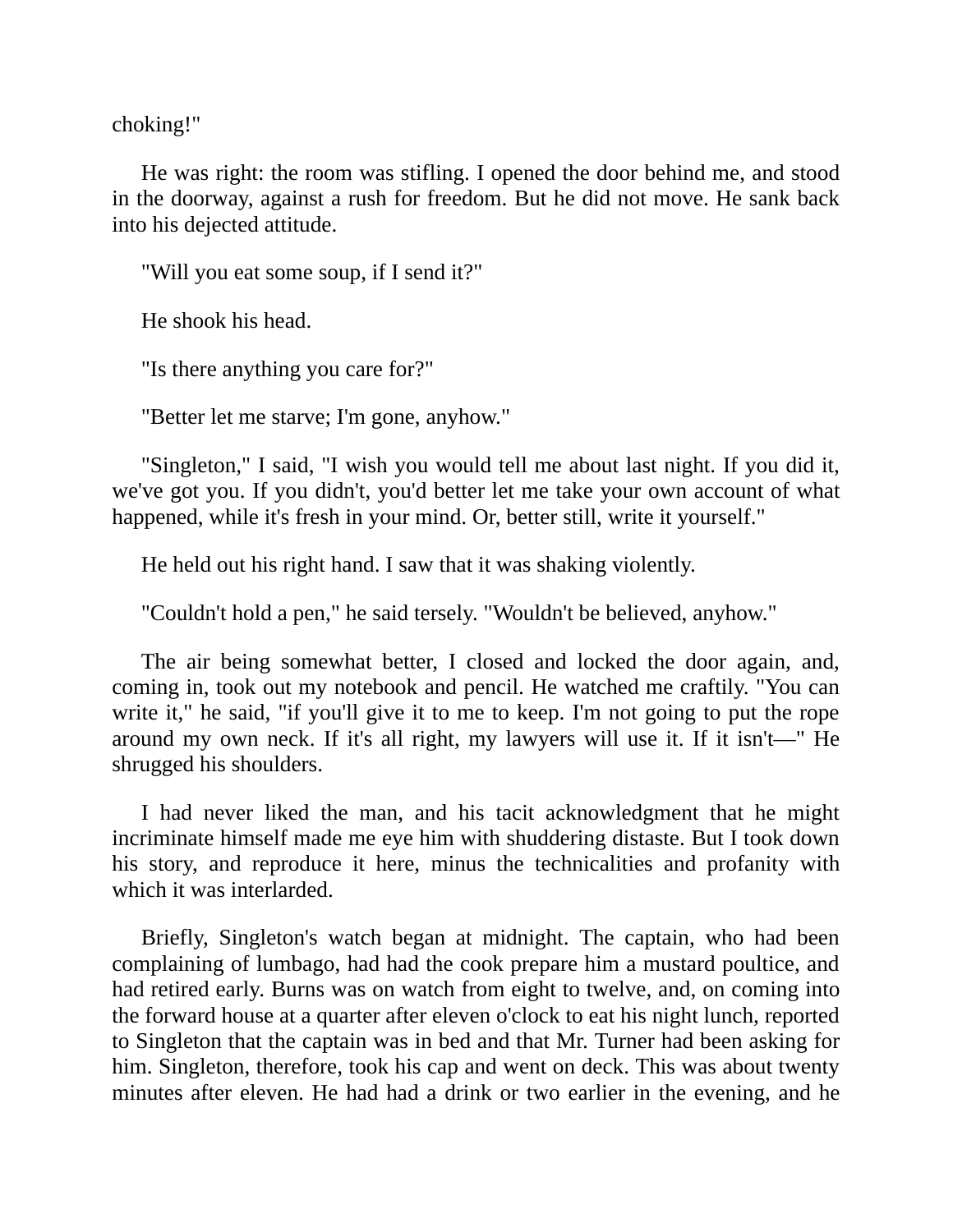choking!"

He was right: the room was stifling. I opened the door behind me, and stood in the doorway, against a rush for freedom. But he did not move. He sank back into his dejected attitude.

"Will you eat some soup, if I send it?"

He shook his head.

"Is there anything you care for?"

"Better let me starve; I'm gone, anyhow."

"Singleton," I said, "I wish you would tell me about last night. If you did it, we've got you. If you didn't, you'd better let me take your own account of what happened, while it's fresh in your mind. Or, better still, write it yourself."

He held out his right hand. I saw that it was shaking violently.

"Couldn't hold a pen," he said tersely. "Wouldn't be believed, anyhow."

The air being somewhat better, I closed and locked the door again, and, coming in, took out my notebook and pencil. He watched me craftily. "You can write it," he said, "if you'll give it to me to keep. I'm not going to put the rope around my own neck. If it's all right, my lawyers will use it. If it isn't—" He shrugged his shoulders.

I had never liked the man, and his tacit acknowledgment that he might incriminate himself made me eye him with shuddering distaste. But I took down his story, and reproduce it here, minus the technicalities and profanity with which it was interlarded.

Briefly, Singleton's watch began at midnight. The captain, who had been complaining of lumbago, had had the cook prepare him a mustard poultice, and had retired early. Burns was on watch from eight to twelve, and, on coming into the forward house at a quarter after eleven o'clock to eat his night lunch, reported to Singleton that the captain was in bed and that Mr. Turner had been asking for him. Singleton, therefore, took his cap and went on deck. This was about twenty minutes after eleven. He had had a drink or two earlier in the evening, and he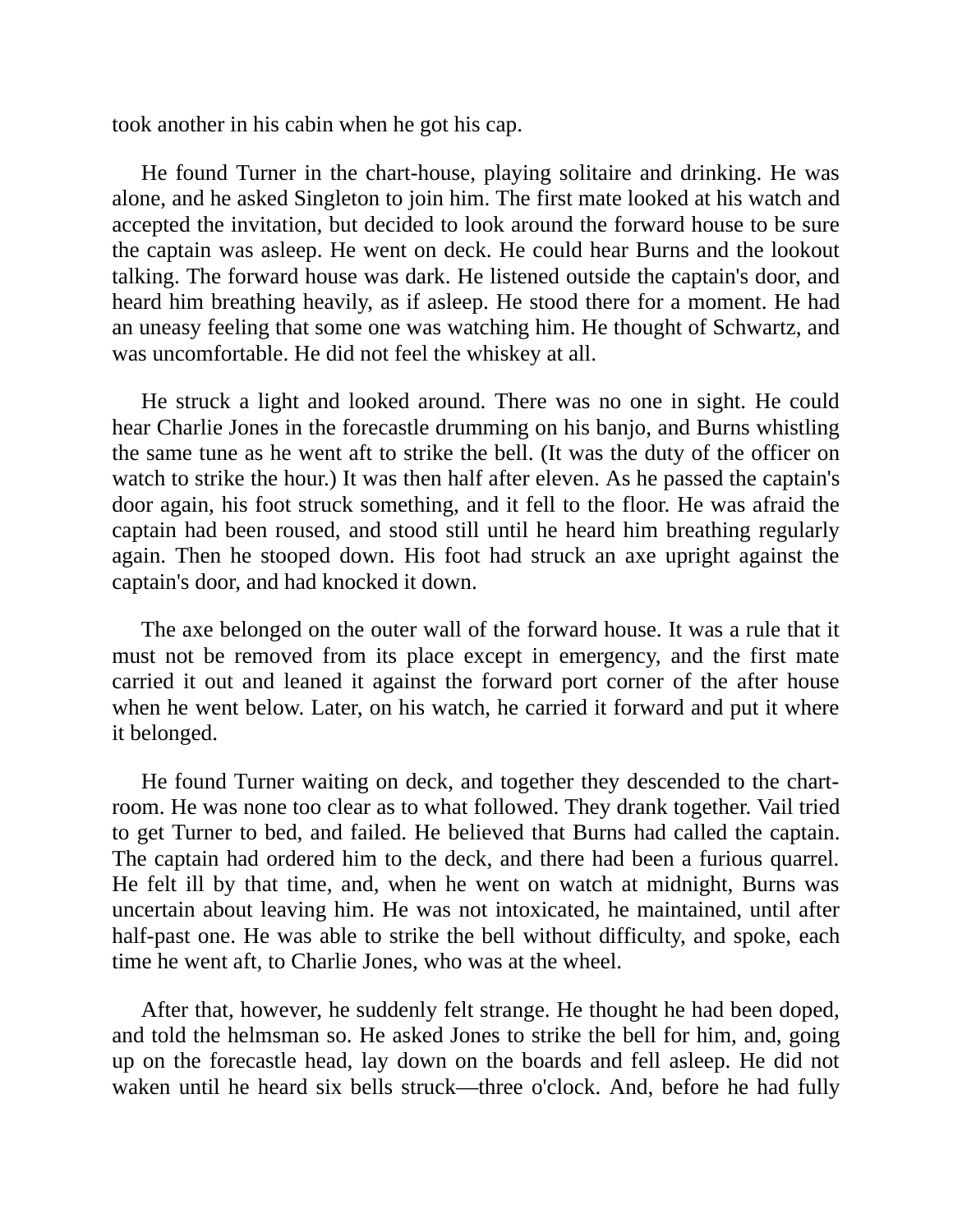took another in his cabin when he got his cap.

He found Turner in the chart-house, playing solitaire and drinking. He was alone, and he asked Singleton to join him. The first mate looked at his watch and accepted the invitation, but decided to look around the forward house to be sure the captain was asleep. He went on deck. He could hear Burns and the lookout talking. The forward house was dark. He listened outside the captain's door, and heard him breathing heavily, as if asleep. He stood there for a moment. He had an uneasy feeling that some one was watching him. He thought of Schwartz, and was uncomfortable. He did not feel the whiskey at all.

He struck a light and looked around. There was no one in sight. He could hear Charlie Jones in the forecastle drumming on his banjo, and Burns whistling the same tune as he went aft to strike the bell. (It was the duty of the officer on watch to strike the hour.) It was then half after eleven. As he passed the captain's door again, his foot struck something, and it fell to the floor. He was afraid the captain had been roused, and stood still until he heard him breathing regularly again. Then he stooped down. His foot had struck an axe upright against the captain's door, and had knocked it down.

The axe belonged on the outer wall of the forward house. It was a rule that it must not be removed from its place except in emergency, and the first mate carried it out and leaned it against the forward port corner of the after house when he went below. Later, on his watch, he carried it forward and put it where it belonged.

He found Turner waiting on deck, and together they descended to the chartroom. He was none too clear as to what followed. They drank together. Vail tried to get Turner to bed, and failed. He believed that Burns had called the captain. The captain had ordered him to the deck, and there had been a furious quarrel. He felt ill by that time, and, when he went on watch at midnight, Burns was uncertain about leaving him. He was not intoxicated, he maintained, until after half-past one. He was able to strike the bell without difficulty, and spoke, each time he went aft, to Charlie Jones, who was at the wheel.

After that, however, he suddenly felt strange. He thought he had been doped, and told the helmsman so. He asked Jones to strike the bell for him, and, going up on the forecastle head, lay down on the boards and fell asleep. He did not waken until he heard six bells struck—three o'clock. And, before he had fully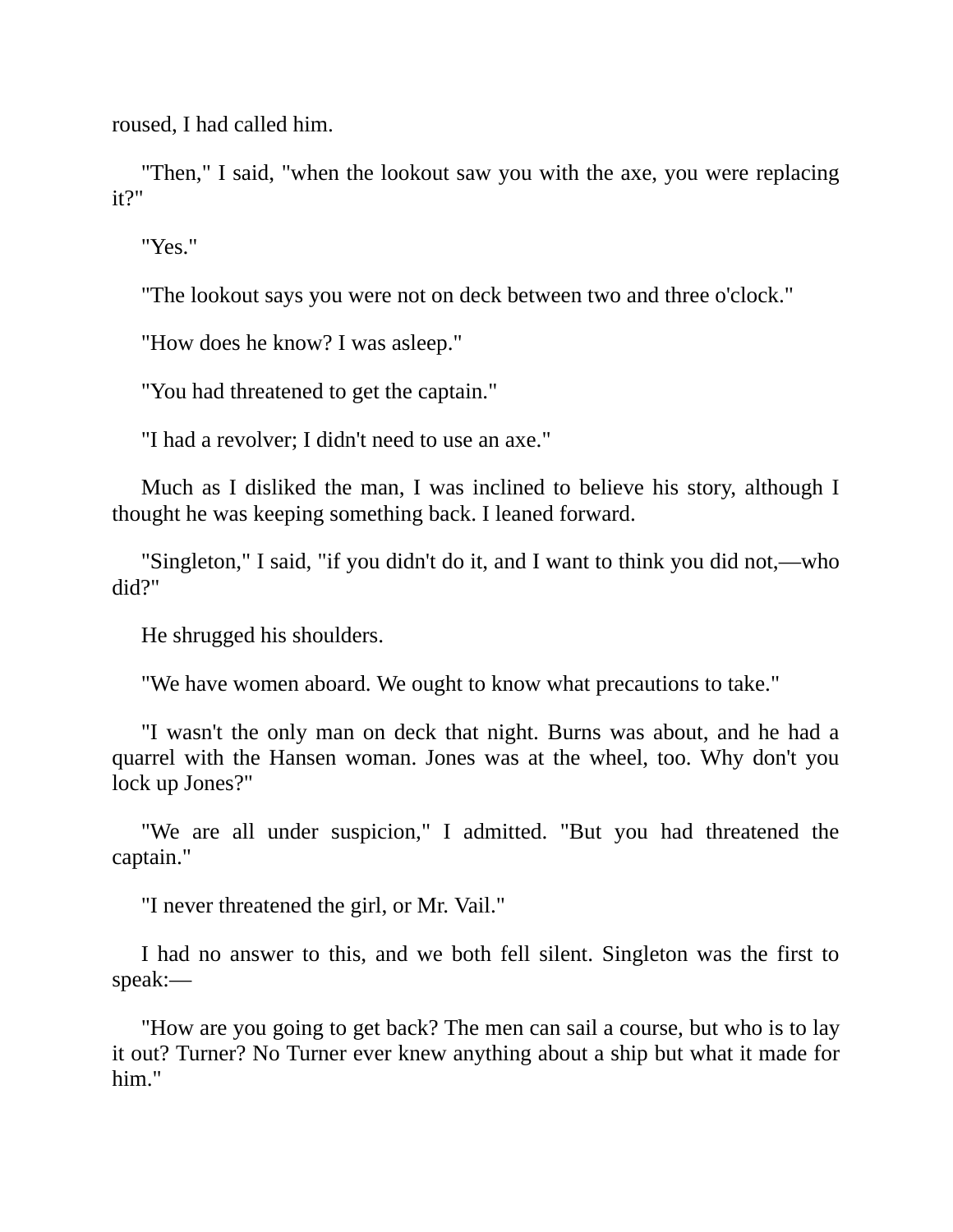roused, I had called him.

"Then," I said, "when the lookout saw you with the axe, you were replacing it?"

"Yes."

"The lookout says you were not on deck between two and three o'clock."

"How does he know? I was asleep."

"You had threatened to get the captain."

"I had a revolver; I didn't need to use an axe."

Much as I disliked the man, I was inclined to believe his story, although I thought he was keeping something back. I leaned forward.

"Singleton," I said, "if you didn't do it, and I want to think you did not,—who did?"

He shrugged his shoulders.

"We have women aboard. We ought to know what precautions to take."

"I wasn't the only man on deck that night. Burns was about, and he had a quarrel with the Hansen woman. Jones was at the wheel, too. Why don't you lock up Jones?"

"We are all under suspicion," I admitted. "But you had threatened the captain."

"I never threatened the girl, or Mr. Vail."

I had no answer to this, and we both fell silent. Singleton was the first to speak:—

"How are you going to get back? The men can sail a course, but who is to lay it out? Turner? No Turner ever knew anything about a ship but what it made for him."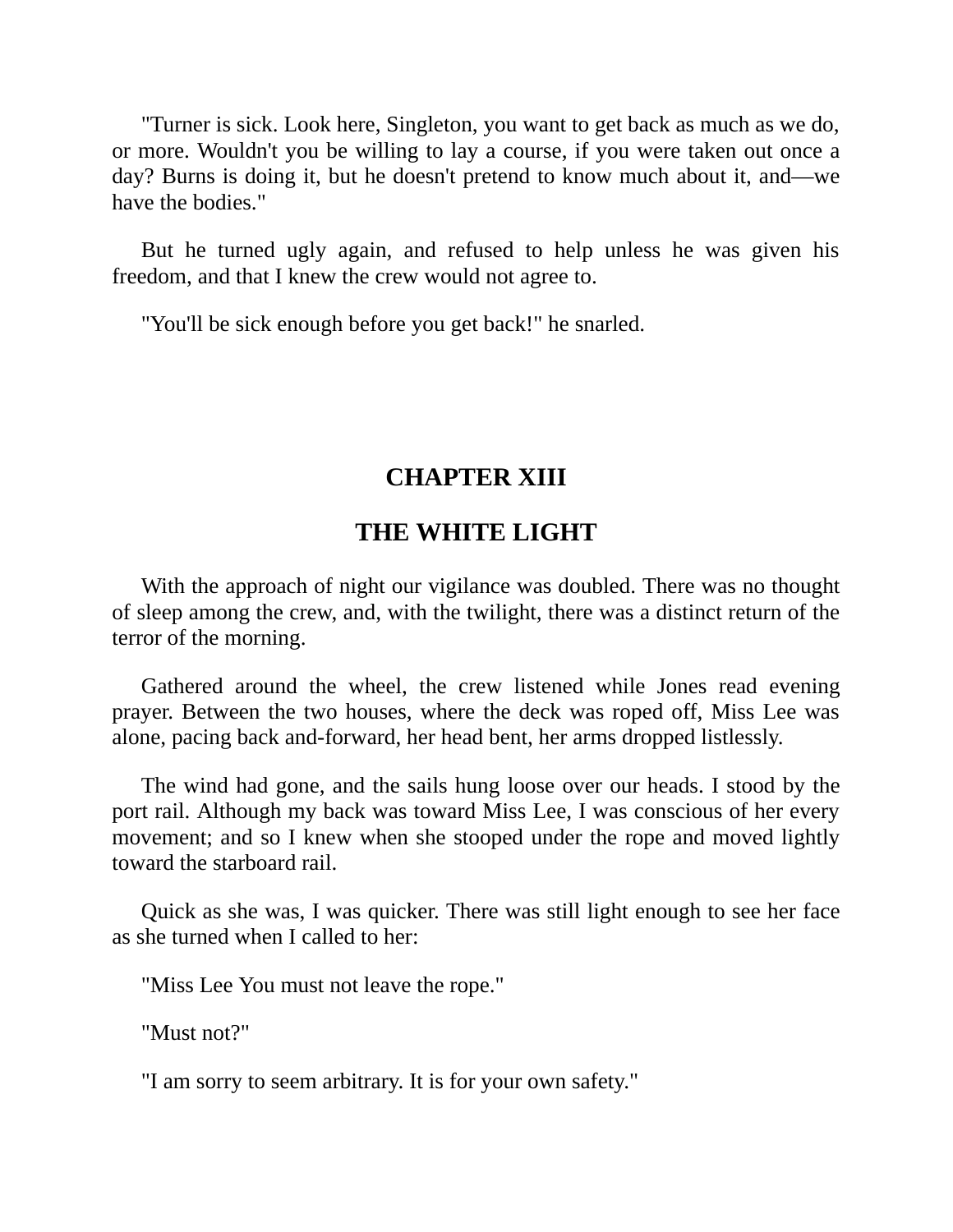"Turner is sick. Look here, Singleton, you want to get back as much as we do, or more. Wouldn't you be willing to lay a course, if you were taken out once a day? Burns is doing it, but he doesn't pretend to know much about it, and—we have the bodies."

But he turned ugly again, and refused to help unless he was given his freedom, and that I knew the crew would not agree to.

"You'll be sick enough before you get back!" he snarled.

## **CHAPTER XIII**

# **THE WHITE LIGHT**

With the approach of night our vigilance was doubled. There was no thought of sleep among the crew, and, with the twilight, there was a distinct return of the terror of the morning.

Gathered around the wheel, the crew listened while Jones read evening prayer. Between the two houses, where the deck was roped off, Miss Lee was alone, pacing back and-forward, her head bent, her arms dropped listlessly.

The wind had gone, and the sails hung loose over our heads. I stood by the port rail. Although my back was toward Miss Lee, I was conscious of her every movement; and so I knew when she stooped under the rope and moved lightly toward the starboard rail.

Quick as she was, I was quicker. There was still light enough to see her face as she turned when I called to her:

"Miss Lee You must not leave the rope."

"Must not?"

"I am sorry to seem arbitrary. It is for your own safety."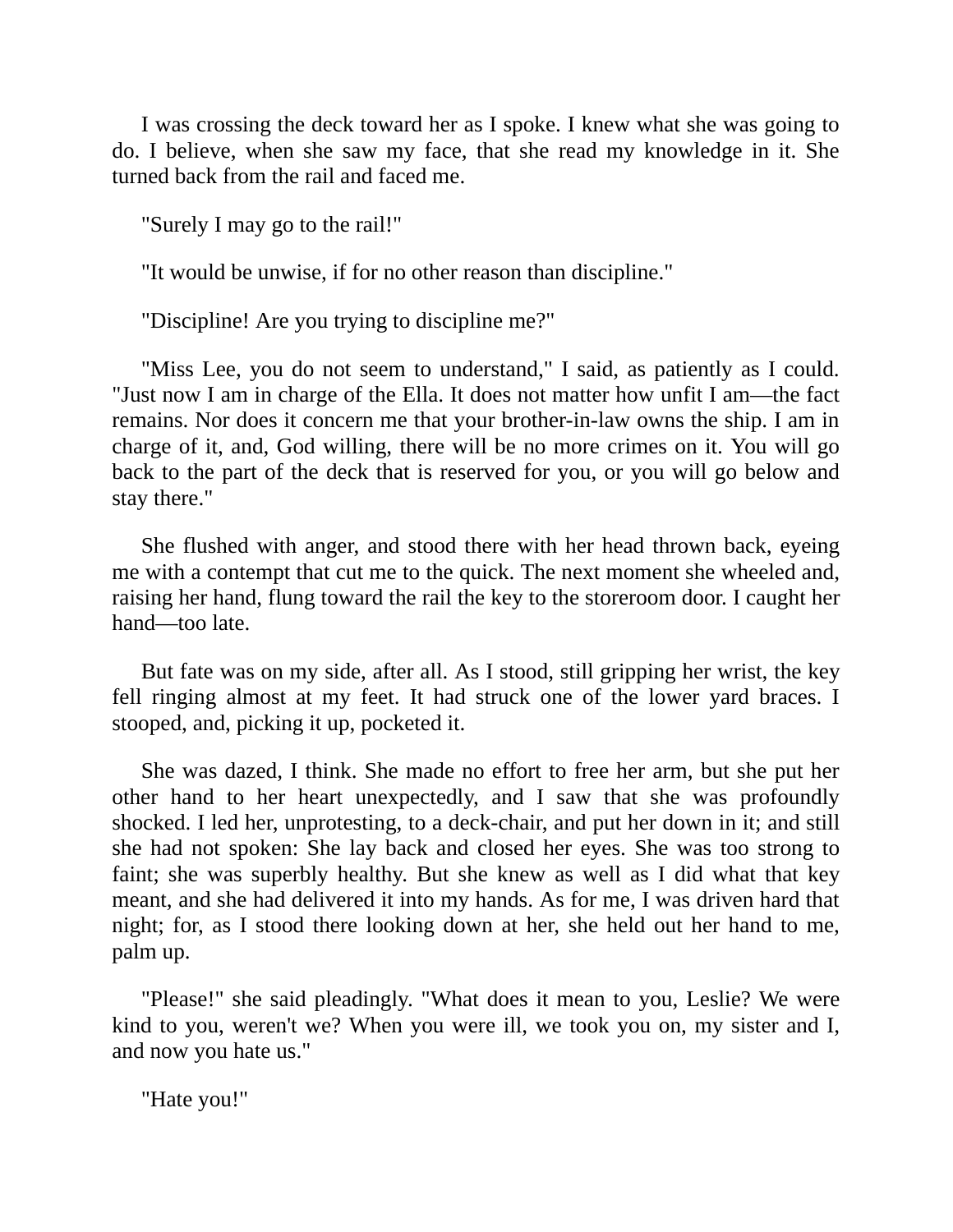I was crossing the deck toward her as I spoke. I knew what she was going to do. I believe, when she saw my face, that she read my knowledge in it. She turned back from the rail and faced me.

"Surely I may go to the rail!"

"It would be unwise, if for no other reason than discipline."

"Discipline! Are you trying to discipline me?"

"Miss Lee, you do not seem to understand," I said, as patiently as I could. "Just now I am in charge of the Ella. It does not matter how unfit I am—the fact remains. Nor does it concern me that your brother-in-law owns the ship. I am in charge of it, and, God willing, there will be no more crimes on it. You will go back to the part of the deck that is reserved for you, or you will go below and stay there."

She flushed with anger, and stood there with her head thrown back, eyeing me with a contempt that cut me to the quick. The next moment she wheeled and, raising her hand, flung toward the rail the key to the storeroom door. I caught her hand—too late.

But fate was on my side, after all. As I stood, still gripping her wrist, the key fell ringing almost at my feet. It had struck one of the lower yard braces. I stooped, and, picking it up, pocketed it.

She was dazed, I think. She made no effort to free her arm, but she put her other hand to her heart unexpectedly, and I saw that she was profoundly shocked. I led her, unprotesting, to a deck-chair, and put her down in it; and still she had not spoken: She lay back and closed her eyes. She was too strong to faint; she was superbly healthy. But she knew as well as I did what that key meant, and she had delivered it into my hands. As for me, I was driven hard that night; for, as I stood there looking down at her, she held out her hand to me, palm up.

"Please!" she said pleadingly. "What does it mean to you, Leslie? We were kind to you, weren't we? When you were ill, we took you on, my sister and I, and now you hate us."

"Hate you!"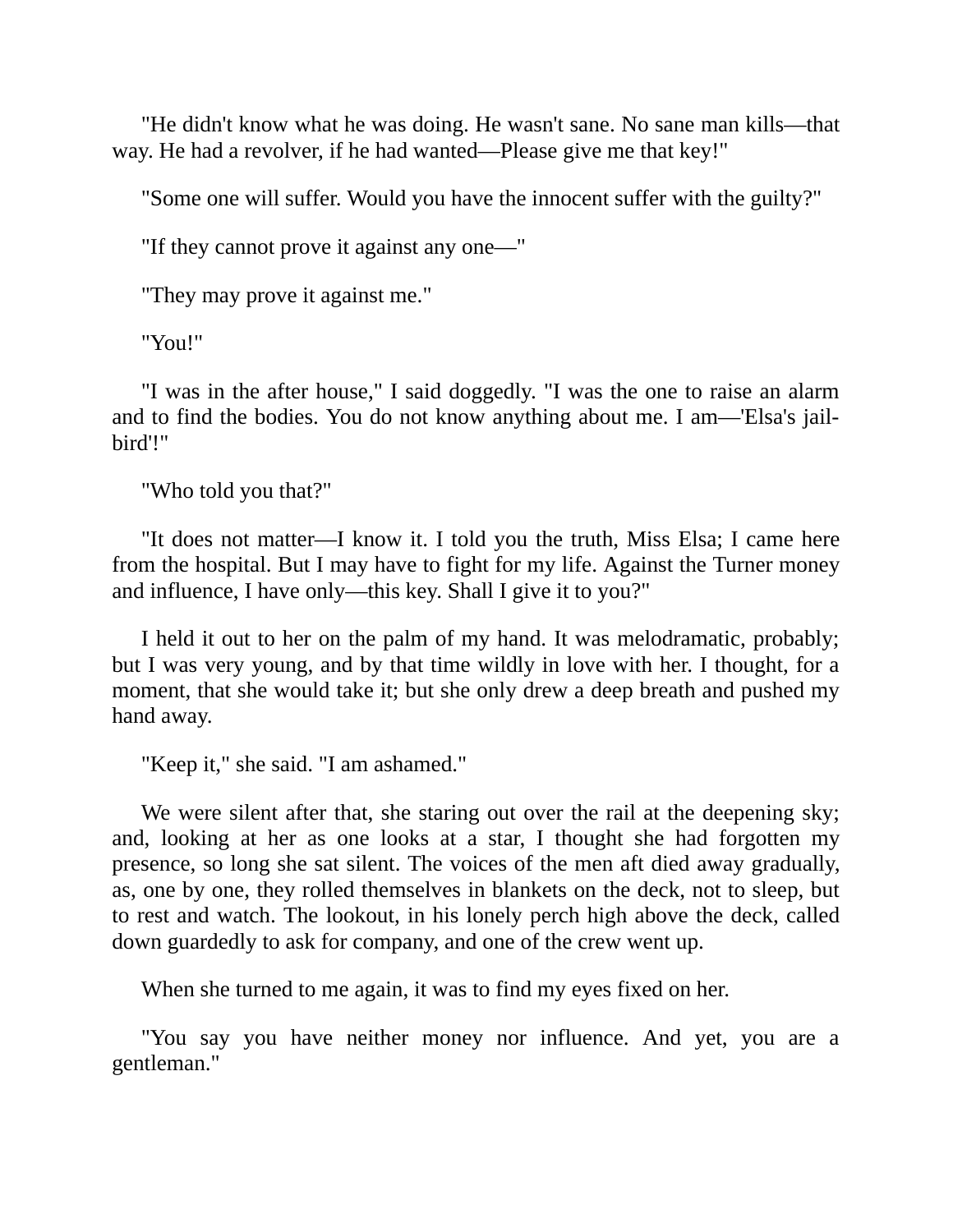"He didn't know what he was doing. He wasn't sane. No sane man kills—that way. He had a revolver, if he had wanted—Please give me that key!"

"Some one will suffer. Would you have the innocent suffer with the guilty?"

"If they cannot prove it against any one—"

"They may prove it against me."

"You!"

"I was in the after house," I said doggedly. "I was the one to raise an alarm and to find the bodies. You do not know anything about me. I am—'Elsa's jailbird'!"

"Who told you that?"

"It does not matter—I know it. I told you the truth, Miss Elsa; I came here from the hospital. But I may have to fight for my life. Against the Turner money and influence, I have only—this key. Shall I give it to you?"

I held it out to her on the palm of my hand. It was melodramatic, probably; but I was very young, and by that time wildly in love with her. I thought, for a moment, that she would take it; but she only drew a deep breath and pushed my hand away.

"Keep it," she said. "I am ashamed."

We were silent after that, she staring out over the rail at the deepening sky; and, looking at her as one looks at a star, I thought she had forgotten my presence, so long she sat silent. The voices of the men aft died away gradually, as, one by one, they rolled themselves in blankets on the deck, not to sleep, but to rest and watch. The lookout, in his lonely perch high above the deck, called down guardedly to ask for company, and one of the crew went up.

When she turned to me again, it was to find my eyes fixed on her.

"You say you have neither money nor influence. And yet, you are a gentleman."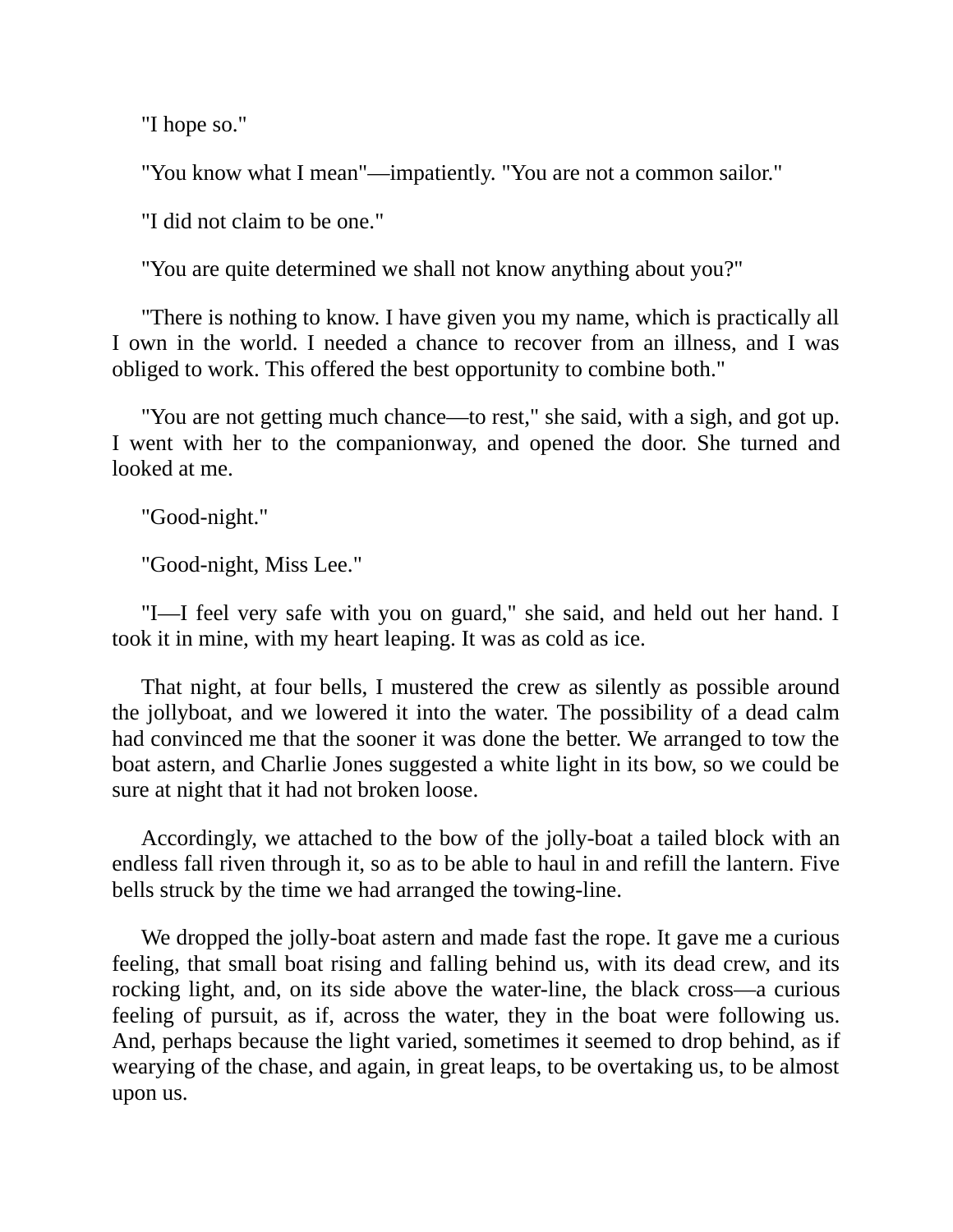"I hope so."

"You know what I mean"—impatiently. "You are not a common sailor."

"I did not claim to be one."

"You are quite determined we shall not know anything about you?"

"There is nothing to know. I have given you my name, which is practically all I own in the world. I needed a chance to recover from an illness, and I was obliged to work. This offered the best opportunity to combine both."

"You are not getting much chance—to rest," she said, with a sigh, and got up. I went with her to the companionway, and opened the door. She turned and looked at me.

"Good-night."

"Good-night, Miss Lee."

"I—I feel very safe with you on guard," she said, and held out her hand. I took it in mine, with my heart leaping. It was as cold as ice.

That night, at four bells, I mustered the crew as silently as possible around the jollyboat, and we lowered it into the water. The possibility of a dead calm had convinced me that the sooner it was done the better. We arranged to tow the boat astern, and Charlie Jones suggested a white light in its bow, so we could be sure at night that it had not broken loose.

Accordingly, we attached to the bow of the jolly-boat a tailed block with an endless fall riven through it, so as to be able to haul in and refill the lantern. Five bells struck by the time we had arranged the towing-line.

We dropped the jolly-boat astern and made fast the rope. It gave me a curious feeling, that small boat rising and falling behind us, with its dead crew, and its rocking light, and, on its side above the water-line, the black cross—a curious feeling of pursuit, as if, across the water, they in the boat were following us. And, perhaps because the light varied, sometimes it seemed to drop behind, as if wearying of the chase, and again, in great leaps, to be overtaking us, to be almost upon us.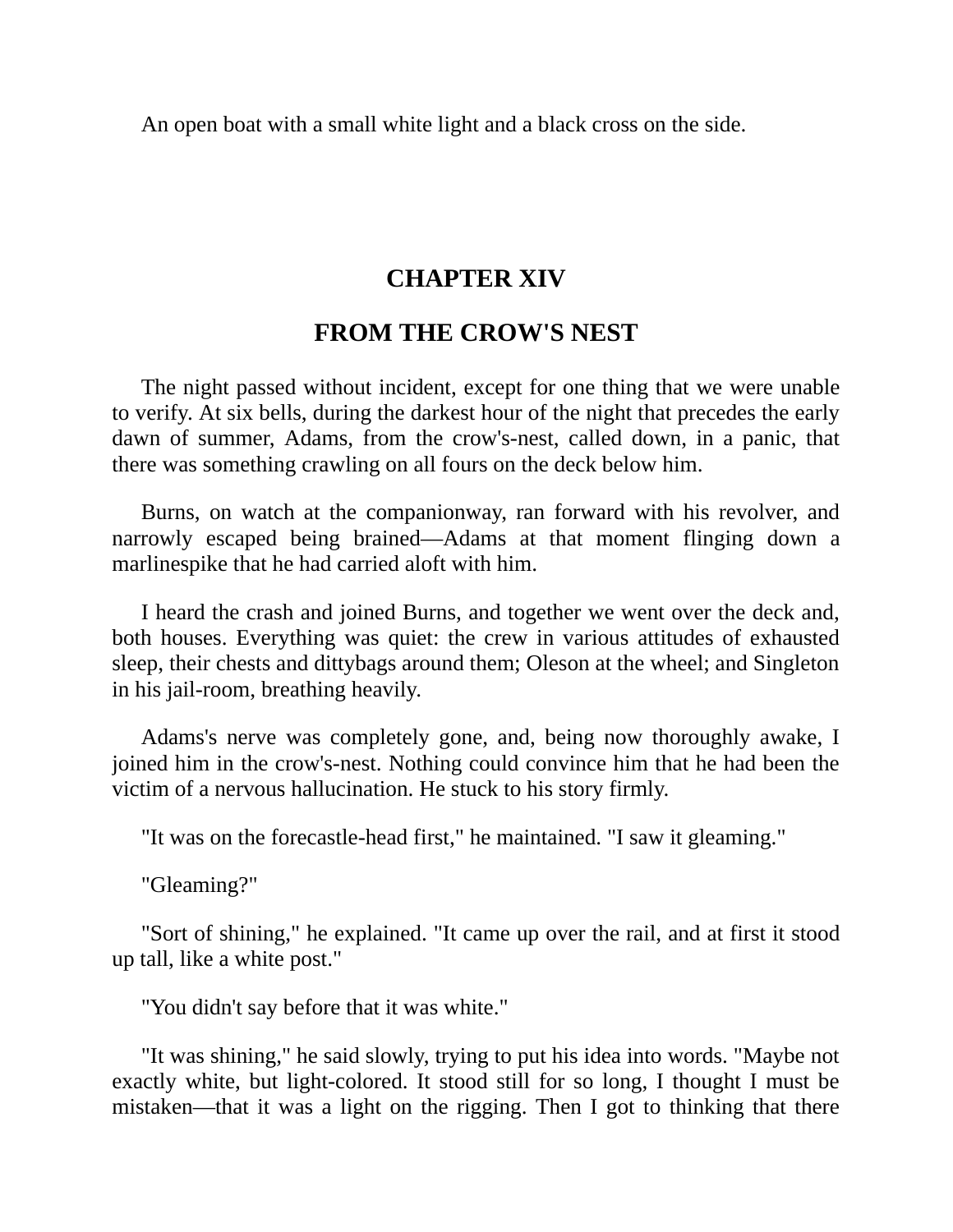An open boat with a small white light and a black cross on the side.

## **CHAPTER XIV**

## **FROM THE CROW'S NEST**

The night passed without incident, except for one thing that we were unable to verify. At six bells, during the darkest hour of the night that precedes the early dawn of summer, Adams, from the crow's-nest, called down, in a panic, that there was something crawling on all fours on the deck below him.

Burns, on watch at the companionway, ran forward with his revolver, and narrowly escaped being brained—Adams at that moment flinging down a marlinespike that he had carried aloft with him.

I heard the crash and joined Burns, and together we went over the deck and, both houses. Everything was quiet: the crew in various attitudes of exhausted sleep, their chests and dittybags around them; Oleson at the wheel; and Singleton in his jail-room, breathing heavily.

Adams's nerve was completely gone, and, being now thoroughly awake, I joined him in the crow's-nest. Nothing could convince him that he had been the victim of a nervous hallucination. He stuck to his story firmly.

"It was on the forecastle-head first," he maintained. "I saw it gleaming."

"Gleaming?"

"Sort of shining," he explained. "It came up over the rail, and at first it stood up tall, like a white post."

"You didn't say before that it was white."

"It was shining," he said slowly, trying to put his idea into words. "Maybe not exactly white, but light-colored. It stood still for so long, I thought I must be mistaken—that it was a light on the rigging. Then I got to thinking that there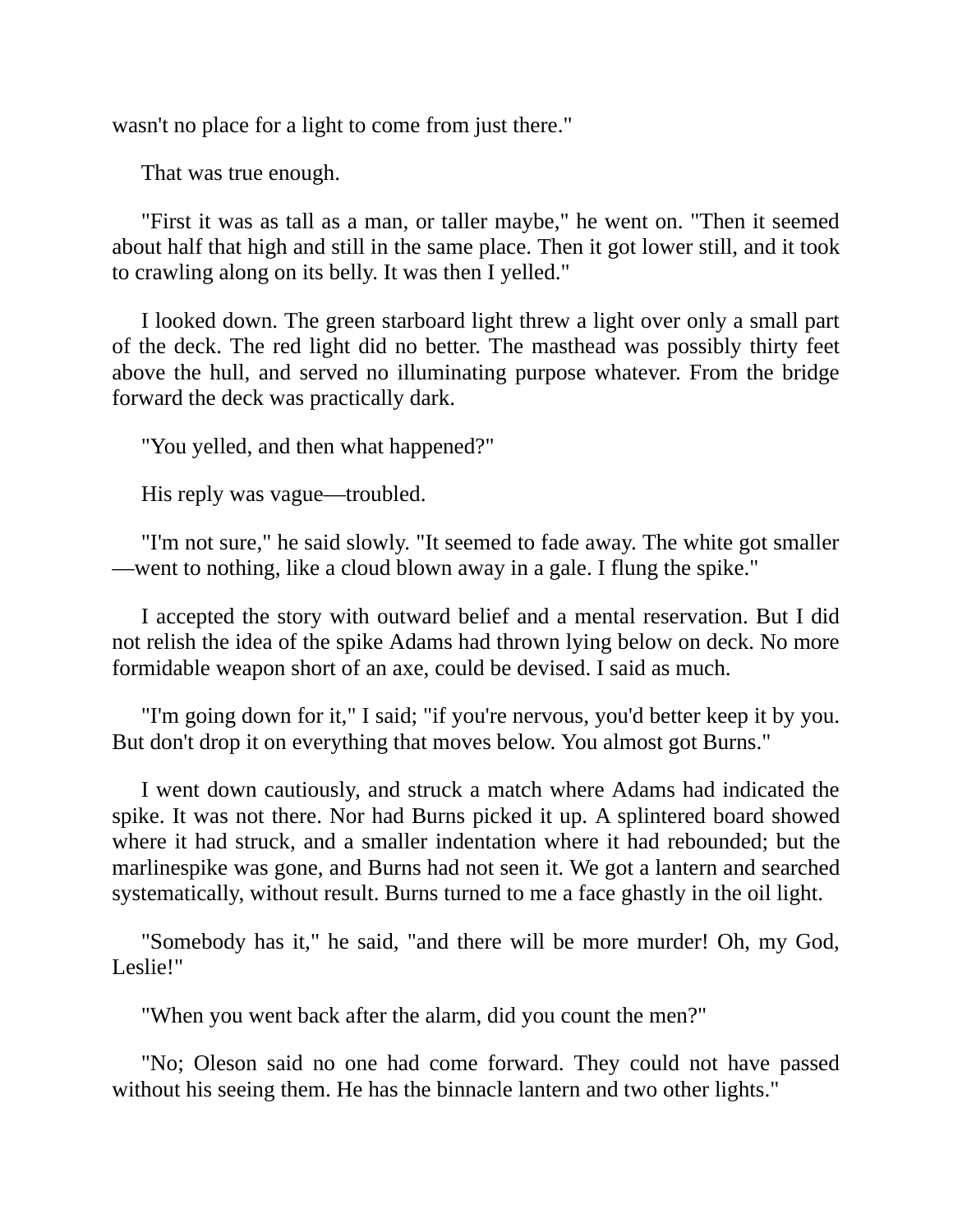wasn't no place for a light to come from just there."

That was true enough.

"First it was as tall as a man, or taller maybe," he went on. "Then it seemed about half that high and still in the same place. Then it got lower still, and it took to crawling along on its belly. It was then I yelled."

I looked down. The green starboard light threw a light over only a small part of the deck. The red light did no better. The masthead was possibly thirty feet above the hull, and served no illuminating purpose whatever. From the bridge forward the deck was practically dark.

"You yelled, and then what happened?"

His reply was vague—troubled.

"I'm not sure," he said slowly. "It seemed to fade away. The white got smaller —went to nothing, like a cloud blown away in a gale. I flung the spike."

I accepted the story with outward belief and a mental reservation. But I did not relish the idea of the spike Adams had thrown lying below on deck. No more formidable weapon short of an axe, could be devised. I said as much.

"I'm going down for it," I said; "if you're nervous, you'd better keep it by you. But don't drop it on everything that moves below. You almost got Burns."

I went down cautiously, and struck a match where Adams had indicated the spike. It was not there. Nor had Burns picked it up. A splintered board showed where it had struck, and a smaller indentation where it had rebounded; but the marlinespike was gone, and Burns had not seen it. We got a lantern and searched systematically, without result. Burns turned to me a face ghastly in the oil light.

"Somebody has it," he said, "and there will be more murder! Oh, my God, Leslie!"

"When you went back after the alarm, did you count the men?"

"No; Oleson said no one had come forward. They could not have passed without his seeing them. He has the binnacle lantern and two other lights."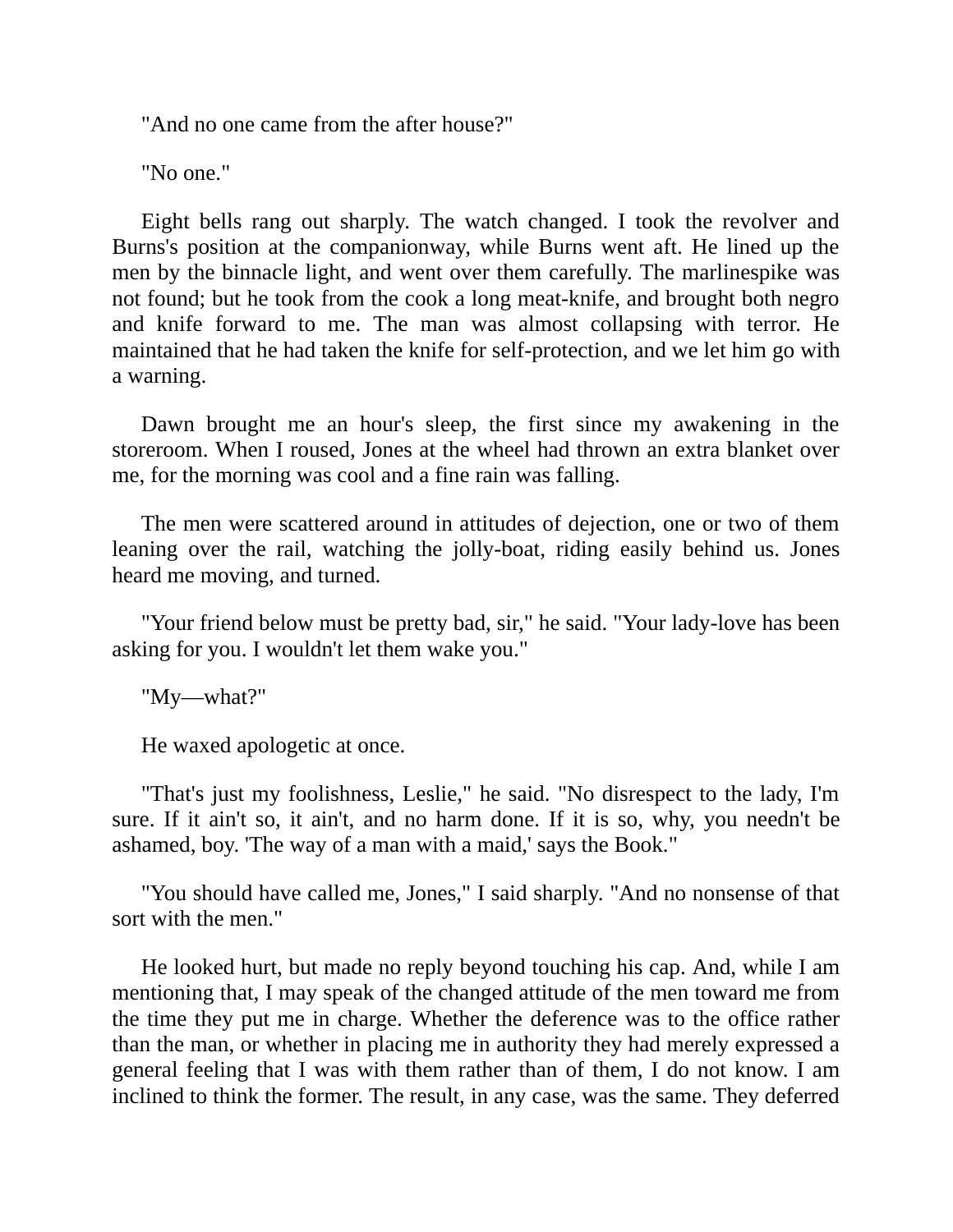"And no one came from the after house?"

"No one."

Eight bells rang out sharply. The watch changed. I took the revolver and Burns's position at the companionway, while Burns went aft. He lined up the men by the binnacle light, and went over them carefully. The marlinespike was not found; but he took from the cook a long meat-knife, and brought both negro and knife forward to me. The man was almost collapsing with terror. He maintained that he had taken the knife for self-protection, and we let him go with a warning.

Dawn brought me an hour's sleep, the first since my awakening in the storeroom. When I roused, Jones at the wheel had thrown an extra blanket over me, for the morning was cool and a fine rain was falling.

The men were scattered around in attitudes of dejection, one or two of them leaning over the rail, watching the jolly-boat, riding easily behind us. Jones heard me moving, and turned.

"Your friend below must be pretty bad, sir," he said. "Your lady-love has been asking for you. I wouldn't let them wake you."

"My—what?"

He waxed apologetic at once.

"That's just my foolishness, Leslie," he said. "No disrespect to the lady, I'm sure. If it ain't so, it ain't, and no harm done. If it is so, why, you needn't be ashamed, boy. 'The way of a man with a maid,' says the Book."

"You should have called me, Jones," I said sharply. "And no nonsense of that sort with the men."

He looked hurt, but made no reply beyond touching his cap. And, while I am mentioning that, I may speak of the changed attitude of the men toward me from the time they put me in charge. Whether the deference was to the office rather than the man, or whether in placing me in authority they had merely expressed a general feeling that I was with them rather than of them, I do not know. I am inclined to think the former. The result, in any case, was the same. They deferred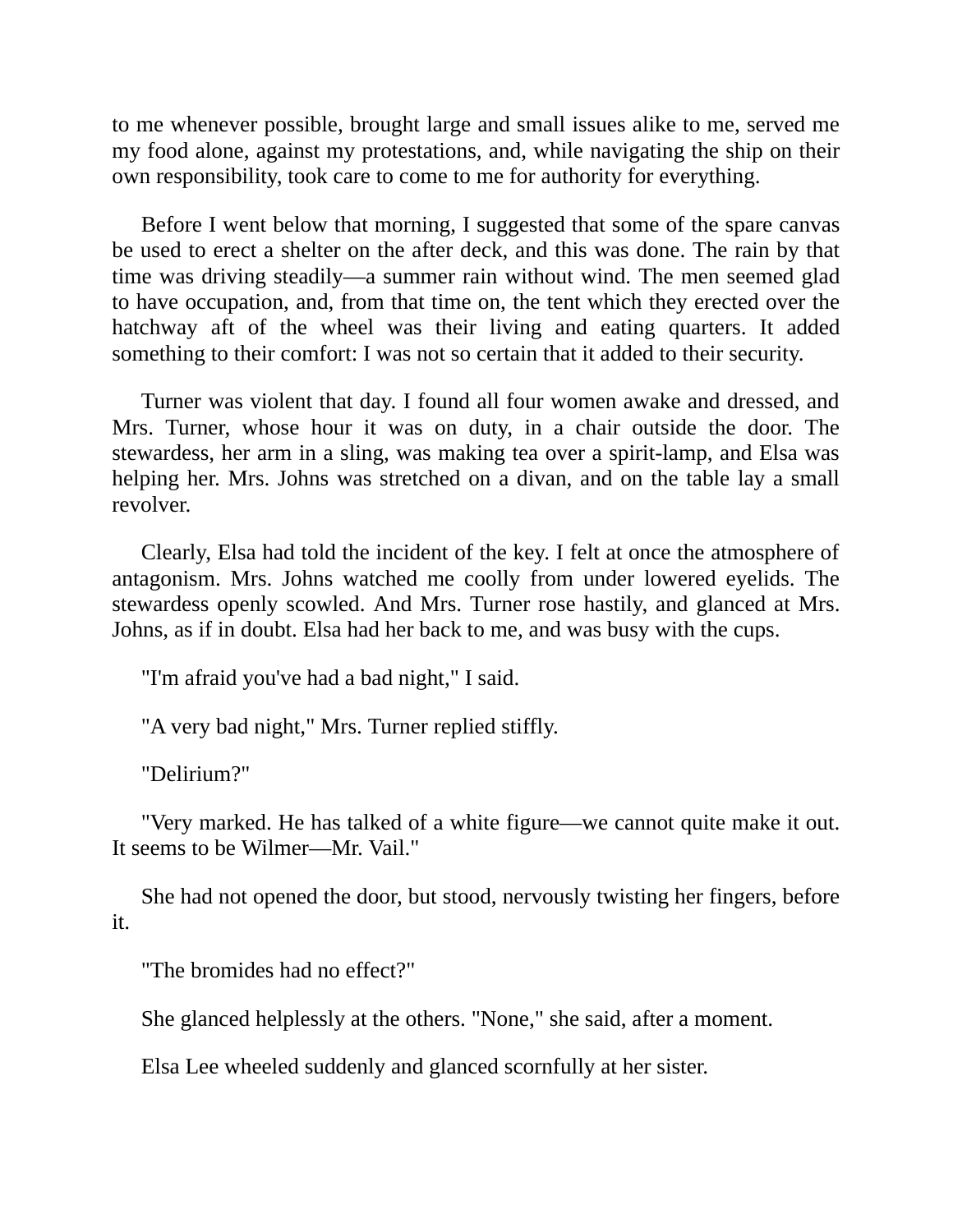to me whenever possible, brought large and small issues alike to me, served me my food alone, against my protestations, and, while navigating the ship on their own responsibility, took care to come to me for authority for everything.

Before I went below that morning, I suggested that some of the spare canvas be used to erect a shelter on the after deck, and this was done. The rain by that time was driving steadily—a summer rain without wind. The men seemed glad to have occupation, and, from that time on, the tent which they erected over the hatchway aft of the wheel was their living and eating quarters. It added something to their comfort: I was not so certain that it added to their security.

Turner was violent that day. I found all four women awake and dressed, and Mrs. Turner, whose hour it was on duty, in a chair outside the door. The stewardess, her arm in a sling, was making tea over a spirit-lamp, and Elsa was helping her. Mrs. Johns was stretched on a divan, and on the table lay a small revolver.

Clearly, Elsa had told the incident of the key. I felt at once the atmosphere of antagonism. Mrs. Johns watched me coolly from under lowered eyelids. The stewardess openly scowled. And Mrs. Turner rose hastily, and glanced at Mrs. Johns, as if in doubt. Elsa had her back to me, and was busy with the cups.

"I'm afraid you've had a bad night," I said.

"A very bad night," Mrs. Turner replied stiffly.

"Delirium?"

"Very marked. He has talked of a white figure—we cannot quite make it out. It seems to be Wilmer—Mr. Vail."

She had not opened the door, but stood, nervously twisting her fingers, before it.

"The bromides had no effect?"

She glanced helplessly at the others. "None," she said, after a moment.

Elsa Lee wheeled suddenly and glanced scornfully at her sister.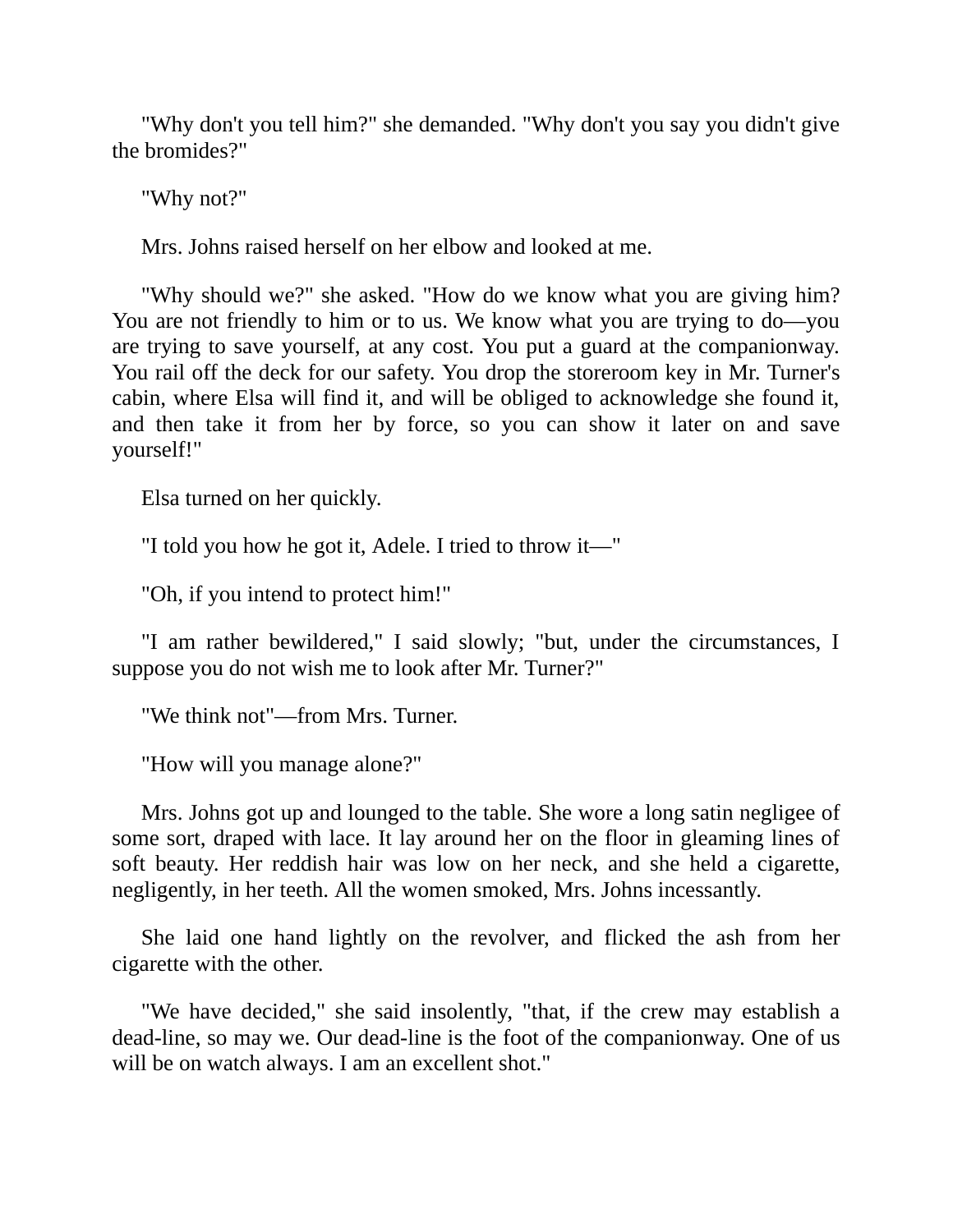"Why don't you tell him?" she demanded. "Why don't you say you didn't give the bromides?"

"Why not?"

Mrs. Johns raised herself on her elbow and looked at me.

"Why should we?" she asked. "How do we know what you are giving him? You are not friendly to him or to us. We know what you are trying to do—you are trying to save yourself, at any cost. You put a guard at the companionway. You rail off the deck for our safety. You drop the storeroom key in Mr. Turner's cabin, where Elsa will find it, and will be obliged to acknowledge she found it, and then take it from her by force, so you can show it later on and save yourself!"

Elsa turned on her quickly.

"I told you how he got it, Adele. I tried to throw it—"

"Oh, if you intend to protect him!"

"I am rather bewildered," I said slowly; "but, under the circumstances, I suppose you do not wish me to look after Mr. Turner?"

"We think not"—from Mrs. Turner.

"How will you manage alone?"

Mrs. Johns got up and lounged to the table. She wore a long satin negligee of some sort, draped with lace. It lay around her on the floor in gleaming lines of soft beauty. Her reddish hair was low on her neck, and she held a cigarette, negligently, in her teeth. All the women smoked, Mrs. Johns incessantly.

She laid one hand lightly on the revolver, and flicked the ash from her cigarette with the other.

"We have decided," she said insolently, "that, if the crew may establish a dead-line, so may we. Our dead-line is the foot of the companionway. One of us will be on watch always. I am an excellent shot."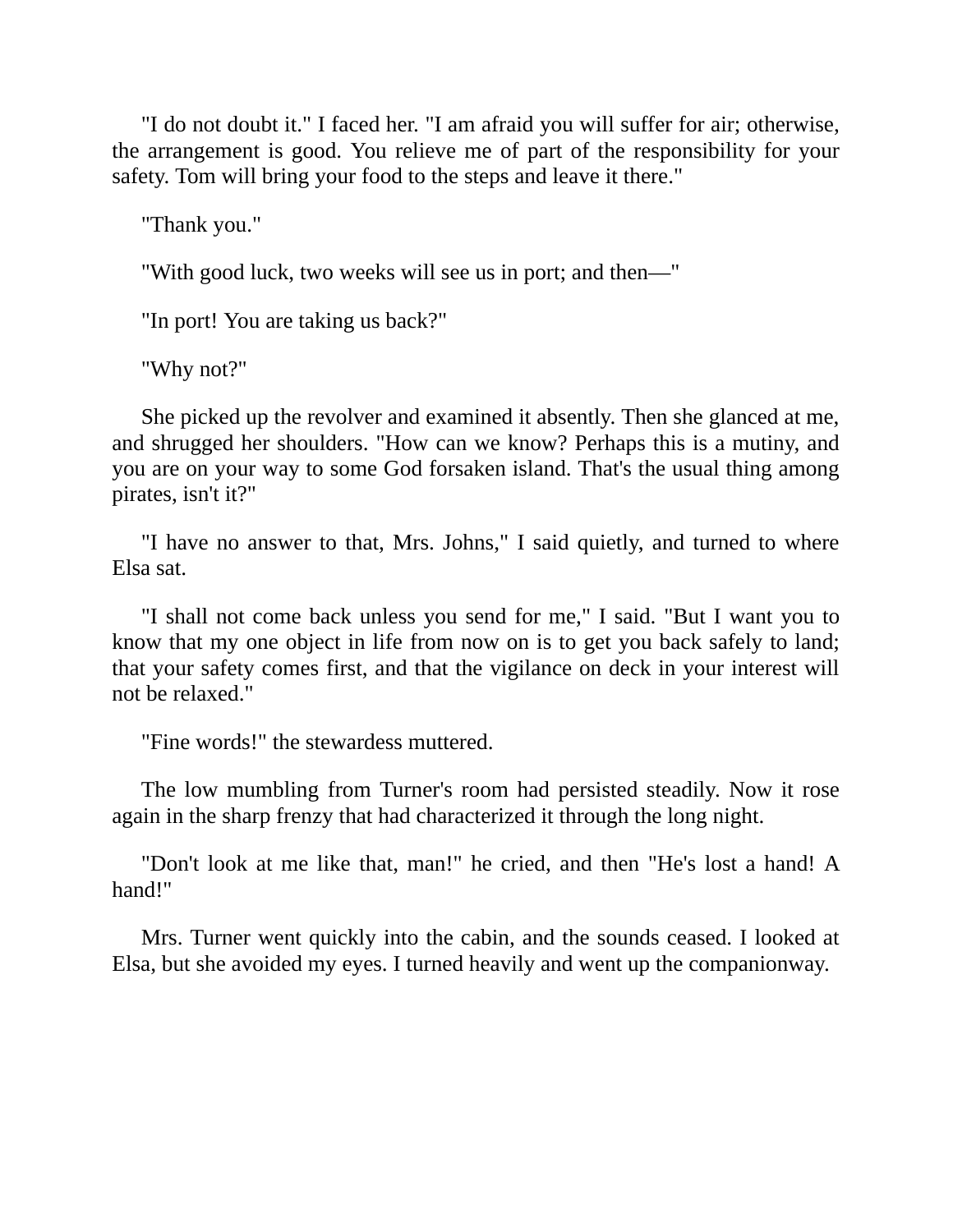"I do not doubt it." I faced her. "I am afraid you will suffer for air; otherwise, the arrangement is good. You relieve me of part of the responsibility for your safety. Tom will bring your food to the steps and leave it there."

"Thank you."

"With good luck, two weeks will see us in port; and then—"

"In port! You are taking us back?"

"Why not?"

She picked up the revolver and examined it absently. Then she glanced at me, and shrugged her shoulders. "How can we know? Perhaps this is a mutiny, and you are on your way to some God forsaken island. That's the usual thing among pirates, isn't it?"

"I have no answer to that, Mrs. Johns," I said quietly, and turned to where Elsa sat.

"I shall not come back unless you send for me," I said. "But I want you to know that my one object in life from now on is to get you back safely to land; that your safety comes first, and that the vigilance on deck in your interest will not be relaxed."

"Fine words!" the stewardess muttered.

The low mumbling from Turner's room had persisted steadily. Now it rose again in the sharp frenzy that had characterized it through the long night.

"Don't look at me like that, man!" he cried, and then "He's lost a hand! A hand!"

Mrs. Turner went quickly into the cabin, and the sounds ceased. I looked at Elsa, but she avoided my eyes. I turned heavily and went up the companionway.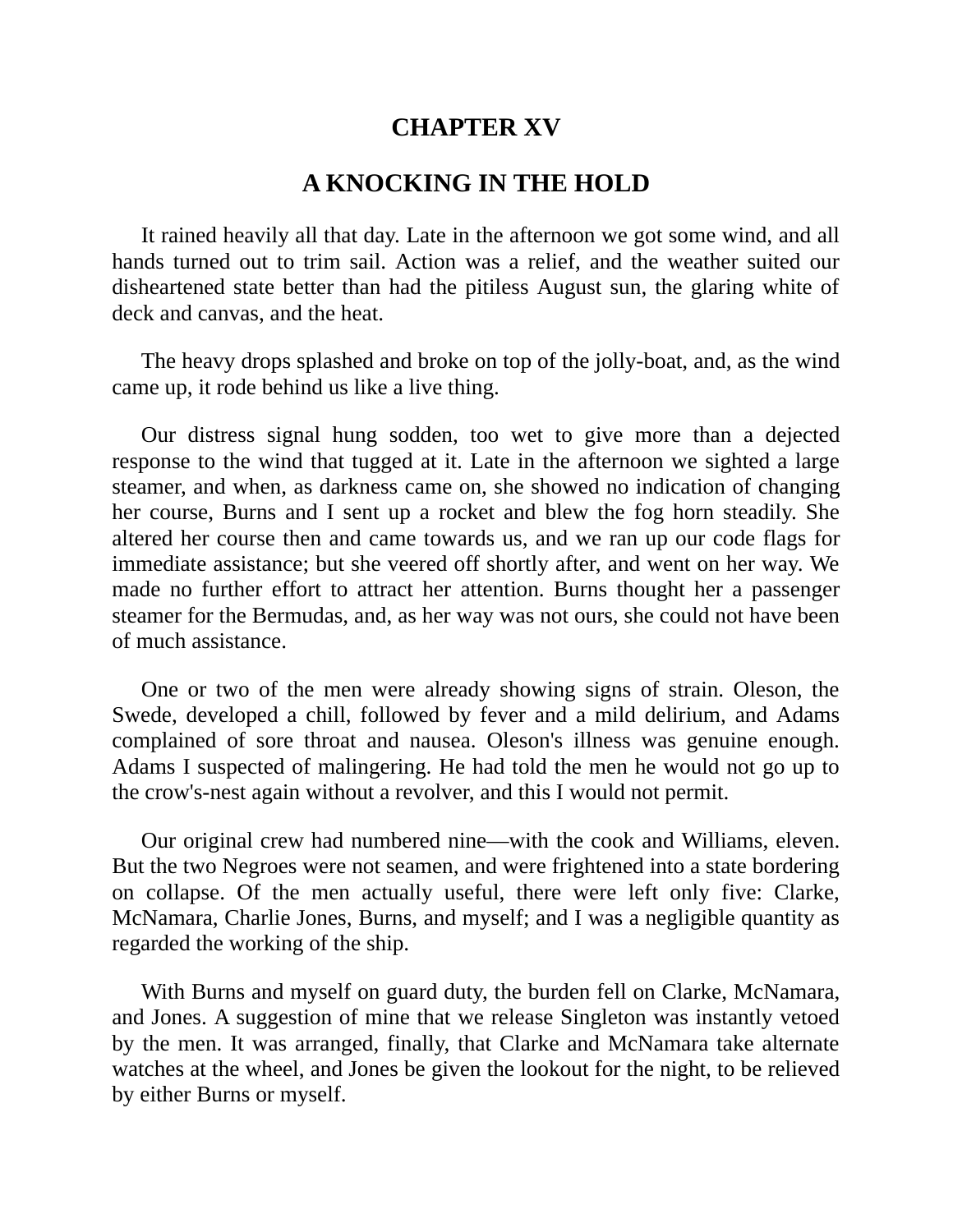# **CHAPTER XV**

#### **A KNOCKING IN THE HOLD**

It rained heavily all that day. Late in the afternoon we got some wind, and all hands turned out to trim sail. Action was a relief, and the weather suited our disheartened state better than had the pitiless August sun, the glaring white of deck and canvas, and the heat.

The heavy drops splashed and broke on top of the jolly-boat, and, as the wind came up, it rode behind us like a live thing.

Our distress signal hung sodden, too wet to give more than a dejected response to the wind that tugged at it. Late in the afternoon we sighted a large steamer, and when, as darkness came on, she showed no indication of changing her course, Burns and I sent up a rocket and blew the fog horn steadily. She altered her course then and came towards us, and we ran up our code flags for immediate assistance; but she veered off shortly after, and went on her way. We made no further effort to attract her attention. Burns thought her a passenger steamer for the Bermudas, and, as her way was not ours, she could not have been of much assistance.

One or two of the men were already showing signs of strain. Oleson, the Swede, developed a chill, followed by fever and a mild delirium, and Adams complained of sore throat and nausea. Oleson's illness was genuine enough. Adams I suspected of malingering. He had told the men he would not go up to the crow's-nest again without a revolver, and this I would not permit.

Our original crew had numbered nine—with the cook and Williams, eleven. But the two Negroes were not seamen, and were frightened into a state bordering on collapse. Of the men actually useful, there were left only five: Clarke, McNamara, Charlie Jones, Burns, and myself; and I was a negligible quantity as regarded the working of the ship.

With Burns and myself on guard duty, the burden fell on Clarke, McNamara, and Jones. A suggestion of mine that we release Singleton was instantly vetoed by the men. It was arranged, finally, that Clarke and McNamara take alternate watches at the wheel, and Jones be given the lookout for the night, to be relieved by either Burns or myself.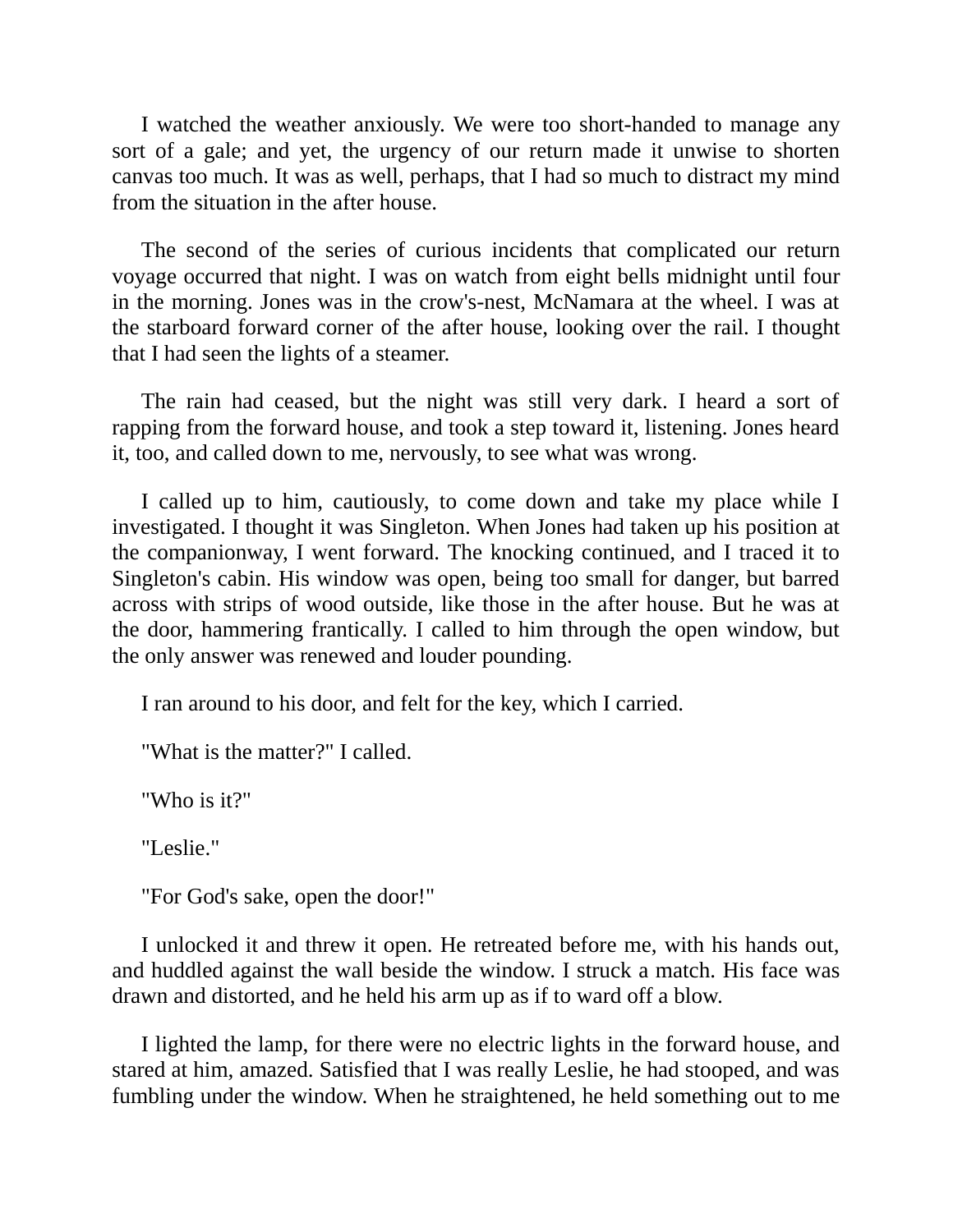I watched the weather anxiously. We were too short-handed to manage any sort of a gale; and yet, the urgency of our return made it unwise to shorten canvas too much. It was as well, perhaps, that I had so much to distract my mind from the situation in the after house.

The second of the series of curious incidents that complicated our return voyage occurred that night. I was on watch from eight bells midnight until four in the morning. Jones was in the crow's-nest, McNamara at the wheel. I was at the starboard forward corner of the after house, looking over the rail. I thought that I had seen the lights of a steamer.

The rain had ceased, but the night was still very dark. I heard a sort of rapping from the forward house, and took a step toward it, listening. Jones heard it, too, and called down to me, nervously, to see what was wrong.

I called up to him, cautiously, to come down and take my place while I investigated. I thought it was Singleton. When Jones had taken up his position at the companionway, I went forward. The knocking continued, and I traced it to Singleton's cabin. His window was open, being too small for danger, but barred across with strips of wood outside, like those in the after house. But he was at the door, hammering frantically. I called to him through the open window, but the only answer was renewed and louder pounding.

I ran around to his door, and felt for the key, which I carried.

"What is the matter?" I called.

"Who is it?"

"Leslie."

"For God's sake, open the door!"

I unlocked it and threw it open. He retreated before me, with his hands out, and huddled against the wall beside the window. I struck a match. His face was drawn and distorted, and he held his arm up as if to ward off a blow.

I lighted the lamp, for there were no electric lights in the forward house, and stared at him, amazed. Satisfied that I was really Leslie, he had stooped, and was fumbling under the window. When he straightened, he held something out to me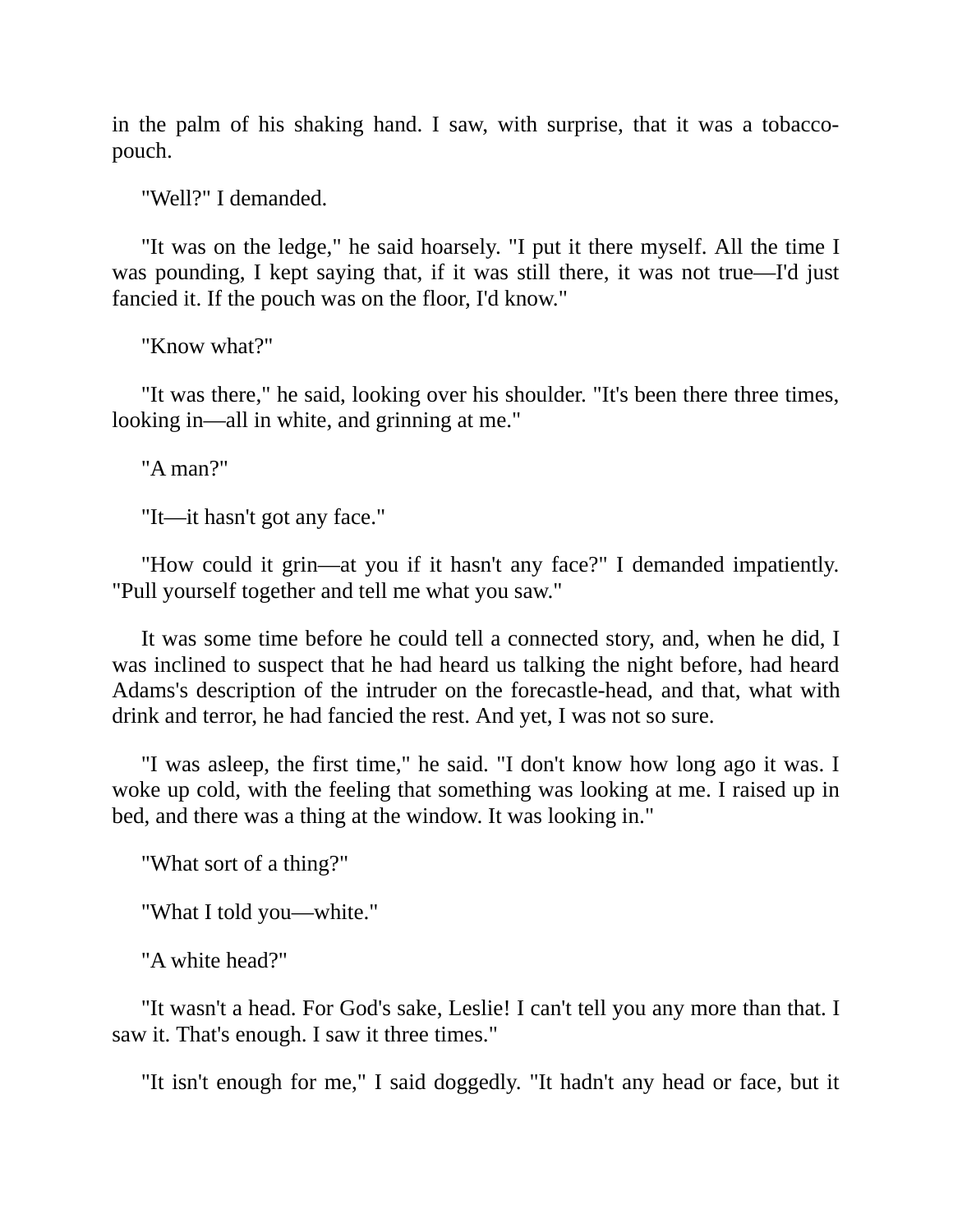in the palm of his shaking hand. I saw, with surprise, that it was a tobaccopouch.

"Well?" I demanded.

"It was on the ledge," he said hoarsely. "I put it there myself. All the time I was pounding, I kept saying that, if it was still there, it was not true—I'd just fancied it. If the pouch was on the floor, I'd know."

"Know what?"

"It was there," he said, looking over his shoulder. "It's been there three times, looking in—all in white, and grinning at me."

"A man?"

"It—it hasn't got any face."

"How could it grin—at you if it hasn't any face?" I demanded impatiently. "Pull yourself together and tell me what you saw."

It was some time before he could tell a connected story, and, when he did, I was inclined to suspect that he had heard us talking the night before, had heard Adams's description of the intruder on the forecastle-head, and that, what with drink and terror, he had fancied the rest. And yet, I was not so sure.

"I was asleep, the first time," he said. "I don't know how long ago it was. I woke up cold, with the feeling that something was looking at me. I raised up in bed, and there was a thing at the window. It was looking in."

"What sort of a thing?"

"What I told you—white."

"A white head?"

"It wasn't a head. For God's sake, Leslie! I can't tell you any more than that. I saw it. That's enough. I saw it three times."

"It isn't enough for me," I said doggedly. "It hadn't any head or face, but it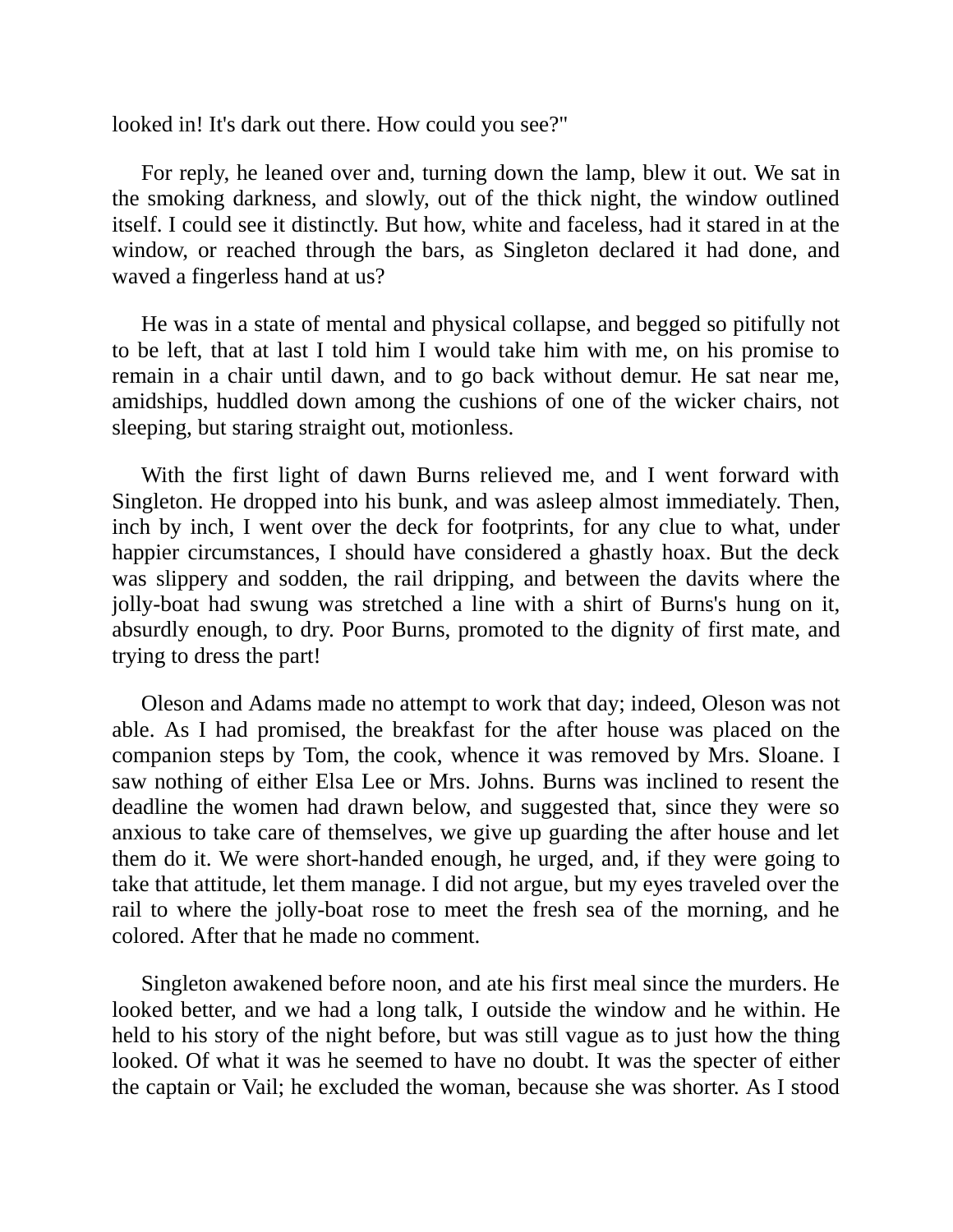looked in! It's dark out there. How could you see?"

For reply, he leaned over and, turning down the lamp, blew it out. We sat in the smoking darkness, and slowly, out of the thick night, the window outlined itself. I could see it distinctly. But how, white and faceless, had it stared in at the window, or reached through the bars, as Singleton declared it had done, and waved a fingerless hand at us?

He was in a state of mental and physical collapse, and begged so pitifully not to be left, that at last I told him I would take him with me, on his promise to remain in a chair until dawn, and to go back without demur. He sat near me, amidships, huddled down among the cushions of one of the wicker chairs, not sleeping, but staring straight out, motionless.

With the first light of dawn Burns relieved me, and I went forward with Singleton. He dropped into his bunk, and was asleep almost immediately. Then, inch by inch, I went over the deck for footprints, for any clue to what, under happier circumstances, I should have considered a ghastly hoax. But the deck was slippery and sodden, the rail dripping, and between the davits where the jolly-boat had swung was stretched a line with a shirt of Burns's hung on it, absurdly enough, to dry. Poor Burns, promoted to the dignity of first mate, and trying to dress the part!

Oleson and Adams made no attempt to work that day; indeed, Oleson was not able. As I had promised, the breakfast for the after house was placed on the companion steps by Tom, the cook, whence it was removed by Mrs. Sloane. I saw nothing of either Elsa Lee or Mrs. Johns. Burns was inclined to resent the deadline the women had drawn below, and suggested that, since they were so anxious to take care of themselves, we give up guarding the after house and let them do it. We were short-handed enough, he urged, and, if they were going to take that attitude, let them manage. I did not argue, but my eyes traveled over the rail to where the jolly-boat rose to meet the fresh sea of the morning, and he colored. After that he made no comment.

Singleton awakened before noon, and ate his first meal since the murders. He looked better, and we had a long talk, I outside the window and he within. He held to his story of the night before, but was still vague as to just how the thing looked. Of what it was he seemed to have no doubt. It was the specter of either the captain or Vail; he excluded the woman, because she was shorter. As I stood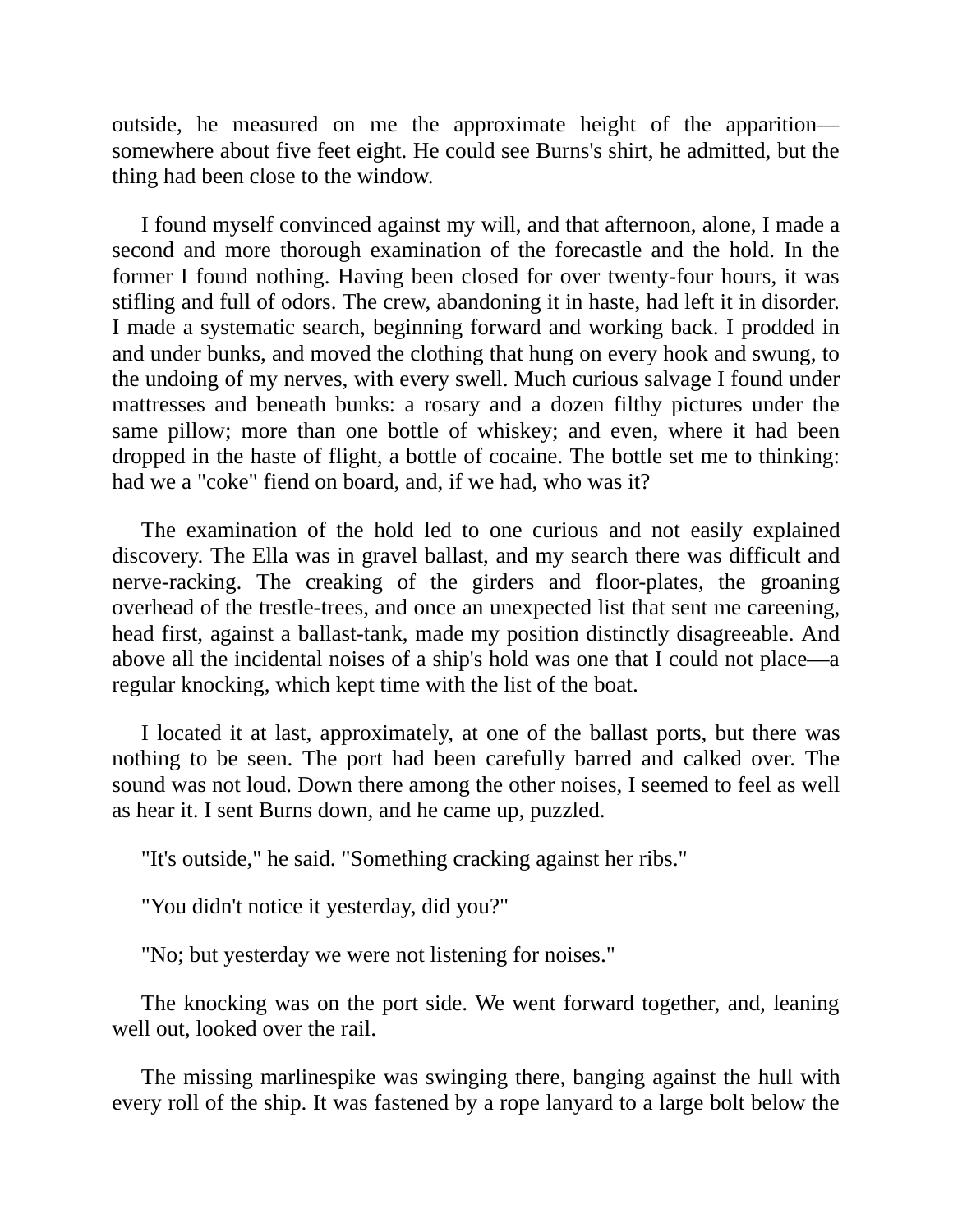outside, he measured on me the approximate height of the apparition somewhere about five feet eight. He could see Burns's shirt, he admitted, but the thing had been close to the window.

I found myself convinced against my will, and that afternoon, alone, I made a second and more thorough examination of the forecastle and the hold. In the former I found nothing. Having been closed for over twenty-four hours, it was stifling and full of odors. The crew, abandoning it in haste, had left it in disorder. I made a systematic search, beginning forward and working back. I prodded in and under bunks, and moved the clothing that hung on every hook and swung, to the undoing of my nerves, with every swell. Much curious salvage I found under mattresses and beneath bunks: a rosary and a dozen filthy pictures under the same pillow; more than one bottle of whiskey; and even, where it had been dropped in the haste of flight, a bottle of cocaine. The bottle set me to thinking: had we a "coke" fiend on board, and, if we had, who was it?

The examination of the hold led to one curious and not easily explained discovery. The Ella was in gravel ballast, and my search there was difficult and nerve-racking. The creaking of the girders and floor-plates, the groaning overhead of the trestle-trees, and once an unexpected list that sent me careening, head first, against a ballast-tank, made my position distinctly disagreeable. And above all the incidental noises of a ship's hold was one that I could not place—a regular knocking, which kept time with the list of the boat.

I located it at last, approximately, at one of the ballast ports, but there was nothing to be seen. The port had been carefully barred and calked over. The sound was not loud. Down there among the other noises, I seemed to feel as well as hear it. I sent Burns down, and he came up, puzzled.

"It's outside," he said. "Something cracking against her ribs."

"You didn't notice it yesterday, did you?"

"No; but yesterday we were not listening for noises."

The knocking was on the port side. We went forward together, and, leaning well out, looked over the rail.

The missing marlinespike was swinging there, banging against the hull with every roll of the ship. It was fastened by a rope lanyard to a large bolt below the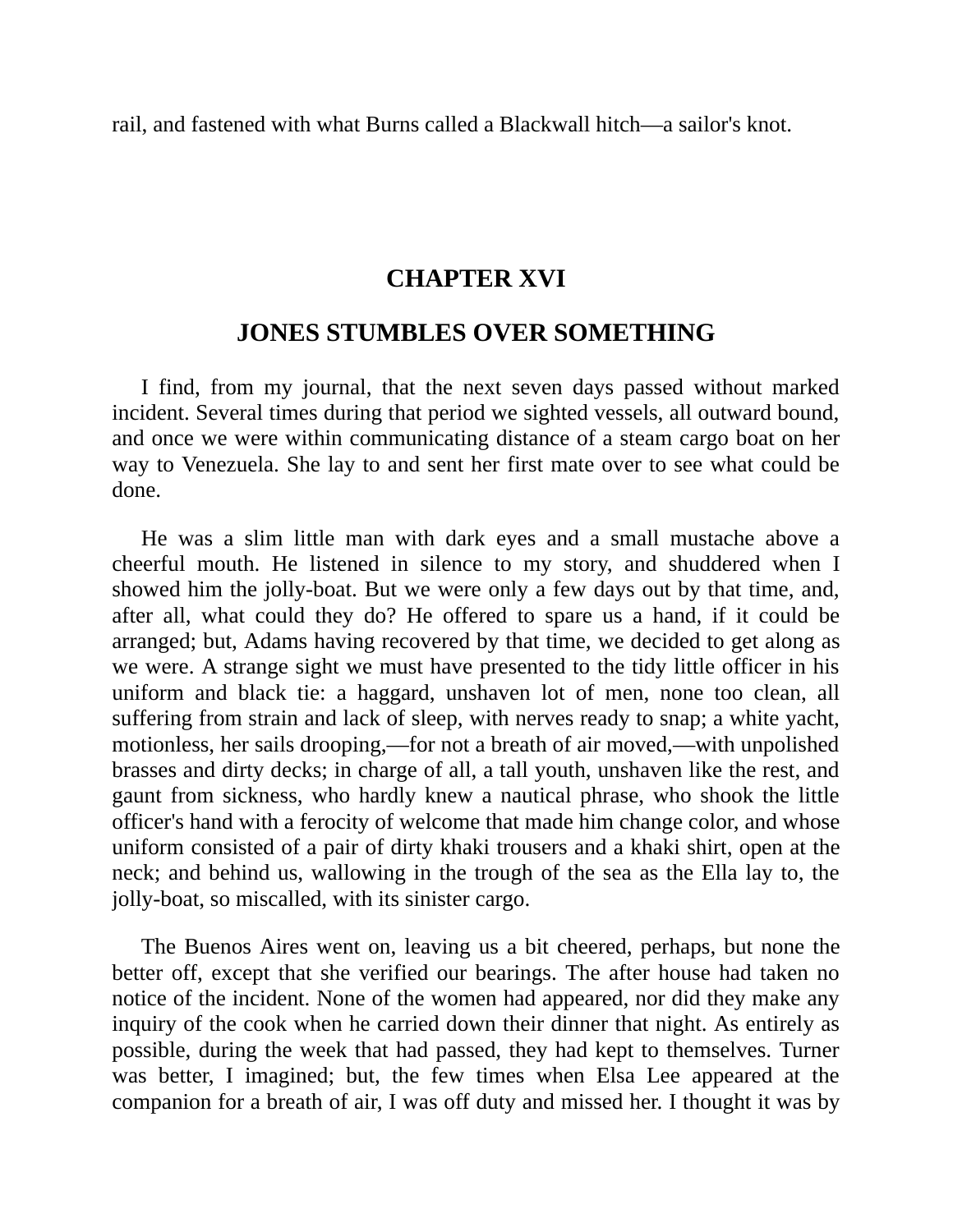rail, and fastened with what Burns called a Blackwall hitch—a sailor's knot.

#### **CHAPTER XVI**

#### **JONES STUMBLES OVER SOMETHING**

I find, from my journal, that the next seven days passed without marked incident. Several times during that period we sighted vessels, all outward bound, and once we were within communicating distance of a steam cargo boat on her way to Venezuela. She lay to and sent her first mate over to see what could be done.

He was a slim little man with dark eyes and a small mustache above a cheerful mouth. He listened in silence to my story, and shuddered when I showed him the jolly-boat. But we were only a few days out by that time, and, after all, what could they do? He offered to spare us a hand, if it could be arranged; but, Adams having recovered by that time, we decided to get along as we were. A strange sight we must have presented to the tidy little officer in his uniform and black tie: a haggard, unshaven lot of men, none too clean, all suffering from strain and lack of sleep, with nerves ready to snap; a white yacht, motionless, her sails drooping,—for not a breath of air moved,—with unpolished brasses and dirty decks; in charge of all, a tall youth, unshaven like the rest, and gaunt from sickness, who hardly knew a nautical phrase, who shook the little officer's hand with a ferocity of welcome that made him change color, and whose uniform consisted of a pair of dirty khaki trousers and a khaki shirt, open at the neck; and behind us, wallowing in the trough of the sea as the Ella lay to, the jolly-boat, so miscalled, with its sinister cargo.

The Buenos Aires went on, leaving us a bit cheered, perhaps, but none the better off, except that she verified our bearings. The after house had taken no notice of the incident. None of the women had appeared, nor did they make any inquiry of the cook when he carried down their dinner that night. As entirely as possible, during the week that had passed, they had kept to themselves. Turner was better, I imagined; but, the few times when Elsa Lee appeared at the companion for a breath of air, I was off duty and missed her. I thought it was by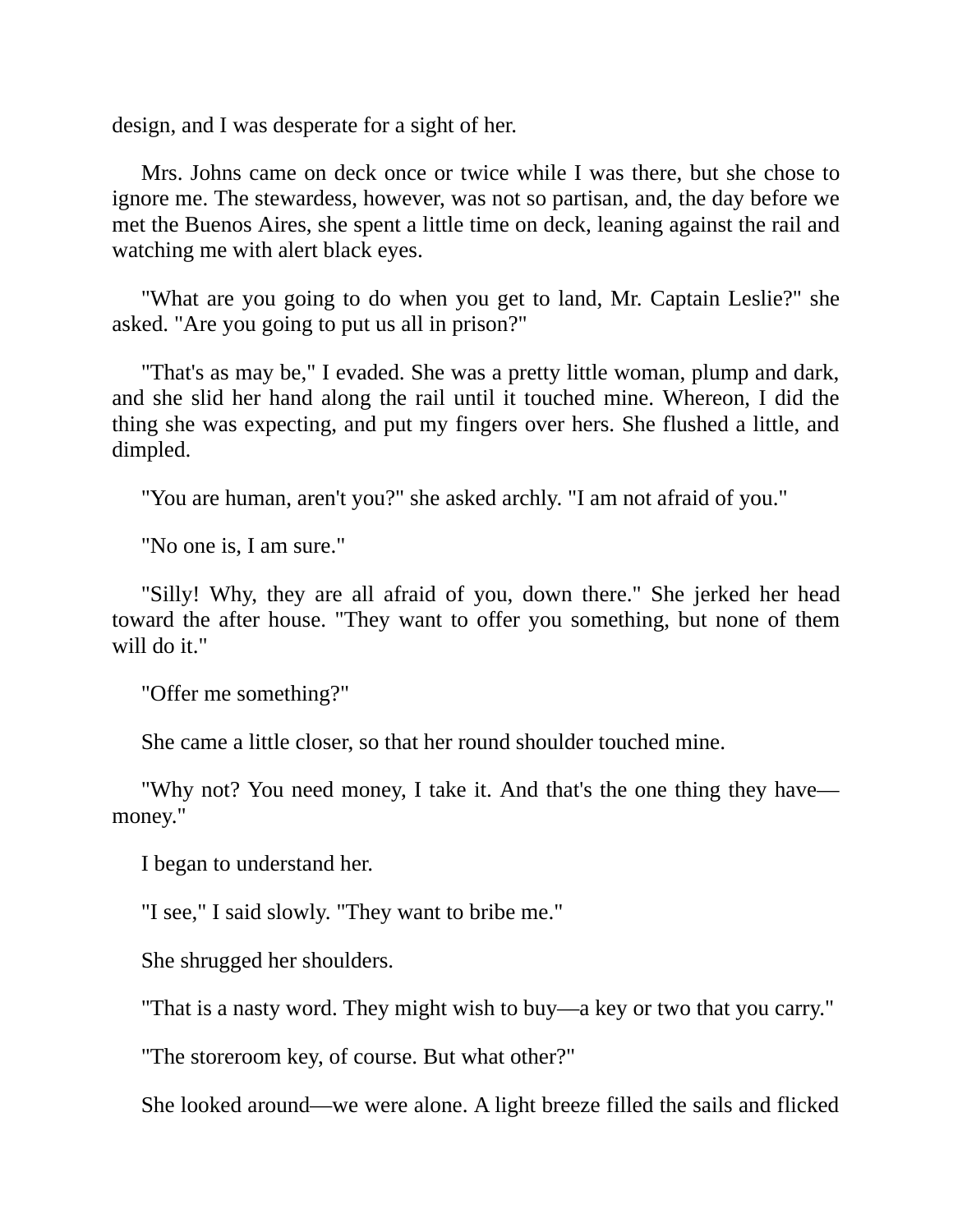design, and I was desperate for a sight of her.

Mrs. Johns came on deck once or twice while I was there, but she chose to ignore me. The stewardess, however, was not so partisan, and, the day before we met the Buenos Aires, she spent a little time on deck, leaning against the rail and watching me with alert black eyes.

"What are you going to do when you get to land, Mr. Captain Leslie?" she asked. "Are you going to put us all in prison?"

"That's as may be," I evaded. She was a pretty little woman, plump and dark, and she slid her hand along the rail until it touched mine. Whereon, I did the thing she was expecting, and put my fingers over hers. She flushed a little, and dimpled.

"You are human, aren't you?" she asked archly. "I am not afraid of you."

"No one is, I am sure."

"Silly! Why, they are all afraid of you, down there." She jerked her head toward the after house. "They want to offer you something, but none of them will do it."

"Offer me something?"

She came a little closer, so that her round shoulder touched mine.

"Why not? You need money, I take it. And that's the one thing they have money."

I began to understand her.

"I see," I said slowly. "They want to bribe me."

She shrugged her shoulders.

"That is a nasty word. They might wish to buy—a key or two that you carry."

"The storeroom key, of course. But what other?"

She looked around—we were alone. A light breeze filled the sails and flicked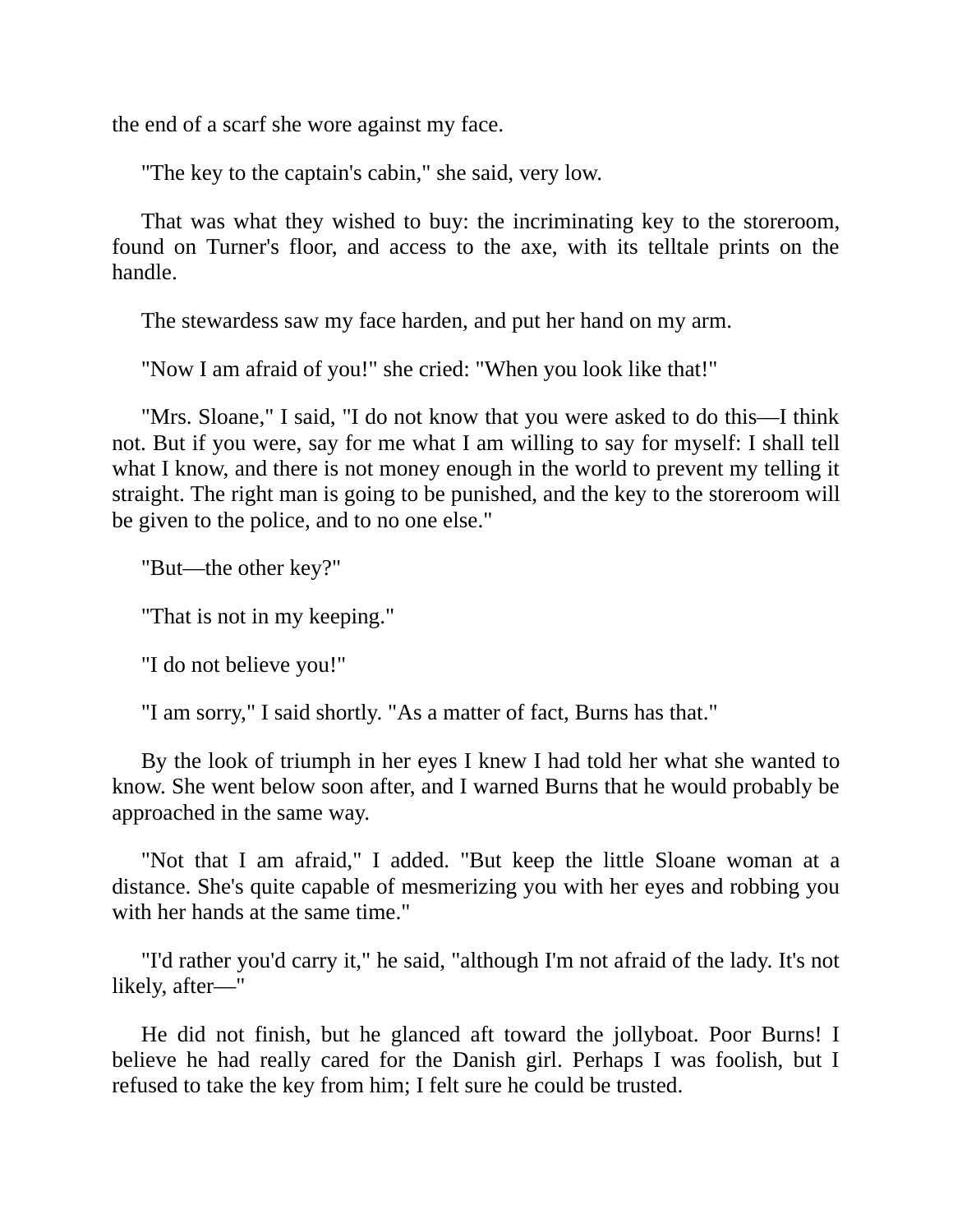the end of a scarf she wore against my face.

"The key to the captain's cabin," she said, very low.

That was what they wished to buy: the incriminating key to the storeroom, found on Turner's floor, and access to the axe, with its telltale prints on the handle.

The stewardess saw my face harden, and put her hand on my arm.

"Now I am afraid of you!" she cried: "When you look like that!"

"Mrs. Sloane," I said, "I do not know that you were asked to do this—I think not. But if you were, say for me what I am willing to say for myself: I shall tell what I know, and there is not money enough in the world to prevent my telling it straight. The right man is going to be punished, and the key to the storeroom will be given to the police, and to no one else."

"But—the other key?"

"That is not in my keeping."

"I do not believe you!"

"I am sorry," I said shortly. "As a matter of fact, Burns has that."

By the look of triumph in her eyes I knew I had told her what she wanted to know. She went below soon after, and I warned Burns that he would probably be approached in the same way.

"Not that I am afraid," I added. "But keep the little Sloane woman at a distance. She's quite capable of mesmerizing you with her eyes and robbing you with her hands at the same time."

"I'd rather you'd carry it," he said, "although I'm not afraid of the lady. It's not likely, after—"

He did not finish, but he glanced aft toward the jollyboat. Poor Burns! I believe he had really cared for the Danish girl. Perhaps I was foolish, but I refused to take the key from him; I felt sure he could be trusted.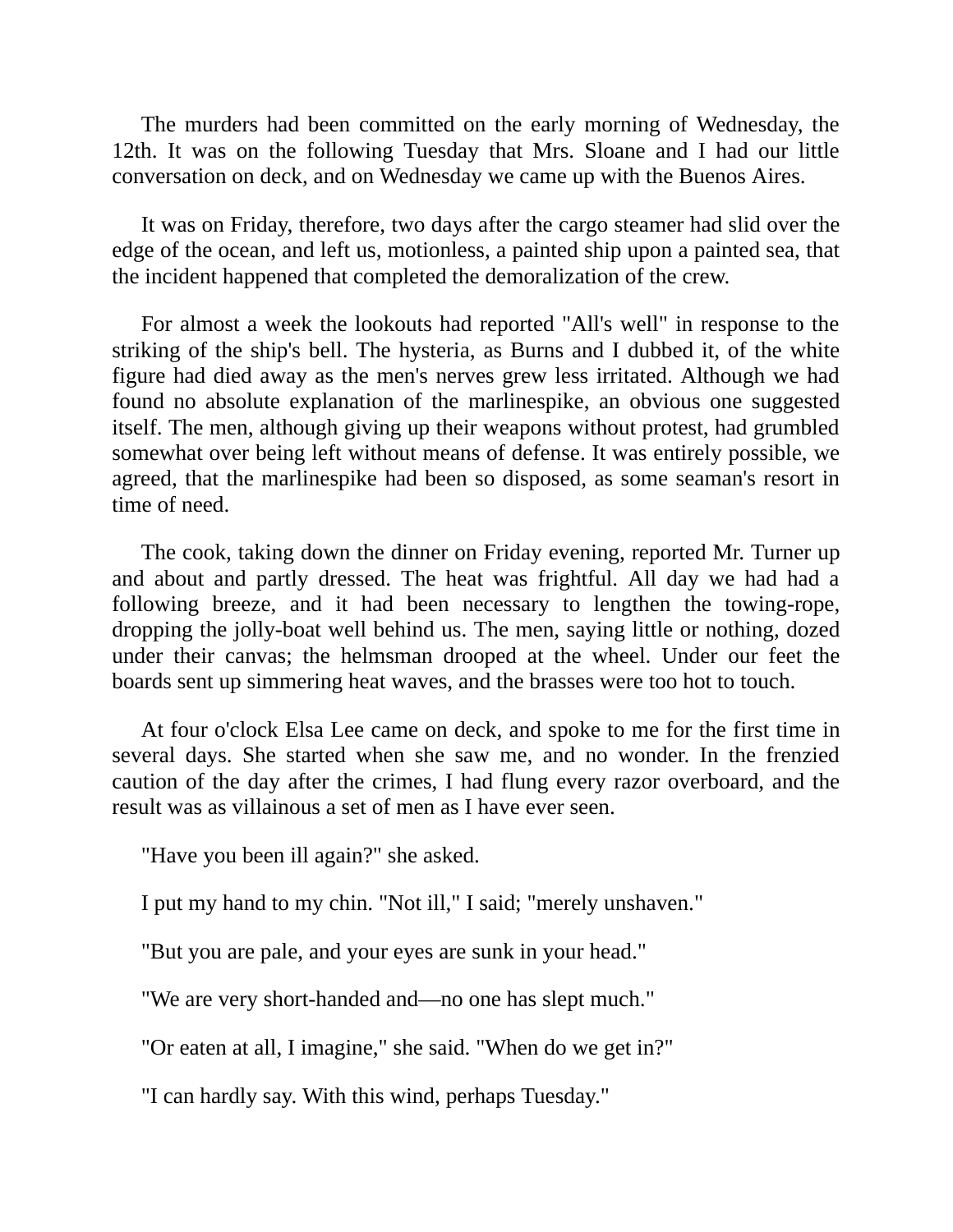The murders had been committed on the early morning of Wednesday, the 12th. It was on the following Tuesday that Mrs. Sloane and I had our little conversation on deck, and on Wednesday we came up with the Buenos Aires.

It was on Friday, therefore, two days after the cargo steamer had slid over the edge of the ocean, and left us, motionless, a painted ship upon a painted sea, that the incident happened that completed the demoralization of the crew.

For almost a week the lookouts had reported "All's well" in response to the striking of the ship's bell. The hysteria, as Burns and I dubbed it, of the white figure had died away as the men's nerves grew less irritated. Although we had found no absolute explanation of the marlinespike, an obvious one suggested itself. The men, although giving up their weapons without protest, had grumbled somewhat over being left without means of defense. It was entirely possible, we agreed, that the marlinespike had been so disposed, as some seaman's resort in time of need.

The cook, taking down the dinner on Friday evening, reported Mr. Turner up and about and partly dressed. The heat was frightful. All day we had had a following breeze, and it had been necessary to lengthen the towing-rope, dropping the jolly-boat well behind us. The men, saying little or nothing, dozed under their canvas; the helmsman drooped at the wheel. Under our feet the boards sent up simmering heat waves, and the brasses were too hot to touch.

At four o'clock Elsa Lee came on deck, and spoke to me for the first time in several days. She started when she saw me, and no wonder. In the frenzied caution of the day after the crimes, I had flung every razor overboard, and the result was as villainous a set of men as I have ever seen.

"Have you been ill again?" she asked.

I put my hand to my chin. "Not ill," I said; "merely unshaven."

"But you are pale, and your eyes are sunk in your head."

"We are very short-handed and—no one has slept much."

"Or eaten at all, I imagine," she said. "When do we get in?"

"I can hardly say. With this wind, perhaps Tuesday."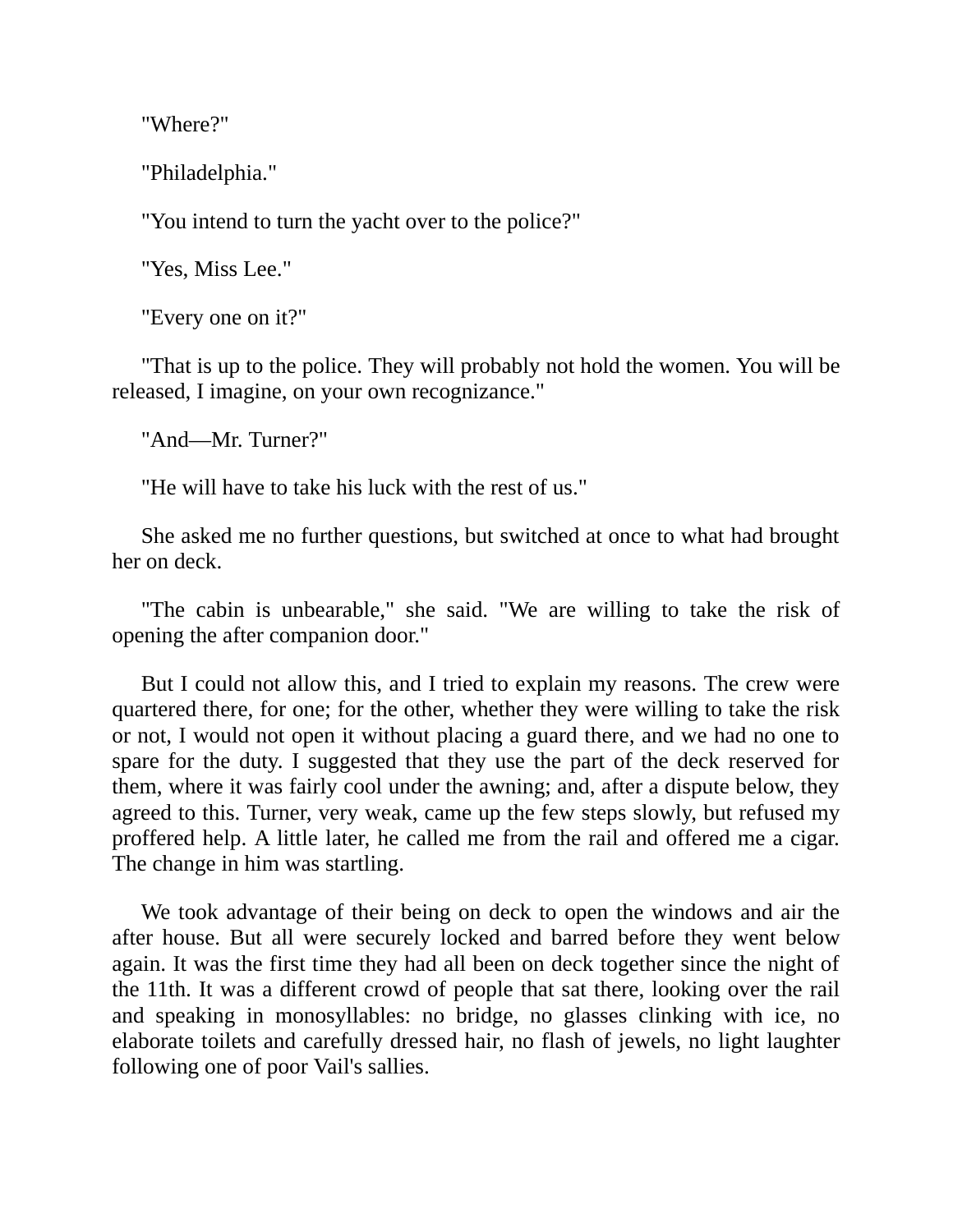"Where?"

"Philadelphia."

"You intend to turn the yacht over to the police?"

"Yes, Miss Lee."

"Every one on it?"

"That is up to the police. They will probably not hold the women. You will be released, I imagine, on your own recognizance."

"And—Mr. Turner?"

"He will have to take his luck with the rest of us."

She asked me no further questions, but switched at once to what had brought her on deck.

"The cabin is unbearable," she said. "We are willing to take the risk of opening the after companion door."

But I could not allow this, and I tried to explain my reasons. The crew were quartered there, for one; for the other, whether they were willing to take the risk or not, I would not open it without placing a guard there, and we had no one to spare for the duty. I suggested that they use the part of the deck reserved for them, where it was fairly cool under the awning; and, after a dispute below, they agreed to this. Turner, very weak, came up the few steps slowly, but refused my proffered help. A little later, he called me from the rail and offered me a cigar. The change in him was startling.

We took advantage of their being on deck to open the windows and air the after house. But all were securely locked and barred before they went below again. It was the first time they had all been on deck together since the night of the 11th. It was a different crowd of people that sat there, looking over the rail and speaking in monosyllables: no bridge, no glasses clinking with ice, no elaborate toilets and carefully dressed hair, no flash of jewels, no light laughter following one of poor Vail's sallies.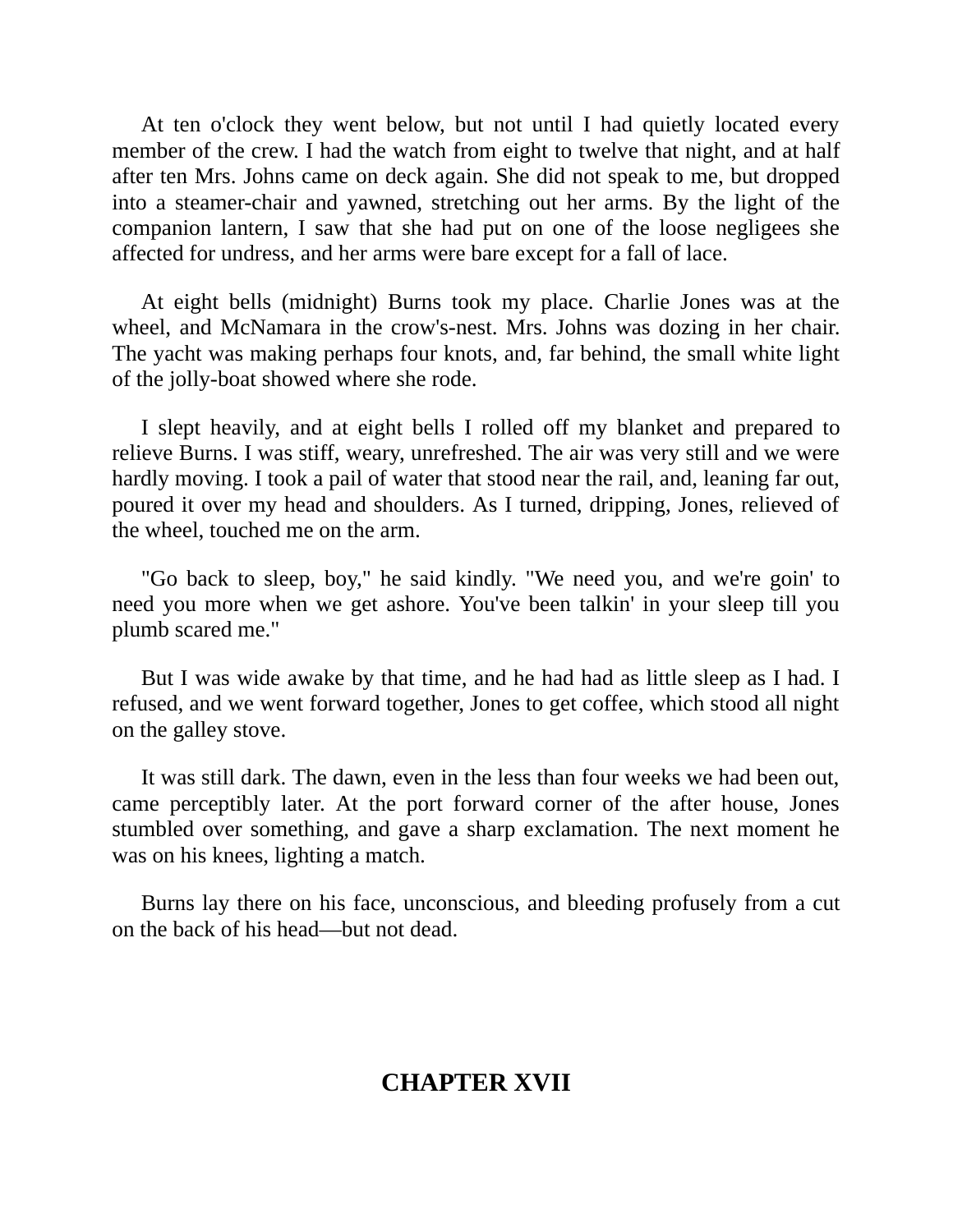At ten o'clock they went below, but not until I had quietly located every member of the crew. I had the watch from eight to twelve that night, and at half after ten Mrs. Johns came on deck again. She did not speak to me, but dropped into a steamer-chair and yawned, stretching out her arms. By the light of the companion lantern, I saw that she had put on one of the loose negligees she affected for undress, and her arms were bare except for a fall of lace.

At eight bells (midnight) Burns took my place. Charlie Jones was at the wheel, and McNamara in the crow's-nest. Mrs. Johns was dozing in her chair. The yacht was making perhaps four knots, and, far behind, the small white light of the jolly-boat showed where she rode.

I slept heavily, and at eight bells I rolled off my blanket and prepared to relieve Burns. I was stiff, weary, unrefreshed. The air was very still and we were hardly moving. I took a pail of water that stood near the rail, and, leaning far out, poured it over my head and shoulders. As I turned, dripping, Jones, relieved of the wheel, touched me on the arm.

"Go back to sleep, boy," he said kindly. "We need you, and we're goin' to need you more when we get ashore. You've been talkin' in your sleep till you plumb scared me."

But I was wide awake by that time, and he had had as little sleep as I had. I refused, and we went forward together, Jones to get coffee, which stood all night on the galley stove.

It was still dark. The dawn, even in the less than four weeks we had been out, came perceptibly later. At the port forward corner of the after house, Jones stumbled over something, and gave a sharp exclamation. The next moment he was on his knees, lighting a match.

Burns lay there on his face, unconscious, and bleeding profusely from a cut on the back of his head—but not dead.

# **CHAPTER XVII**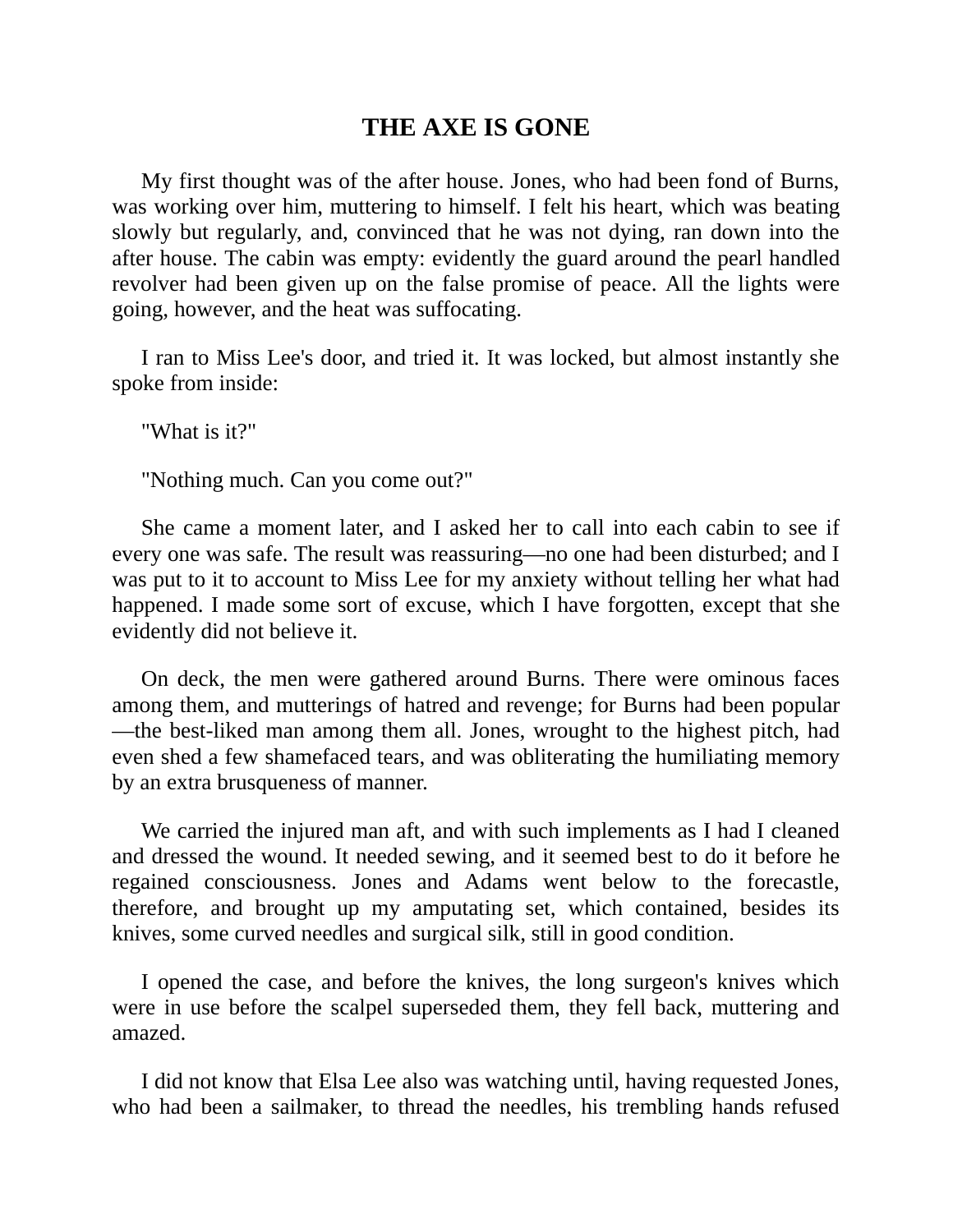# **THE AXE IS GONE**

My first thought was of the after house. Jones, who had been fond of Burns, was working over him, muttering to himself. I felt his heart, which was beating slowly but regularly, and, convinced that he was not dying, ran down into the after house. The cabin was empty: evidently the guard around the pearl handled revolver had been given up on the false promise of peace. All the lights were going, however, and the heat was suffocating.

I ran to Miss Lee's door, and tried it. It was locked, but almost instantly she spoke from inside:

"What is it?"

"Nothing much. Can you come out?"

She came a moment later, and I asked her to call into each cabin to see if every one was safe. The result was reassuring—no one had been disturbed; and I was put to it to account to Miss Lee for my anxiety without telling her what had happened. I made some sort of excuse, which I have forgotten, except that she evidently did not believe it.

On deck, the men were gathered around Burns. There were ominous faces among them, and mutterings of hatred and revenge; for Burns had been popular —the best-liked man among them all. Jones, wrought to the highest pitch, had even shed a few shamefaced tears, and was obliterating the humiliating memory by an extra brusqueness of manner.

We carried the injured man aft, and with such implements as I had I cleaned and dressed the wound. It needed sewing, and it seemed best to do it before he regained consciousness. Jones and Adams went below to the forecastle, therefore, and brought up my amputating set, which contained, besides its knives, some curved needles and surgical silk, still in good condition.

I opened the case, and before the knives, the long surgeon's knives which were in use before the scalpel superseded them, they fell back, muttering and amazed.

I did not know that Elsa Lee also was watching until, having requested Jones, who had been a sailmaker, to thread the needles, his trembling hands refused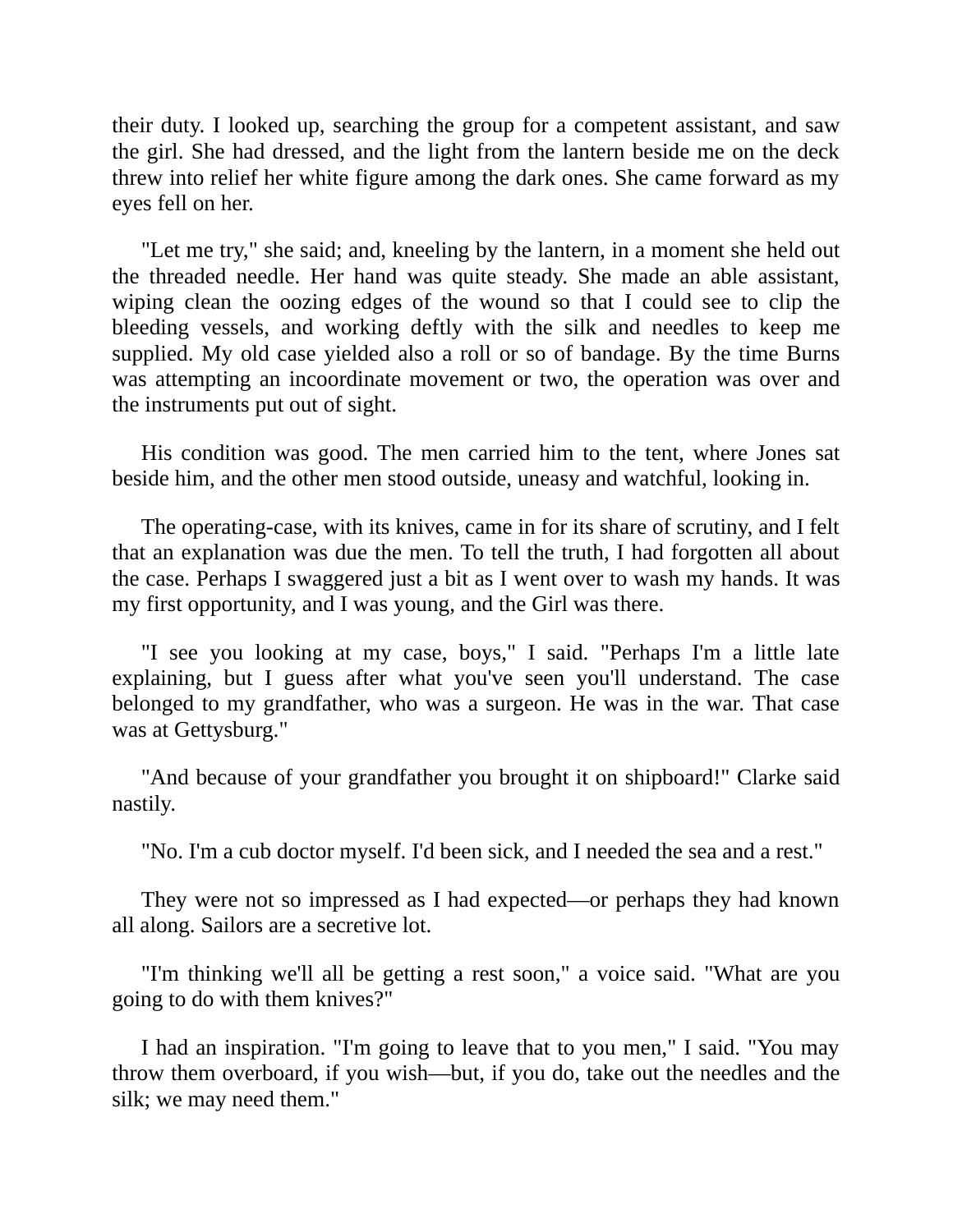their duty. I looked up, searching the group for a competent assistant, and saw the girl. She had dressed, and the light from the lantern beside me on the deck threw into relief her white figure among the dark ones. She came forward as my eyes fell on her.

"Let me try," she said; and, kneeling by the lantern, in a moment she held out the threaded needle. Her hand was quite steady. She made an able assistant, wiping clean the oozing edges of the wound so that I could see to clip the bleeding vessels, and working deftly with the silk and needles to keep me supplied. My old case yielded also a roll or so of bandage. By the time Burns was attempting an incoordinate movement or two, the operation was over and the instruments put out of sight.

His condition was good. The men carried him to the tent, where Jones sat beside him, and the other men stood outside, uneasy and watchful, looking in.

The operating-case, with its knives, came in for its share of scrutiny, and I felt that an explanation was due the men. To tell the truth, I had forgotten all about the case. Perhaps I swaggered just a bit as I went over to wash my hands. It was my first opportunity, and I was young, and the Girl was there.

"I see you looking at my case, boys," I said. "Perhaps I'm a little late explaining, but I guess after what you've seen you'll understand. The case belonged to my grandfather, who was a surgeon. He was in the war. That case was at Gettysburg."

"And because of your grandfather you brought it on shipboard!" Clarke said nastily.

"No. I'm a cub doctor myself. I'd been sick, and I needed the sea and a rest."

They were not so impressed as I had expected—or perhaps they had known all along. Sailors are a secretive lot.

"I'm thinking we'll all be getting a rest soon," a voice said. "What are you going to do with them knives?"

I had an inspiration. "I'm going to leave that to you men," I said. "You may throw them overboard, if you wish—but, if you do, take out the needles and the silk; we may need them."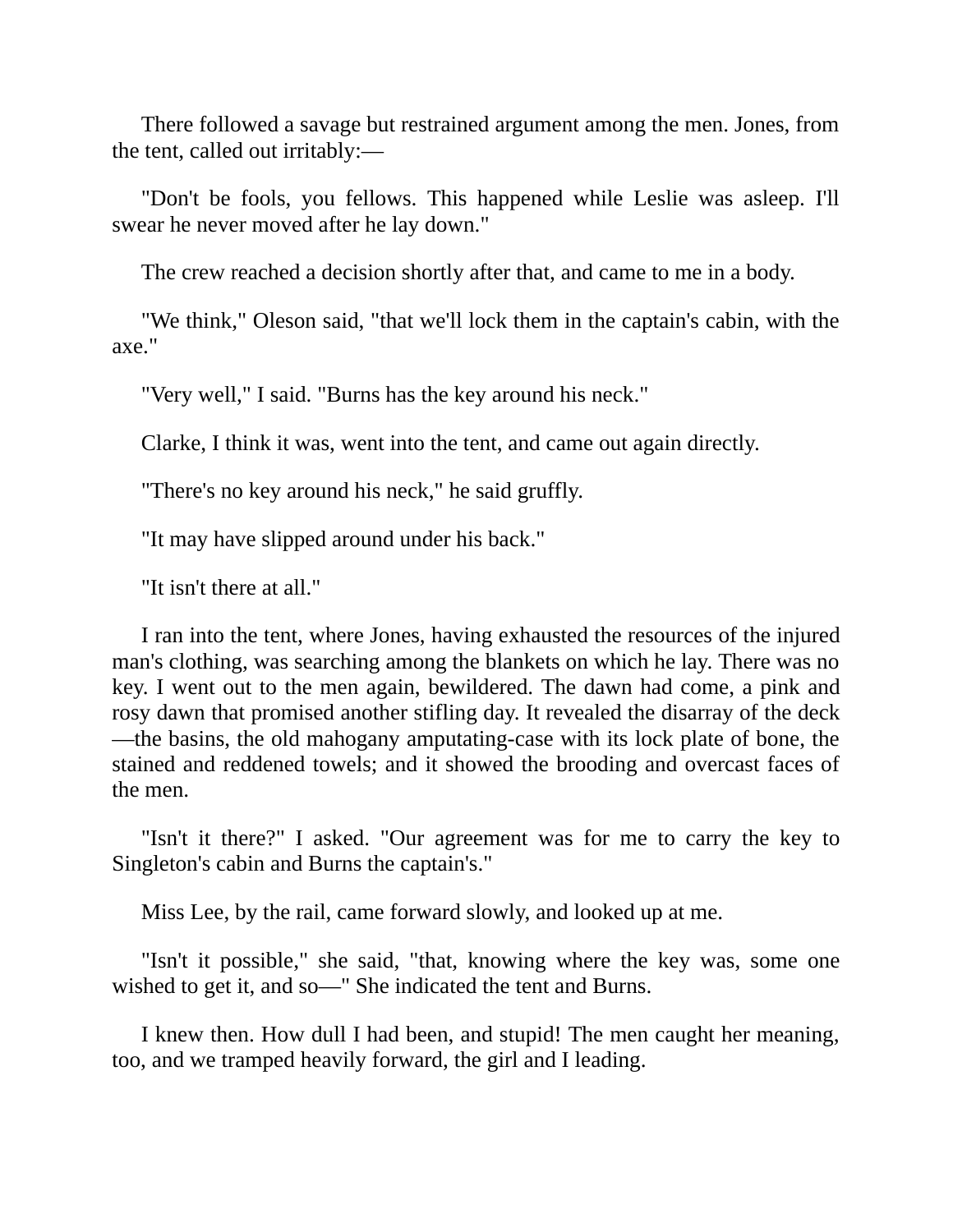There followed a savage but restrained argument among the men. Jones, from the tent, called out irritably:—

"Don't be fools, you fellows. This happened while Leslie was asleep. I'll swear he never moved after he lay down."

The crew reached a decision shortly after that, and came to me in a body.

"We think," Oleson said, "that we'll lock them in the captain's cabin, with the axe."

"Very well," I said. "Burns has the key around his neck."

Clarke, I think it was, went into the tent, and came out again directly.

"There's no key around his neck," he said gruffly.

"It may have slipped around under his back."

"It isn't there at all."

I ran into the tent, where Jones, having exhausted the resources of the injured man's clothing, was searching among the blankets on which he lay. There was no key. I went out to the men again, bewildered. The dawn had come, a pink and rosy dawn that promised another stifling day. It revealed the disarray of the deck —the basins, the old mahogany amputating-case with its lock plate of bone, the stained and reddened towels; and it showed the brooding and overcast faces of the men.

"Isn't it there?" I asked. "Our agreement was for me to carry the key to Singleton's cabin and Burns the captain's."

Miss Lee, by the rail, came forward slowly, and looked up at me.

"Isn't it possible," she said, "that, knowing where the key was, some one wished to get it, and so—" She indicated the tent and Burns.

I knew then. How dull I had been, and stupid! The men caught her meaning, too, and we tramped heavily forward, the girl and I leading.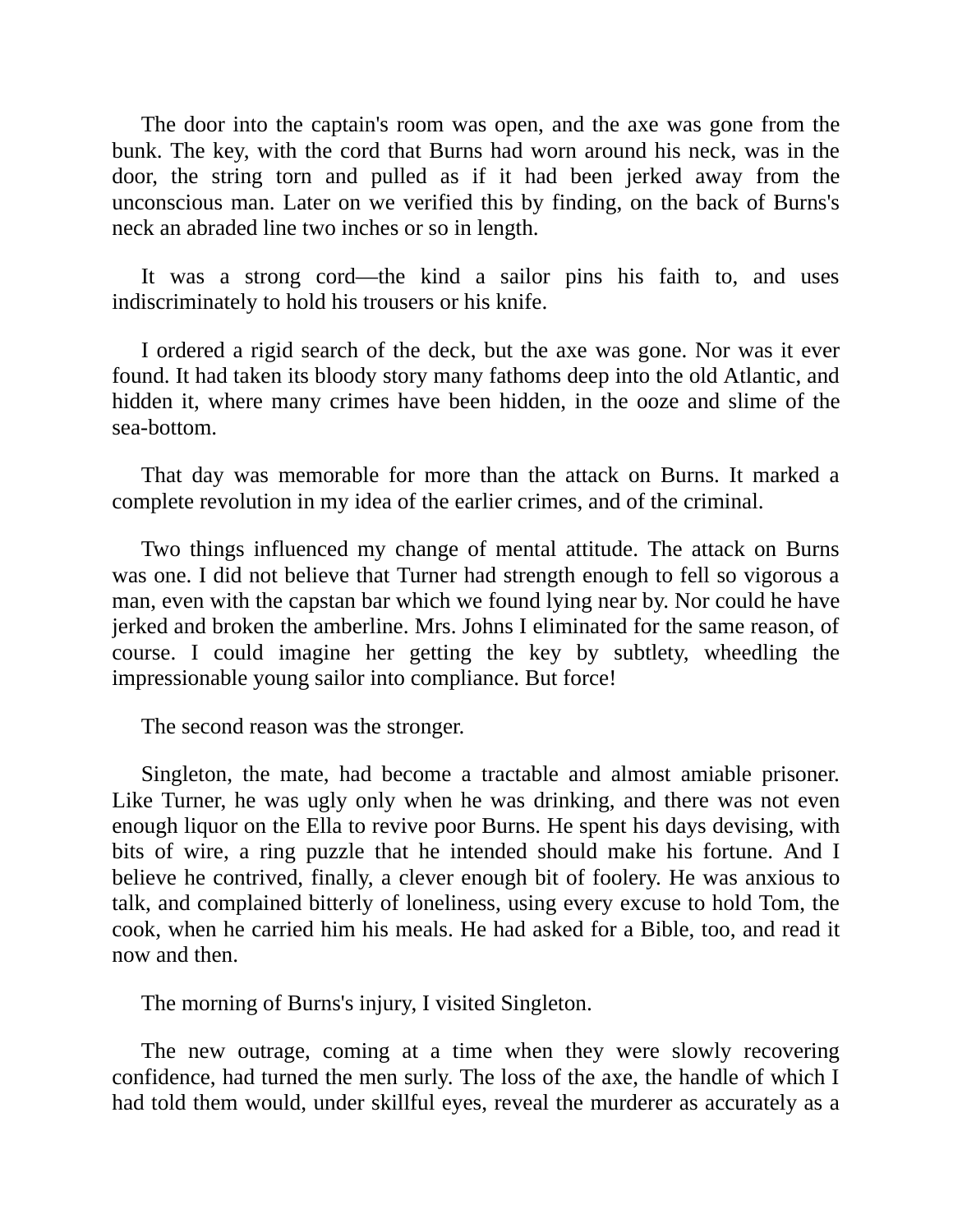The door into the captain's room was open, and the axe was gone from the bunk. The key, with the cord that Burns had worn around his neck, was in the door, the string torn and pulled as if it had been jerked away from the unconscious man. Later on we verified this by finding, on the back of Burns's neck an abraded line two inches or so in length.

It was a strong cord—the kind a sailor pins his faith to, and uses indiscriminately to hold his trousers or his knife.

I ordered a rigid search of the deck, but the axe was gone. Nor was it ever found. It had taken its bloody story many fathoms deep into the old Atlantic, and hidden it, where many crimes have been hidden, in the ooze and slime of the sea-bottom.

That day was memorable for more than the attack on Burns. It marked a complete revolution in my idea of the earlier crimes, and of the criminal.

Two things influenced my change of mental attitude. The attack on Burns was one. I did not believe that Turner had strength enough to fell so vigorous a man, even with the capstan bar which we found lying near by. Nor could he have jerked and broken the amberline. Mrs. Johns I eliminated for the same reason, of course. I could imagine her getting the key by subtlety, wheedling the impressionable young sailor into compliance. But force!

The second reason was the stronger.

Singleton, the mate, had become a tractable and almost amiable prisoner. Like Turner, he was ugly only when he was drinking, and there was not even enough liquor on the Ella to revive poor Burns. He spent his days devising, with bits of wire, a ring puzzle that he intended should make his fortune. And I believe he contrived, finally, a clever enough bit of foolery. He was anxious to talk, and complained bitterly of loneliness, using every excuse to hold Tom, the cook, when he carried him his meals. He had asked for a Bible, too, and read it now and then.

The morning of Burns's injury, I visited Singleton.

The new outrage, coming at a time when they were slowly recovering confidence, had turned the men surly. The loss of the axe, the handle of which I had told them would, under skillful eyes, reveal the murderer as accurately as a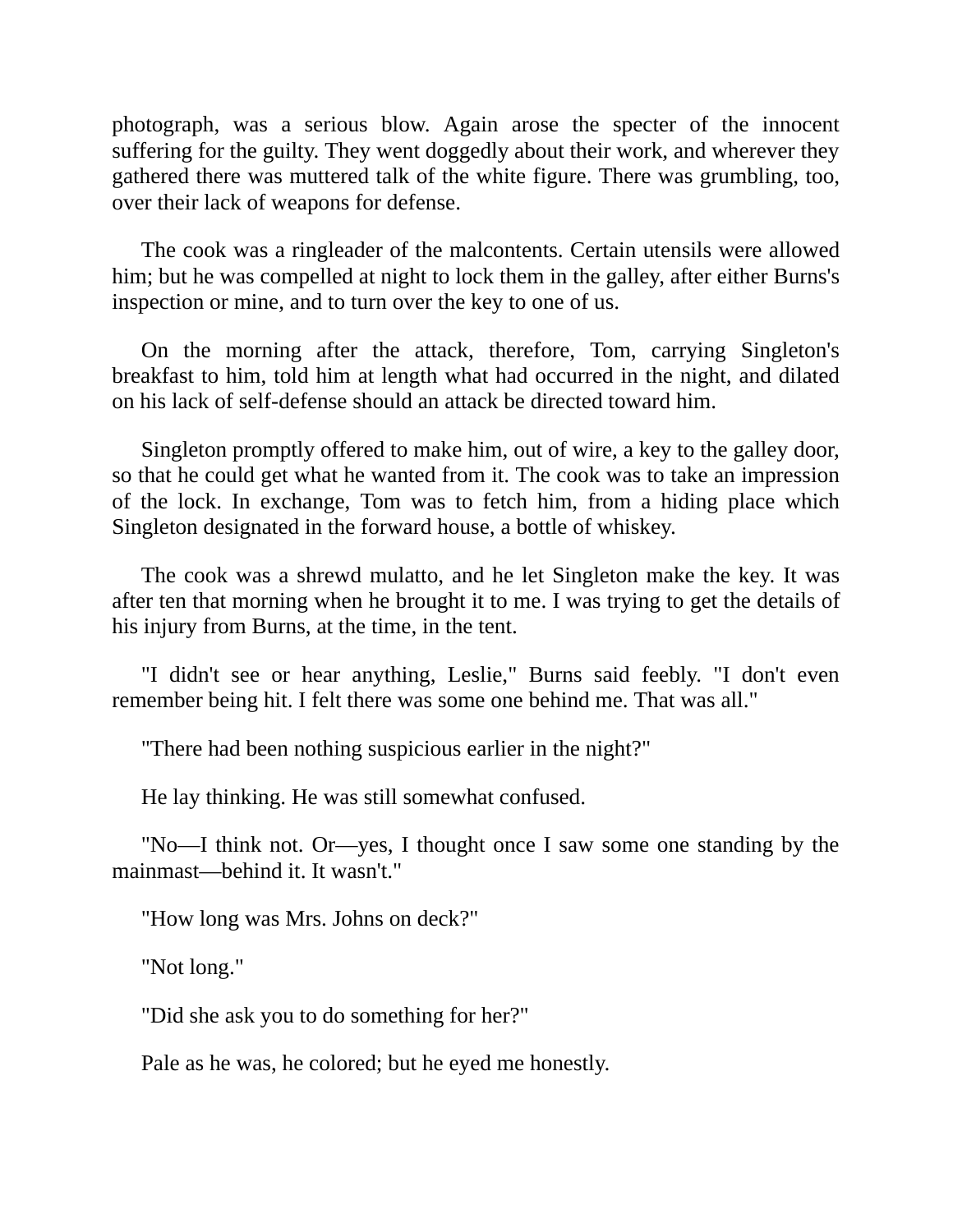photograph, was a serious blow. Again arose the specter of the innocent suffering for the guilty. They went doggedly about their work, and wherever they gathered there was muttered talk of the white figure. There was grumbling, too, over their lack of weapons for defense.

The cook was a ringleader of the malcontents. Certain utensils were allowed him; but he was compelled at night to lock them in the galley, after either Burns's inspection or mine, and to turn over the key to one of us.

On the morning after the attack, therefore, Tom, carrying Singleton's breakfast to him, told him at length what had occurred in the night, and dilated on his lack of self-defense should an attack be directed toward him.

Singleton promptly offered to make him, out of wire, a key to the galley door, so that he could get what he wanted from it. The cook was to take an impression of the lock. In exchange, Tom was to fetch him, from a hiding place which Singleton designated in the forward house, a bottle of whiskey.

The cook was a shrewd mulatto, and he let Singleton make the key. It was after ten that morning when he brought it to me. I was trying to get the details of his injury from Burns, at the time, in the tent.

"I didn't see or hear anything, Leslie," Burns said feebly. "I don't even remember being hit. I felt there was some one behind me. That was all."

"There had been nothing suspicious earlier in the night?"

He lay thinking. He was still somewhat confused.

"No—I think not. Or—yes, I thought once I saw some one standing by the mainmast—behind it. It wasn't."

"How long was Mrs. Johns on deck?"

"Not long."

"Did she ask you to do something for her?"

Pale as he was, he colored; but he eyed me honestly.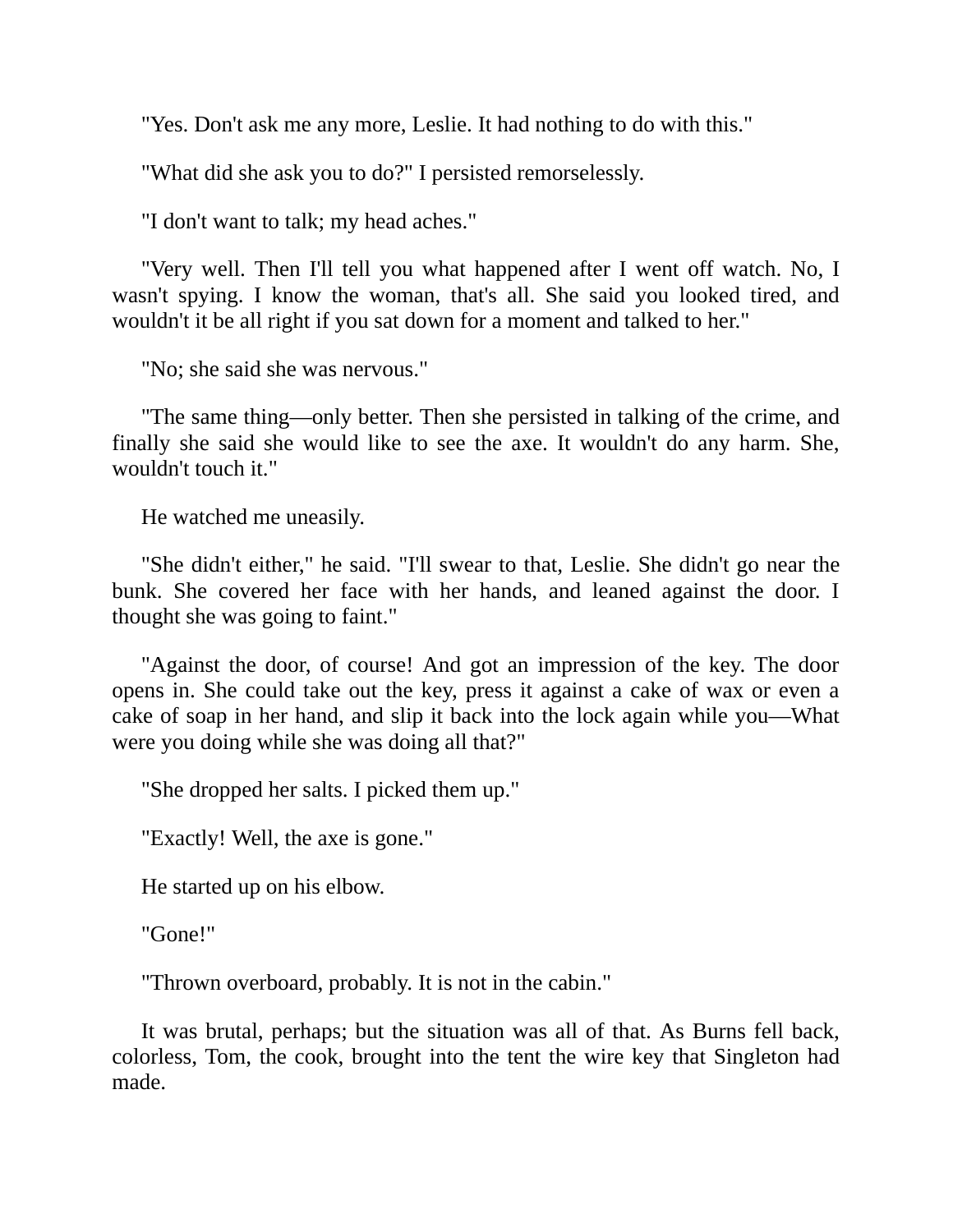"Yes. Don't ask me any more, Leslie. It had nothing to do with this."

"What did she ask you to do?" I persisted remorselessly.

"I don't want to talk; my head aches."

"Very well. Then I'll tell you what happened after I went off watch. No, I wasn't spying. I know the woman, that's all. She said you looked tired, and wouldn't it be all right if you sat down for a moment and talked to her."

"No; she said she was nervous."

"The same thing—only better. Then she persisted in talking of the crime, and finally she said she would like to see the axe. It wouldn't do any harm. She, wouldn't touch it."

He watched me uneasily.

"She didn't either," he said. "I'll swear to that, Leslie. She didn't go near the bunk. She covered her face with her hands, and leaned against the door. I thought she was going to faint."

"Against the door, of course! And got an impression of the key. The door opens in. She could take out the key, press it against a cake of wax or even a cake of soap in her hand, and slip it back into the lock again while you—What were you doing while she was doing all that?"

"She dropped her salts. I picked them up."

"Exactly! Well, the axe is gone."

He started up on his elbow.

"Gone!"

"Thrown overboard, probably. It is not in the cabin."

It was brutal, perhaps; but the situation was all of that. As Burns fell back, colorless, Tom, the cook, brought into the tent the wire key that Singleton had made.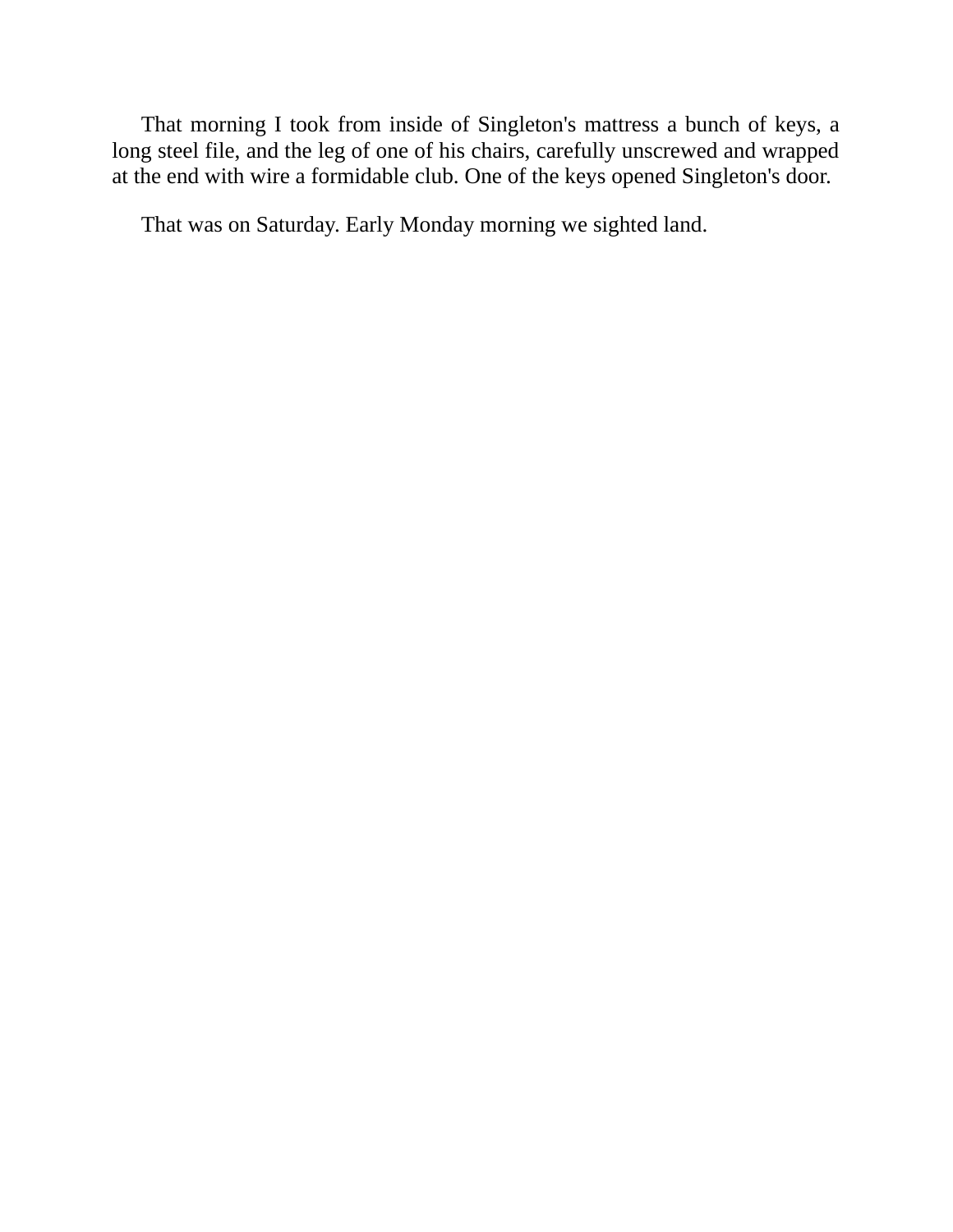That morning I took from inside of Singleton's mattress a bunch of keys, a long steel file, and the leg of one of his chairs, carefully unscrewed and wrapped at the end with wire a formidable club. One of the keys opened Singleton's door.

That was on Saturday. Early Monday morning we sighted land.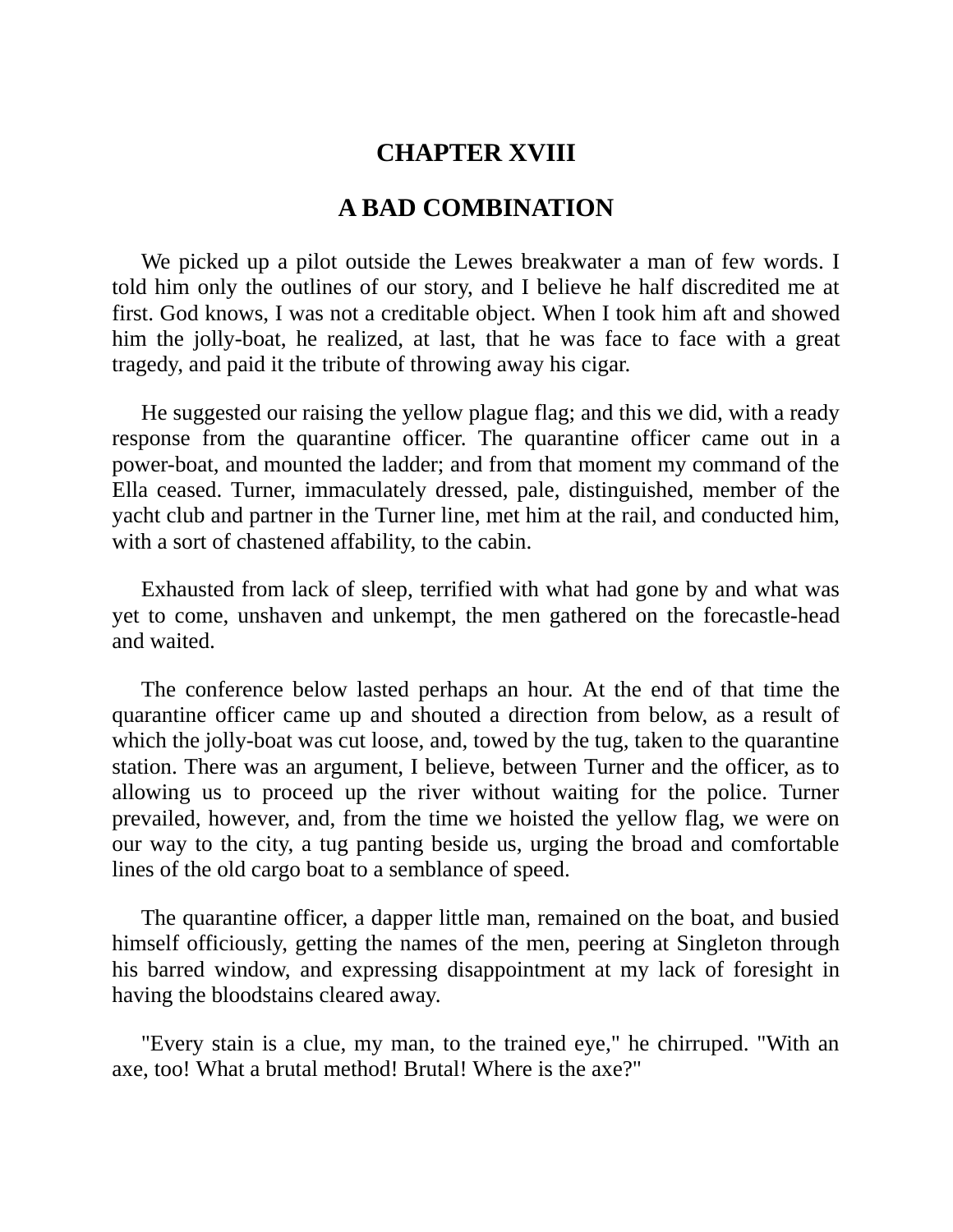## **CHAPTER XVIII**

### **A BAD COMBINATION**

We picked up a pilot outside the Lewes breakwater a man of few words. I told him only the outlines of our story, and I believe he half discredited me at first. God knows, I was not a creditable object. When I took him aft and showed him the jolly-boat, he realized, at last, that he was face to face with a great tragedy, and paid it the tribute of throwing away his cigar.

He suggested our raising the yellow plague flag; and this we did, with a ready response from the quarantine officer. The quarantine officer came out in a power-boat, and mounted the ladder; and from that moment my command of the Ella ceased. Turner, immaculately dressed, pale, distinguished, member of the yacht club and partner in the Turner line, met him at the rail, and conducted him, with a sort of chastened affability, to the cabin.

Exhausted from lack of sleep, terrified with what had gone by and what was yet to come, unshaven and unkempt, the men gathered on the forecastle-head and waited.

The conference below lasted perhaps an hour. At the end of that time the quarantine officer came up and shouted a direction from below, as a result of which the jolly-boat was cut loose, and, towed by the tug, taken to the quarantine station. There was an argument, I believe, between Turner and the officer, as to allowing us to proceed up the river without waiting for the police. Turner prevailed, however, and, from the time we hoisted the yellow flag, we were on our way to the city, a tug panting beside us, urging the broad and comfortable lines of the old cargo boat to a semblance of speed.

The quarantine officer, a dapper little man, remained on the boat, and busied himself officiously, getting the names of the men, peering at Singleton through his barred window, and expressing disappointment at my lack of foresight in having the bloodstains cleared away.

"Every stain is a clue, my man, to the trained eye," he chirruped. "With an axe, too! What a brutal method! Brutal! Where is the axe?"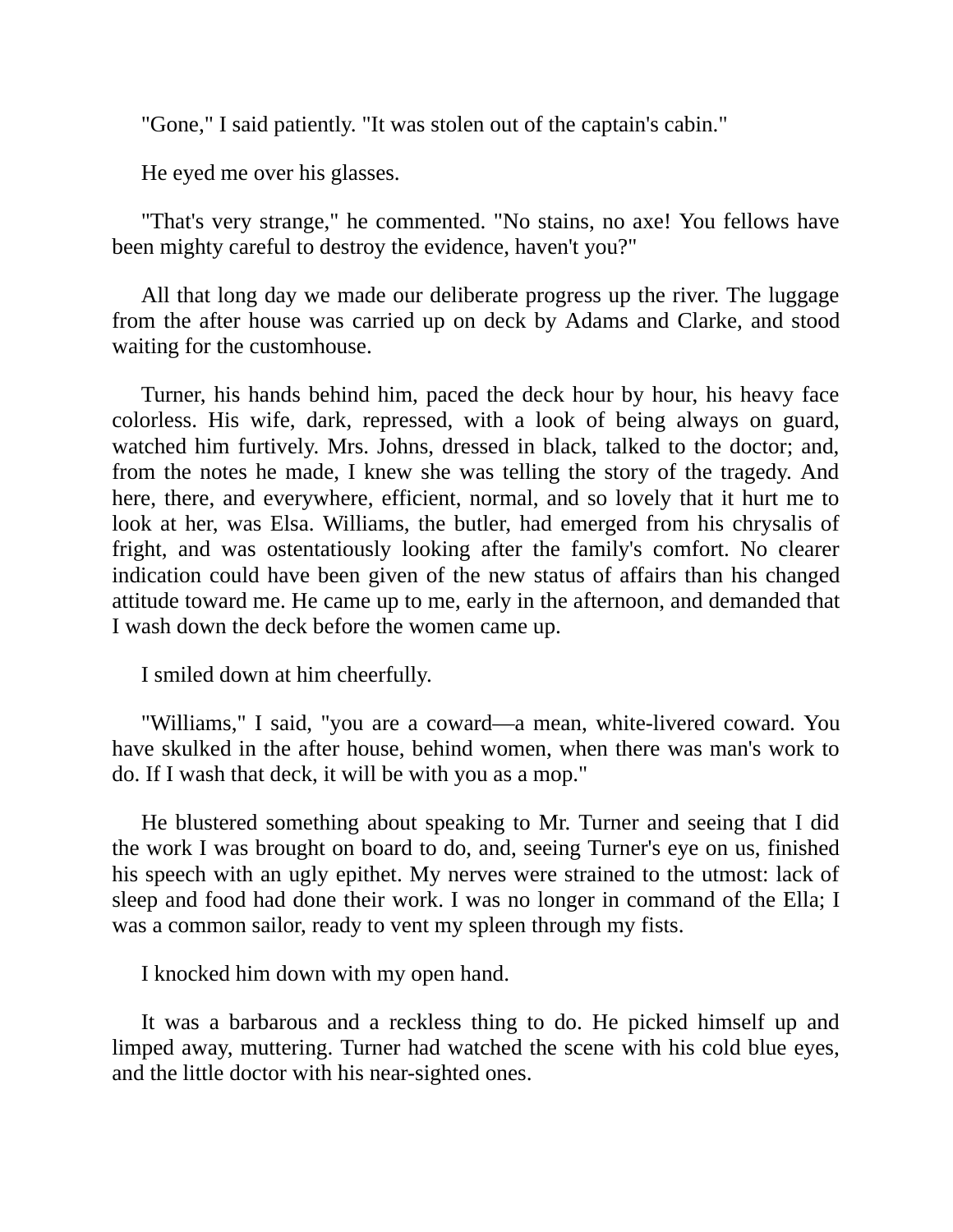"Gone," I said patiently. "It was stolen out of the captain's cabin."

He eyed me over his glasses.

"That's very strange," he commented. "No stains, no axe! You fellows have been mighty careful to destroy the evidence, haven't you?"

All that long day we made our deliberate progress up the river. The luggage from the after house was carried up on deck by Adams and Clarke, and stood waiting for the customhouse.

Turner, his hands behind him, paced the deck hour by hour, his heavy face colorless. His wife, dark, repressed, with a look of being always on guard, watched him furtively. Mrs. Johns, dressed in black, talked to the doctor; and, from the notes he made, I knew she was telling the story of the tragedy. And here, there, and everywhere, efficient, normal, and so lovely that it hurt me to look at her, was Elsa. Williams, the butler, had emerged from his chrysalis of fright, and was ostentatiously looking after the family's comfort. No clearer indication could have been given of the new status of affairs than his changed attitude toward me. He came up to me, early in the afternoon, and demanded that I wash down the deck before the women came up.

I smiled down at him cheerfully.

"Williams," I said, "you are a coward—a mean, white-livered coward. You have skulked in the after house, behind women, when there was man's work to do. If I wash that deck, it will be with you as a mop."

He blustered something about speaking to Mr. Turner and seeing that I did the work I was brought on board to do, and, seeing Turner's eye on us, finished his speech with an ugly epithet. My nerves were strained to the utmost: lack of sleep and food had done their work. I was no longer in command of the Ella; I was a common sailor, ready to vent my spleen through my fists.

I knocked him down with my open hand.

It was a barbarous and a reckless thing to do. He picked himself up and limped away, muttering. Turner had watched the scene with his cold blue eyes, and the little doctor with his near-sighted ones.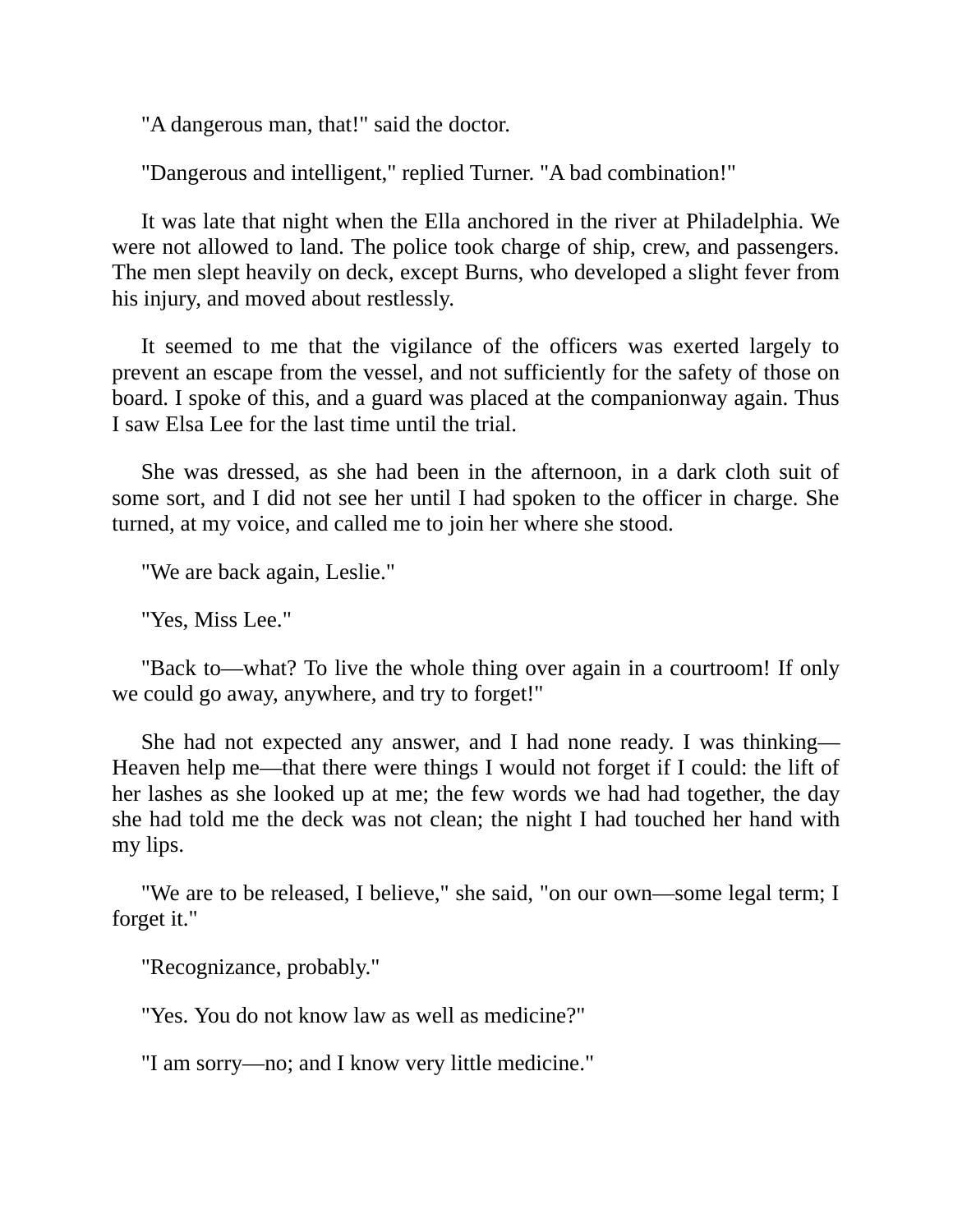"A dangerous man, that!" said the doctor.

"Dangerous and intelligent," replied Turner. "A bad combination!"

It was late that night when the Ella anchored in the river at Philadelphia. We were not allowed to land. The police took charge of ship, crew, and passengers. The men slept heavily on deck, except Burns, who developed a slight fever from his injury, and moved about restlessly.

It seemed to me that the vigilance of the officers was exerted largely to prevent an escape from the vessel, and not sufficiently for the safety of those on board. I spoke of this, and a guard was placed at the companionway again. Thus I saw Elsa Lee for the last time until the trial.

She was dressed, as she had been in the afternoon, in a dark cloth suit of some sort, and I did not see her until I had spoken to the officer in charge. She turned, at my voice, and called me to join her where she stood.

"We are back again, Leslie."

"Yes, Miss Lee."

"Back to—what? To live the whole thing over again in a courtroom! If only we could go away, anywhere, and try to forget!"

She had not expected any answer, and I had none ready. I was thinking— Heaven help me—that there were things I would not forget if I could: the lift of her lashes as she looked up at me; the few words we had had together, the day she had told me the deck was not clean; the night I had touched her hand with my lips.

"We are to be released, I believe," she said, "on our own—some legal term; I forget it."

"Recognizance, probably."

"Yes. You do not know law as well as medicine?"

"I am sorry—no; and I know very little medicine."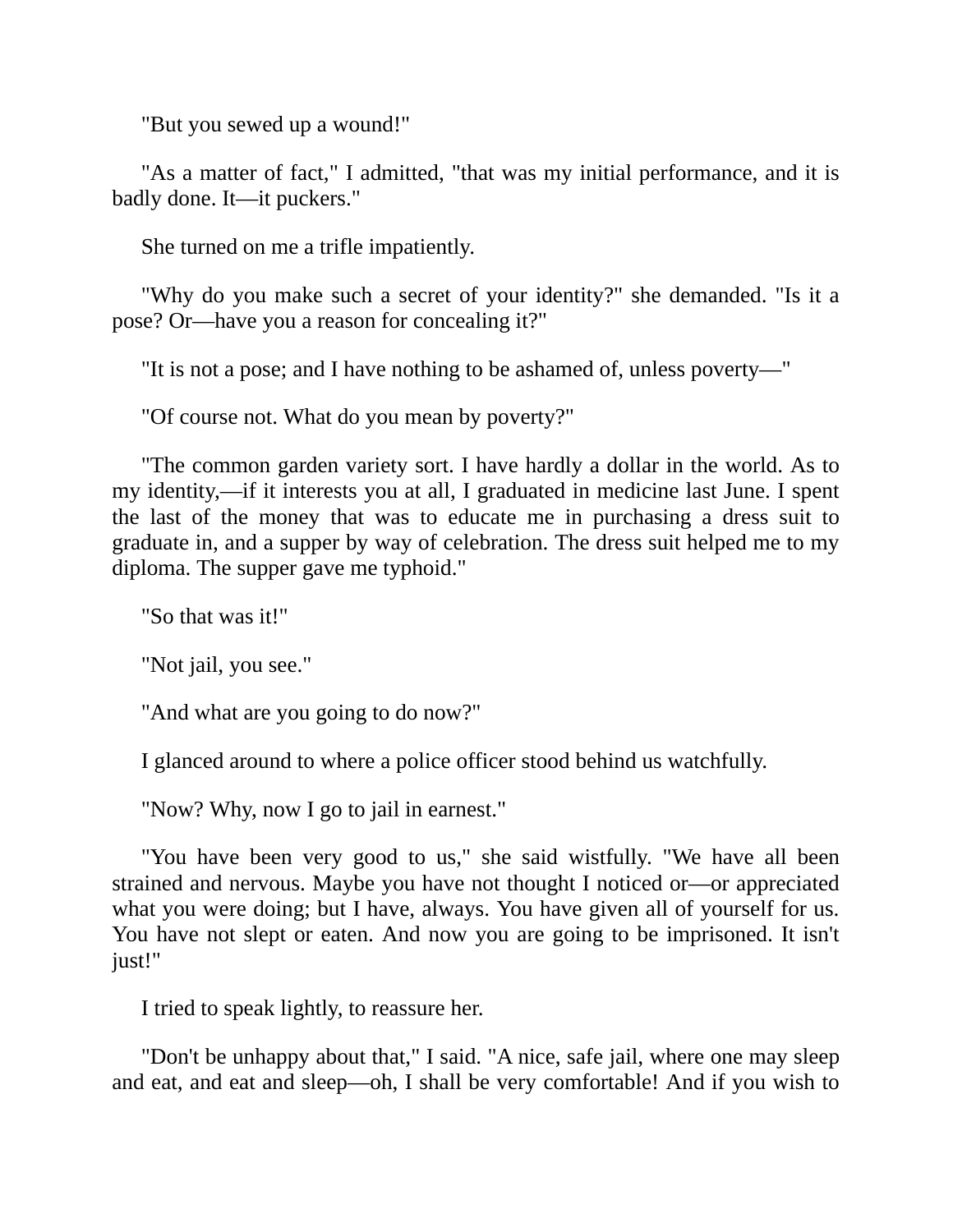"But you sewed up a wound!"

"As a matter of fact," I admitted, "that was my initial performance, and it is badly done. It—it puckers."

She turned on me a trifle impatiently.

"Why do you make such a secret of your identity?" she demanded. "Is it a pose? Or—have you a reason for concealing it?"

"It is not a pose; and I have nothing to be ashamed of, unless poverty—"

"Of course not. What do you mean by poverty?"

"The common garden variety sort. I have hardly a dollar in the world. As to my identity,—if it interests you at all, I graduated in medicine last June. I spent the last of the money that was to educate me in purchasing a dress suit to graduate in, and a supper by way of celebration. The dress suit helped me to my diploma. The supper gave me typhoid."

"So that was it!"

"Not jail, you see."

"And what are you going to do now?"

I glanced around to where a police officer stood behind us watchfully.

"Now? Why, now I go to jail in earnest."

"You have been very good to us," she said wistfully. "We have all been strained and nervous. Maybe you have not thought I noticed or—or appreciated what you were doing; but I have, always. You have given all of yourself for us. You have not slept or eaten. And now you are going to be imprisoned. It isn't just!"

I tried to speak lightly, to reassure her.

"Don't be unhappy about that," I said. "A nice, safe jail, where one may sleep and eat, and eat and sleep—oh, I shall be very comfortable! And if you wish to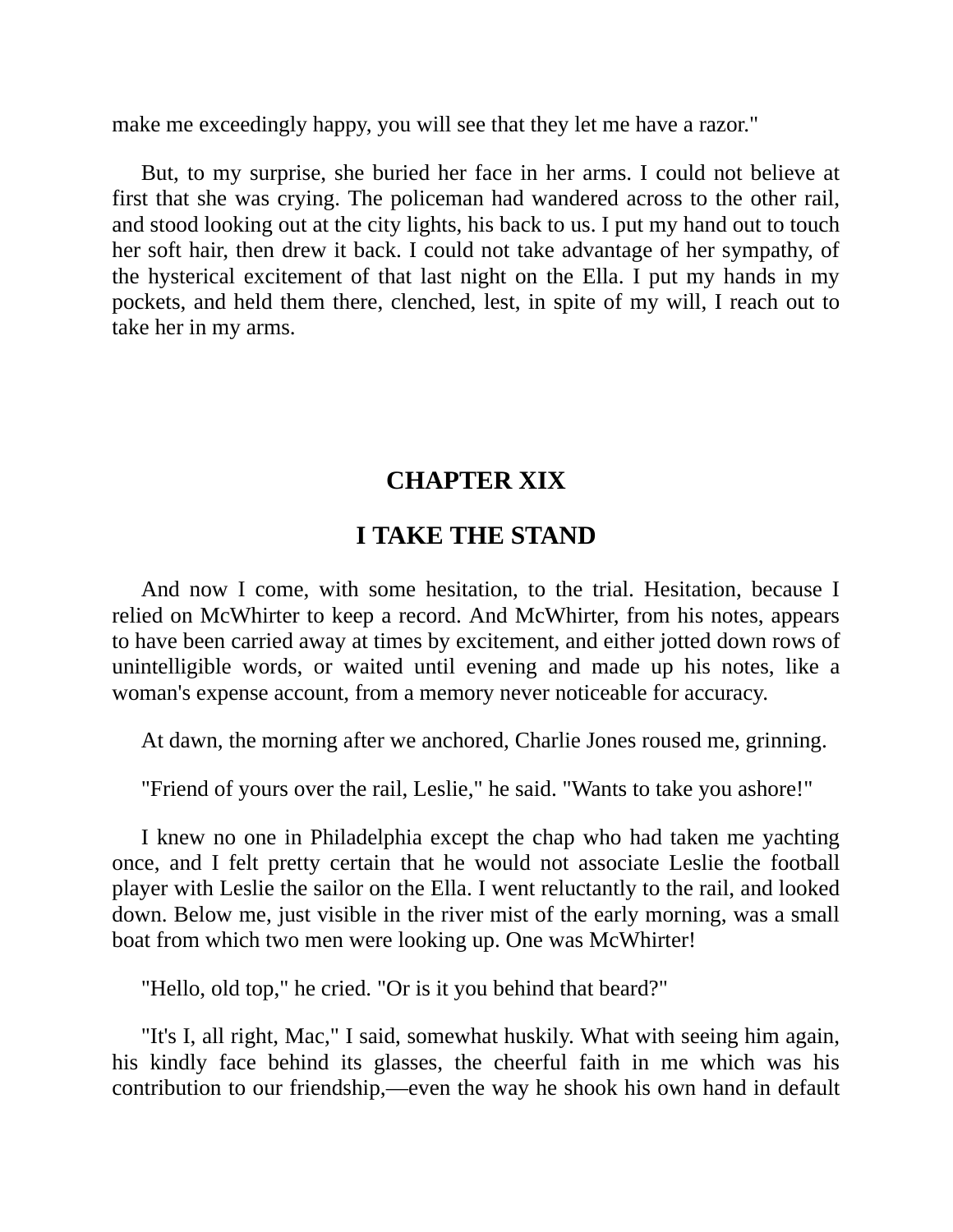make me exceedingly happy, you will see that they let me have a razor."

But, to my surprise, she buried her face in her arms. I could not believe at first that she was crying. The policeman had wandered across to the other rail, and stood looking out at the city lights, his back to us. I put my hand out to touch her soft hair, then drew it back. I could not take advantage of her sympathy, of the hysterical excitement of that last night on the Ella. I put my hands in my pockets, and held them there, clenched, lest, in spite of my will, I reach out to take her in my arms.

# **CHAPTER XIX**

# **I TAKE THE STAND**

And now I come, with some hesitation, to the trial. Hesitation, because I relied on McWhirter to keep a record. And McWhirter, from his notes, appears to have been carried away at times by excitement, and either jotted down rows of unintelligible words, or waited until evening and made up his notes, like a woman's expense account, from a memory never noticeable for accuracy.

At dawn, the morning after we anchored, Charlie Jones roused me, grinning.

"Friend of yours over the rail, Leslie," he said. "Wants to take you ashore!"

I knew no one in Philadelphia except the chap who had taken me yachting once, and I felt pretty certain that he would not associate Leslie the football player with Leslie the sailor on the Ella. I went reluctantly to the rail, and looked down. Below me, just visible in the river mist of the early morning, was a small boat from which two men were looking up. One was McWhirter!

"Hello, old top," he cried. "Or is it you behind that beard?"

"It's I, all right, Mac," I said, somewhat huskily. What with seeing him again, his kindly face behind its glasses, the cheerful faith in me which was his contribution to our friendship,—even the way he shook his own hand in default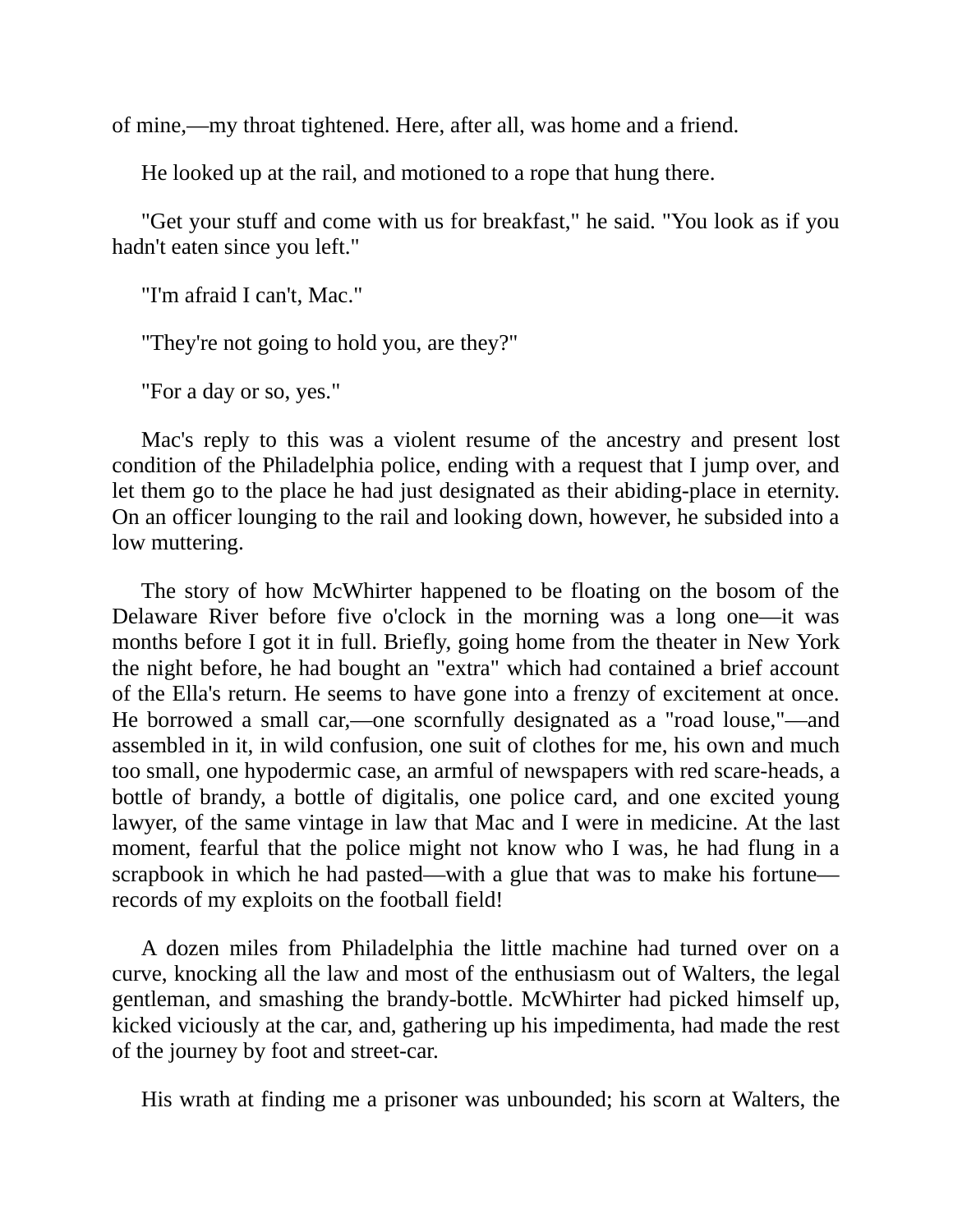of mine,—my throat tightened. Here, after all, was home and a friend.

He looked up at the rail, and motioned to a rope that hung there.

"Get your stuff and come with us for breakfast," he said. "You look as if you hadn't eaten since you left."

"I'm afraid I can't, Mac."

"They're not going to hold you, are they?"

"For a day or so, yes."

Mac's reply to this was a violent resume of the ancestry and present lost condition of the Philadelphia police, ending with a request that I jump over, and let them go to the place he had just designated as their abiding-place in eternity. On an officer lounging to the rail and looking down, however, he subsided into a low muttering.

The story of how McWhirter happened to be floating on the bosom of the Delaware River before five o'clock in the morning was a long one—it was months before I got it in full. Briefly, going home from the theater in New York the night before, he had bought an "extra" which had contained a brief account of the Ella's return. He seems to have gone into a frenzy of excitement at once. He borrowed a small car,—one scornfully designated as a "road louse,"—and assembled in it, in wild confusion, one suit of clothes for me, his own and much too small, one hypodermic case, an armful of newspapers with red scare-heads, a bottle of brandy, a bottle of digitalis, one police card, and one excited young lawyer, of the same vintage in law that Mac and I were in medicine. At the last moment, fearful that the police might not know who I was, he had flung in a scrapbook in which he had pasted—with a glue that was to make his fortune records of my exploits on the football field!

A dozen miles from Philadelphia the little machine had turned over on a curve, knocking all the law and most of the enthusiasm out of Walters, the legal gentleman, and smashing the brandy-bottle. McWhirter had picked himself up, kicked viciously at the car, and, gathering up his impedimenta, had made the rest of the journey by foot and street-car.

His wrath at finding me a prisoner was unbounded; his scorn at Walters, the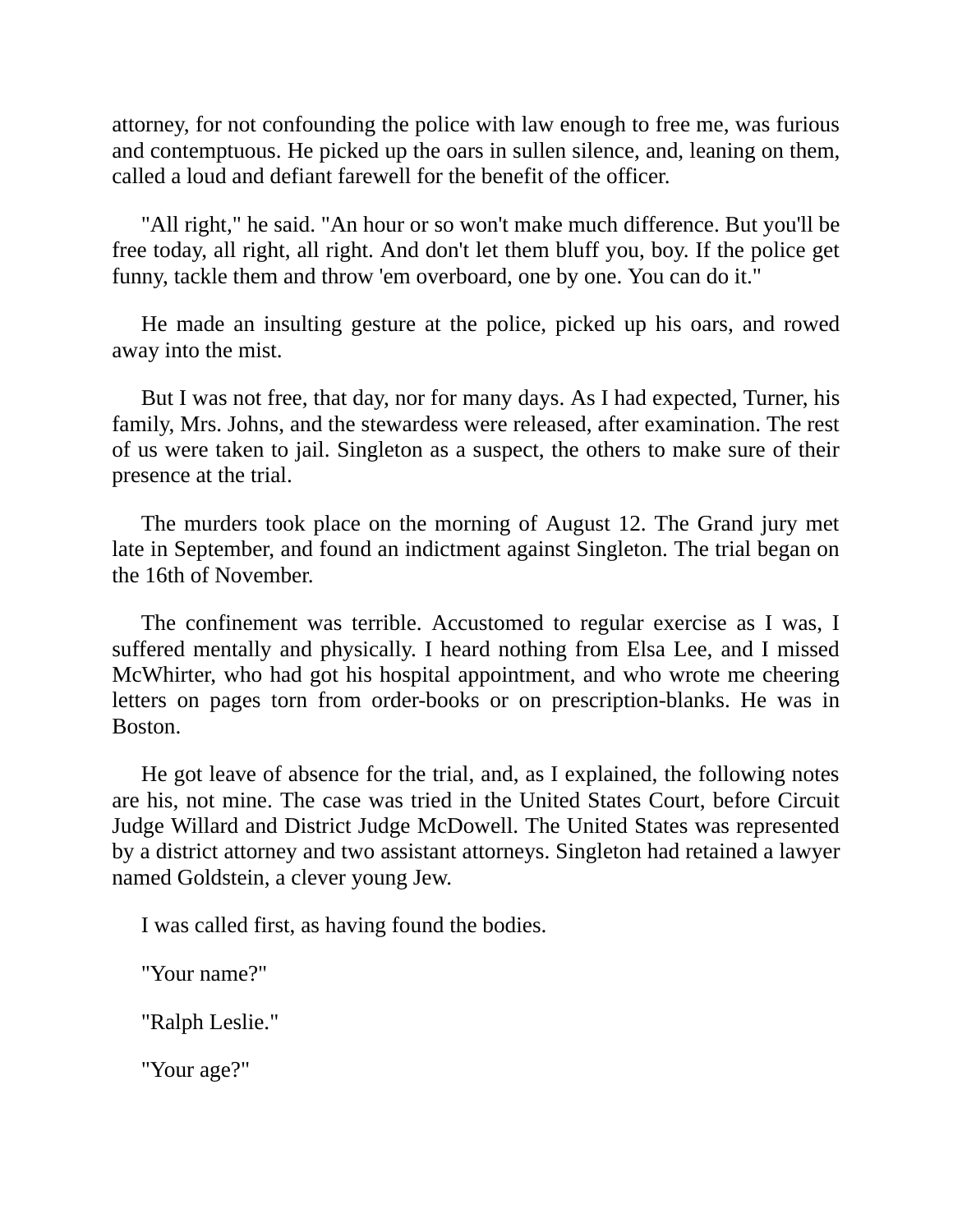attorney, for not confounding the police with law enough to free me, was furious and contemptuous. He picked up the oars in sullen silence, and, leaning on them, called a loud and defiant farewell for the benefit of the officer.

"All right," he said. "An hour or so won't make much difference. But you'll be free today, all right, all right. And don't let them bluff you, boy. If the police get funny, tackle them and throw 'em overboard, one by one. You can do it."

He made an insulting gesture at the police, picked up his oars, and rowed away into the mist.

But I was not free, that day, nor for many days. As I had expected, Turner, his family, Mrs. Johns, and the stewardess were released, after examination. The rest of us were taken to jail. Singleton as a suspect, the others to make sure of their presence at the trial.

The murders took place on the morning of August 12. The Grand jury met late in September, and found an indictment against Singleton. The trial began on the 16th of November.

The confinement was terrible. Accustomed to regular exercise as I was, I suffered mentally and physically. I heard nothing from Elsa Lee, and I missed McWhirter, who had got his hospital appointment, and who wrote me cheering letters on pages torn from order-books or on prescription-blanks. He was in Boston.

He got leave of absence for the trial, and, as I explained, the following notes are his, not mine. The case was tried in the United States Court, before Circuit Judge Willard and District Judge McDowell. The United States was represented by a district attorney and two assistant attorneys. Singleton had retained a lawyer named Goldstein, a clever young Jew.

I was called first, as having found the bodies.

"Your name?"

"Ralph Leslie."

"Your age?"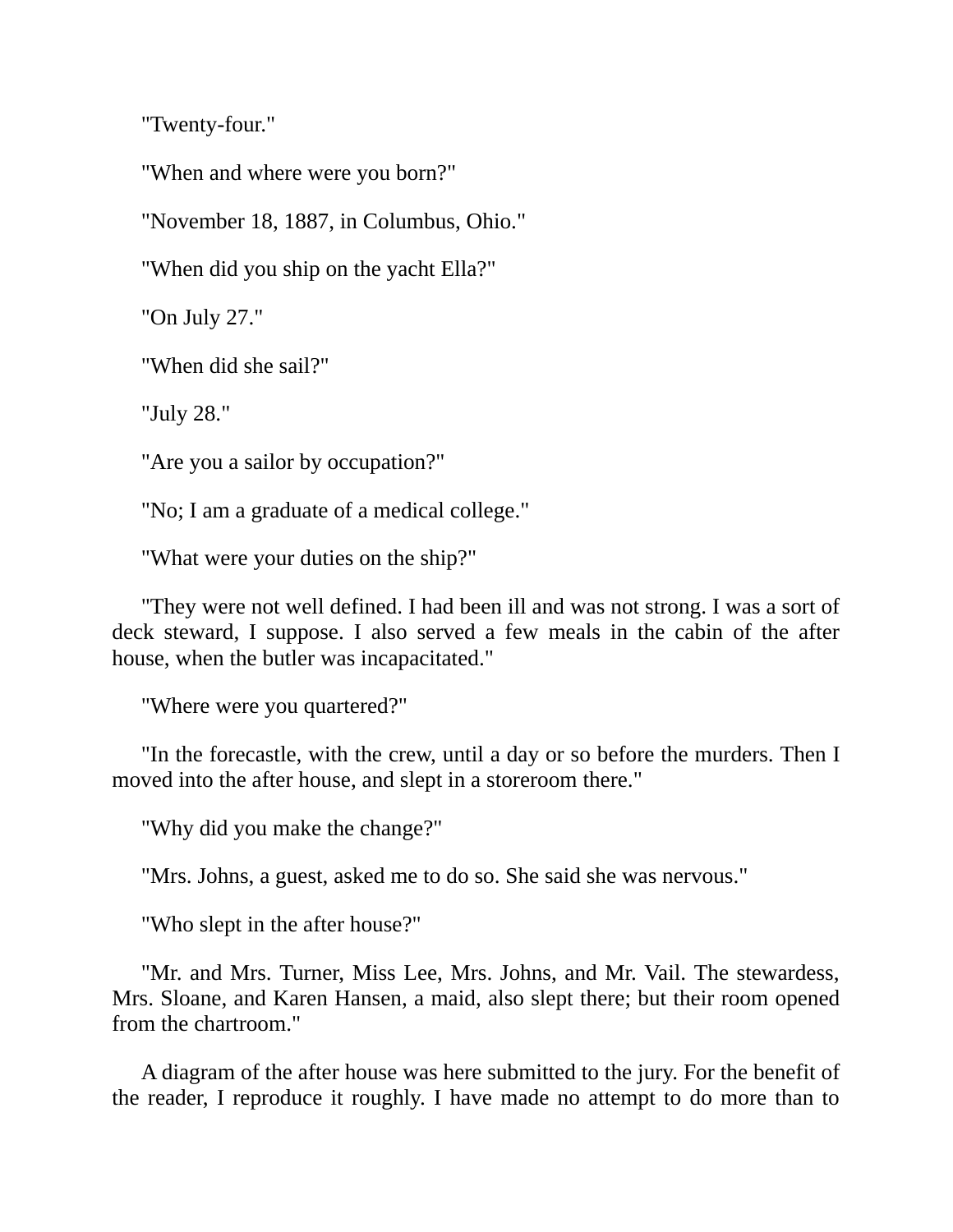"Twenty-four."

"When and where were you born?"

"November 18, 1887, in Columbus, Ohio."

"When did you ship on the yacht Ella?"

"On July 27."

"When did she sail?"

"July 28."

"Are you a sailor by occupation?"

"No; I am a graduate of a medical college."

"What were your duties on the ship?"

"They were not well defined. I had been ill and was not strong. I was a sort of deck steward, I suppose. I also served a few meals in the cabin of the after house, when the butler was incapacitated."

"Where were you quartered?"

"In the forecastle, with the crew, until a day or so before the murders. Then I moved into the after house, and slept in a storeroom there."

"Why did you make the change?"

"Mrs. Johns, a guest, asked me to do so. She said she was nervous."

"Who slept in the after house?"

"Mr. and Mrs. Turner, Miss Lee, Mrs. Johns, and Mr. Vail. The stewardess, Mrs. Sloane, and Karen Hansen, a maid, also slept there; but their room opened from the chartroom."

A diagram of the after house was here submitted to the jury. For the benefit of the reader, I reproduce it roughly. I have made no attempt to do more than to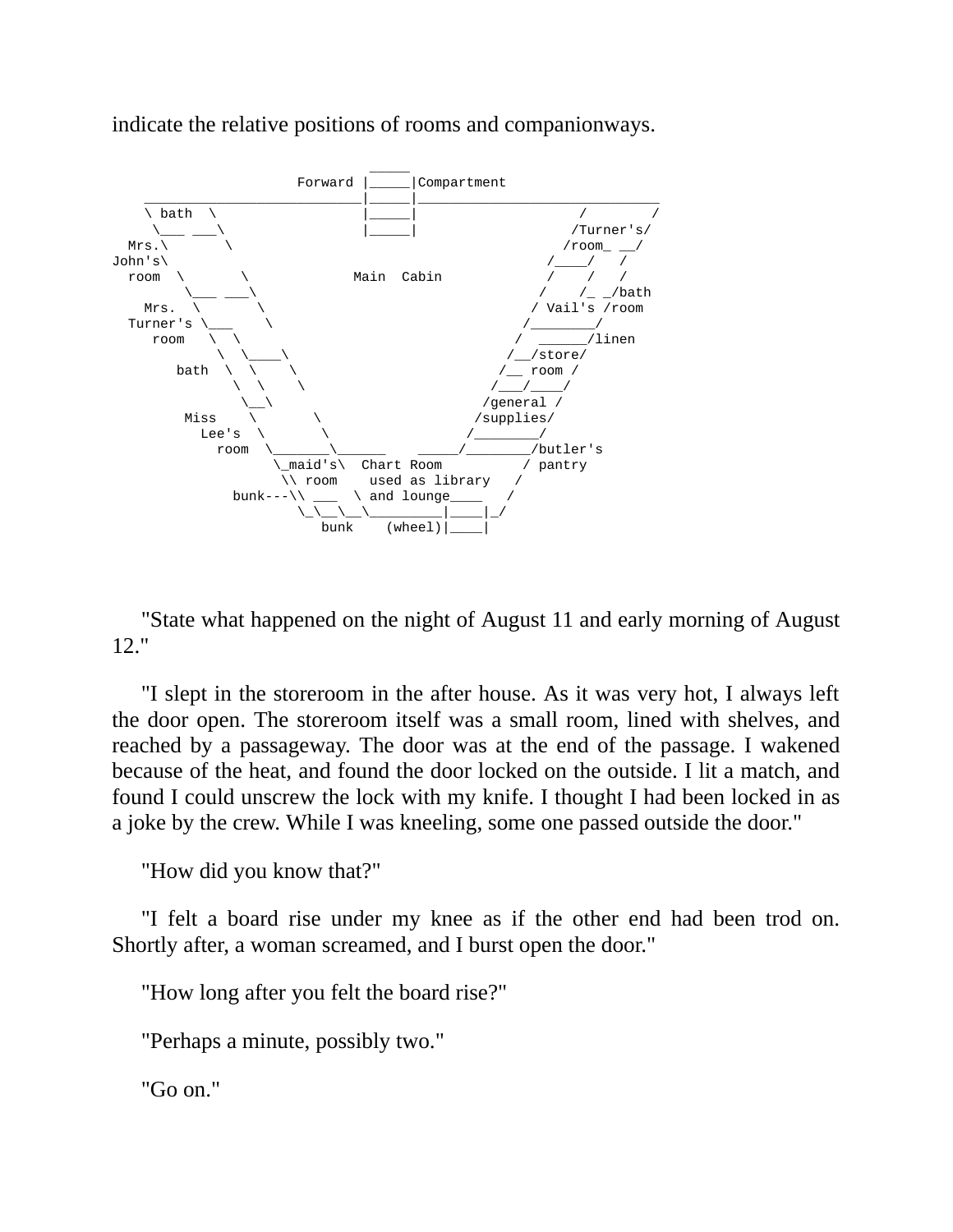

indicate the relative positions of rooms and companionways.

"State what happened on the night of August 11 and early morning of August 12."

"I slept in the storeroom in the after house. As it was very hot, I always left the door open. The storeroom itself was a small room, lined with shelves, and reached by a passageway. The door was at the end of the passage. I wakened because of the heat, and found the door locked on the outside. I lit a match, and found I could unscrew the lock with my knife. I thought I had been locked in as a joke by the crew. While I was kneeling, some one passed outside the door."

"How did you know that?"

"I felt a board rise under my knee as if the other end had been trod on. Shortly after, a woman screamed, and I burst open the door."

"How long after you felt the board rise?"

"Perhaps a minute, possibly two."

"Go on."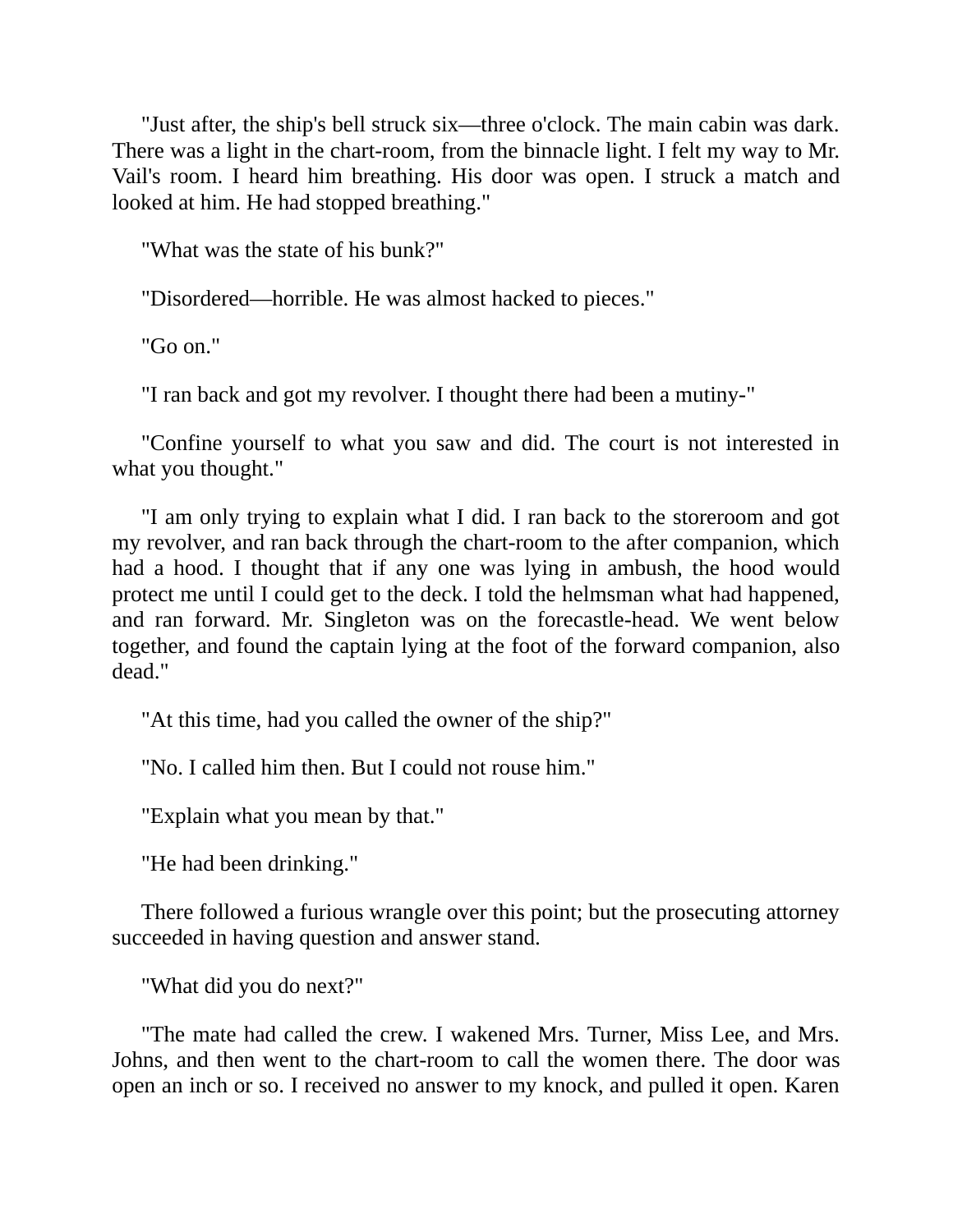"Just after, the ship's bell struck six—three o'clock. The main cabin was dark. There was a light in the chart-room, from the binnacle light. I felt my way to Mr. Vail's room. I heard him breathing. His door was open. I struck a match and looked at him. He had stopped breathing."

"What was the state of his bunk?"

"Disordered—horrible. He was almost hacked to pieces."

"Go on."

"I ran back and got my revolver. I thought there had been a mutiny-"

"Confine yourself to what you saw and did. The court is not interested in what you thought."

"I am only trying to explain what I did. I ran back to the storeroom and got my revolver, and ran back through the chart-room to the after companion, which had a hood. I thought that if any one was lying in ambush, the hood would protect me until I could get to the deck. I told the helmsman what had happened, and ran forward. Mr. Singleton was on the forecastle-head. We went below together, and found the captain lying at the foot of the forward companion, also dead."

"At this time, had you called the owner of the ship?"

"No. I called him then. But I could not rouse him."

"Explain what you mean by that."

"He had been drinking."

There followed a furious wrangle over this point; but the prosecuting attorney succeeded in having question and answer stand.

"What did you do next?"

"The mate had called the crew. I wakened Mrs. Turner, Miss Lee, and Mrs. Johns, and then went to the chart-room to call the women there. The door was open an inch or so. I received no answer to my knock, and pulled it open. Karen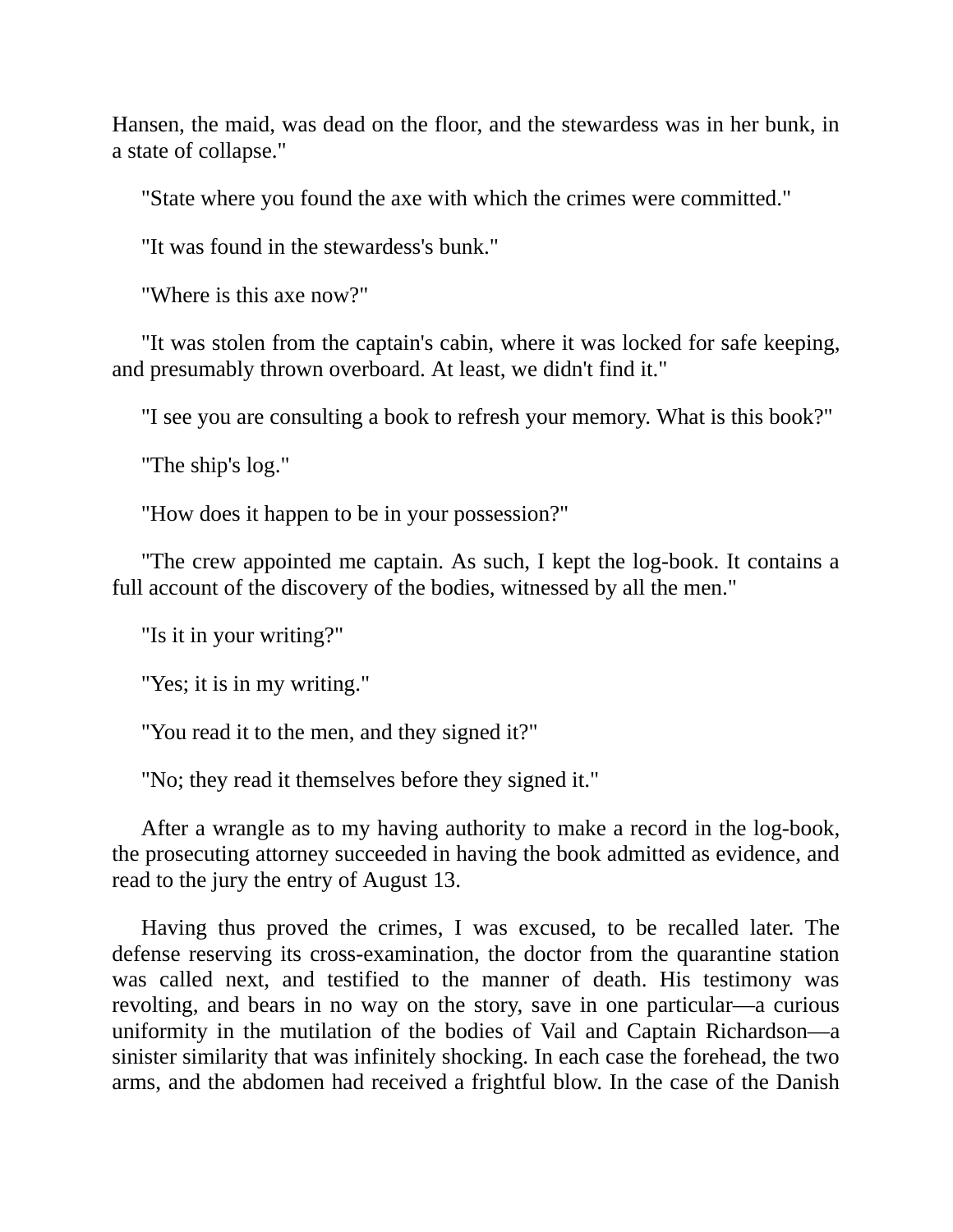Hansen, the maid, was dead on the floor, and the stewardess was in her bunk, in a state of collapse."

"State where you found the axe with which the crimes were committed."

"It was found in the stewardess's bunk."

"Where is this axe now?"

"It was stolen from the captain's cabin, where it was locked for safe keeping, and presumably thrown overboard. At least, we didn't find it."

"I see you are consulting a book to refresh your memory. What is this book?"

"The ship's log."

"How does it happen to be in your possession?"

"The crew appointed me captain. As such, I kept the log-book. It contains a full account of the discovery of the bodies, witnessed by all the men."

"Is it in your writing?"

"Yes; it is in my writing."

"You read it to the men, and they signed it?"

"No; they read it themselves before they signed it."

After a wrangle as to my having authority to make a record in the log-book, the prosecuting attorney succeeded in having the book admitted as evidence, and read to the jury the entry of August 13.

Having thus proved the crimes, I was excused, to be recalled later. The defense reserving its cross-examination, the doctor from the quarantine station was called next, and testified to the manner of death. His testimony was revolting, and bears in no way on the story, save in one particular—a curious uniformity in the mutilation of the bodies of Vail and Captain Richardson—a sinister similarity that was infinitely shocking. In each case the forehead, the two arms, and the abdomen had received a frightful blow. In the case of the Danish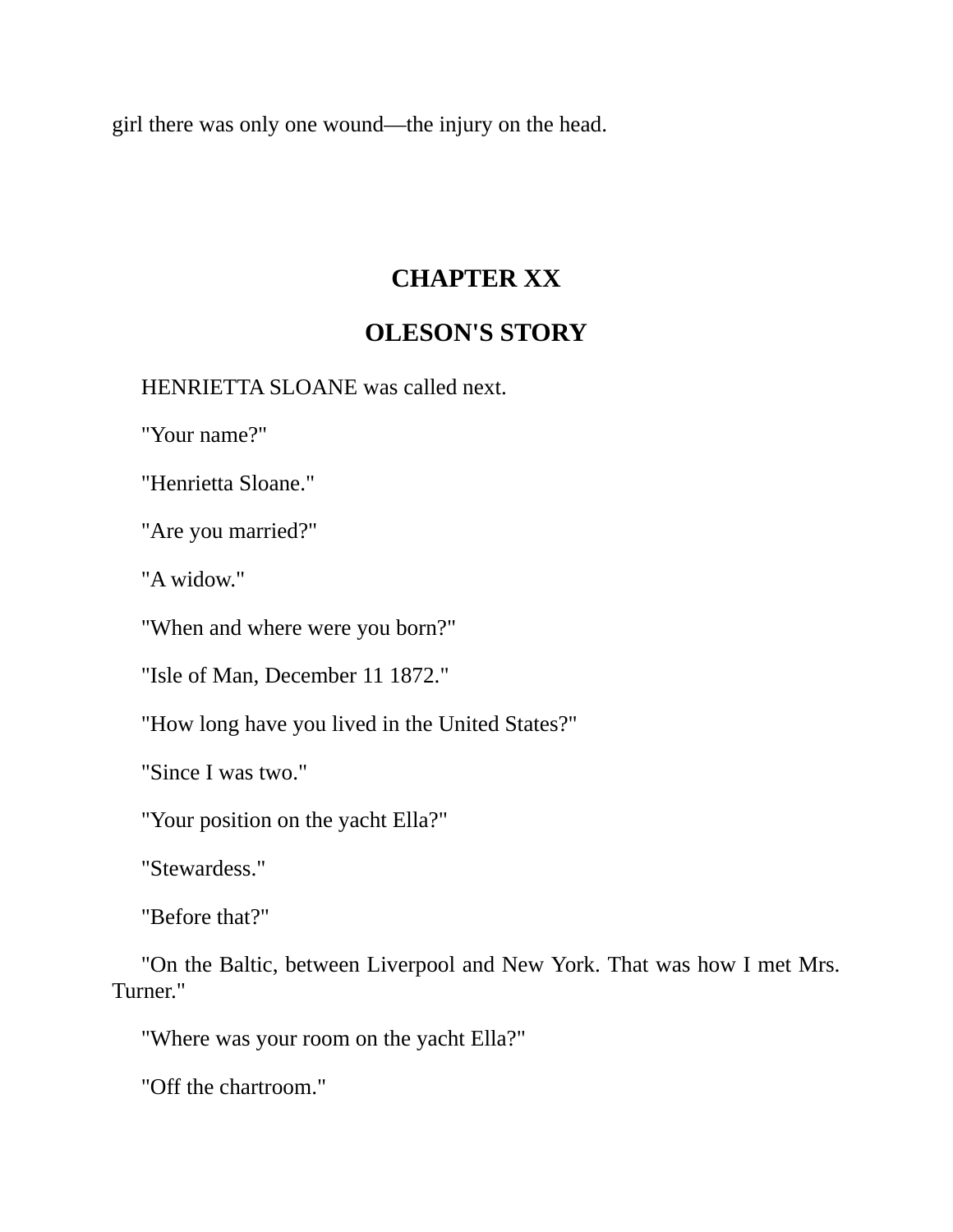girl there was only one wound—the injury on the head.

### **CHAPTER XX**

## **OLESON'S STORY**

HENRIETTA SLOANE was called next.

"Your name?"

"Henrietta Sloane."

"Are you married?"

"A widow."

"When and where were you born?"

"Isle of Man, December 11 1872."

"How long have you lived in the United States?"

"Since I was two."

"Your position on the yacht Ella?"

"Stewardess."

"Before that?"

"On the Baltic, between Liverpool and New York. That was how I met Mrs. Turner."

"Where was your room on the yacht Ella?"

"Off the chartroom."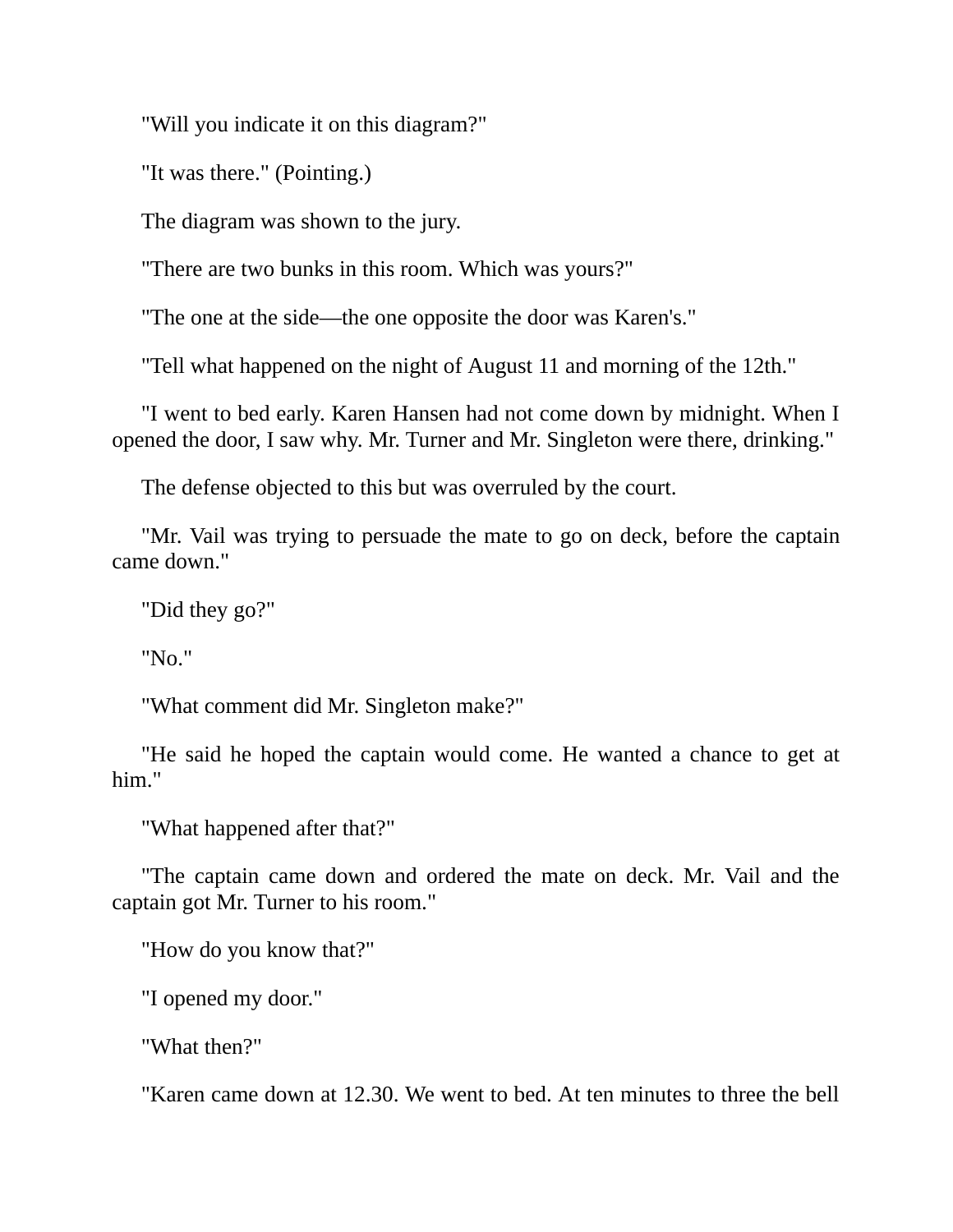"Will you indicate it on this diagram?"

"It was there." (Pointing.)

The diagram was shown to the jury.

"There are two bunks in this room. Which was yours?"

"The one at the side—the one opposite the door was Karen's."

"Tell what happened on the night of August 11 and morning of the 12th."

"I went to bed early. Karen Hansen had not come down by midnight. When I opened the door, I saw why. Mr. Turner and Mr. Singleton were there, drinking."

The defense objected to this but was overruled by the court.

"Mr. Vail was trying to persuade the mate to go on deck, before the captain came down."

"Did they go?"

"No."

"What comment did Mr. Singleton make?"

"He said he hoped the captain would come. He wanted a chance to get at him."

"What happened after that?"

"The captain came down and ordered the mate on deck. Mr. Vail and the captain got Mr. Turner to his room."

"How do you know that?"

"I opened my door."

"What then?"

"Karen came down at 12.30. We went to bed. At ten minutes to three the bell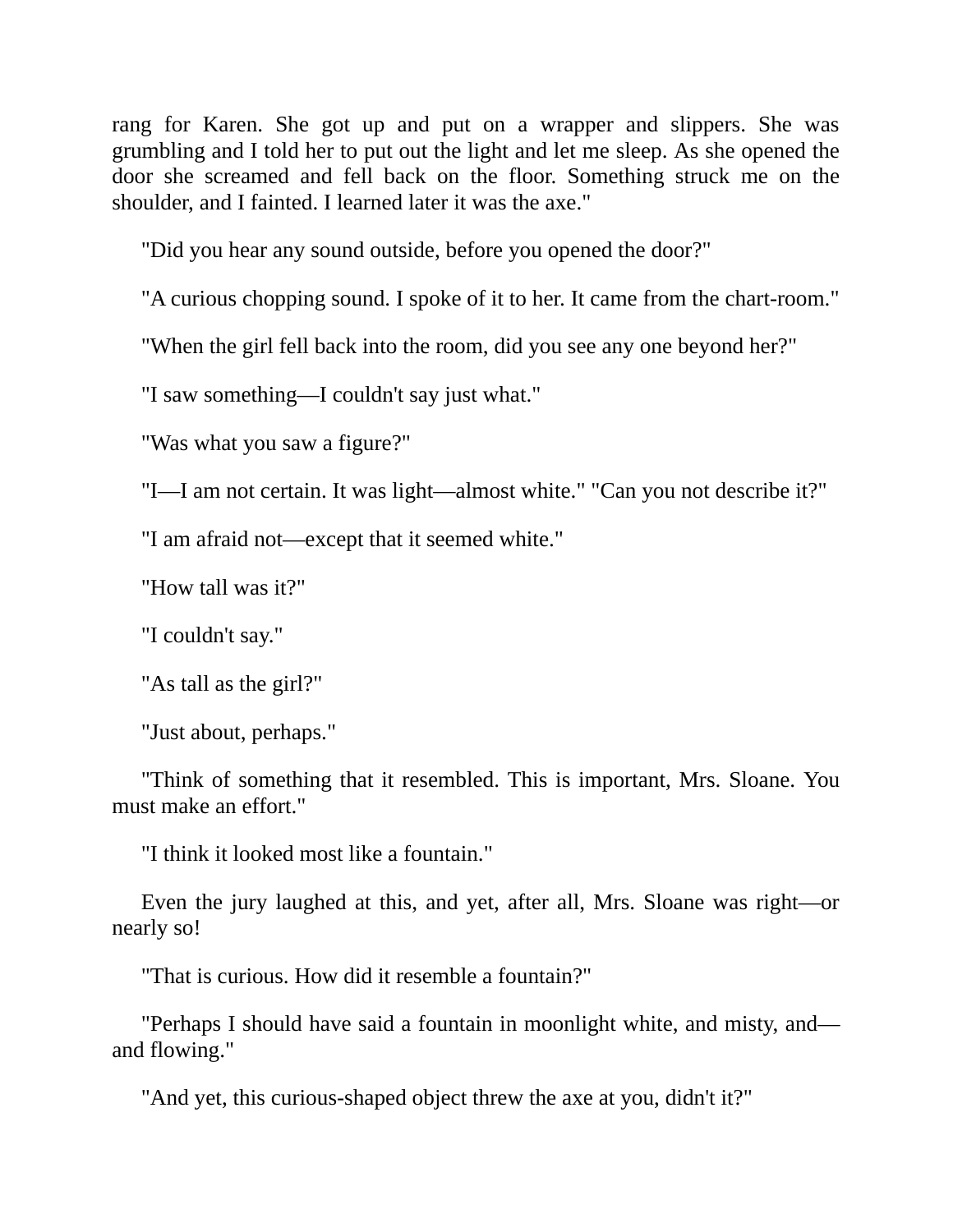rang for Karen. She got up and put on a wrapper and slippers. She was grumbling and I told her to put out the light and let me sleep. As she opened the door she screamed and fell back on the floor. Something struck me on the shoulder, and I fainted. I learned later it was the axe."

"Did you hear any sound outside, before you opened the door?"

"A curious chopping sound. I spoke of it to her. It came from the chart-room."

"When the girl fell back into the room, did you see any one beyond her?"

"I saw something—I couldn't say just what."

"Was what you saw a figure?"

"I—I am not certain. It was light—almost white." "Can you not describe it?"

"I am afraid not—except that it seemed white."

"How tall was it?"

"I couldn't say."

"As tall as the girl?"

"Just about, perhaps."

"Think of something that it resembled. This is important, Mrs. Sloane. You must make an effort."

"I think it looked most like a fountain."

Even the jury laughed at this, and yet, after all, Mrs. Sloane was right—or nearly so!

"That is curious. How did it resemble a fountain?"

"Perhaps I should have said a fountain in moonlight white, and misty, and and flowing."

"And yet, this curious-shaped object threw the axe at you, didn't it?"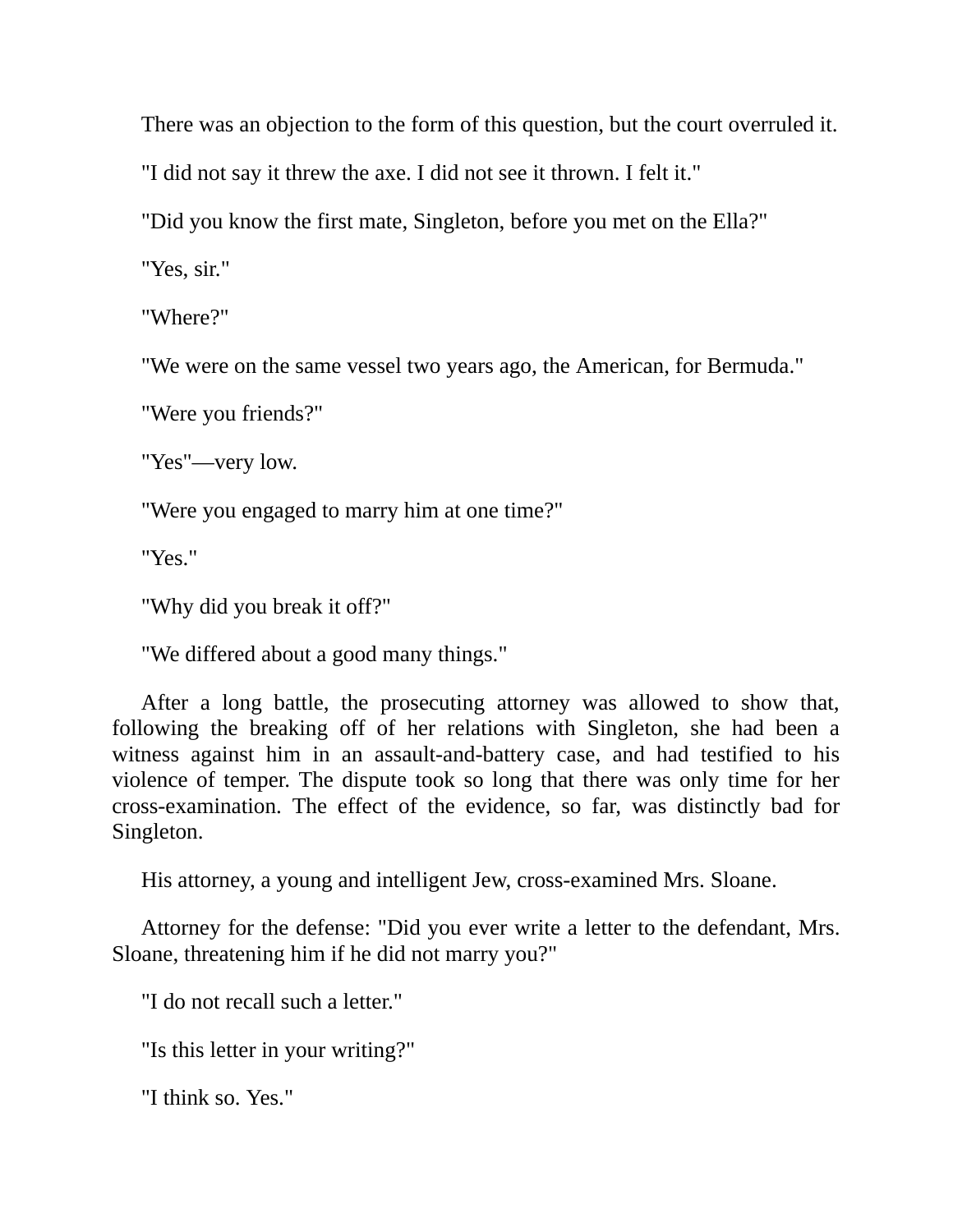There was an objection to the form of this question, but the court overruled it.

"I did not say it threw the axe. I did not see it thrown. I felt it."

"Did you know the first mate, Singleton, before you met on the Ella?"

"Yes, sir."

"Where?"

"We were on the same vessel two years ago, the American, for Bermuda."

"Were you friends?"

"Yes"—very low.

"Were you engaged to marry him at one time?"

"Yes."

"Why did you break it off?"

"We differed about a good many things."

After a long battle, the prosecuting attorney was allowed to show that, following the breaking off of her relations with Singleton, she had been a witness against him in an assault-and-battery case, and had testified to his violence of temper. The dispute took so long that there was only time for her cross-examination. The effect of the evidence, so far, was distinctly bad for Singleton.

His attorney, a young and intelligent Jew, cross-examined Mrs. Sloane.

Attorney for the defense: "Did you ever write a letter to the defendant, Mrs. Sloane, threatening him if he did not marry you?"

"I do not recall such a letter."

"Is this letter in your writing?"

"I think so. Yes."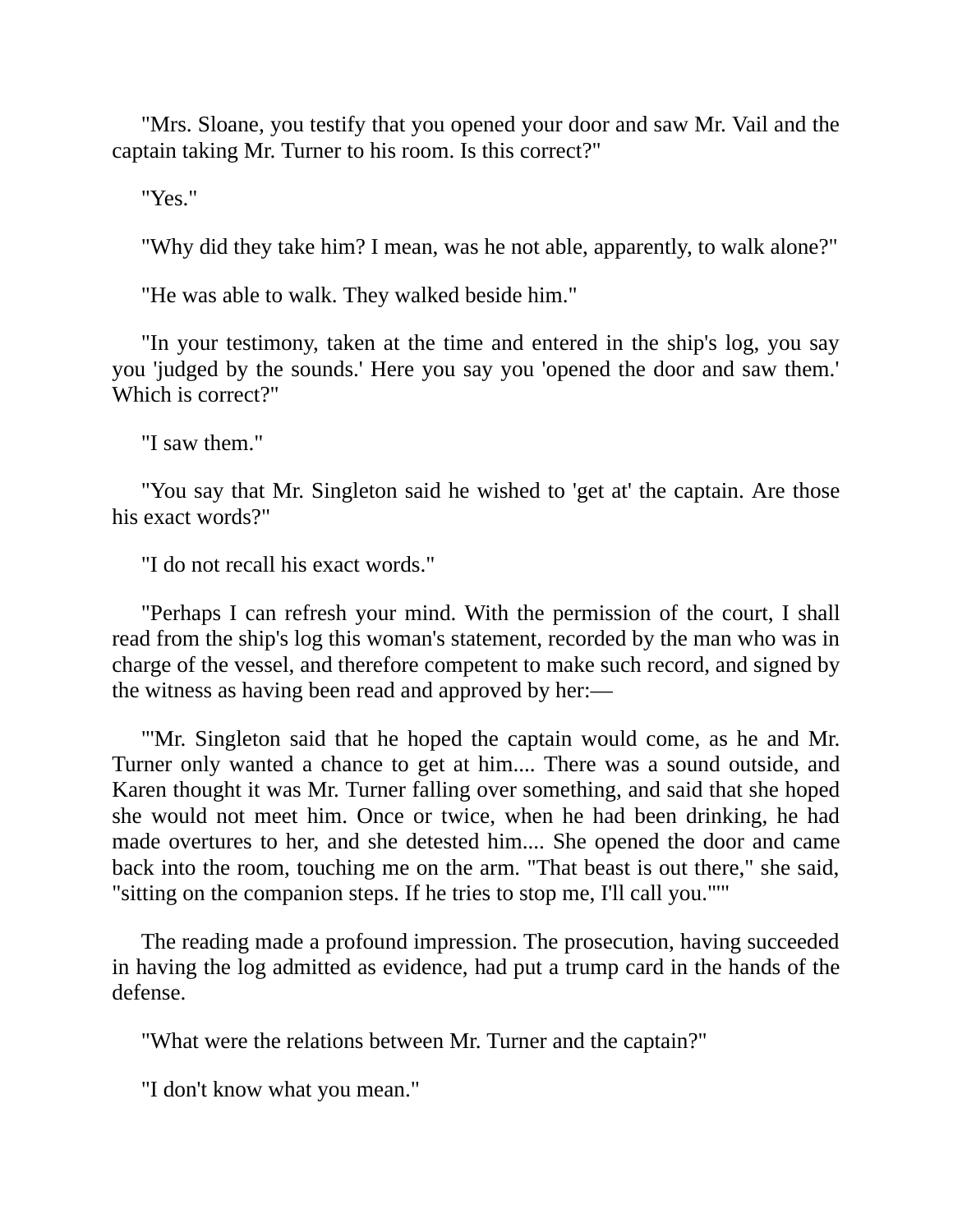"Mrs. Sloane, you testify that you opened your door and saw Mr. Vail and the captain taking Mr. Turner to his room. Is this correct?"

"Yes."

"Why did they take him? I mean, was he not able, apparently, to walk alone?"

"He was able to walk. They walked beside him."

"In your testimony, taken at the time and entered in the ship's log, you say you 'judged by the sounds.' Here you say you 'opened the door and saw them.' Which is correct?"

"I saw them."

"You say that Mr. Singleton said he wished to 'get at' the captain. Are those his exact words?"

"I do not recall his exact words."

"Perhaps I can refresh your mind. With the permission of the court, I shall read from the ship's log this woman's statement, recorded by the man who was in charge of the vessel, and therefore competent to make such record, and signed by the witness as having been read and approved by her:—

"'Mr. Singleton said that he hoped the captain would come, as he and Mr. Turner only wanted a chance to get at him.... There was a sound outside, and Karen thought it was Mr. Turner falling over something, and said that she hoped she would not meet him. Once or twice, when he had been drinking, he had made overtures to her, and she detested him.... She opened the door and came back into the room, touching me on the arm. "That beast is out there," she said, "sitting on the companion steps. If he tries to stop me, I'll call you."'"

The reading made a profound impression. The prosecution, having succeeded in having the log admitted as evidence, had put a trump card in the hands of the defense.

"What were the relations between Mr. Turner and the captain?"

"I don't know what you mean."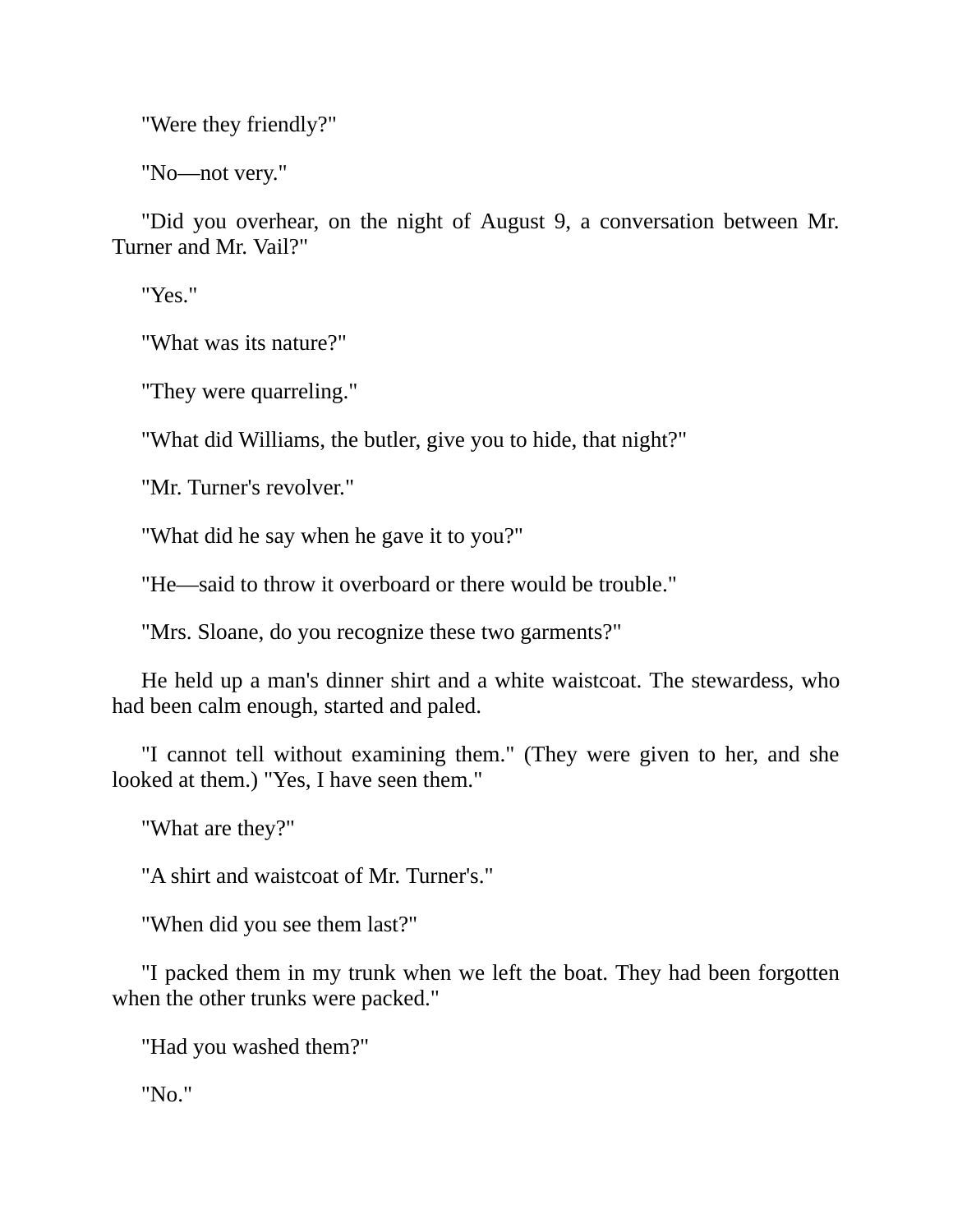"Were they friendly?"

"No—not very."

"Did you overhear, on the night of August 9, a conversation between Mr. Turner and Mr. Vail?"

"Yes."

"What was its nature?"

"They were quarreling."

"What did Williams, the butler, give you to hide, that night?"

"Mr. Turner's revolver."

"What did he say when he gave it to you?"

"He—said to throw it overboard or there would be trouble."

"Mrs. Sloane, do you recognize these two garments?"

He held up a man's dinner shirt and a white waistcoat. The stewardess, who had been calm enough, started and paled.

"I cannot tell without examining them." (They were given to her, and she looked at them.) "Yes, I have seen them."

"What are they?"

"A shirt and waistcoat of Mr. Turner's."

"When did you see them last?"

"I packed them in my trunk when we left the boat. They had been forgotten when the other trunks were packed."

"Had you washed them?"

"No."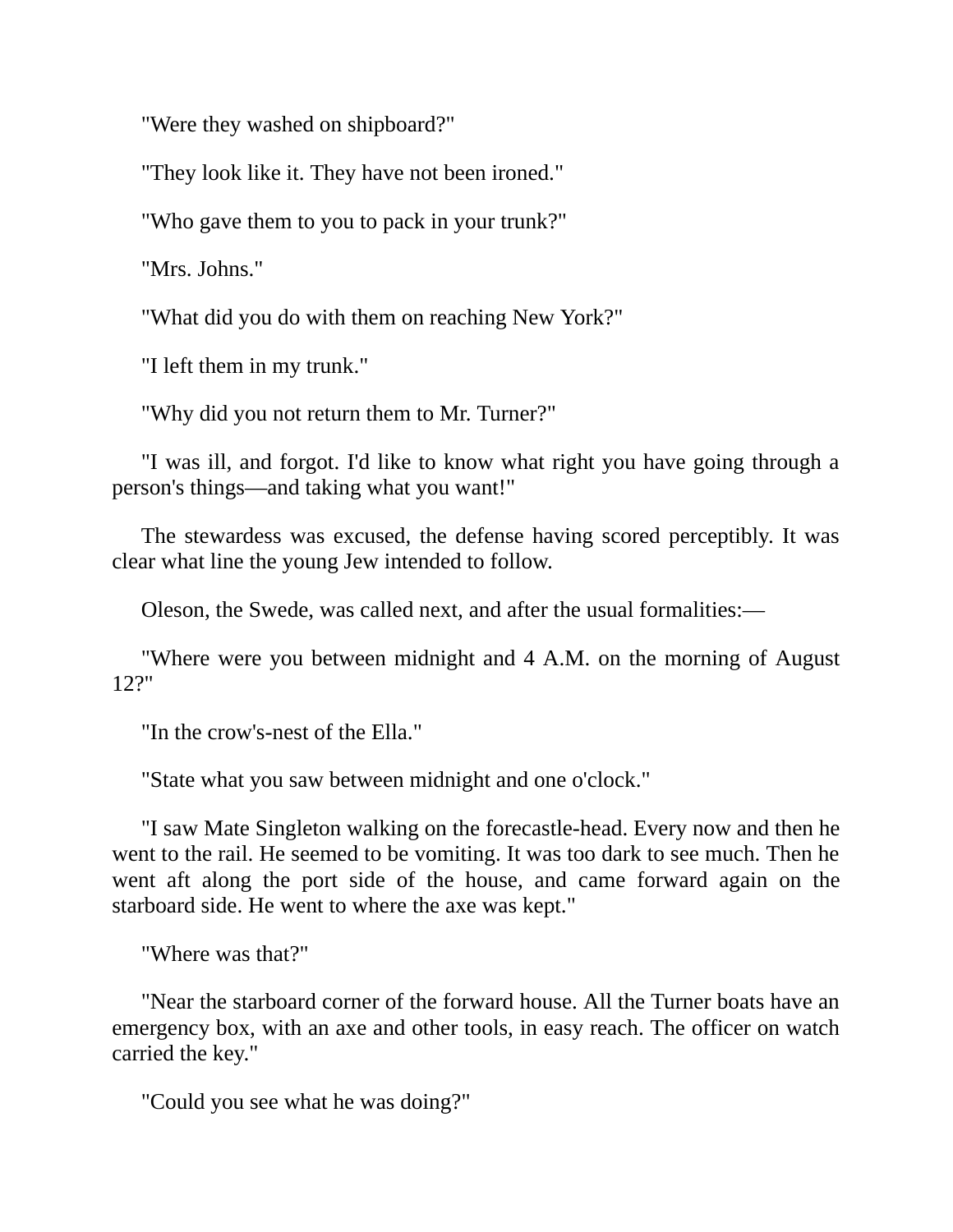"Were they washed on shipboard?"

"They look like it. They have not been ironed."

"Who gave them to you to pack in your trunk?"

"Mrs. Johns."

"What did you do with them on reaching New York?"

"I left them in my trunk."

"Why did you not return them to Mr. Turner?"

"I was ill, and forgot. I'd like to know what right you have going through a person's things—and taking what you want!"

The stewardess was excused, the defense having scored perceptibly. It was clear what line the young Jew intended to follow.

Oleson, the Swede, was called next, and after the usual formalities:—

"Where were you between midnight and 4 A.M. on the morning of August 12?"

"In the crow's-nest of the Ella."

"State what you saw between midnight and one o'clock."

"I saw Mate Singleton walking on the forecastle-head. Every now and then he went to the rail. He seemed to be vomiting. It was too dark to see much. Then he went aft along the port side of the house, and came forward again on the starboard side. He went to where the axe was kept."

"Where was that?"

"Near the starboard corner of the forward house. All the Turner boats have an emergency box, with an axe and other tools, in easy reach. The officer on watch carried the key."

"Could you see what he was doing?"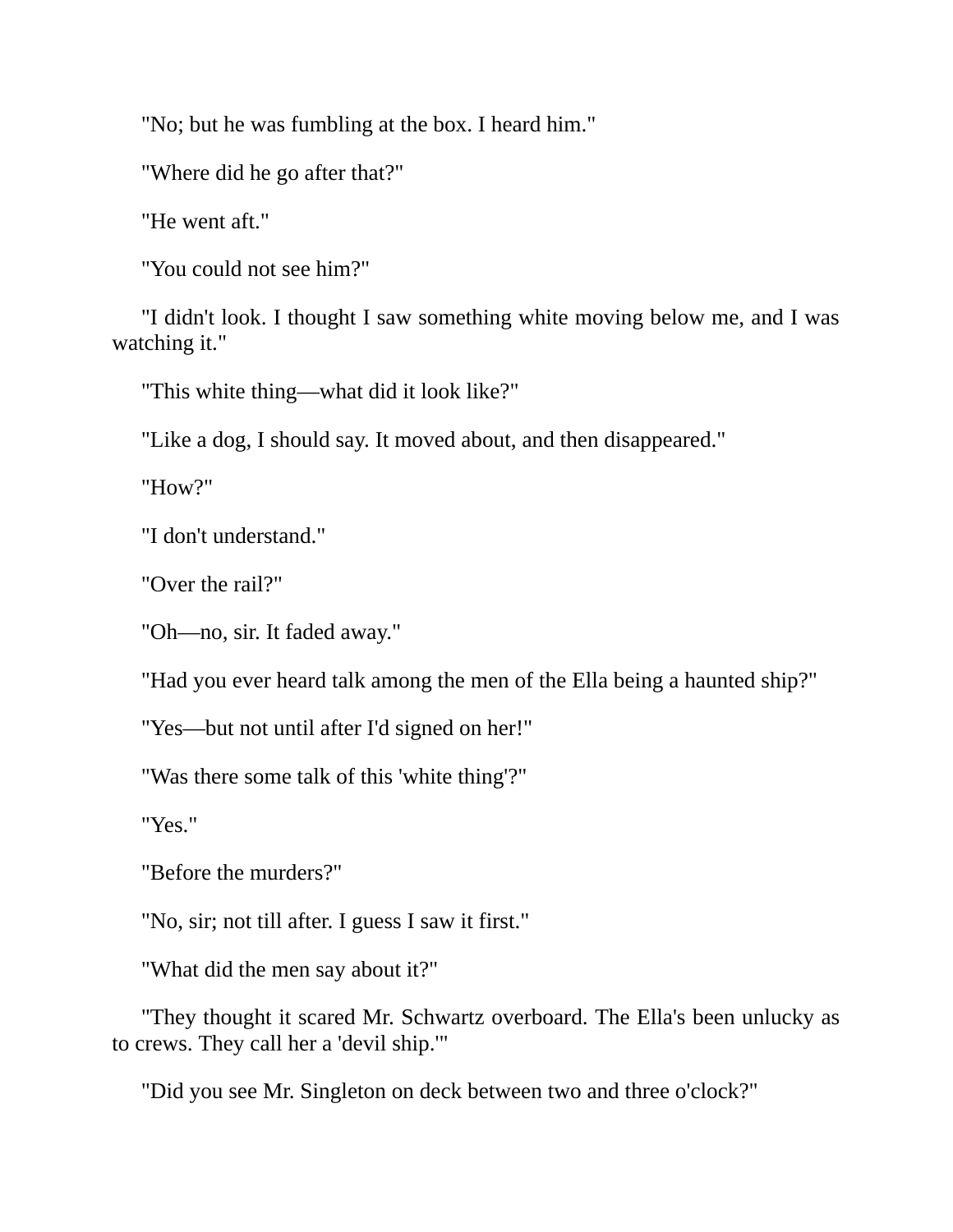"No; but he was fumbling at the box. I heard him."

"Where did he go after that?"

"He went aft."

"You could not see him?"

"I didn't look. I thought I saw something white moving below me, and I was watching it."

"This white thing—what did it look like?"

"Like a dog, I should say. It moved about, and then disappeared."

"How?"

"I don't understand."

"Over the rail?"

"Oh—no, sir. It faded away."

"Had you ever heard talk among the men of the Ella being a haunted ship?"

"Yes—but not until after I'd signed on her!"

"Was there some talk of this 'white thing'?"

"Yes."

"Before the murders?"

"No, sir; not till after. I guess I saw it first."

"What did the men say about it?"

"They thought it scared Mr. Schwartz overboard. The Ella's been unlucky as to crews. They call her a 'devil ship.'"

"Did you see Mr. Singleton on deck between two and three o'clock?"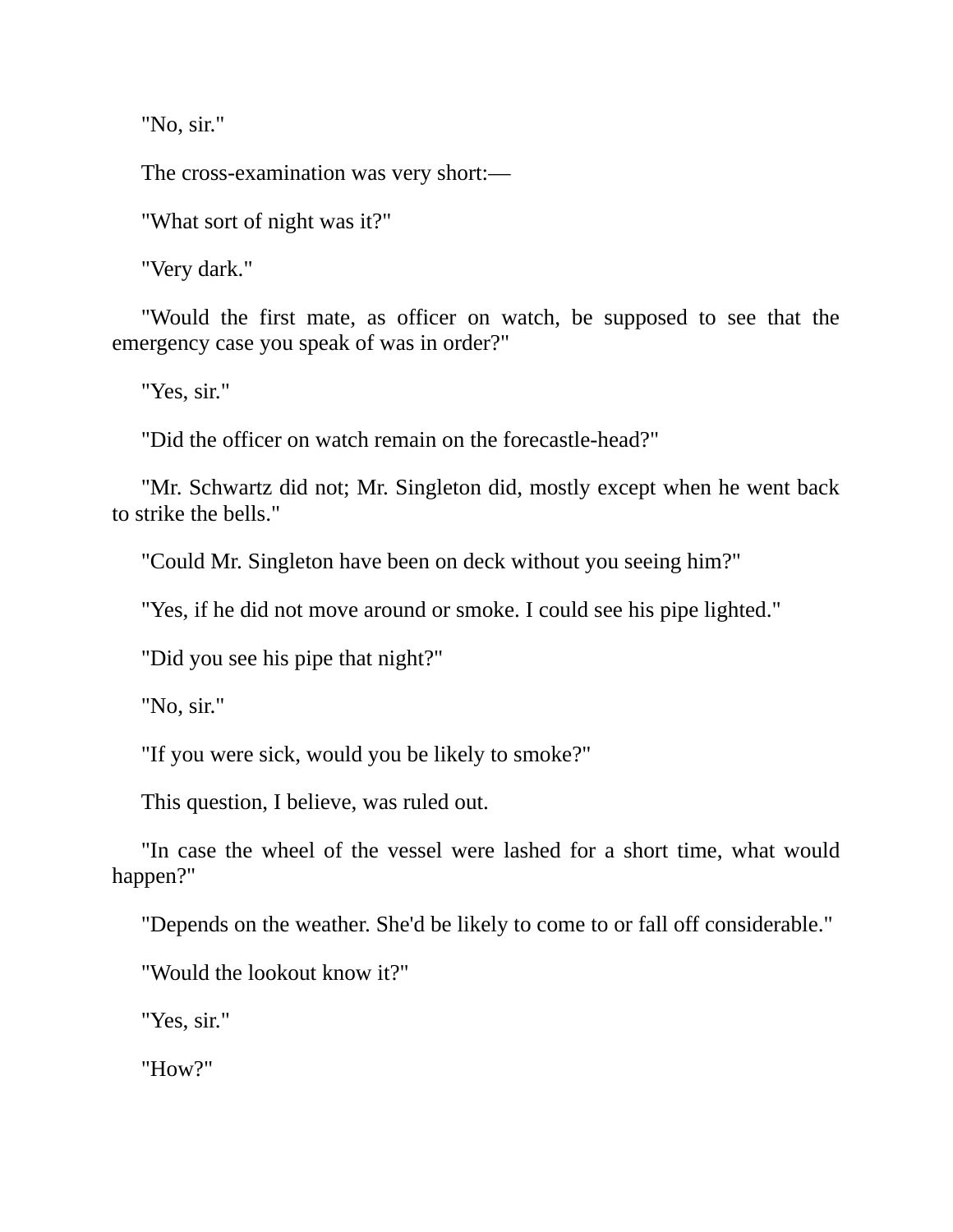"No, sir."

The cross-examination was very short:—

"What sort of night was it?"

"Very dark."

"Would the first mate, as officer on watch, be supposed to see that the emergency case you speak of was in order?"

"Yes, sir."

"Did the officer on watch remain on the forecastle-head?"

"Mr. Schwartz did not; Mr. Singleton did, mostly except when he went back to strike the bells."

"Could Mr. Singleton have been on deck without you seeing him?"

"Yes, if he did not move around or smoke. I could see his pipe lighted."

"Did you see his pipe that night?"

"No, sir."

"If you were sick, would you be likely to smoke?"

This question, I believe, was ruled out.

"In case the wheel of the vessel were lashed for a short time, what would happen?"

"Depends on the weather. She'd be likely to come to or fall off considerable."

"Would the lookout know it?"

"Yes, sir."

"How?"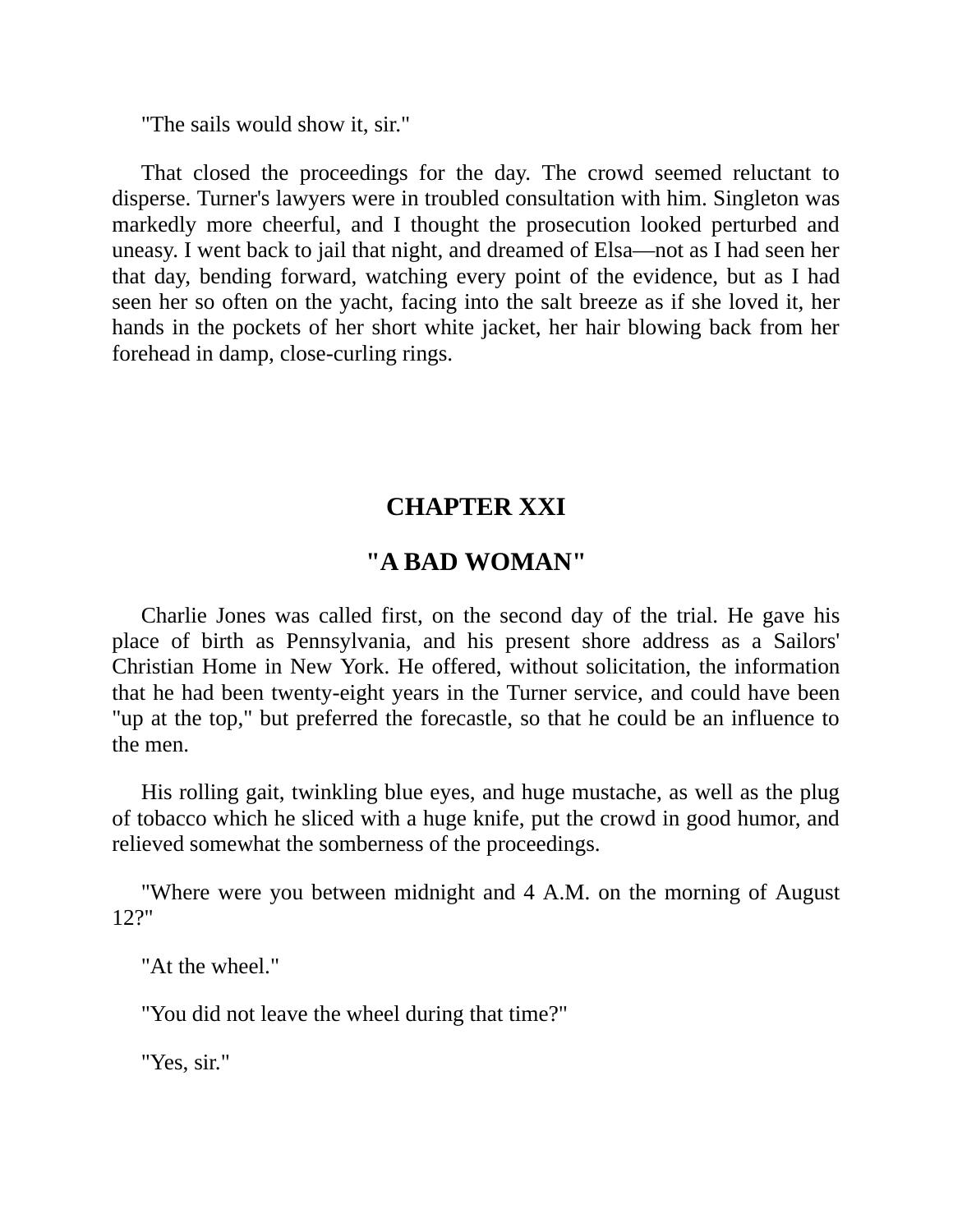"The sails would show it, sir."

That closed the proceedings for the day. The crowd seemed reluctant to disperse. Turner's lawyers were in troubled consultation with him. Singleton was markedly more cheerful, and I thought the prosecution looked perturbed and uneasy. I went back to jail that night, and dreamed of Elsa—not as I had seen her that day, bending forward, watching every point of the evidence, but as I had seen her so often on the yacht, facing into the salt breeze as if she loved it, her hands in the pockets of her short white jacket, her hair blowing back from her forehead in damp, close-curling rings.

### **CHAPTER XXI**

#### **"A BAD WOMAN"**

Charlie Jones was called first, on the second day of the trial. He gave his place of birth as Pennsylvania, and his present shore address as a Sailors' Christian Home in New York. He offered, without solicitation, the information that he had been twenty-eight years in the Turner service, and could have been "up at the top," but preferred the forecastle, so that he could be an influence to the men.

His rolling gait, twinkling blue eyes, and huge mustache, as well as the plug of tobacco which he sliced with a huge knife, put the crowd in good humor, and relieved somewhat the somberness of the proceedings.

"Where were you between midnight and 4 A.M. on the morning of August 12?"

"At the wheel."

"You did not leave the wheel during that time?"

"Yes, sir."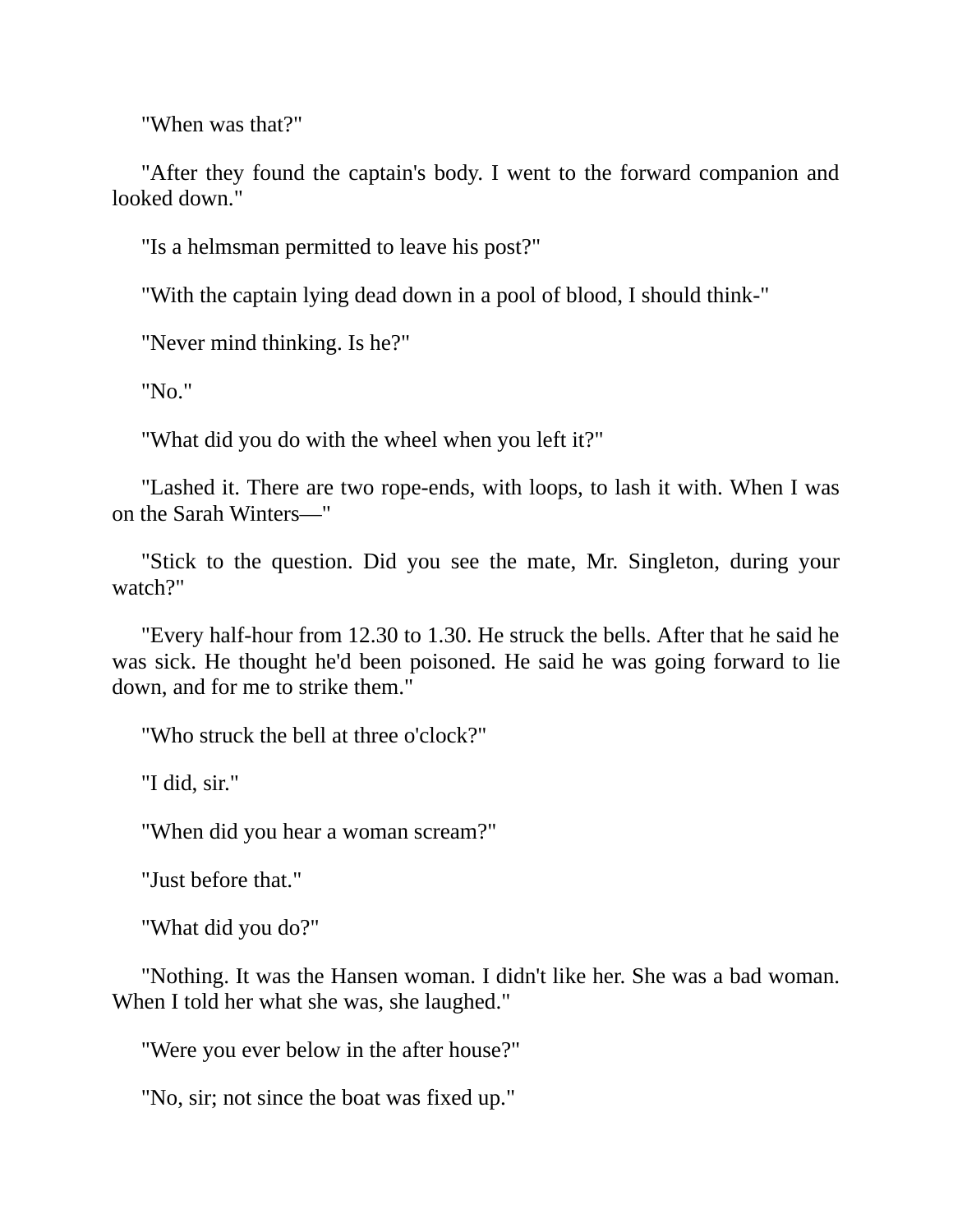"When was that?"

"After they found the captain's body. I went to the forward companion and looked down."

"Is a helmsman permitted to leave his post?"

"With the captain lying dead down in a pool of blood, I should think-"

"Never mind thinking. Is he?"

"No."

"What did you do with the wheel when you left it?"

"Lashed it. There are two rope-ends, with loops, to lash it with. When I was on the Sarah Winters—"

"Stick to the question. Did you see the mate, Mr. Singleton, during your watch?"

"Every half-hour from 12.30 to 1.30. He struck the bells. After that he said he was sick. He thought he'd been poisoned. He said he was going forward to lie down, and for me to strike them."

"Who struck the bell at three o'clock?"

"I did, sir."

"When did you hear a woman scream?"

"Just before that."

"What did you do?"

"Nothing. It was the Hansen woman. I didn't like her. She was a bad woman. When I told her what she was, she laughed."

"Were you ever below in the after house?"

"No, sir; not since the boat was fixed up."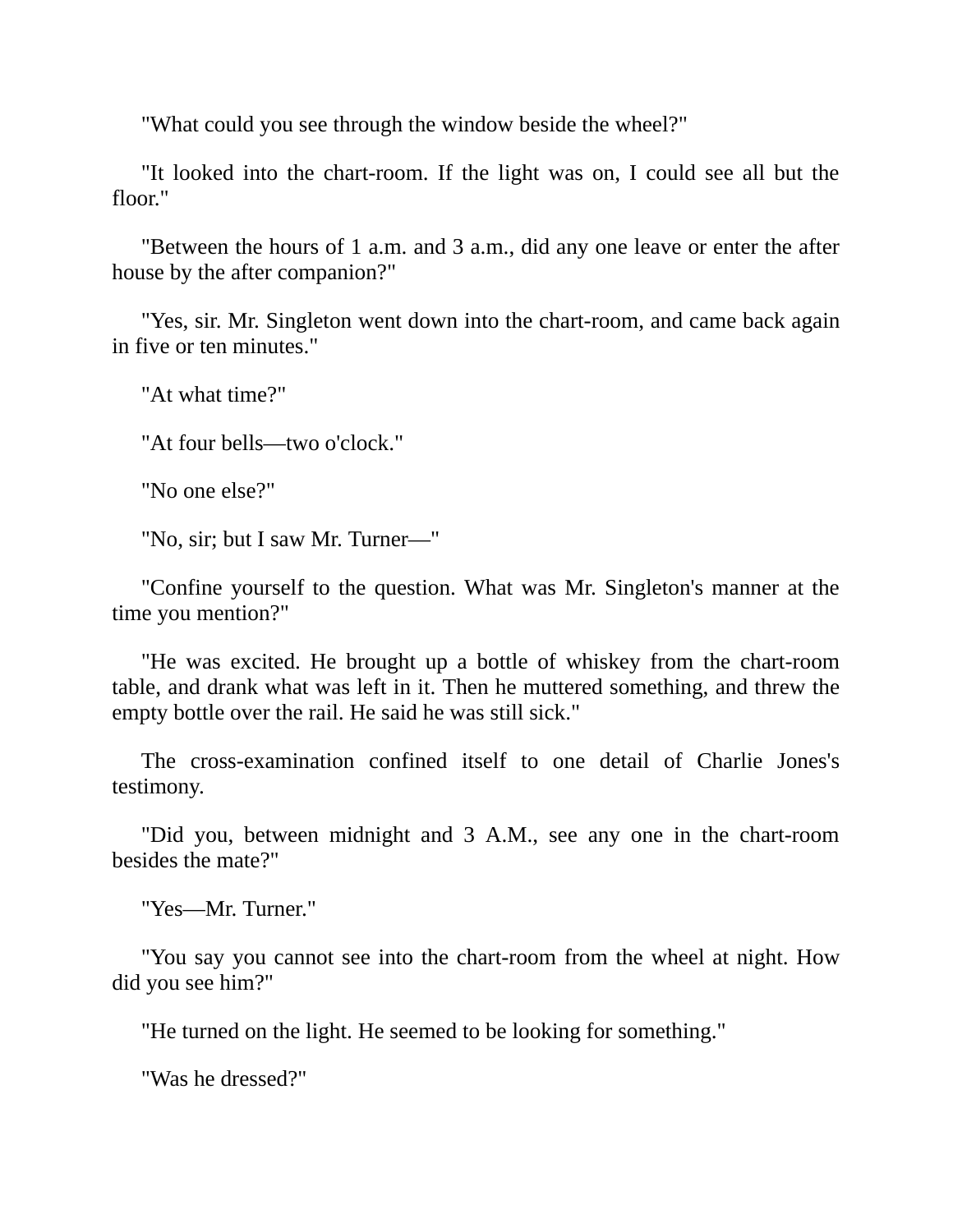"What could you see through the window beside the wheel?"

"It looked into the chart-room. If the light was on, I could see all but the floor."

"Between the hours of 1 a.m. and 3 a.m., did any one leave or enter the after house by the after companion?"

"Yes, sir. Mr. Singleton went down into the chart-room, and came back again in five or ten minutes."

"At what time?"

"At four bells—two o'clock."

"No one else?"

"No, sir; but I saw Mr. Turner—"

"Confine yourself to the question. What was Mr. Singleton's manner at the time you mention?"

"He was excited. He brought up a bottle of whiskey from the chart-room table, and drank what was left in it. Then he muttered something, and threw the empty bottle over the rail. He said he was still sick."

The cross-examination confined itself to one detail of Charlie Jones's testimony.

"Did you, between midnight and 3 A.M., see any one in the chart-room besides the mate?"

"Yes—Mr. Turner."

"You say you cannot see into the chart-room from the wheel at night. How did you see him?"

"He turned on the light. He seemed to be looking for something."

"Was he dressed?"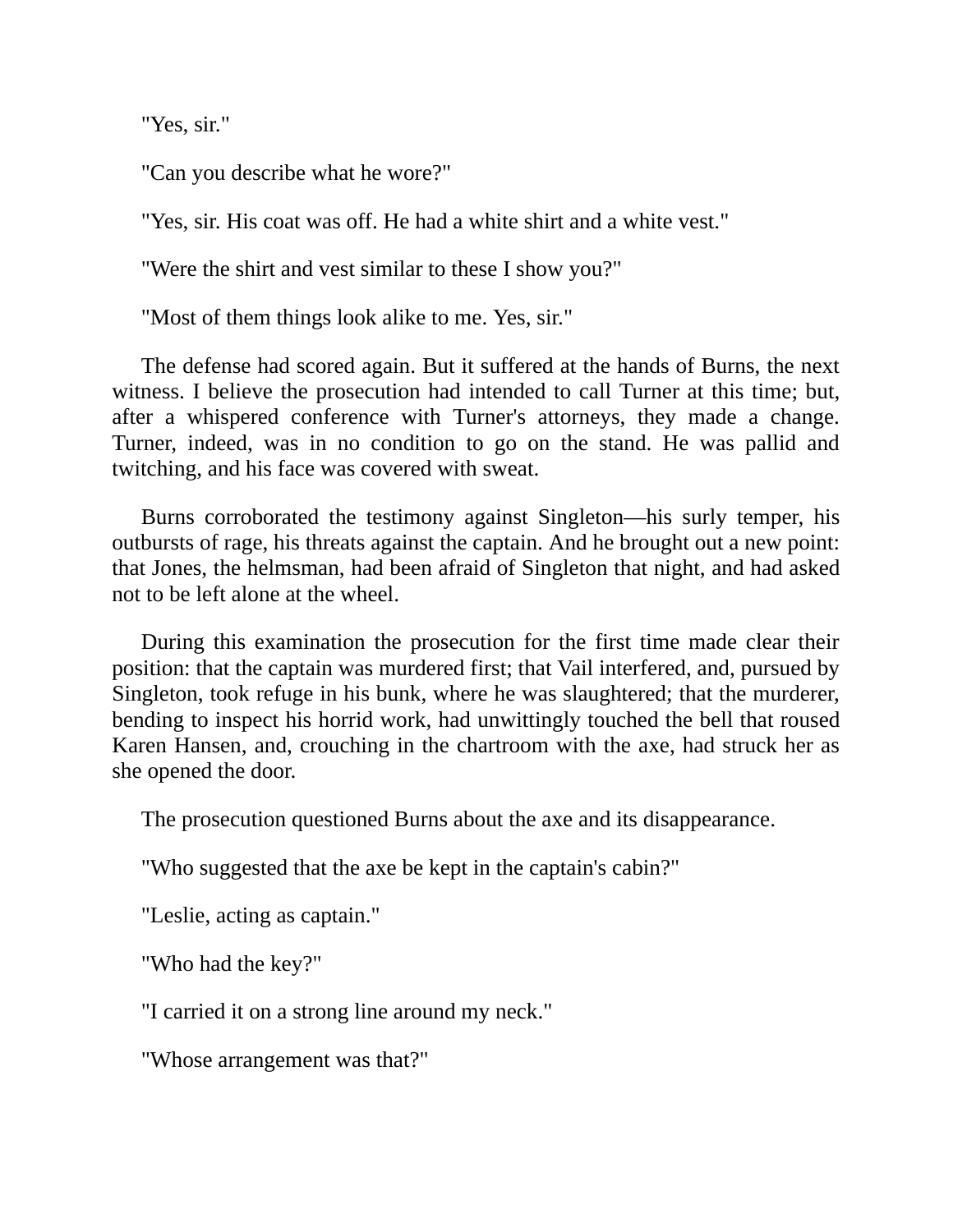"Yes, sir."

"Can you describe what he wore?"

"Yes, sir. His coat was off. He had a white shirt and a white vest."

"Were the shirt and vest similar to these I show you?"

"Most of them things look alike to me. Yes, sir."

The defense had scored again. But it suffered at the hands of Burns, the next witness. I believe the prosecution had intended to call Turner at this time; but, after a whispered conference with Turner's attorneys, they made a change. Turner, indeed, was in no condition to go on the stand. He was pallid and twitching, and his face was covered with sweat.

Burns corroborated the testimony against Singleton—his surly temper, his outbursts of rage, his threats against the captain. And he brought out a new point: that Jones, the helmsman, had been afraid of Singleton that night, and had asked not to be left alone at the wheel.

During this examination the prosecution for the first time made clear their position: that the captain was murdered first; that Vail interfered, and, pursued by Singleton, took refuge in his bunk, where he was slaughtered; that the murderer, bending to inspect his horrid work, had unwittingly touched the bell that roused Karen Hansen, and, crouching in the chartroom with the axe, had struck her as she opened the door.

The prosecution questioned Burns about the axe and its disappearance.

"Who suggested that the axe be kept in the captain's cabin?"

"Leslie, acting as captain."

"Who had the key?"

"I carried it on a strong line around my neck."

"Whose arrangement was that?"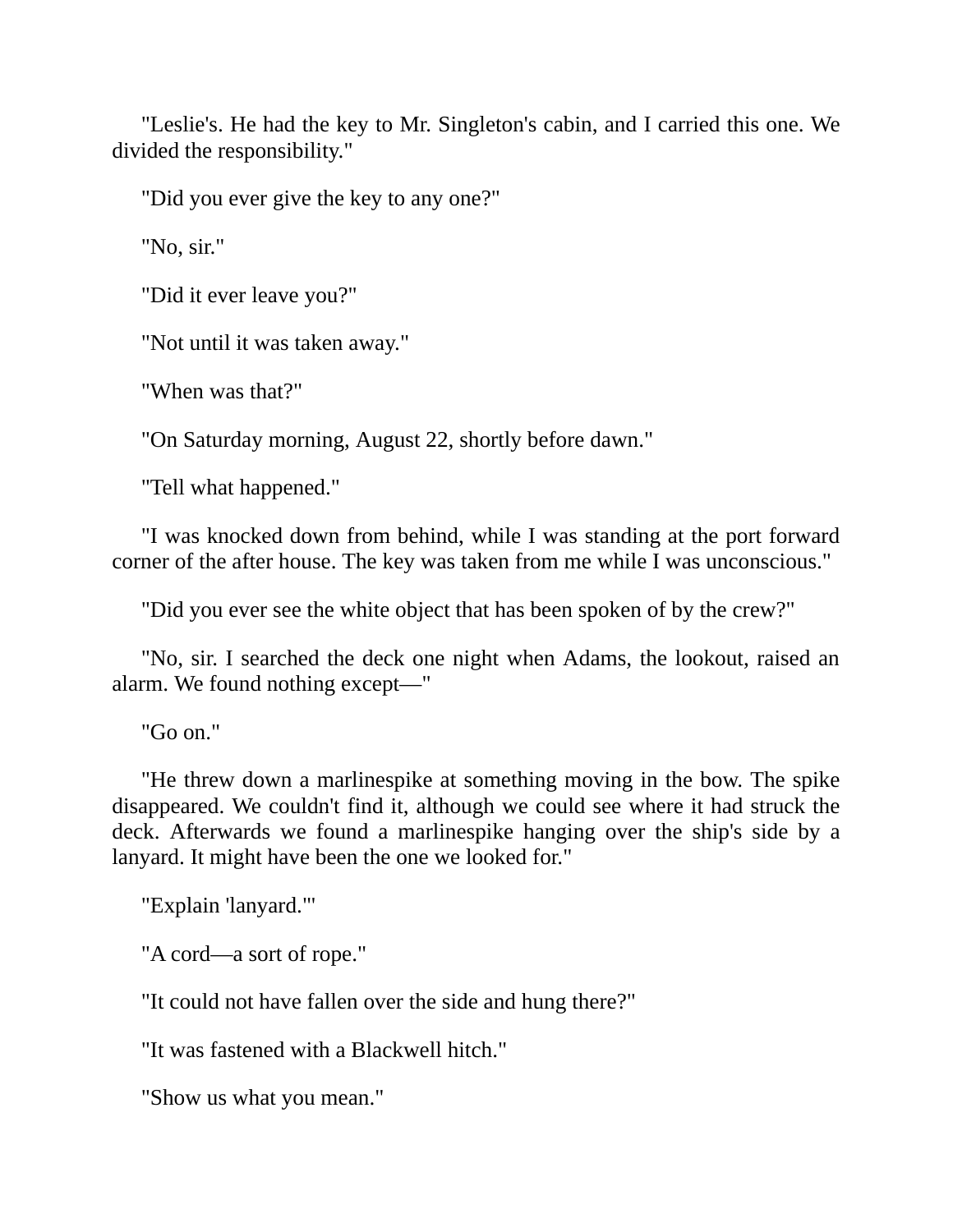"Leslie's. He had the key to Mr. Singleton's cabin, and I carried this one. We divided the responsibility."

"Did you ever give the key to any one?"

"No, sir."

"Did it ever leave you?"

"Not until it was taken away."

"When was that?"

"On Saturday morning, August 22, shortly before dawn."

"Tell what happened."

"I was knocked down from behind, while I was standing at the port forward corner of the after house. The key was taken from me while I was unconscious."

"Did you ever see the white object that has been spoken of by the crew?"

"No, sir. I searched the deck one night when Adams, the lookout, raised an alarm. We found nothing except—"

"Go on."

"He threw down a marlinespike at something moving in the bow. The spike disappeared. We couldn't find it, although we could see where it had struck the deck. Afterwards we found a marlinespike hanging over the ship's side by a lanyard. It might have been the one we looked for."

"Explain 'lanyard."'

"A cord—a sort of rope."

"It could not have fallen over the side and hung there?"

"It was fastened with a Blackwell hitch."

"Show us what you mean."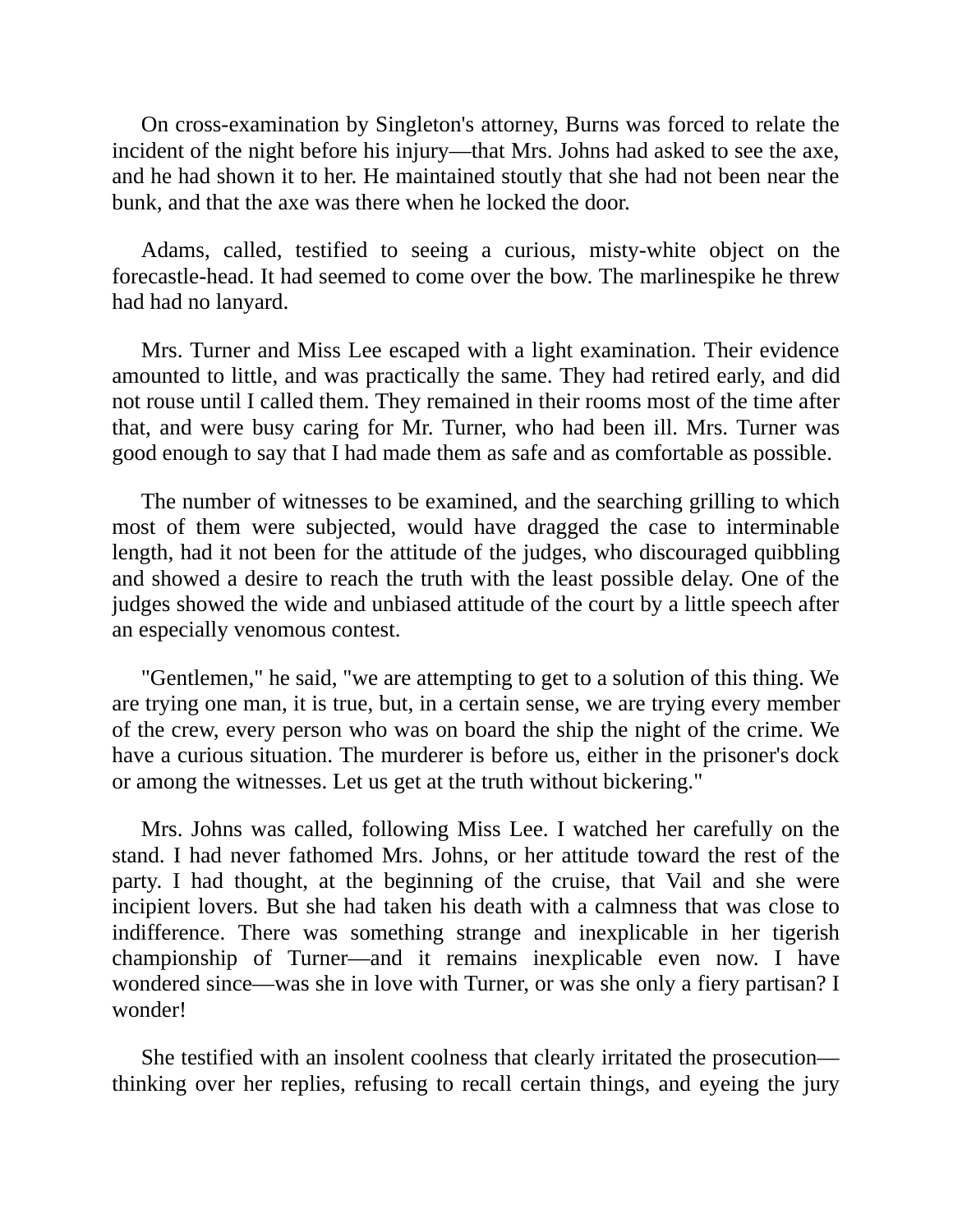On cross-examination by Singleton's attorney, Burns was forced to relate the incident of the night before his injury—that Mrs. Johns had asked to see the axe, and he had shown it to her. He maintained stoutly that she had not been near the bunk, and that the axe was there when he locked the door.

Adams, called, testified to seeing a curious, misty-white object on the forecastle-head. It had seemed to come over the bow. The marlinespike he threw had had no lanyard.

Mrs. Turner and Miss Lee escaped with a light examination. Their evidence amounted to little, and was practically the same. They had retired early, and did not rouse until I called them. They remained in their rooms most of the time after that, and were busy caring for Mr. Turner, who had been ill. Mrs. Turner was good enough to say that I had made them as safe and as comfortable as possible.

The number of witnesses to be examined, and the searching grilling to which most of them were subjected, would have dragged the case to interminable length, had it not been for the attitude of the judges, who discouraged quibbling and showed a desire to reach the truth with the least possible delay. One of the judges showed the wide and unbiased attitude of the court by a little speech after an especially venomous contest.

"Gentlemen," he said, "we are attempting to get to a solution of this thing. We are trying one man, it is true, but, in a certain sense, we are trying every member of the crew, every person who was on board the ship the night of the crime. We have a curious situation. The murderer is before us, either in the prisoner's dock or among the witnesses. Let us get at the truth without bickering."

Mrs. Johns was called, following Miss Lee. I watched her carefully on the stand. I had never fathomed Mrs. Johns, or her attitude toward the rest of the party. I had thought, at the beginning of the cruise, that Vail and she were incipient lovers. But she had taken his death with a calmness that was close to indifference. There was something strange and inexplicable in her tigerish championship of Turner—and it remains inexplicable even now. I have wondered since—was she in love with Turner, or was she only a fiery partisan? I wonder!

She testified with an insolent coolness that clearly irritated the prosecution thinking over her replies, refusing to recall certain things, and eyeing the jury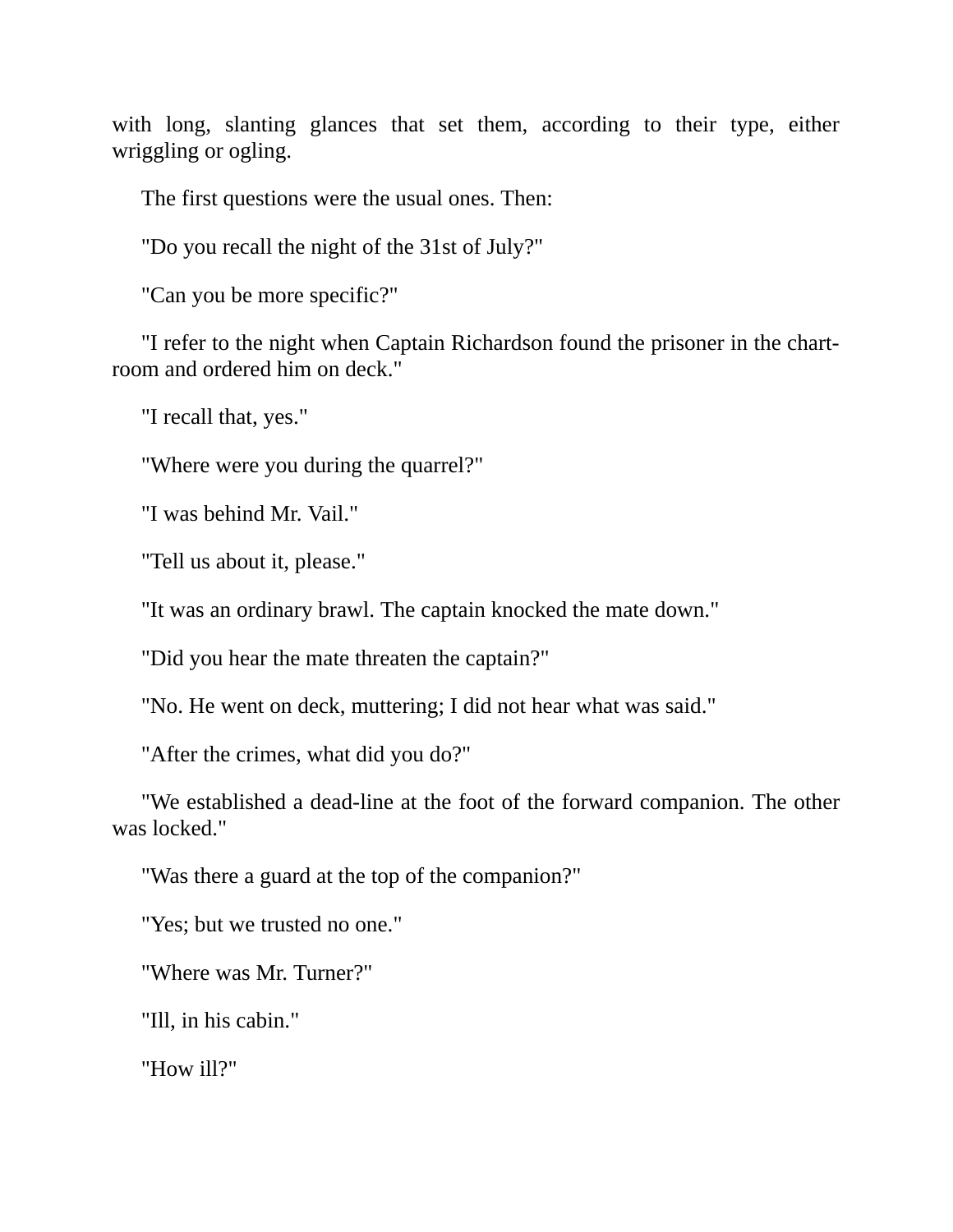with long, slanting glances that set them, according to their type, either wriggling or ogling.

The first questions were the usual ones. Then:

"Do you recall the night of the 31st of July?"

"Can you be more specific?"

"I refer to the night when Captain Richardson found the prisoner in the chartroom and ordered him on deck."

"I recall that, yes."

"Where were you during the quarrel?"

"I was behind Mr. Vail."

"Tell us about it, please."

"It was an ordinary brawl. The captain knocked the mate down."

"Did you hear the mate threaten the captain?"

"No. He went on deck, muttering; I did not hear what was said."

"After the crimes, what did you do?"

"We established a dead-line at the foot of the forward companion. The other was locked."

"Was there a guard at the top of the companion?"

"Yes; but we trusted no one."

"Where was Mr. Turner?"

"Ill, in his cabin."

"How ill?"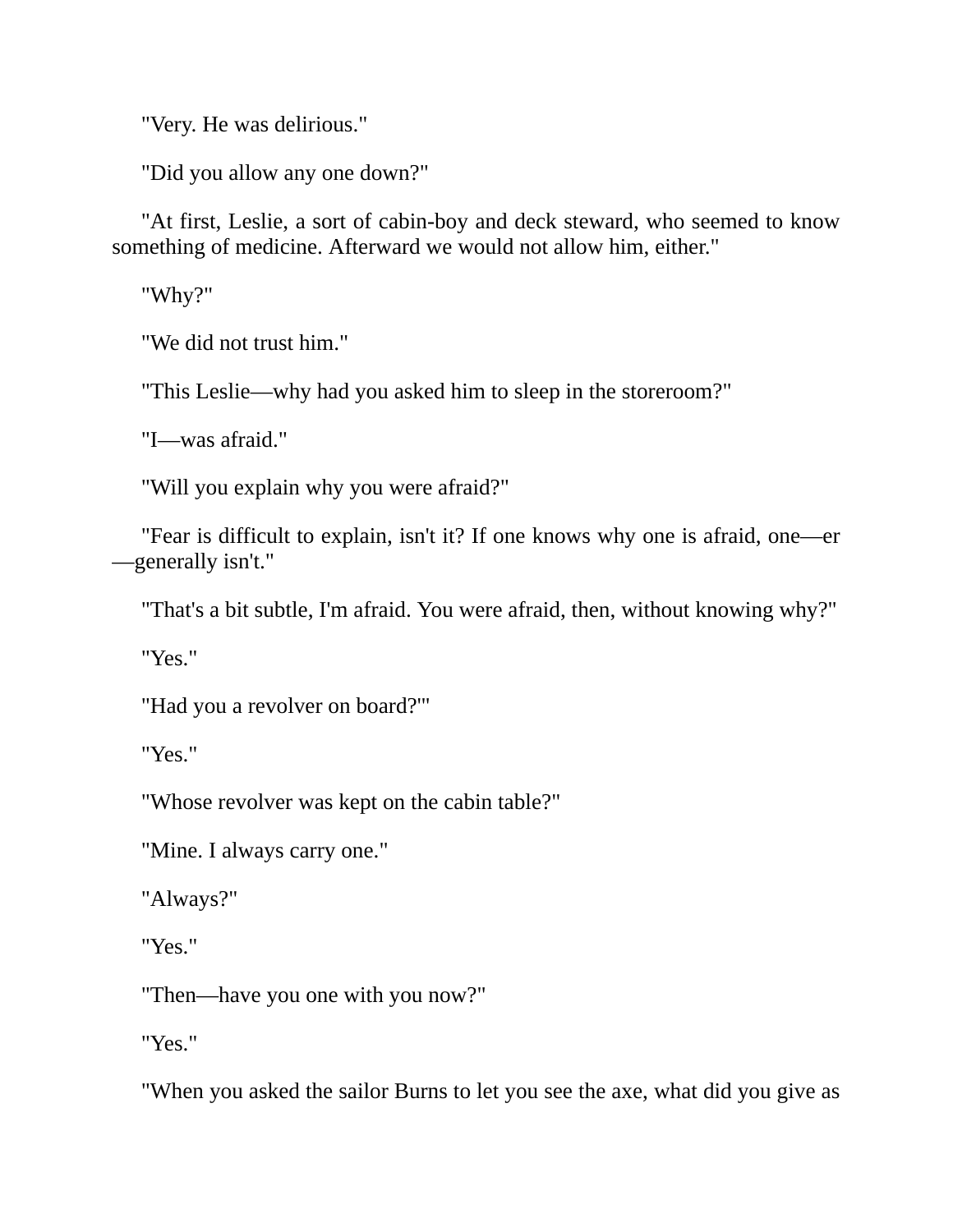"Very. He was delirious."

"Did you allow any one down?"

"At first, Leslie, a sort of cabin-boy and deck steward, who seemed to know something of medicine. Afterward we would not allow him, either."

"Why?"

"We did not trust him."

"This Leslie—why had you asked him to sleep in the storeroom?"

"I—was afraid."

"Will you explain why you were afraid?"

"Fear is difficult to explain, isn't it? If one knows why one is afraid, one—er —generally isn't."

"That's a bit subtle, I'm afraid. You were afraid, then, without knowing why?"

"Yes."

"Had you a revolver on board?'"

"Yes."

"Whose revolver was kept on the cabin table?"

"Mine. I always carry one."

"Always?"

"Yes."

"Then—have you one with you now?"

"Yes."

"When you asked the sailor Burns to let you see the axe, what did you give as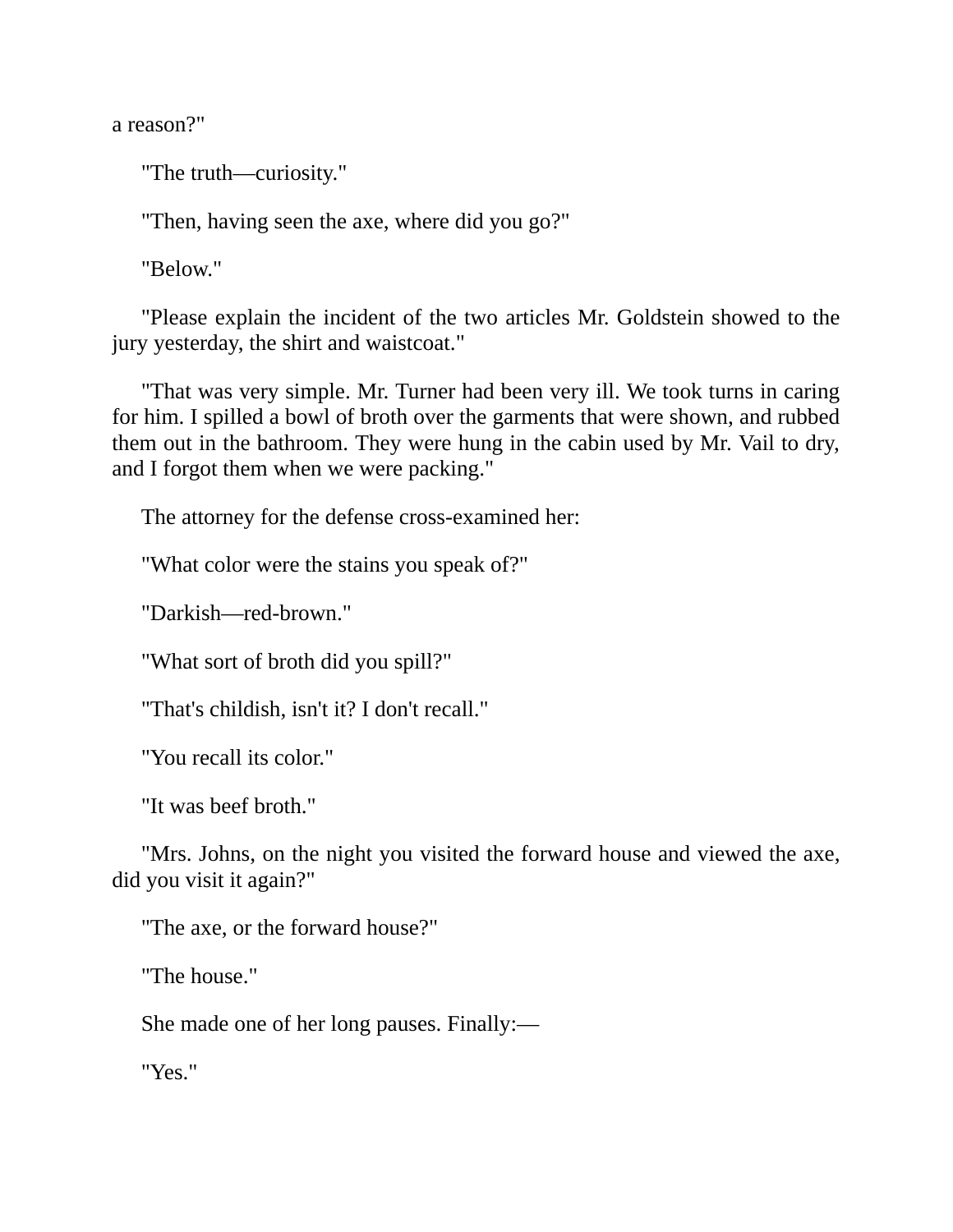a reason?"

"The truth—curiosity."

"Then, having seen the axe, where did you go?"

"Below."

"Please explain the incident of the two articles Mr. Goldstein showed to the jury yesterday, the shirt and waistcoat."

"That was very simple. Mr. Turner had been very ill. We took turns in caring for him. I spilled a bowl of broth over the garments that were shown, and rubbed them out in the bathroom. They were hung in the cabin used by Mr. Vail to dry, and I forgot them when we were packing."

The attorney for the defense cross-examined her:

"What color were the stains you speak of?"

"Darkish—red-brown."

"What sort of broth did you spill?"

"That's childish, isn't it? I don't recall."

"You recall its color."

"It was beef broth."

"Mrs. Johns, on the night you visited the forward house and viewed the axe, did you visit it again?"

"The axe, or the forward house?"

"The house."

She made one of her long pauses. Finally:—

"Yes."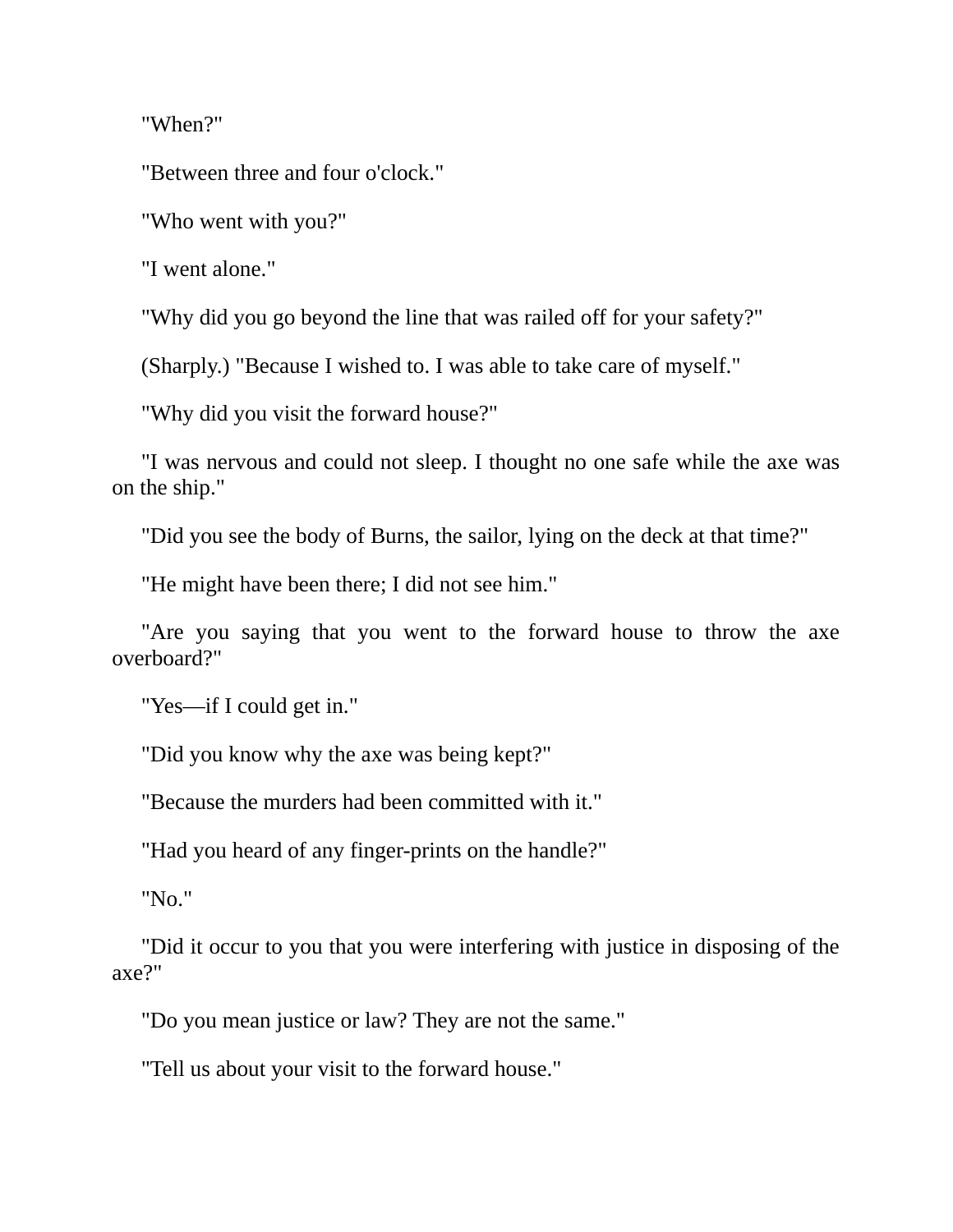"When?"

"Between three and four o'clock."

"Who went with you?"

"I went alone."

"Why did you go beyond the line that was railed off for your safety?"

(Sharply.) "Because I wished to. I was able to take care of myself."

"Why did you visit the forward house?"

"I was nervous and could not sleep. I thought no one safe while the axe was on the ship."

"Did you see the body of Burns, the sailor, lying on the deck at that time?"

"He might have been there; I did not see him."

"Are you saying that you went to the forward house to throw the axe overboard?"

"Yes—if I could get in."

"Did you know why the axe was being kept?"

"Because the murders had been committed with it."

"Had you heard of any finger-prints on the handle?"

"No."

"Did it occur to you that you were interfering with justice in disposing of the axe?"

"Do you mean justice or law? They are not the same."

"Tell us about your visit to the forward house."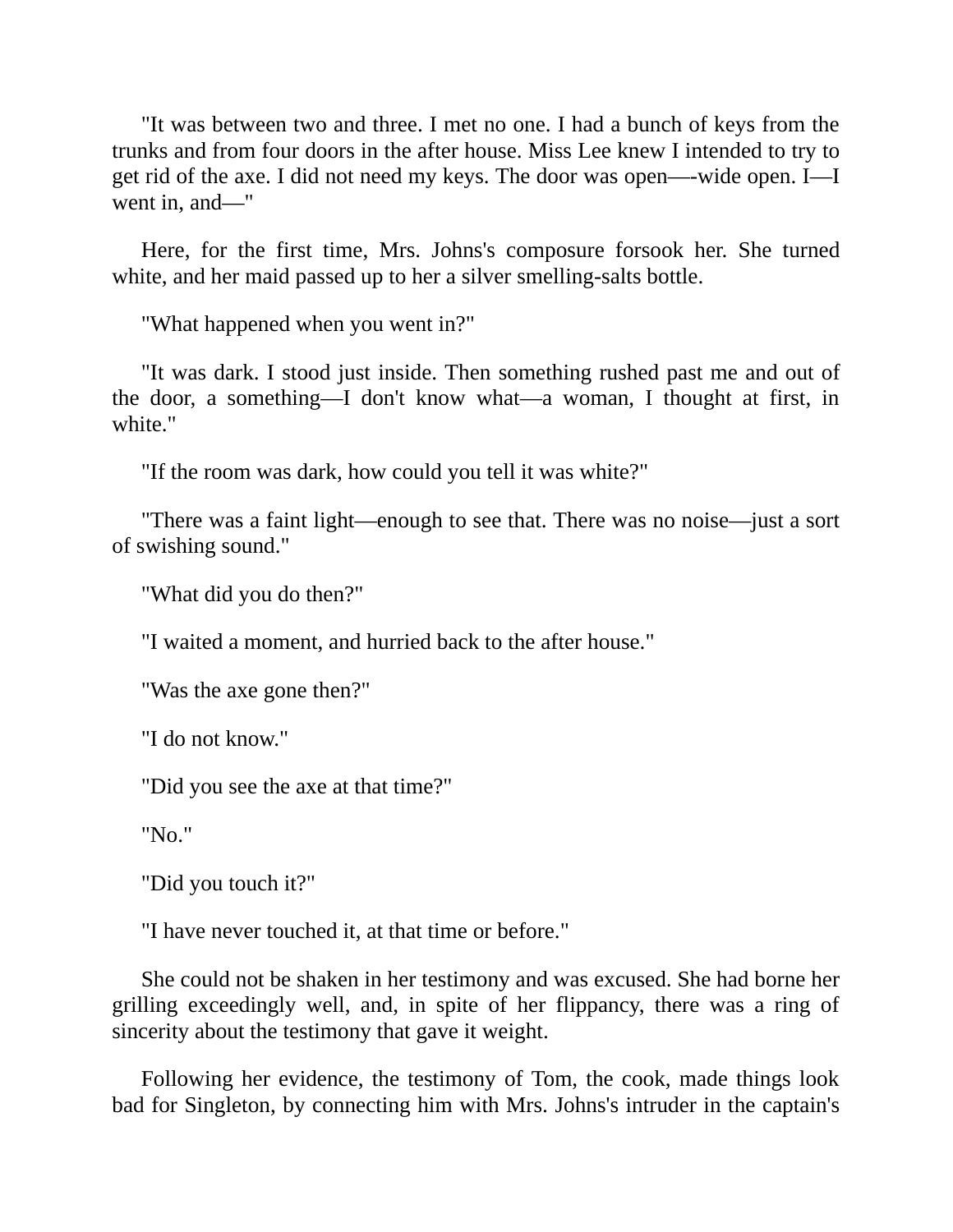"It was between two and three. I met no one. I had a bunch of keys from the trunks and from four doors in the after house. Miss Lee knew I intended to try to get rid of the axe. I did not need my keys. The door was open—-wide open. I—I went in, and—"

Here, for the first time, Mrs. Johns's composure forsook her. She turned white, and her maid passed up to her a silver smelling-salts bottle.

"What happened when you went in?"

"It was dark. I stood just inside. Then something rushed past me and out of the door, a something—I don't know what—a woman, I thought at first, in white."

"If the room was dark, how could you tell it was white?"

"There was a faint light—enough to see that. There was no noise—just a sort of swishing sound."

"What did you do then?"

"I waited a moment, and hurried back to the after house."

"Was the axe gone then?"

"I do not know."

"Did you see the axe at that time?"

"No."

"Did you touch it?"

"I have never touched it, at that time or before."

She could not be shaken in her testimony and was excused. She had borne her grilling exceedingly well, and, in spite of her flippancy, there was a ring of sincerity about the testimony that gave it weight.

Following her evidence, the testimony of Tom, the cook, made things look bad for Singleton, by connecting him with Mrs. Johns's intruder in the captain's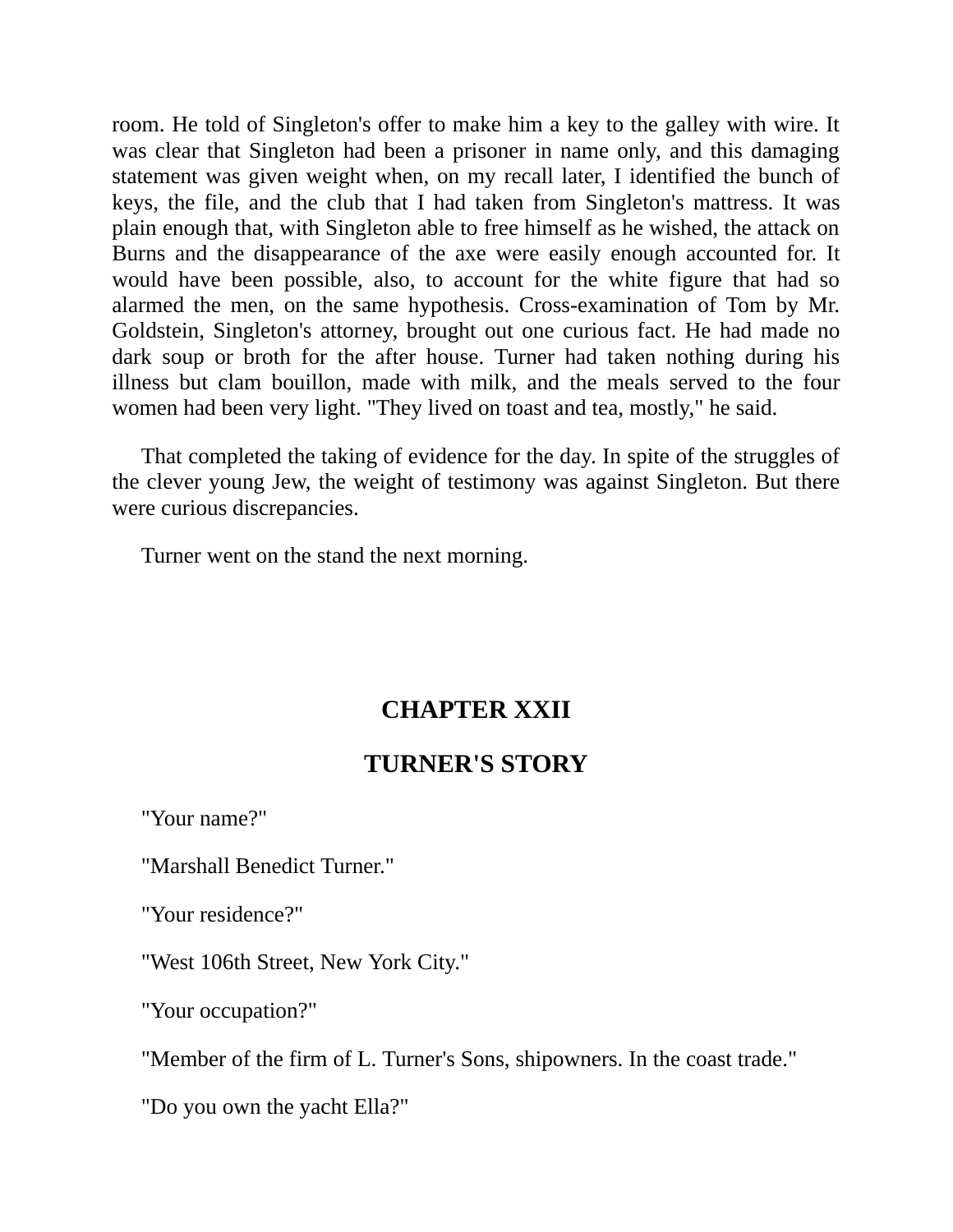room. He told of Singleton's offer to make him a key to the galley with wire. It was clear that Singleton had been a prisoner in name only, and this damaging statement was given weight when, on my recall later, I identified the bunch of keys, the file, and the club that I had taken from Singleton's mattress. It was plain enough that, with Singleton able to free himself as he wished, the attack on Burns and the disappearance of the axe were easily enough accounted for. It would have been possible, also, to account for the white figure that had so alarmed the men, on the same hypothesis. Cross-examination of Tom by Mr. Goldstein, Singleton's attorney, brought out one curious fact. He had made no dark soup or broth for the after house. Turner had taken nothing during his illness but clam bouillon, made with milk, and the meals served to the four women had been very light. "They lived on toast and tea, mostly," he said.

That completed the taking of evidence for the day. In spite of the struggles of the clever young Jew, the weight of testimony was against Singleton. But there were curious discrepancies.

Turner went on the stand the next morning.

# **CHAPTER XXII**

# **TURNER'S STORY**

"Your name?"

"Marshall Benedict Turner."

"Your residence?"

"West 106th Street, New York City."

"Your occupation?"

"Member of the firm of L. Turner's Sons, shipowners. In the coast trade."

"Do you own the yacht Ella?"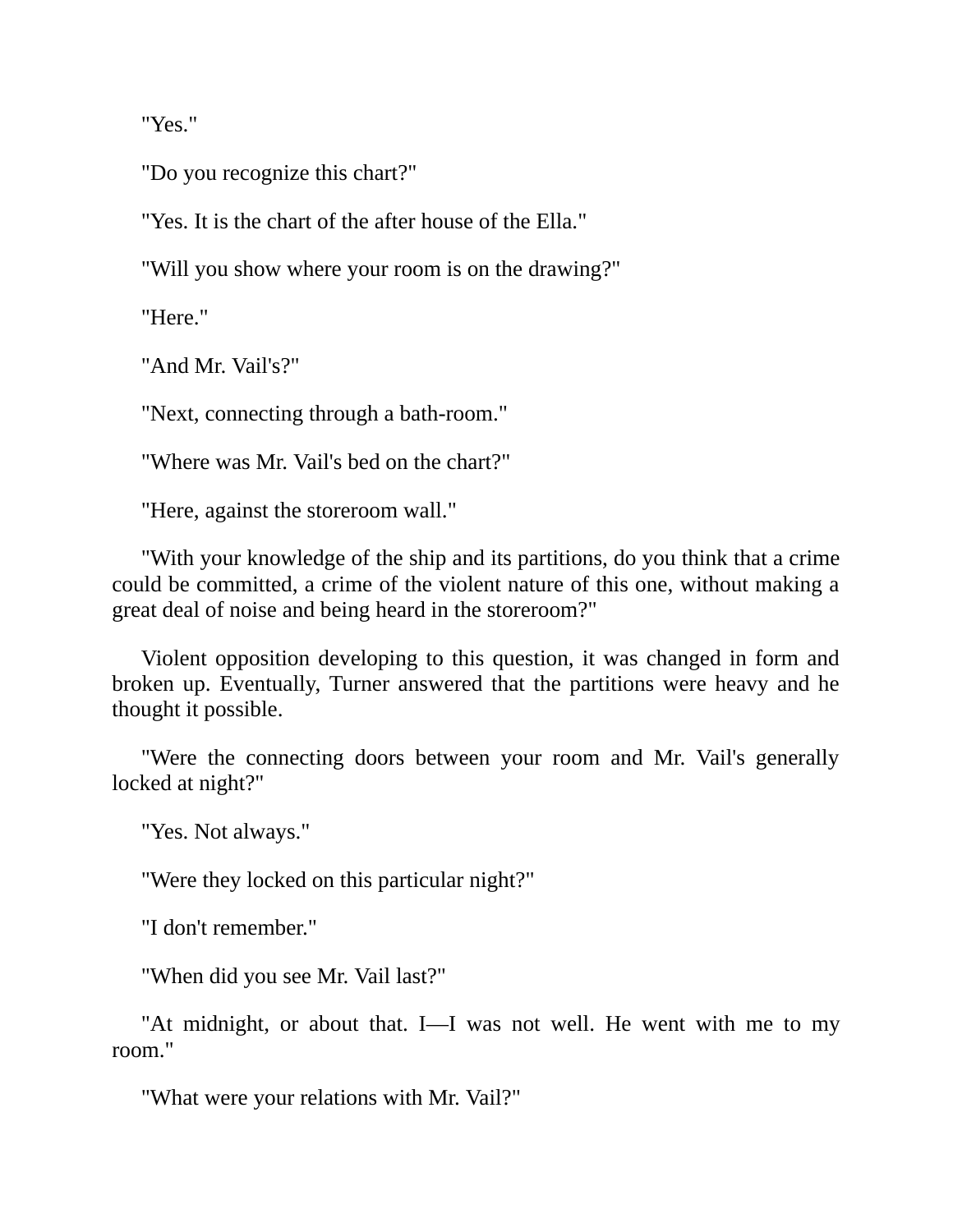"Yes."

"Do you recognize this chart?"

"Yes. It is the chart of the after house of the Ella."

"Will you show where your room is on the drawing?"

"Here."

"And Mr. Vail's?"

"Next, connecting through a bath-room."

"Where was Mr. Vail's bed on the chart?"

"Here, against the storeroom wall."

"With your knowledge of the ship and its partitions, do you think that a crime could be committed, a crime of the violent nature of this one, without making a great deal of noise and being heard in the storeroom?"

Violent opposition developing to this question, it was changed in form and broken up. Eventually, Turner answered that the partitions were heavy and he thought it possible.

"Were the connecting doors between your room and Mr. Vail's generally locked at night?"

"Yes. Not always."

"Were they locked on this particular night?"

"I don't remember."

"When did you see Mr. Vail last?"

"At midnight, or about that. I—I was not well. He went with me to my room."

"What were your relations with Mr. Vail?"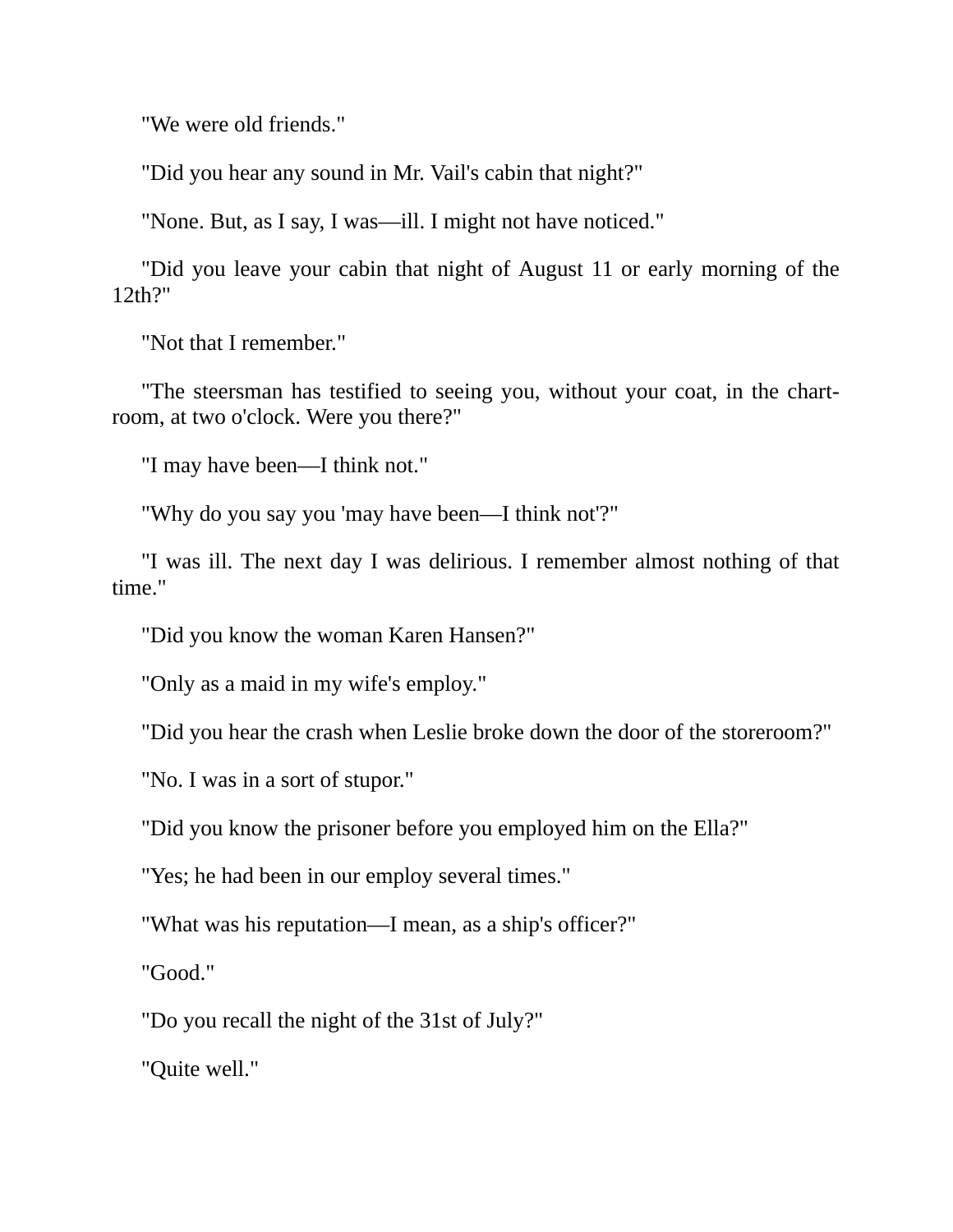"We were old friends."

"Did you hear any sound in Mr. Vail's cabin that night?"

"None. But, as I say, I was—ill. I might not have noticed."

"Did you leave your cabin that night of August 11 or early morning of the 12th?"

"Not that I remember."

"The steersman has testified to seeing you, without your coat, in the chartroom, at two o'clock. Were you there?"

"I may have been—I think not."

"Why do you say you 'may have been—I think not'?"

"I was ill. The next day I was delirious. I remember almost nothing of that time."

"Did you know the woman Karen Hansen?"

"Only as a maid in my wife's employ."

"Did you hear the crash when Leslie broke down the door of the storeroom?"

"No. I was in a sort of stupor."

"Did you know the prisoner before you employed him on the Ella?"

"Yes; he had been in our employ several times."

"What was his reputation—I mean, as a ship's officer?"

"Good."

"Do you recall the night of the 31st of July?"

"Quite well."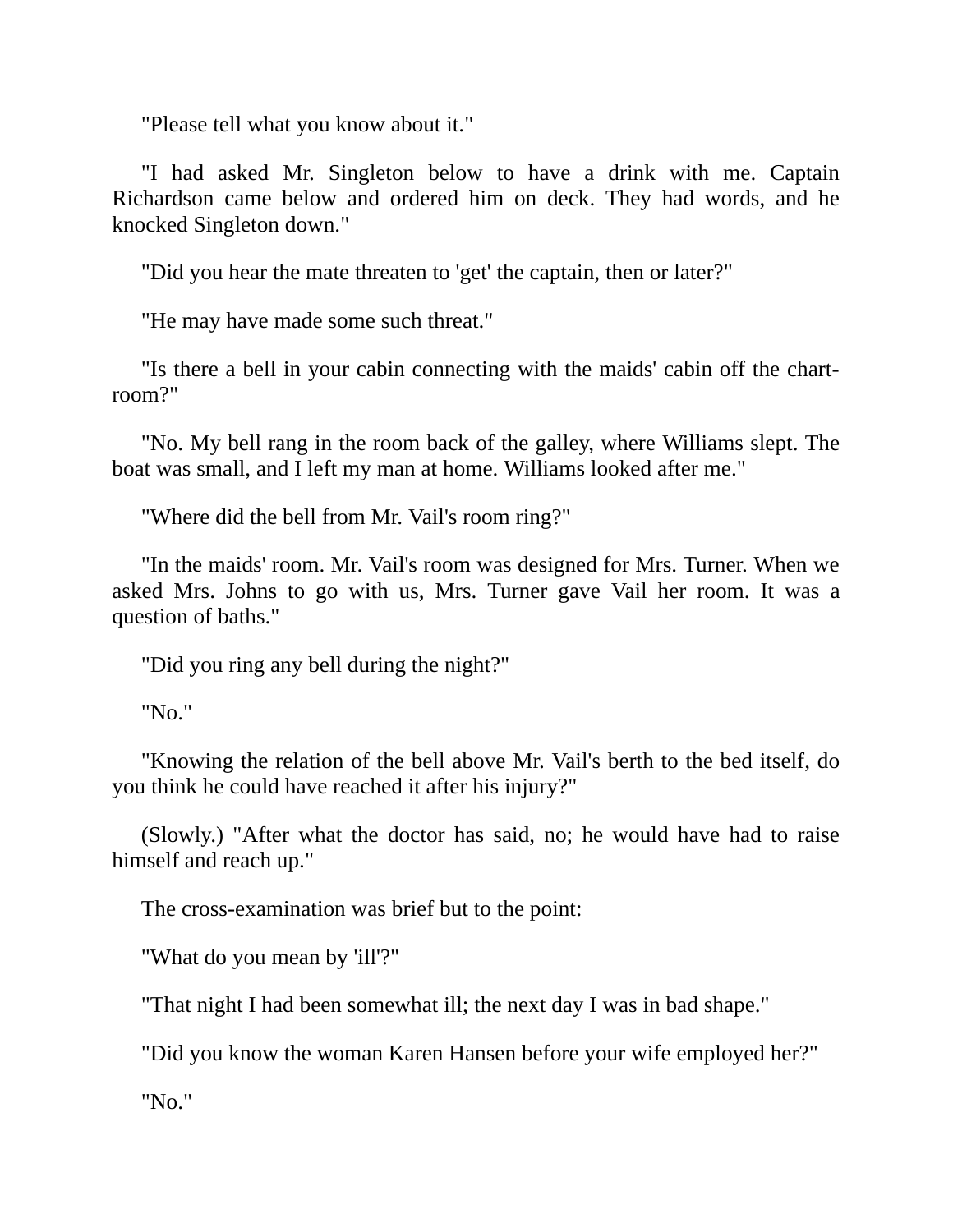"Please tell what you know about it."

"I had asked Mr. Singleton below to have a drink with me. Captain Richardson came below and ordered him on deck. They had words, and he knocked Singleton down."

"Did you hear the mate threaten to 'get' the captain, then or later?"

"He may have made some such threat."

"Is there a bell in your cabin connecting with the maids' cabin off the chartroom?"

"No. My bell rang in the room back of the galley, where Williams slept. The boat was small, and I left my man at home. Williams looked after me."

"Where did the bell from Mr. Vail's room ring?"

"In the maids' room. Mr. Vail's room was designed for Mrs. Turner. When we asked Mrs. Johns to go with us, Mrs. Turner gave Vail her room. It was a question of baths."

"Did you ring any bell during the night?"

"No."

"Knowing the relation of the bell above Mr. Vail's berth to the bed itself, do you think he could have reached it after his injury?"

(Slowly.) "After what the doctor has said, no; he would have had to raise himself and reach up."

The cross-examination was brief but to the point:

"What do you mean by 'ill'?"

"That night I had been somewhat ill; the next day I was in bad shape."

"Did you know the woman Karen Hansen before your wife employed her?"

"No."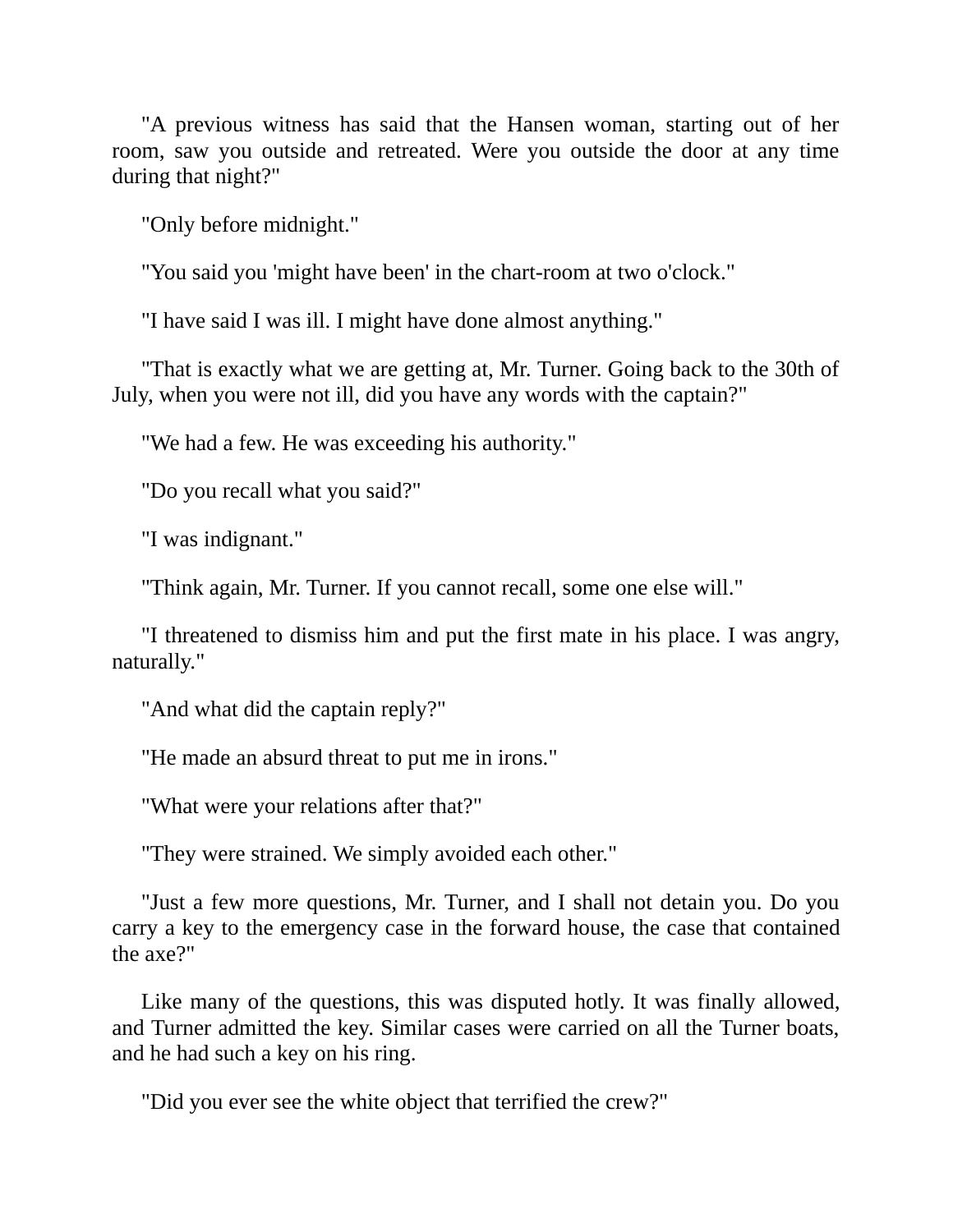"A previous witness has said that the Hansen woman, starting out of her room, saw you outside and retreated. Were you outside the door at any time during that night?"

"Only before midnight."

"You said you 'might have been' in the chart-room at two o'clock."

"I have said I was ill. I might have done almost anything."

"That is exactly what we are getting at, Mr. Turner. Going back to the 30th of July, when you were not ill, did you have any words with the captain?"

"We had a few. He was exceeding his authority."

"Do you recall what you said?"

"I was indignant."

"Think again, Mr. Turner. If you cannot recall, some one else will."

"I threatened to dismiss him and put the first mate in his place. I was angry, naturally."

"And what did the captain reply?"

"He made an absurd threat to put me in irons."

"What were your relations after that?"

"They were strained. We simply avoided each other."

"Just a few more questions, Mr. Turner, and I shall not detain you. Do you carry a key to the emergency case in the forward house, the case that contained the axe?"

Like many of the questions, this was disputed hotly. It was finally allowed, and Turner admitted the key. Similar cases were carried on all the Turner boats, and he had such a key on his ring.

"Did you ever see the white object that terrified the crew?"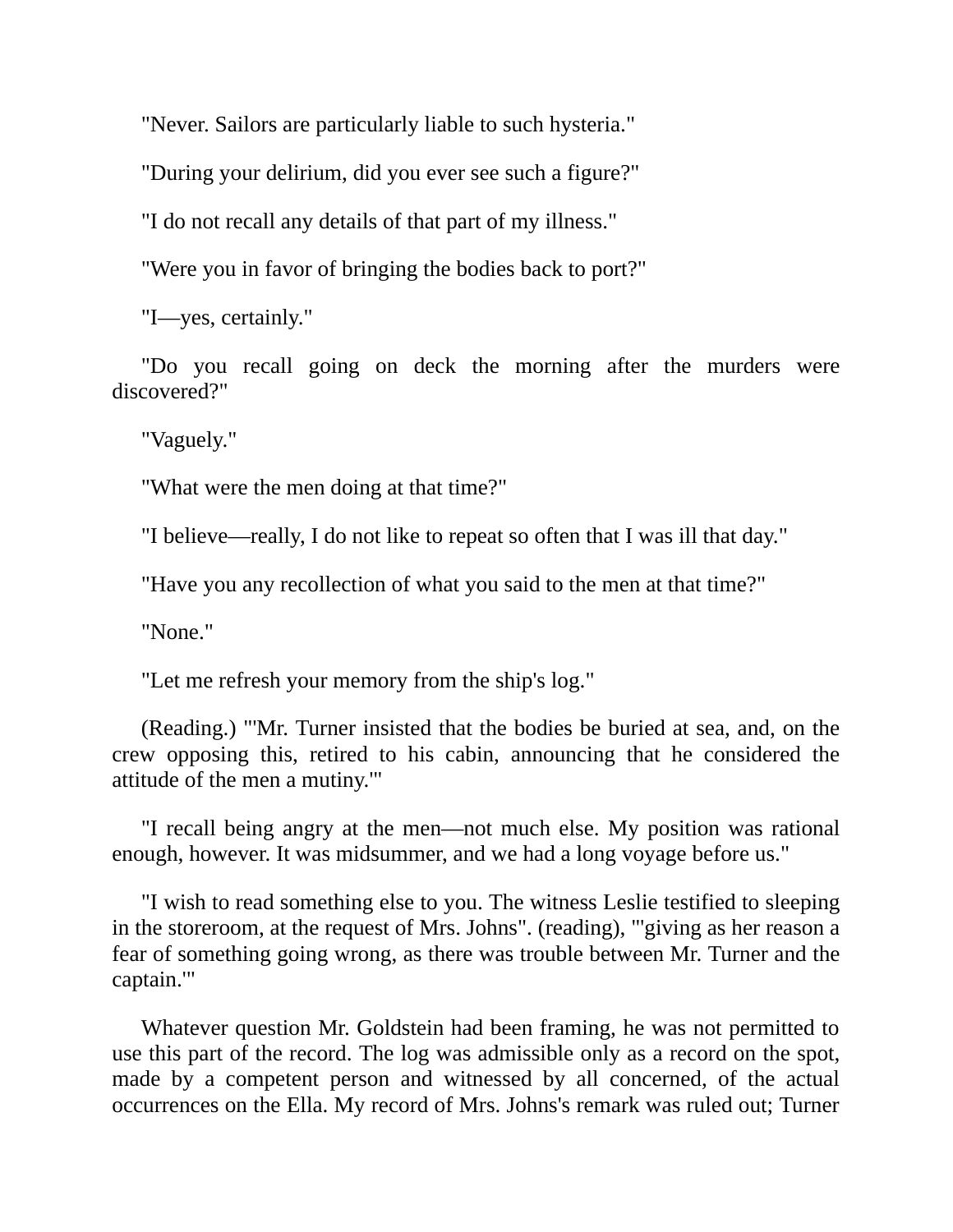"Never. Sailors are particularly liable to such hysteria."

"During your delirium, did you ever see such a figure?"

"I do not recall any details of that part of my illness."

"Were you in favor of bringing the bodies back to port?"

"I—yes, certainly."

"Do you recall going on deck the morning after the murders were discovered?"

"Vaguely."

"What were the men doing at that time?"

"I believe—really, I do not like to repeat so often that I was ill that day."

"Have you any recollection of what you said to the men at that time?"

"None."

"Let me refresh your memory from the ship's log."

(Reading.) "'Mr. Turner insisted that the bodies be buried at sea, and, on the crew opposing this, retired to his cabin, announcing that he considered the attitude of the men a mutiny.'"

"I recall being angry at the men—not much else. My position was rational enough, however. It was midsummer, and we had a long voyage before us."

"I wish to read something else to you. The witness Leslie testified to sleeping in the storeroom, at the request of Mrs. Johns". (reading), "'giving as her reason a fear of something going wrong, as there was trouble between Mr. Turner and the captain.'"

Whatever question Mr. Goldstein had been framing, he was not permitted to use this part of the record. The log was admissible only as a record on the spot, made by a competent person and witnessed by all concerned, of the actual occurrences on the Ella. My record of Mrs. Johns's remark was ruled out; Turner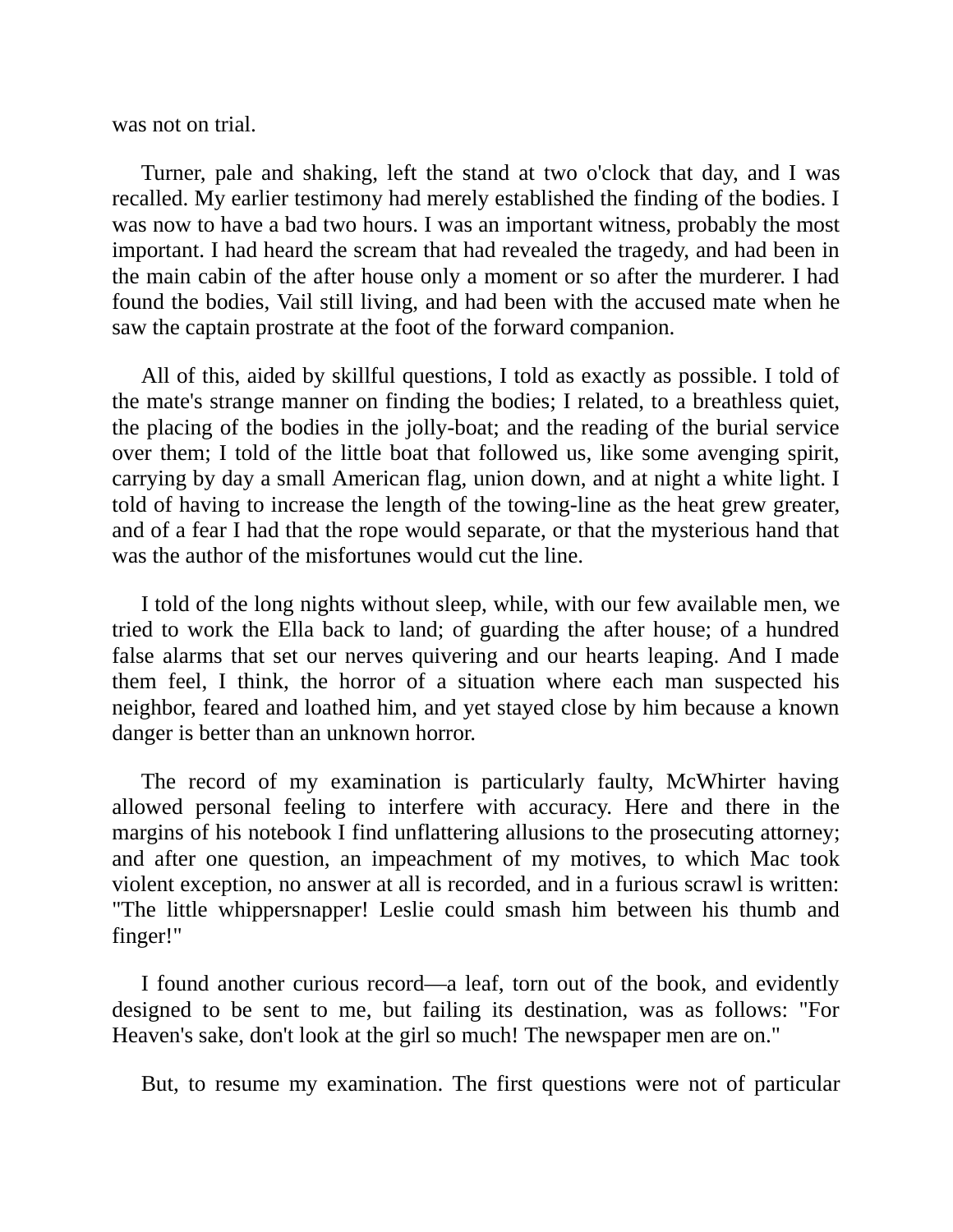was not on trial.

Turner, pale and shaking, left the stand at two o'clock that day, and I was recalled. My earlier testimony had merely established the finding of the bodies. I was now to have a bad two hours. I was an important witness, probably the most important. I had heard the scream that had revealed the tragedy, and had been in the main cabin of the after house only a moment or so after the murderer. I had found the bodies, Vail still living, and had been with the accused mate when he saw the captain prostrate at the foot of the forward companion.

All of this, aided by skillful questions, I told as exactly as possible. I told of the mate's strange manner on finding the bodies; I related, to a breathless quiet, the placing of the bodies in the jolly-boat; and the reading of the burial service over them; I told of the little boat that followed us, like some avenging spirit, carrying by day a small American flag, union down, and at night a white light. I told of having to increase the length of the towing-line as the heat grew greater, and of a fear I had that the rope would separate, or that the mysterious hand that was the author of the misfortunes would cut the line.

I told of the long nights without sleep, while, with our few available men, we tried to work the Ella back to land; of guarding the after house; of a hundred false alarms that set our nerves quivering and our hearts leaping. And I made them feel, I think, the horror of a situation where each man suspected his neighbor, feared and loathed him, and yet stayed close by him because a known danger is better than an unknown horror.

The record of my examination is particularly faulty, McWhirter having allowed personal feeling to interfere with accuracy. Here and there in the margins of his notebook I find unflattering allusions to the prosecuting attorney; and after one question, an impeachment of my motives, to which Mac took violent exception, no answer at all is recorded, and in a furious scrawl is written: "The little whippersnapper! Leslie could smash him between his thumb and finger!"

I found another curious record—a leaf, torn out of the book, and evidently designed to be sent to me, but failing its destination, was as follows: "For Heaven's sake, don't look at the girl so much! The newspaper men are on."

But, to resume my examination. The first questions were not of particular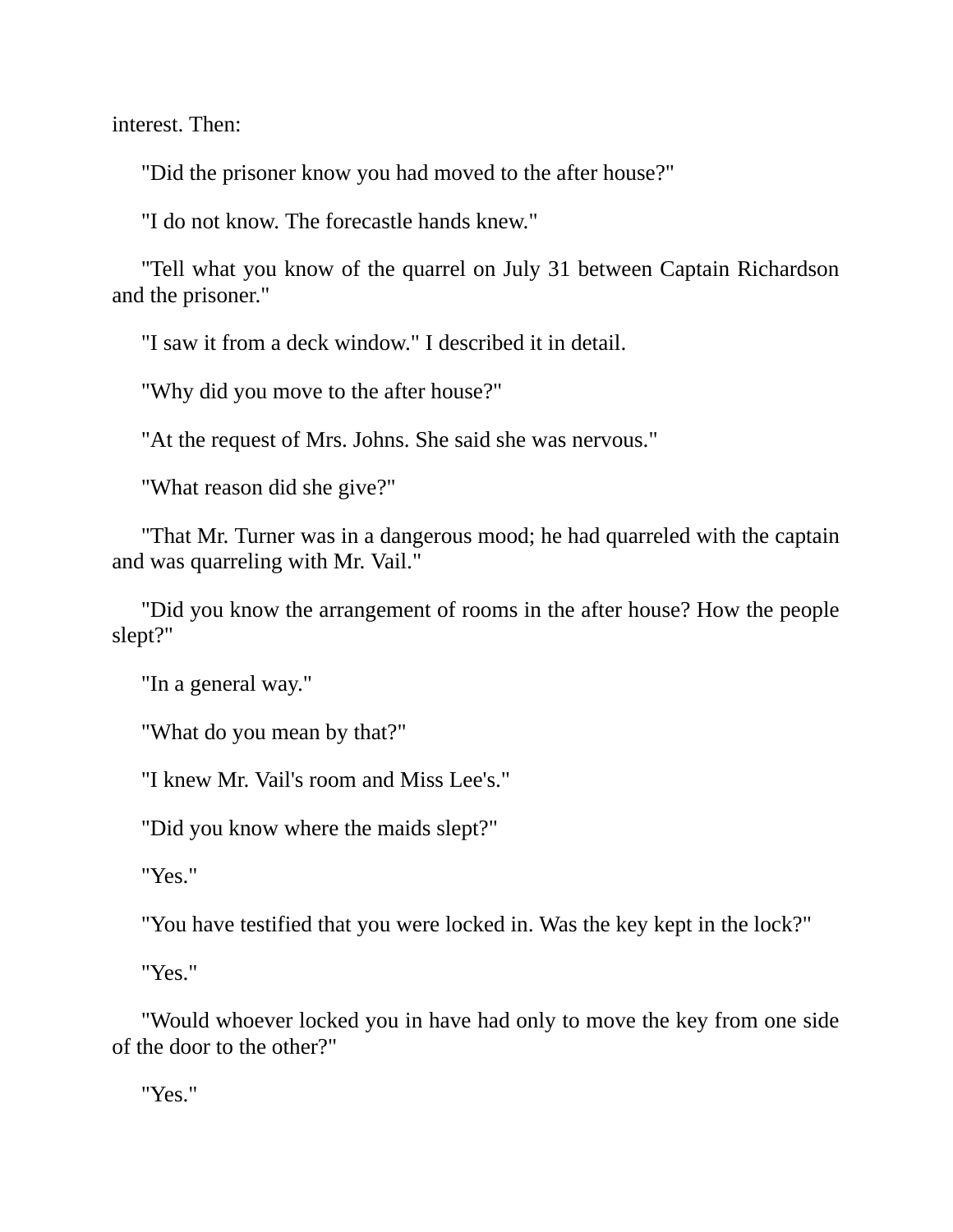interest. Then:

"Did the prisoner know you had moved to the after house?"

"I do not know. The forecastle hands knew."

"Tell what you know of the quarrel on July 31 between Captain Richardson and the prisoner."

"I saw it from a deck window." I described it in detail.

"Why did you move to the after house?"

"At the request of Mrs. Johns. She said she was nervous."

"What reason did she give?"

"That Mr. Turner was in a dangerous mood; he had quarreled with the captain and was quarreling with Mr. Vail."

"Did you know the arrangement of rooms in the after house? How the people slept?"

"In a general way."

"What do you mean by that?"

"I knew Mr. Vail's room and Miss Lee's."

"Did you know where the maids slept?"

"Yes."

"You have testified that you were locked in. Was the key kept in the lock?"

"Yes."

"Would whoever locked you in have had only to move the key from one side of the door to the other?"

"Yes."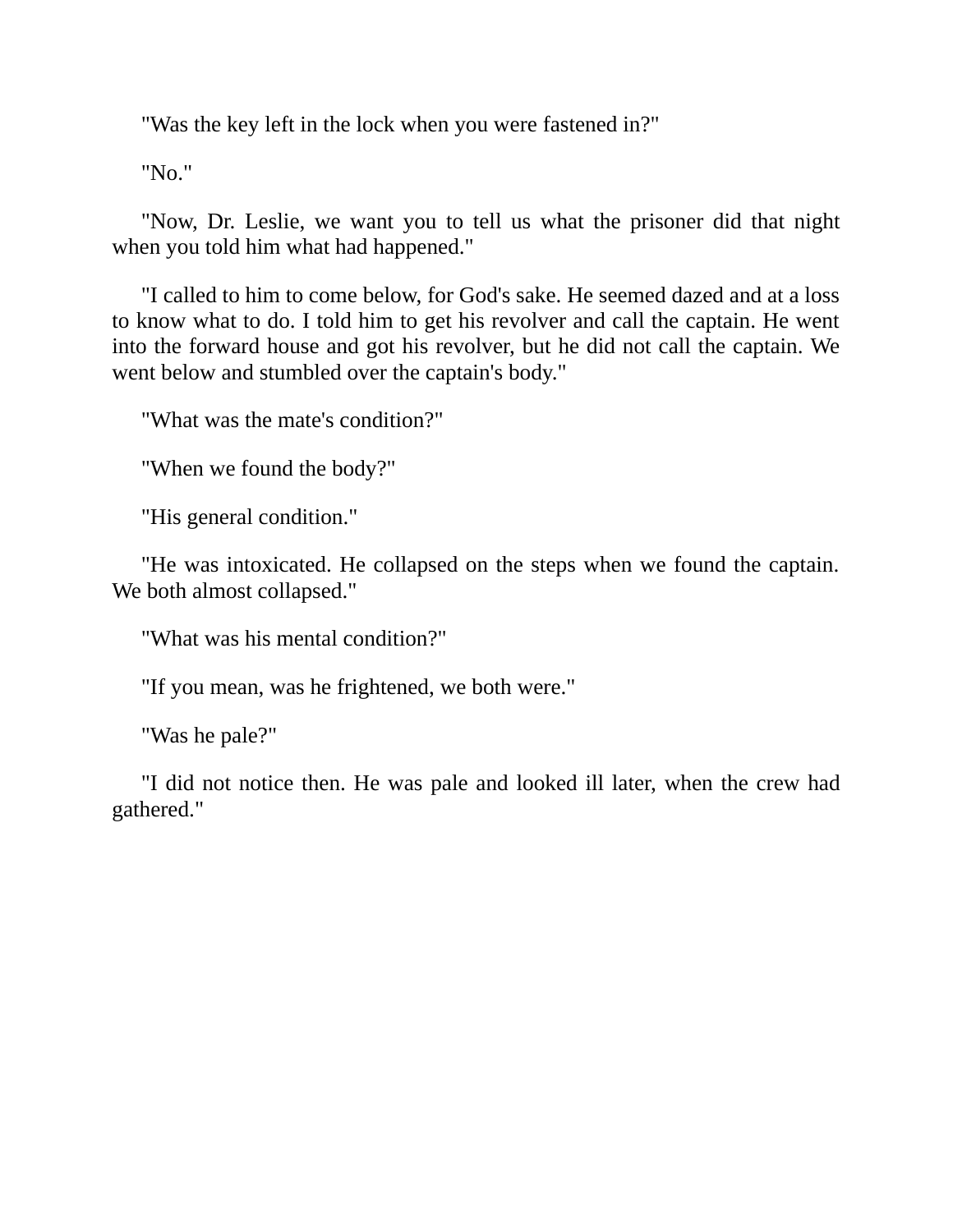"Was the key left in the lock when you were fastened in?"

"No."

"Now, Dr. Leslie, we want you to tell us what the prisoner did that night when you told him what had happened."

"I called to him to come below, for God's sake. He seemed dazed and at a loss to know what to do. I told him to get his revolver and call the captain. He went into the forward house and got his revolver, but he did not call the captain. We went below and stumbled over the captain's body."

"What was the mate's condition?"

"When we found the body?"

"His general condition."

"He was intoxicated. He collapsed on the steps when we found the captain. We both almost collapsed."

"What was his mental condition?"

"If you mean, was he frightened, we both were."

"Was he pale?"

"I did not notice then. He was pale and looked ill later, when the crew had gathered."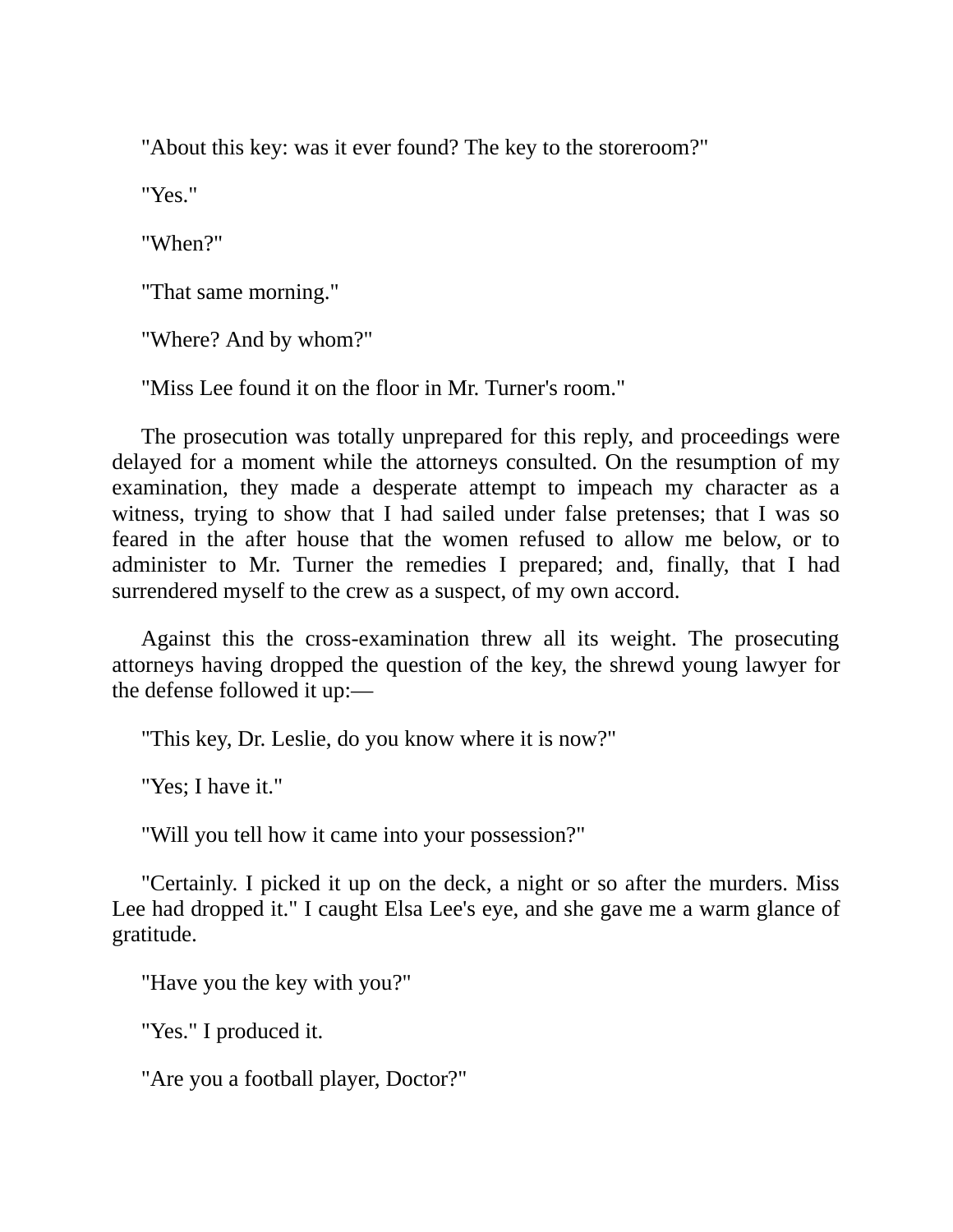"About this key: was it ever found? The key to the storeroom?"

"Yes."

"When?"

"That same morning."

"Where? And by whom?"

"Miss Lee found it on the floor in Mr. Turner's room."

The prosecution was totally unprepared for this reply, and proceedings were delayed for a moment while the attorneys consulted. On the resumption of my examination, they made a desperate attempt to impeach my character as a witness, trying to show that I had sailed under false pretenses; that I was so feared in the after house that the women refused to allow me below, or to administer to Mr. Turner the remedies I prepared; and, finally, that I had surrendered myself to the crew as a suspect, of my own accord.

Against this the cross-examination threw all its weight. The prosecuting attorneys having dropped the question of the key, the shrewd young lawyer for the defense followed it up:—

"This key, Dr. Leslie, do you know where it is now?"

"Yes; I have it."

"Will you tell how it came into your possession?"

"Certainly. I picked it up on the deck, a night or so after the murders. Miss Lee had dropped it." I caught Elsa Lee's eye, and she gave me a warm glance of gratitude.

"Have you the key with you?"

"Yes." I produced it.

"Are you a football player, Doctor?"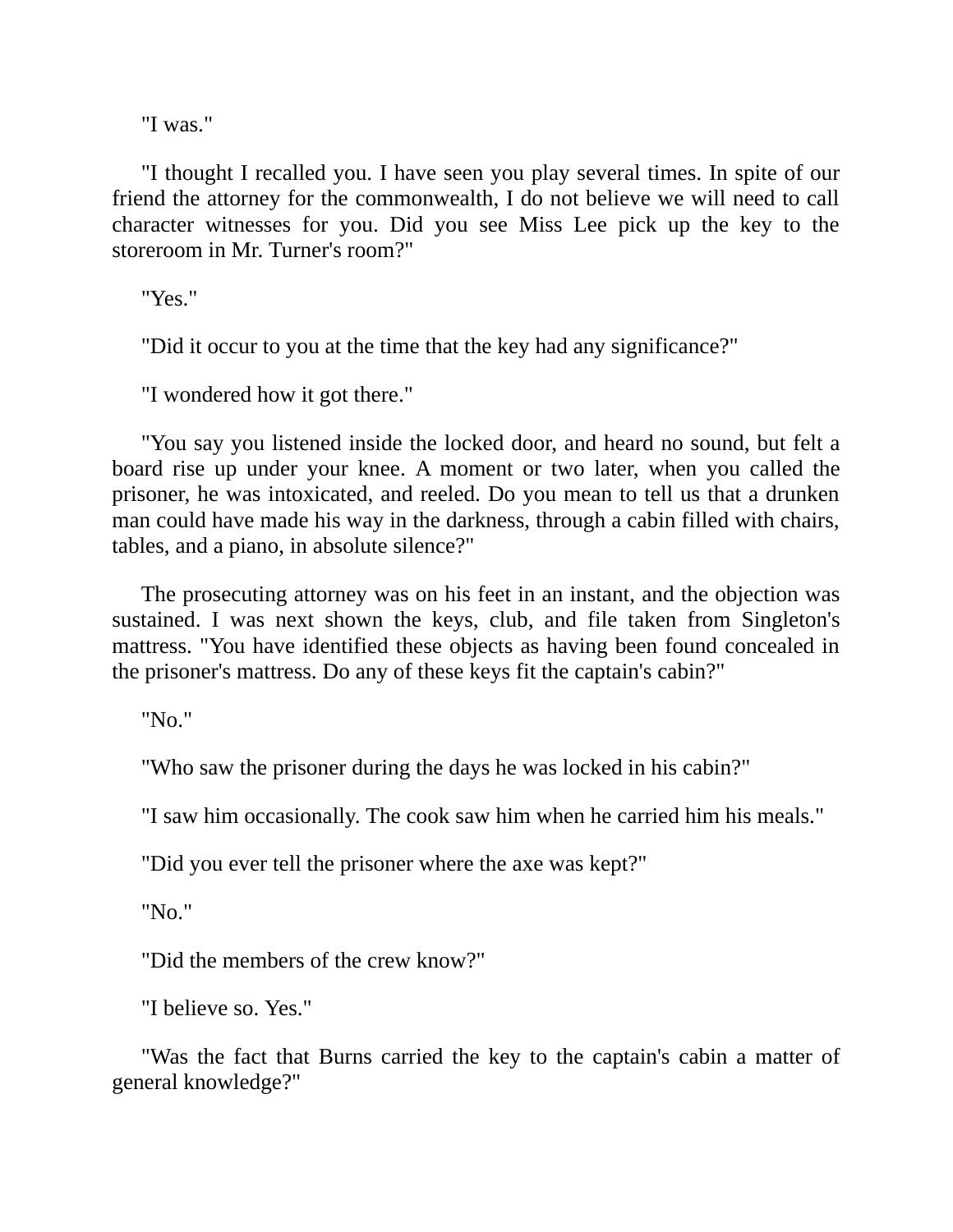"I was."

"I thought I recalled you. I have seen you play several times. In spite of our friend the attorney for the commonwealth, I do not believe we will need to call character witnesses for you. Did you see Miss Lee pick up the key to the storeroom in Mr. Turner's room?"

"Yes."

"Did it occur to you at the time that the key had any significance?"

"I wondered how it got there."

"You say you listened inside the locked door, and heard no sound, but felt a board rise up under your knee. A moment or two later, when you called the prisoner, he was intoxicated, and reeled. Do you mean to tell us that a drunken man could have made his way in the darkness, through a cabin filled with chairs, tables, and a piano, in absolute silence?"

The prosecuting attorney was on his feet in an instant, and the objection was sustained. I was next shown the keys, club, and file taken from Singleton's mattress. "You have identified these objects as having been found concealed in the prisoner's mattress. Do any of these keys fit the captain's cabin?"

"No."

"Who saw the prisoner during the days he was locked in his cabin?"

"I saw him occasionally. The cook saw him when he carried him his meals."

"Did you ever tell the prisoner where the axe was kept?"

"No."

"Did the members of the crew know?"

"I believe so. Yes."

"Was the fact that Burns carried the key to the captain's cabin a matter of general knowledge?"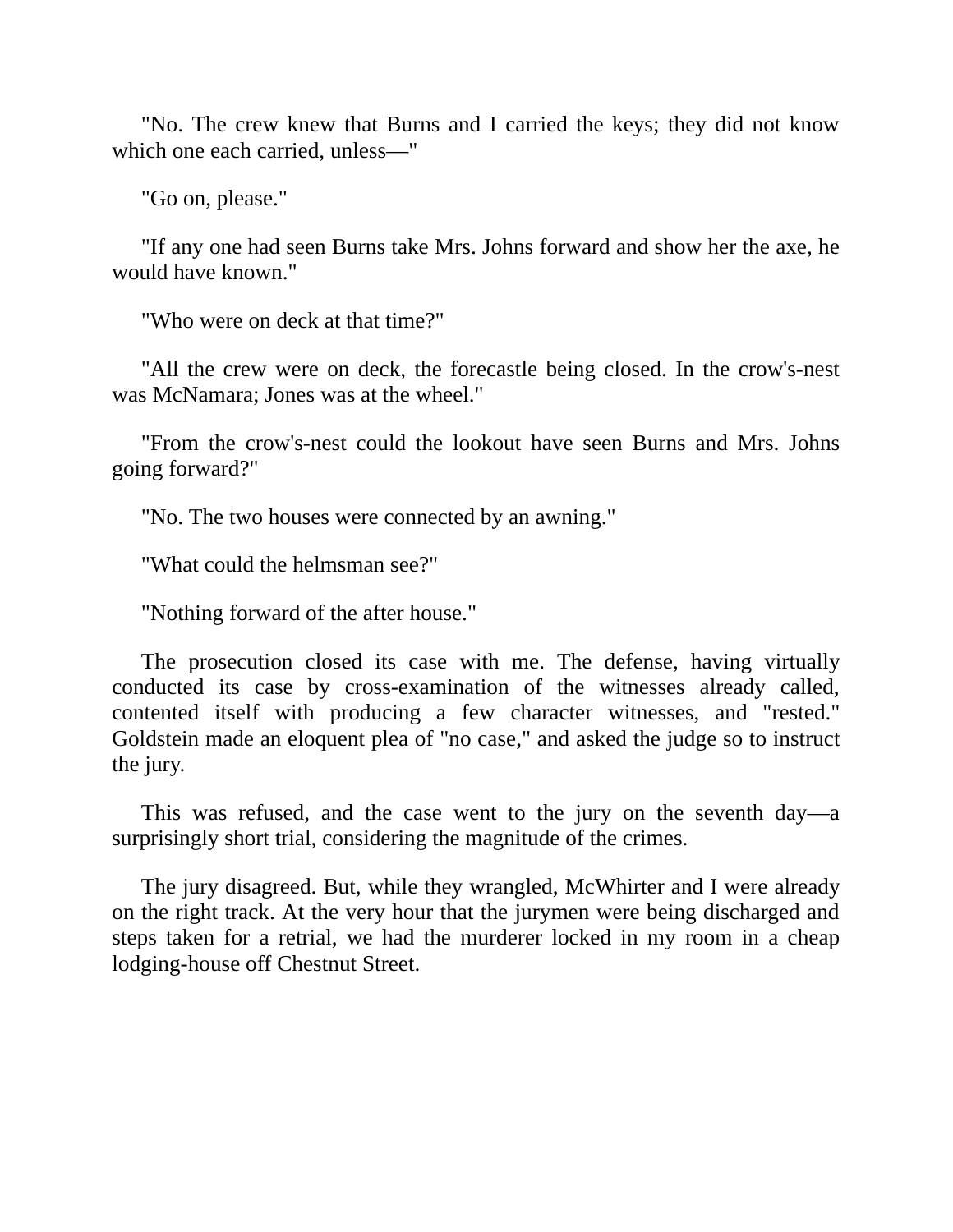"No. The crew knew that Burns and I carried the keys; they did not know which one each carried, unless—"

"Go on, please."

"If any one had seen Burns take Mrs. Johns forward and show her the axe, he would have known."

"Who were on deck at that time?"

"All the crew were on deck, the forecastle being closed. In the crow's-nest was McNamara; Jones was at the wheel."

"From the crow's-nest could the lookout have seen Burns and Mrs. Johns going forward?"

"No. The two houses were connected by an awning."

"What could the helmsman see?"

"Nothing forward of the after house."

The prosecution closed its case with me. The defense, having virtually conducted its case by cross-examination of the witnesses already called, contented itself with producing a few character witnesses, and "rested." Goldstein made an eloquent plea of "no case," and asked the judge so to instruct the jury.

This was refused, and the case went to the jury on the seventh day—a surprisingly short trial, considering the magnitude of the crimes.

The jury disagreed. But, while they wrangled, McWhirter and I were already on the right track. At the very hour that the jurymen were being discharged and steps taken for a retrial, we had the murderer locked in my room in a cheap lodging-house off Chestnut Street.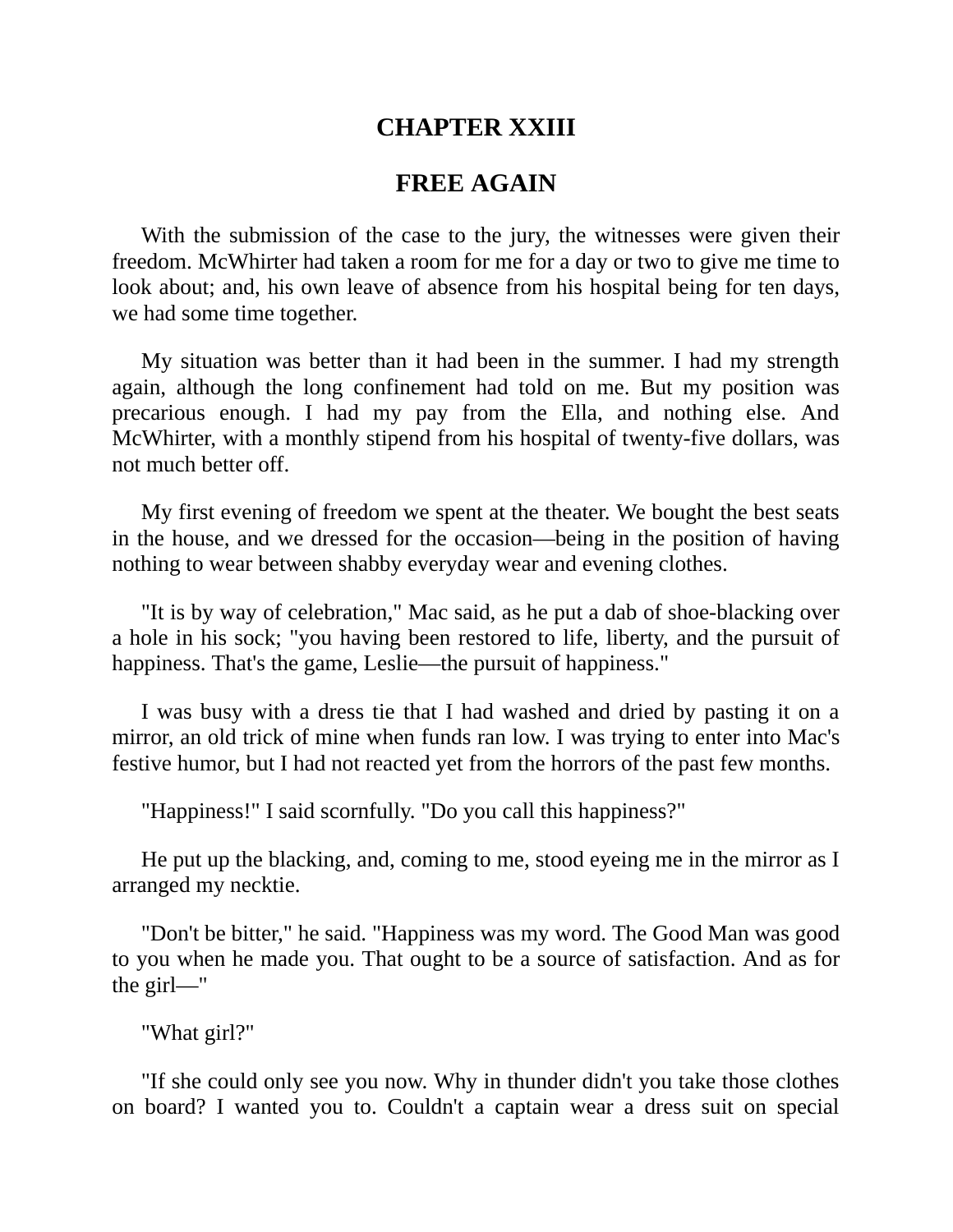# **CHAPTER XXIII**

## **FREE AGAIN**

With the submission of the case to the jury, the witnesses were given their freedom. McWhirter had taken a room for me for a day or two to give me time to look about; and, his own leave of absence from his hospital being for ten days, we had some time together.

My situation was better than it had been in the summer. I had my strength again, although the long confinement had told on me. But my position was precarious enough. I had my pay from the Ella, and nothing else. And McWhirter, with a monthly stipend from his hospital of twenty-five dollars, was not much better off.

My first evening of freedom we spent at the theater. We bought the best seats in the house, and we dressed for the occasion—being in the position of having nothing to wear between shabby everyday wear and evening clothes.

"It is by way of celebration," Mac said, as he put a dab of shoe-blacking over a hole in his sock; "you having been restored to life, liberty, and the pursuit of happiness. That's the game, Leslie—the pursuit of happiness."

I was busy with a dress tie that I had washed and dried by pasting it on a mirror, an old trick of mine when funds ran low. I was trying to enter into Mac's festive humor, but I had not reacted yet from the horrors of the past few months.

"Happiness!" I said scornfully. "Do you call this happiness?"

He put up the blacking, and, coming to me, stood eyeing me in the mirror as I arranged my necktie.

"Don't be bitter," he said. "Happiness was my word. The Good Man was good to you when he made you. That ought to be a source of satisfaction. And as for the girl—"

"What girl?"

"If she could only see you now. Why in thunder didn't you take those clothes on board? I wanted you to. Couldn't a captain wear a dress suit on special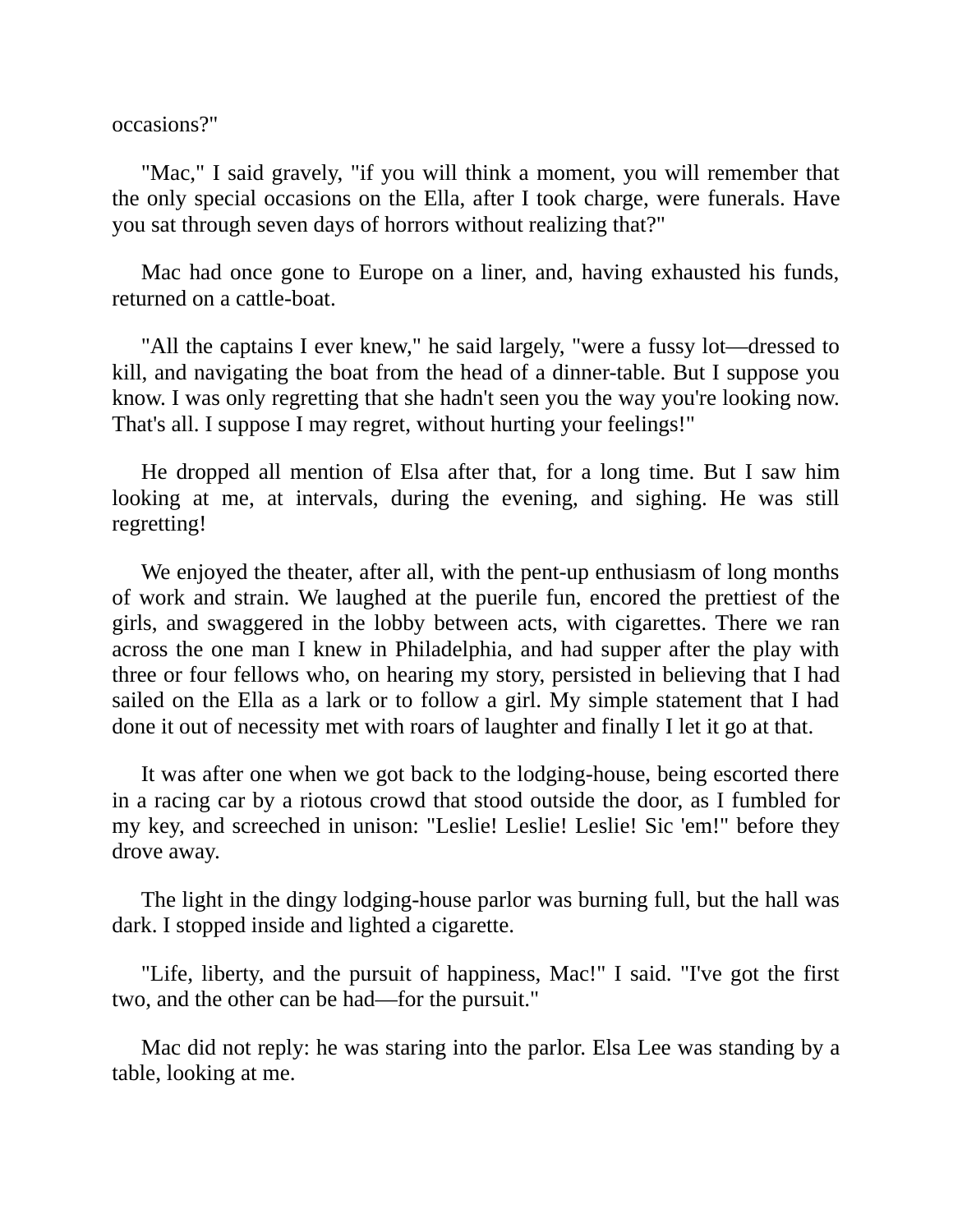occasions?"

"Mac," I said gravely, "if you will think a moment, you will remember that the only special occasions on the Ella, after I took charge, were funerals. Have you sat through seven days of horrors without realizing that?"

Mac had once gone to Europe on a liner, and, having exhausted his funds, returned on a cattle-boat.

"All the captains I ever knew," he said largely, "were a fussy lot—dressed to kill, and navigating the boat from the head of a dinner-table. But I suppose you know. I was only regretting that she hadn't seen you the way you're looking now. That's all. I suppose I may regret, without hurting your feelings!"

He dropped all mention of Elsa after that, for a long time. But I saw him looking at me, at intervals, during the evening, and sighing. He was still regretting!

We enjoyed the theater, after all, with the pent-up enthusiasm of long months of work and strain. We laughed at the puerile fun, encored the prettiest of the girls, and swaggered in the lobby between acts, with cigarettes. There we ran across the one man I knew in Philadelphia, and had supper after the play with three or four fellows who, on hearing my story, persisted in believing that I had sailed on the Ella as a lark or to follow a girl. My simple statement that I had done it out of necessity met with roars of laughter and finally I let it go at that.

It was after one when we got back to the lodging-house, being escorted there in a racing car by a riotous crowd that stood outside the door, as I fumbled for my key, and screeched in unison: "Leslie! Leslie! Leslie! Sic 'em!" before they drove away.

The light in the dingy lodging-house parlor was burning full, but the hall was dark. I stopped inside and lighted a cigarette.

"Life, liberty, and the pursuit of happiness, Mac!" I said. "I've got the first two, and the other can be had—for the pursuit."

Mac did not reply: he was staring into the parlor. Elsa Lee was standing by a table, looking at me.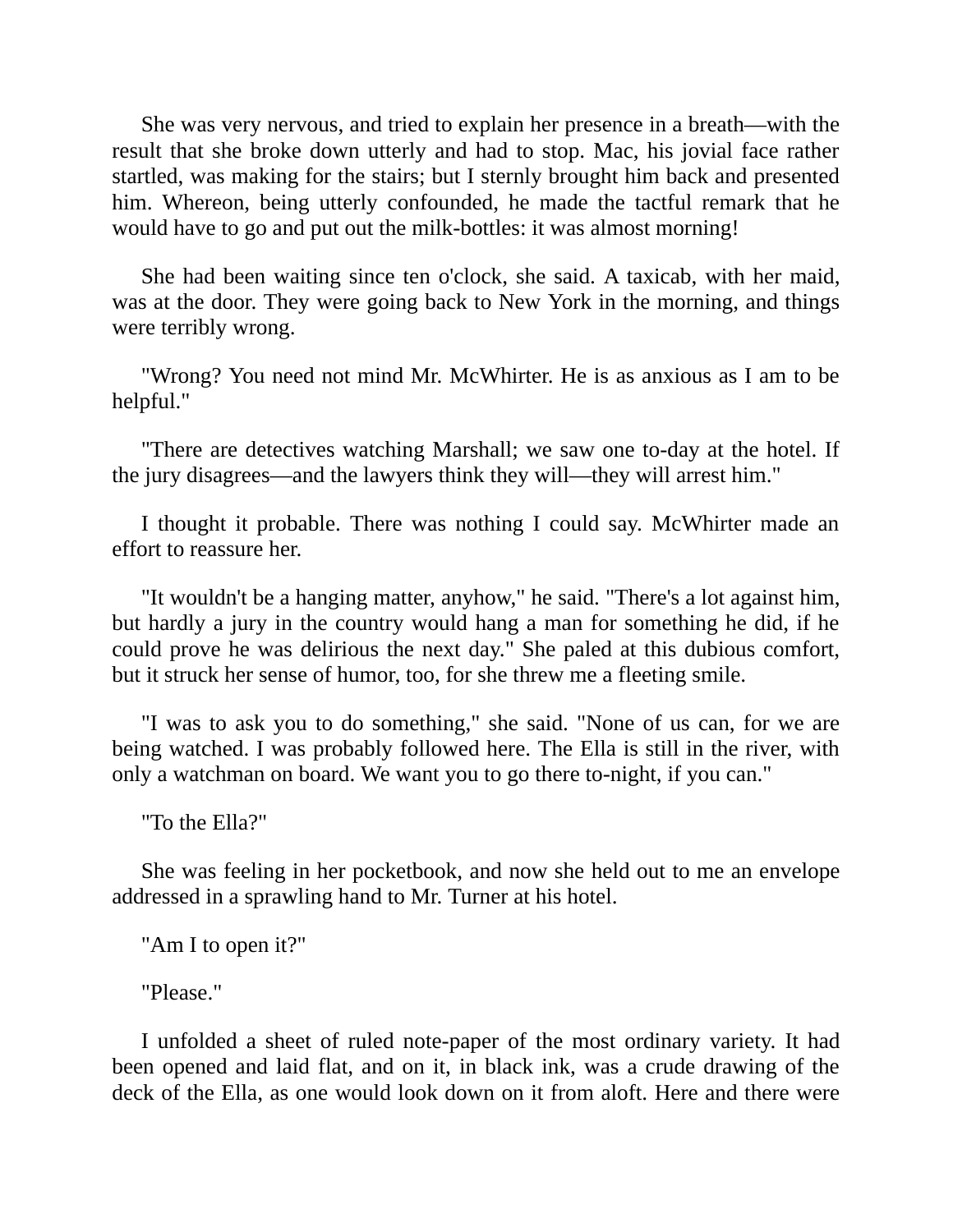She was very nervous, and tried to explain her presence in a breath—with the result that she broke down utterly and had to stop. Mac, his jovial face rather startled, was making for the stairs; but I sternly brought him back and presented him. Whereon, being utterly confounded, he made the tactful remark that he would have to go and put out the milk-bottles: it was almost morning!

She had been waiting since ten o'clock, she said. A taxicab, with her maid, was at the door. They were going back to New York in the morning, and things were terribly wrong.

"Wrong? You need not mind Mr. McWhirter. He is as anxious as I am to be helpful."

"There are detectives watching Marshall; we saw one to-day at the hotel. If the jury disagrees—and the lawyers think they will—they will arrest him."

I thought it probable. There was nothing I could say. McWhirter made an effort to reassure her.

"It wouldn't be a hanging matter, anyhow," he said. "There's a lot against him, but hardly a jury in the country would hang a man for something he did, if he could prove he was delirious the next day." She paled at this dubious comfort, but it struck her sense of humor, too, for she threw me a fleeting smile.

"I was to ask you to do something," she said. "None of us can, for we are being watched. I was probably followed here. The Ella is still in the river, with only a watchman on board. We want you to go there to-night, if you can."

"To the Ella?"

She was feeling in her pocketbook, and now she held out to me an envelope addressed in a sprawling hand to Mr. Turner at his hotel.

"Am I to open it?"

"Please."

I unfolded a sheet of ruled note-paper of the most ordinary variety. It had been opened and laid flat, and on it, in black ink, was a crude drawing of the deck of the Ella, as one would look down on it from aloft. Here and there were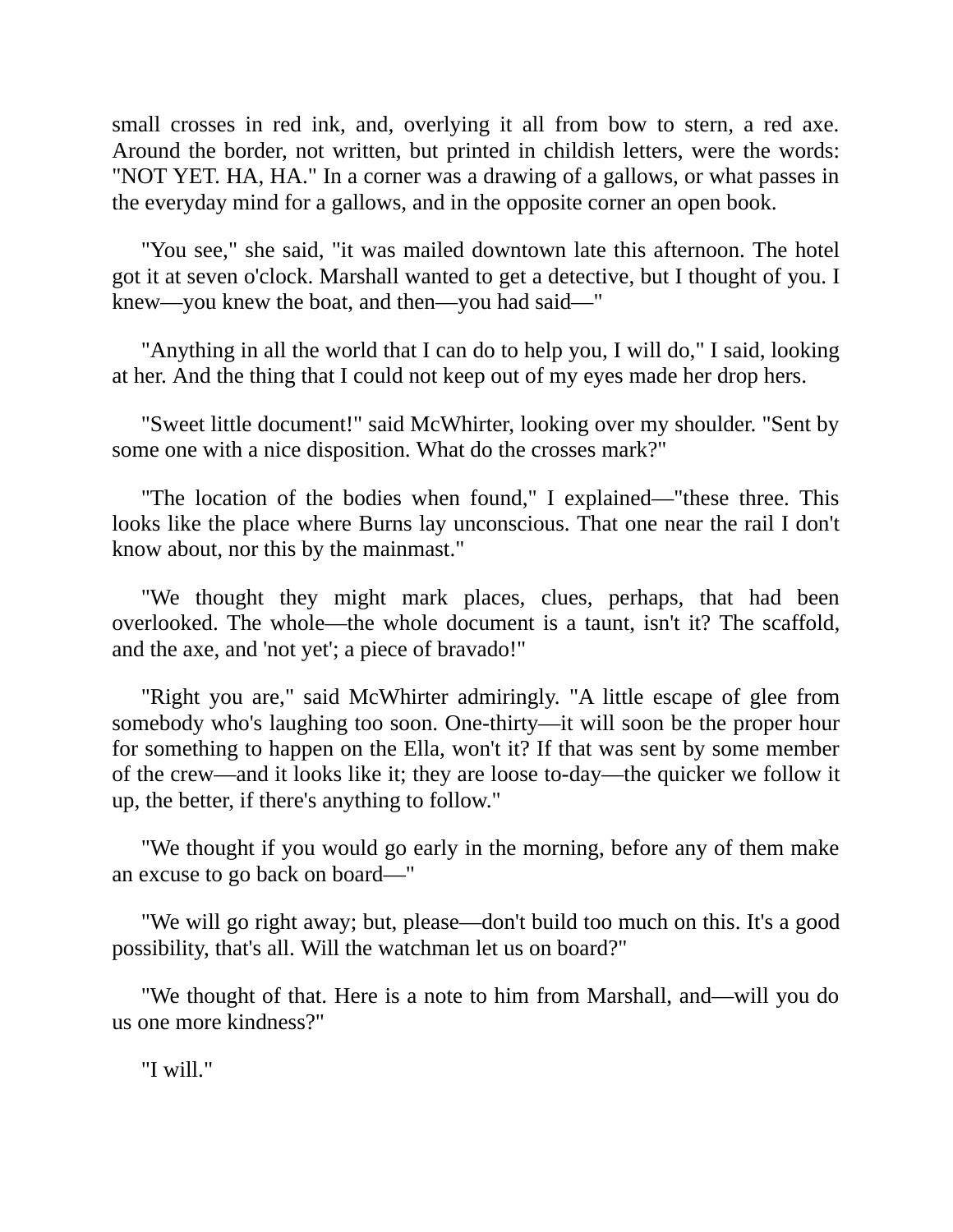small crosses in red ink, and, overlying it all from bow to stern, a red axe. Around the border, not written, but printed in childish letters, were the words: "NOT YET. HA, HA." In a corner was a drawing of a gallows, or what passes in the everyday mind for a gallows, and in the opposite corner an open book.

"You see," she said, "it was mailed downtown late this afternoon. The hotel got it at seven o'clock. Marshall wanted to get a detective, but I thought of you. I knew—you knew the boat, and then—you had said—"

"Anything in all the world that I can do to help you, I will do," I said, looking at her. And the thing that I could not keep out of my eyes made her drop hers.

"Sweet little document!" said McWhirter, looking over my shoulder. "Sent by some one with a nice disposition. What do the crosses mark?"

"The location of the bodies when found," I explained—"these three. This looks like the place where Burns lay unconscious. That one near the rail I don't know about, nor this by the mainmast."

"We thought they might mark places, clues, perhaps, that had been overlooked. The whole—the whole document is a taunt, isn't it? The scaffold, and the axe, and 'not yet'; a piece of bravado!"

"Right you are," said McWhirter admiringly. "A little escape of glee from somebody who's laughing too soon. One-thirty—it will soon be the proper hour for something to happen on the Ella, won't it? If that was sent by some member of the crew—and it looks like it; they are loose to-day—the quicker we follow it up, the better, if there's anything to follow."

"We thought if you would go early in the morning, before any of them make an excuse to go back on board—"

"We will go right away; but, please—don't build too much on this. It's a good possibility, that's all. Will the watchman let us on board?"

"We thought of that. Here is a note to him from Marshall, and—will you do us one more kindness?"

"I will."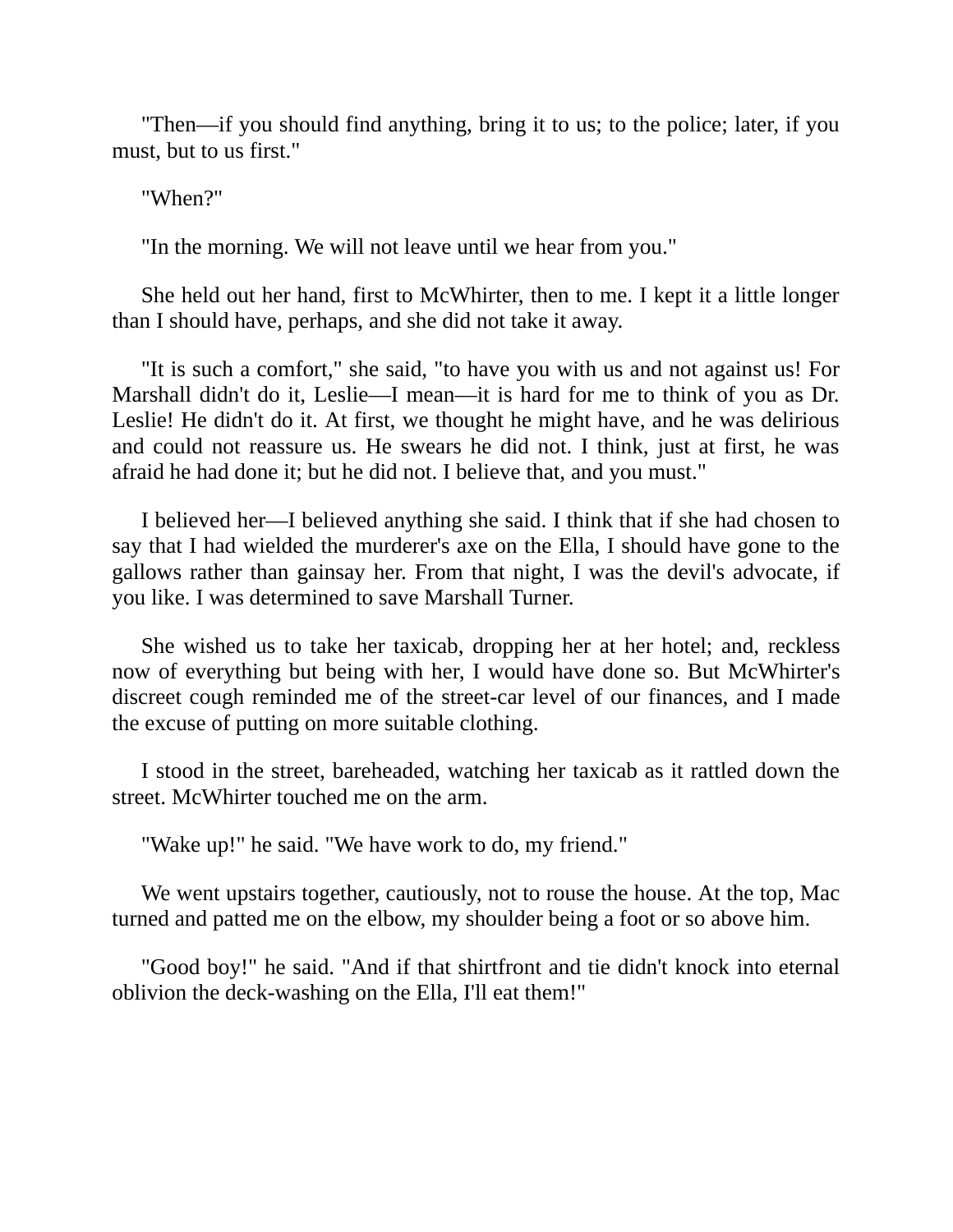"Then—if you should find anything, bring it to us; to the police; later, if you must, but to us first."

"When?"

"In the morning. We will not leave until we hear from you."

She held out her hand, first to McWhirter, then to me. I kept it a little longer than I should have, perhaps, and she did not take it away.

"It is such a comfort," she said, "to have you with us and not against us! For Marshall didn't do it, Leslie—I mean—it is hard for me to think of you as Dr. Leslie! He didn't do it. At first, we thought he might have, and he was delirious and could not reassure us. He swears he did not. I think, just at first, he was afraid he had done it; but he did not. I believe that, and you must."

I believed her—I believed anything she said. I think that if she had chosen to say that I had wielded the murderer's axe on the Ella, I should have gone to the gallows rather than gainsay her. From that night, I was the devil's advocate, if you like. I was determined to save Marshall Turner.

She wished us to take her taxicab, dropping her at her hotel; and, reckless now of everything but being with her, I would have done so. But McWhirter's discreet cough reminded me of the street-car level of our finances, and I made the excuse of putting on more suitable clothing.

I stood in the street, bareheaded, watching her taxicab as it rattled down the street. McWhirter touched me on the arm.

"Wake up!" he said. "We have work to do, my friend."

We went upstairs together, cautiously, not to rouse the house. At the top, Mac turned and patted me on the elbow, my shoulder being a foot or so above him.

"Good boy!" he said. "And if that shirtfront and tie didn't knock into eternal oblivion the deck-washing on the Ella, I'll eat them!"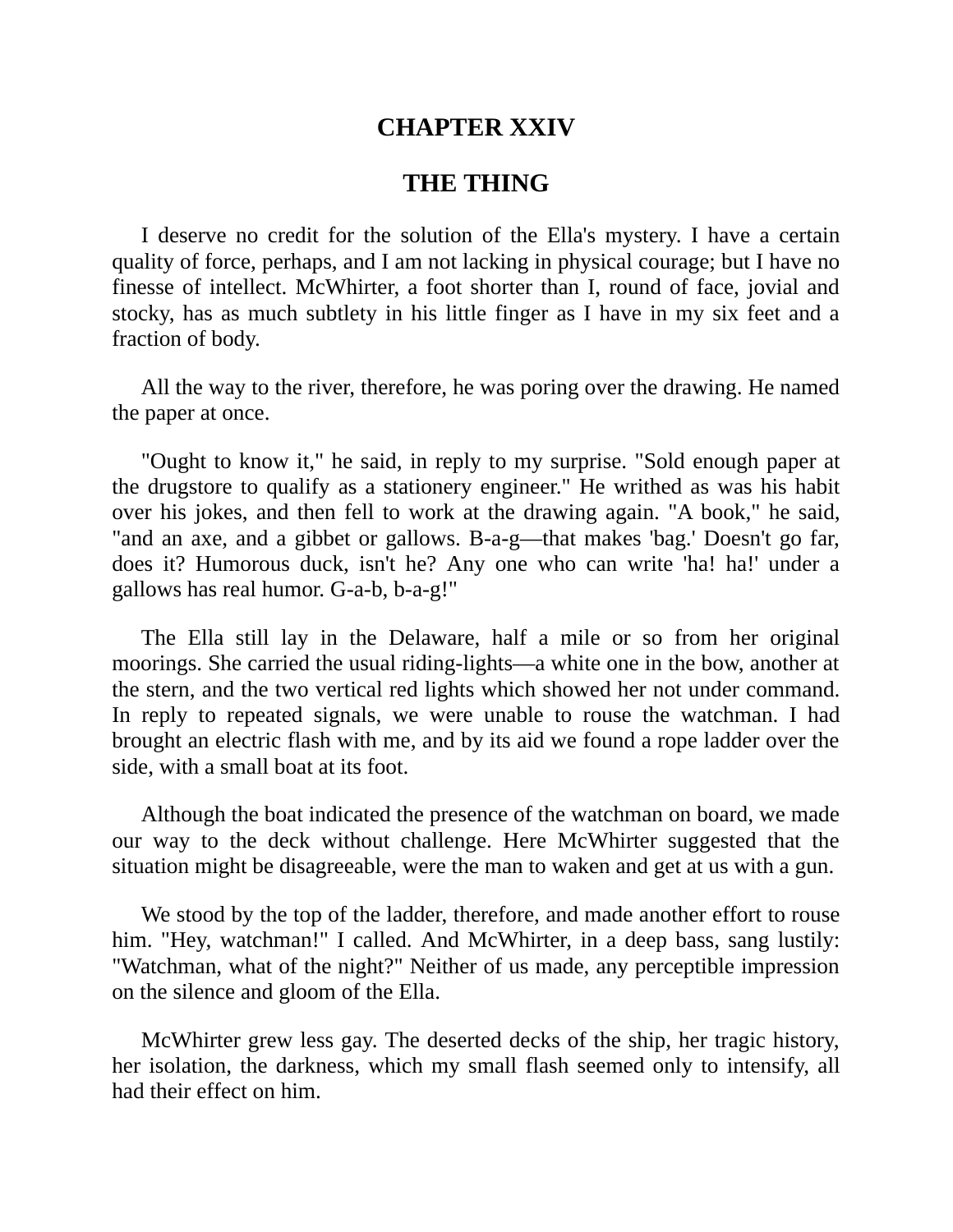## **CHAPTER XXIV**

### **THE THING**

I deserve no credit for the solution of the Ella's mystery. I have a certain quality of force, perhaps, and I am not lacking in physical courage; but I have no finesse of intellect. McWhirter, a foot shorter than I, round of face, jovial and stocky, has as much subtlety in his little finger as I have in my six feet and a fraction of body.

All the way to the river, therefore, he was poring over the drawing. He named the paper at once.

"Ought to know it," he said, in reply to my surprise. "Sold enough paper at the drugstore to qualify as a stationery engineer." He writhed as was his habit over his jokes, and then fell to work at the drawing again. "A book," he said, "and an axe, and a gibbet or gallows. B-a-g—that makes 'bag.' Doesn't go far, does it? Humorous duck, isn't he? Any one who can write 'ha! ha!' under a gallows has real humor. G-a-b, b-a-g!"

The Ella still lay in the Delaware, half a mile or so from her original moorings. She carried the usual riding-lights—a white one in the bow, another at the stern, and the two vertical red lights which showed her not under command. In reply to repeated signals, we were unable to rouse the watchman. I had brought an electric flash with me, and by its aid we found a rope ladder over the side, with a small boat at its foot.

Although the boat indicated the presence of the watchman on board, we made our way to the deck without challenge. Here McWhirter suggested that the situation might be disagreeable, were the man to waken and get at us with a gun.

We stood by the top of the ladder, therefore, and made another effort to rouse him. "Hey, watchman!" I called. And McWhirter, in a deep bass, sang lustily: "Watchman, what of the night?" Neither of us made, any perceptible impression on the silence and gloom of the Ella.

McWhirter grew less gay. The deserted decks of the ship, her tragic history, her isolation, the darkness, which my small flash seemed only to intensify, all had their effect on him.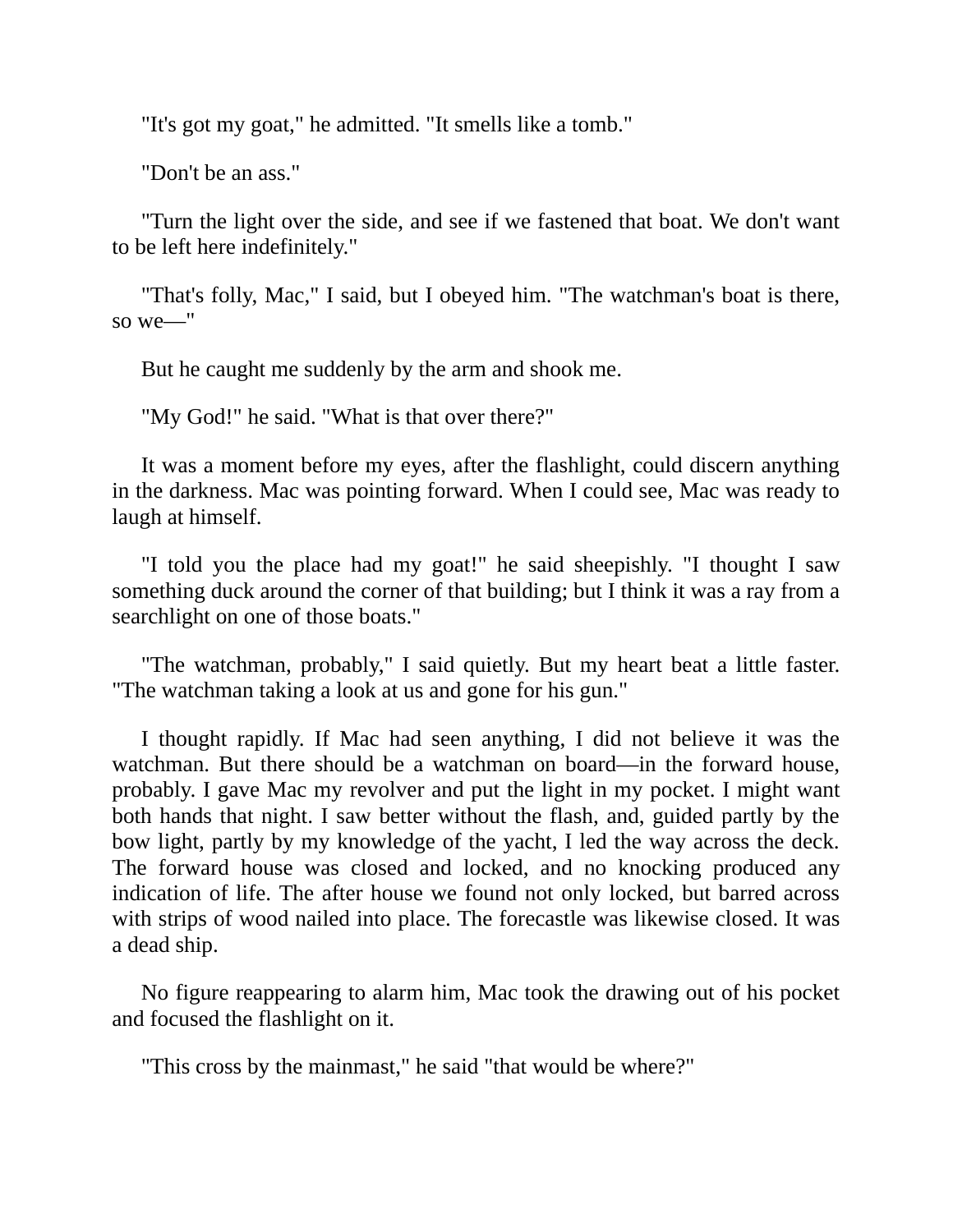"It's got my goat," he admitted. "It smells like a tomb."

"Don't be an ass."

"Turn the light over the side, and see if we fastened that boat. We don't want to be left here indefinitely."

"That's folly, Mac," I said, but I obeyed him. "The watchman's boat is there, so we—"

But he caught me suddenly by the arm and shook me.

"My God!" he said. "What is that over there?"

It was a moment before my eyes, after the flashlight, could discern anything in the darkness. Mac was pointing forward. When I could see, Mac was ready to laugh at himself.

"I told you the place had my goat!" he said sheepishly. "I thought I saw something duck around the corner of that building; but I think it was a ray from a searchlight on one of those boats."

"The watchman, probably," I said quietly. But my heart beat a little faster. "The watchman taking a look at us and gone for his gun."

I thought rapidly. If Mac had seen anything, I did not believe it was the watchman. But there should be a watchman on board—in the forward house, probably. I gave Mac my revolver and put the light in my pocket. I might want both hands that night. I saw better without the flash, and, guided partly by the bow light, partly by my knowledge of the yacht, I led the way across the deck. The forward house was closed and locked, and no knocking produced any indication of life. The after house we found not only locked, but barred across with strips of wood nailed into place. The forecastle was likewise closed. It was a dead ship.

No figure reappearing to alarm him, Mac took the drawing out of his pocket and focused the flashlight on it.

"This cross by the mainmast," he said "that would be where?"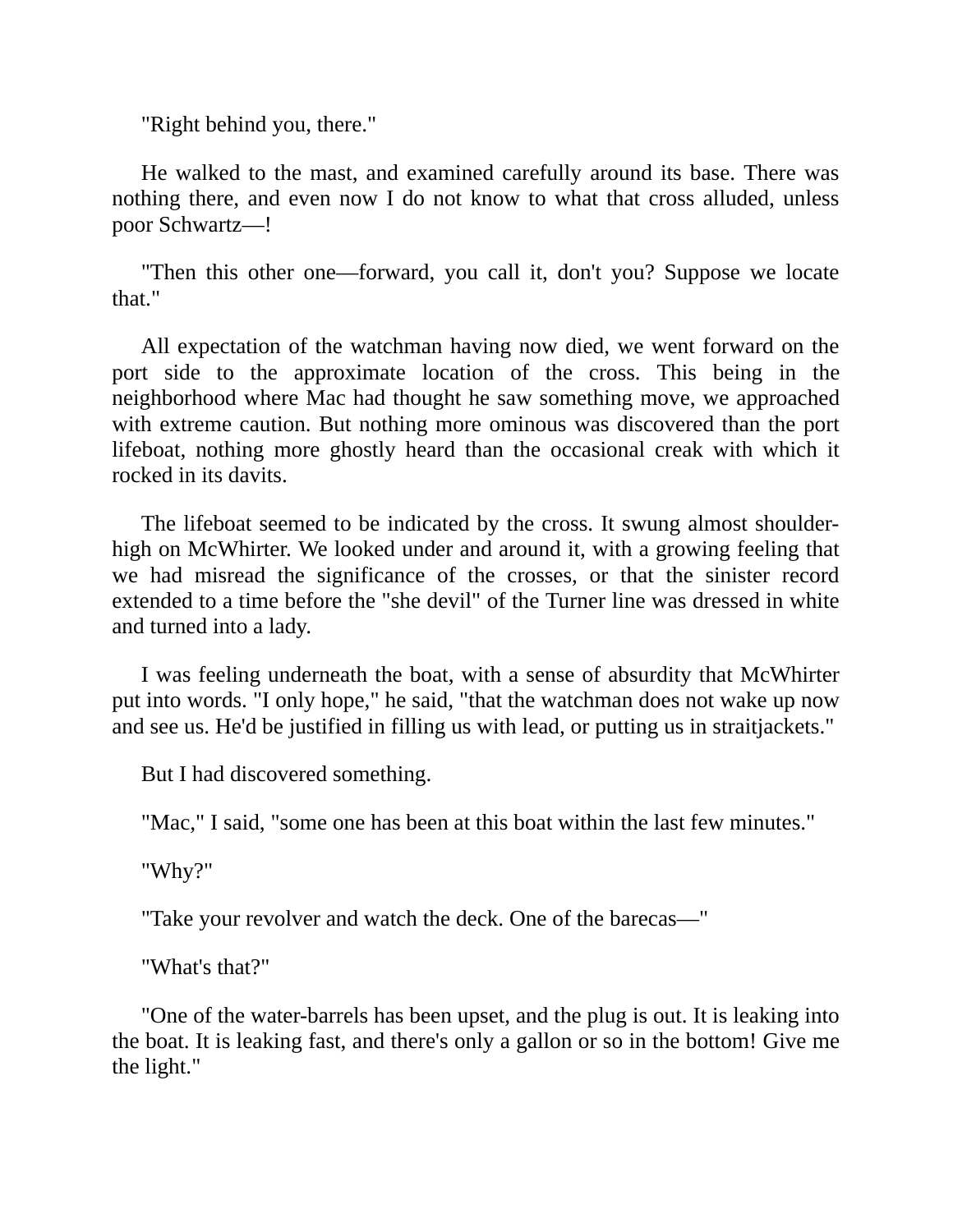"Right behind you, there."

He walked to the mast, and examined carefully around its base. There was nothing there, and even now I do not know to what that cross alluded, unless poor Schwartz—!

"Then this other one—forward, you call it, don't you? Suppose we locate that."

All expectation of the watchman having now died, we went forward on the port side to the approximate location of the cross. This being in the neighborhood where Mac had thought he saw something move, we approached with extreme caution. But nothing more ominous was discovered than the port lifeboat, nothing more ghostly heard than the occasional creak with which it rocked in its davits.

The lifeboat seemed to be indicated by the cross. It swung almost shoulderhigh on McWhirter. We looked under and around it, with a growing feeling that we had misread the significance of the crosses, or that the sinister record extended to a time before the "she devil" of the Turner line was dressed in white and turned into a lady.

I was feeling underneath the boat, with a sense of absurdity that McWhirter put into words. "I only hope," he said, "that the watchman does not wake up now and see us. He'd be justified in filling us with lead, or putting us in straitjackets."

But I had discovered something.

"Mac," I said, "some one has been at this boat within the last few minutes."

"Why?"

"Take your revolver and watch the deck. One of the barecas—"

"What's that?"

"One of the water-barrels has been upset, and the plug is out. It is leaking into the boat. It is leaking fast, and there's only a gallon or so in the bottom! Give me the light."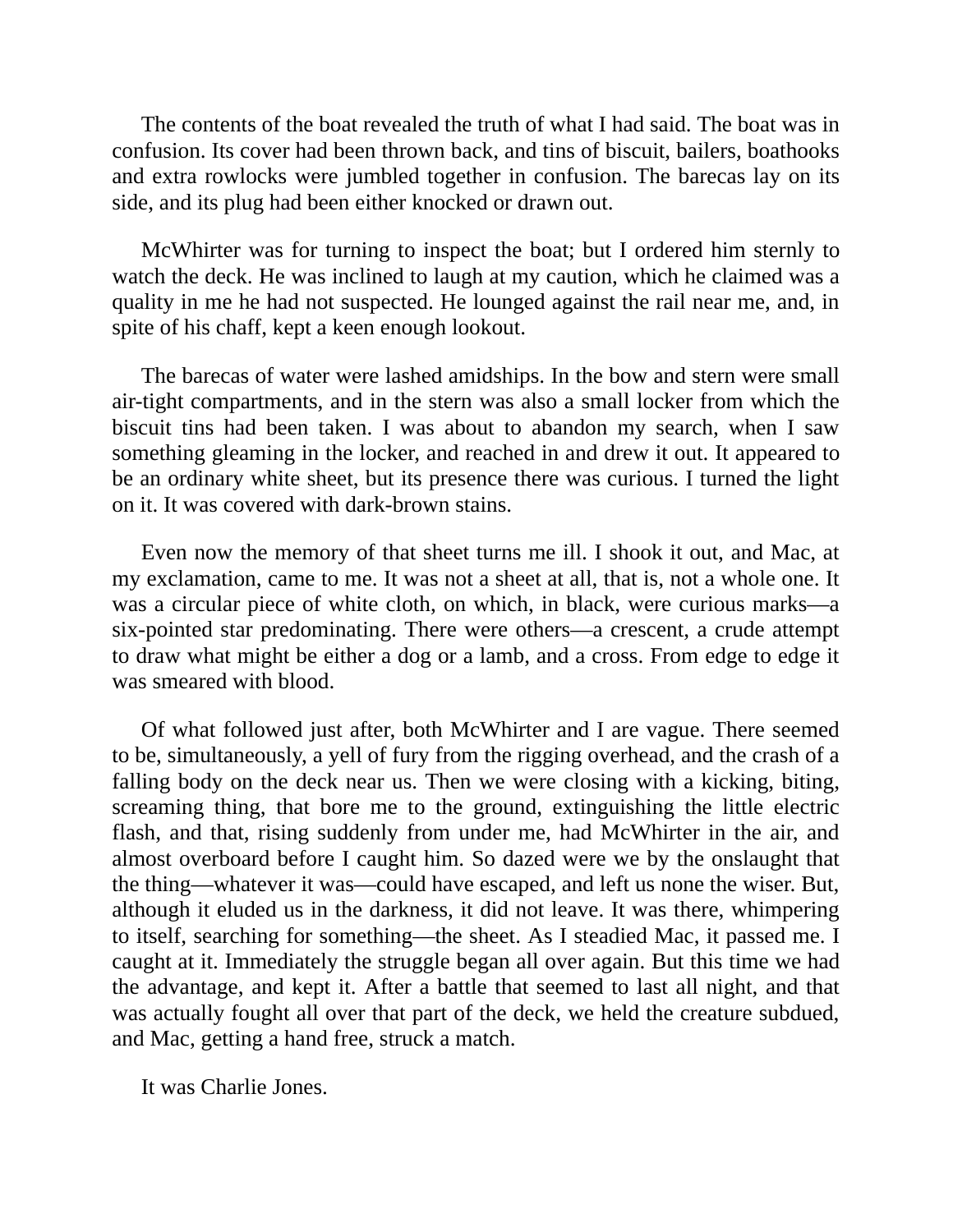The contents of the boat revealed the truth of what I had said. The boat was in confusion. Its cover had been thrown back, and tins of biscuit, bailers, boathooks and extra rowlocks were jumbled together in confusion. The barecas lay on its side, and its plug had been either knocked or drawn out.

McWhirter was for turning to inspect the boat; but I ordered him sternly to watch the deck. He was inclined to laugh at my caution, which he claimed was a quality in me he had not suspected. He lounged against the rail near me, and, in spite of his chaff, kept a keen enough lookout.

The barecas of water were lashed amidships. In the bow and stern were small air-tight compartments, and in the stern was also a small locker from which the biscuit tins had been taken. I was about to abandon my search, when I saw something gleaming in the locker, and reached in and drew it out. It appeared to be an ordinary white sheet, but its presence there was curious. I turned the light on it. It was covered with dark-brown stains.

Even now the memory of that sheet turns me ill. I shook it out, and Mac, at my exclamation, came to me. It was not a sheet at all, that is, not a whole one. It was a circular piece of white cloth, on which, in black, were curious marks—a six-pointed star predominating. There were others—a crescent, a crude attempt to draw what might be either a dog or a lamb, and a cross. From edge to edge it was smeared with blood.

Of what followed just after, both McWhirter and I are vague. There seemed to be, simultaneously, a yell of fury from the rigging overhead, and the crash of a falling body on the deck near us. Then we were closing with a kicking, biting, screaming thing, that bore me to the ground, extinguishing the little electric flash, and that, rising suddenly from under me, had McWhirter in the air, and almost overboard before I caught him. So dazed were we by the onslaught that the thing—whatever it was—could have escaped, and left us none the wiser. But, although it eluded us in the darkness, it did not leave. It was there, whimpering to itself, searching for something—the sheet. As I steadied Mac, it passed me. I caught at it. Immediately the struggle began all over again. But this time we had the advantage, and kept it. After a battle that seemed to last all night, and that was actually fought all over that part of the deck, we held the creature subdued, and Mac, getting a hand free, struck a match.

It was Charlie Jones.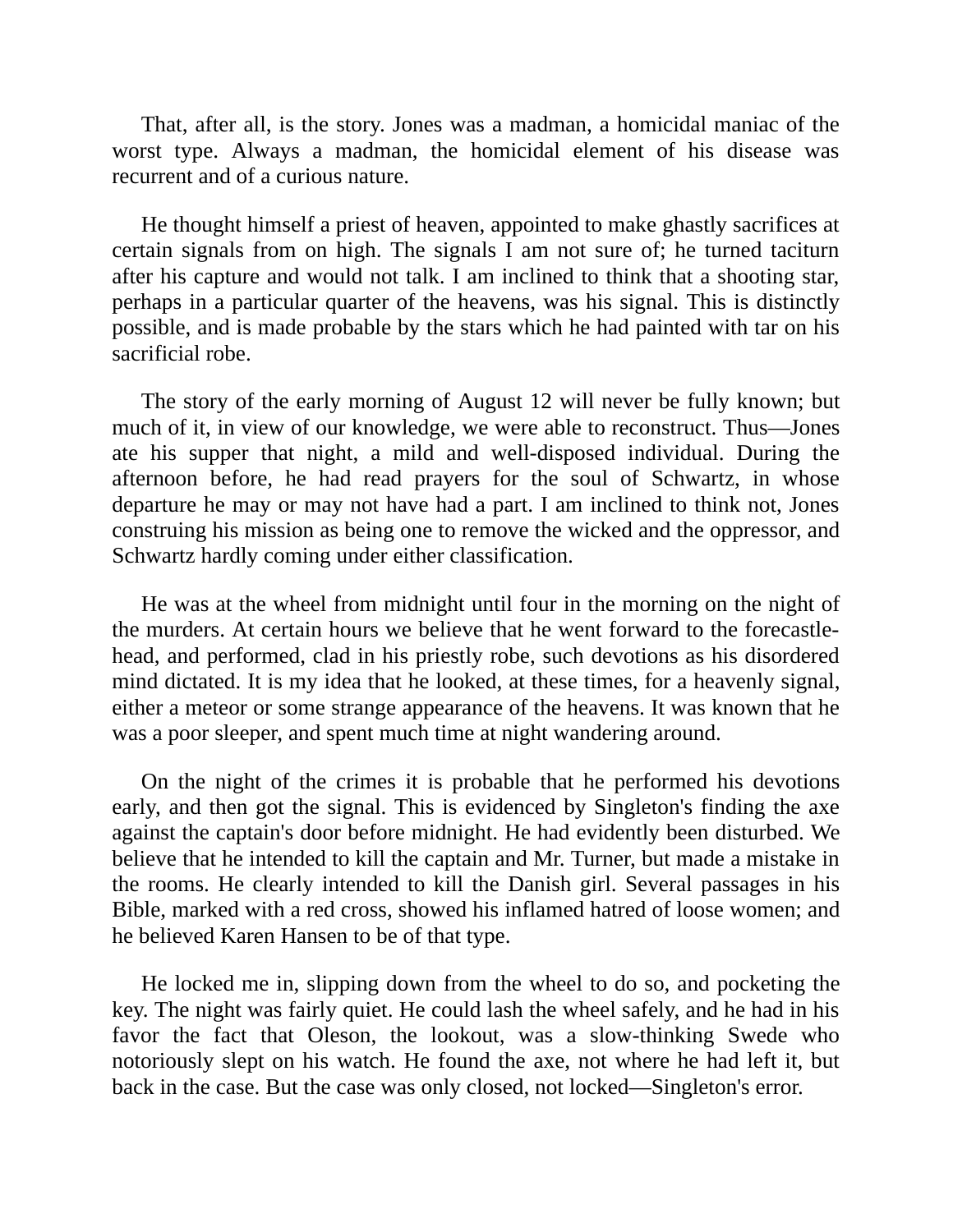That, after all, is the story. Jones was a madman, a homicidal maniac of the worst type. Always a madman, the homicidal element of his disease was recurrent and of a curious nature.

He thought himself a priest of heaven, appointed to make ghastly sacrifices at certain signals from on high. The signals I am not sure of; he turned taciturn after his capture and would not talk. I am inclined to think that a shooting star, perhaps in a particular quarter of the heavens, was his signal. This is distinctly possible, and is made probable by the stars which he had painted with tar on his sacrificial robe.

The story of the early morning of August 12 will never be fully known; but much of it, in view of our knowledge, we were able to reconstruct. Thus—Jones ate his supper that night, a mild and well-disposed individual. During the afternoon before, he had read prayers for the soul of Schwartz, in whose departure he may or may not have had a part. I am inclined to think not, Jones construing his mission as being one to remove the wicked and the oppressor, and Schwartz hardly coming under either classification.

He was at the wheel from midnight until four in the morning on the night of the murders. At certain hours we believe that he went forward to the forecastlehead, and performed, clad in his priestly robe, such devotions as his disordered mind dictated. It is my idea that he looked, at these times, for a heavenly signal, either a meteor or some strange appearance of the heavens. It was known that he was a poor sleeper, and spent much time at night wandering around.

On the night of the crimes it is probable that he performed his devotions early, and then got the signal. This is evidenced by Singleton's finding the axe against the captain's door before midnight. He had evidently been disturbed. We believe that he intended to kill the captain and Mr. Turner, but made a mistake in the rooms. He clearly intended to kill the Danish girl. Several passages in his Bible, marked with a red cross, showed his inflamed hatred of loose women; and he believed Karen Hansen to be of that type.

He locked me in, slipping down from the wheel to do so, and pocketing the key. The night was fairly quiet. He could lash the wheel safely, and he had in his favor the fact that Oleson, the lookout, was a slow-thinking Swede who notoriously slept on his watch. He found the axe, not where he had left it, but back in the case. But the case was only closed, not locked—Singleton's error.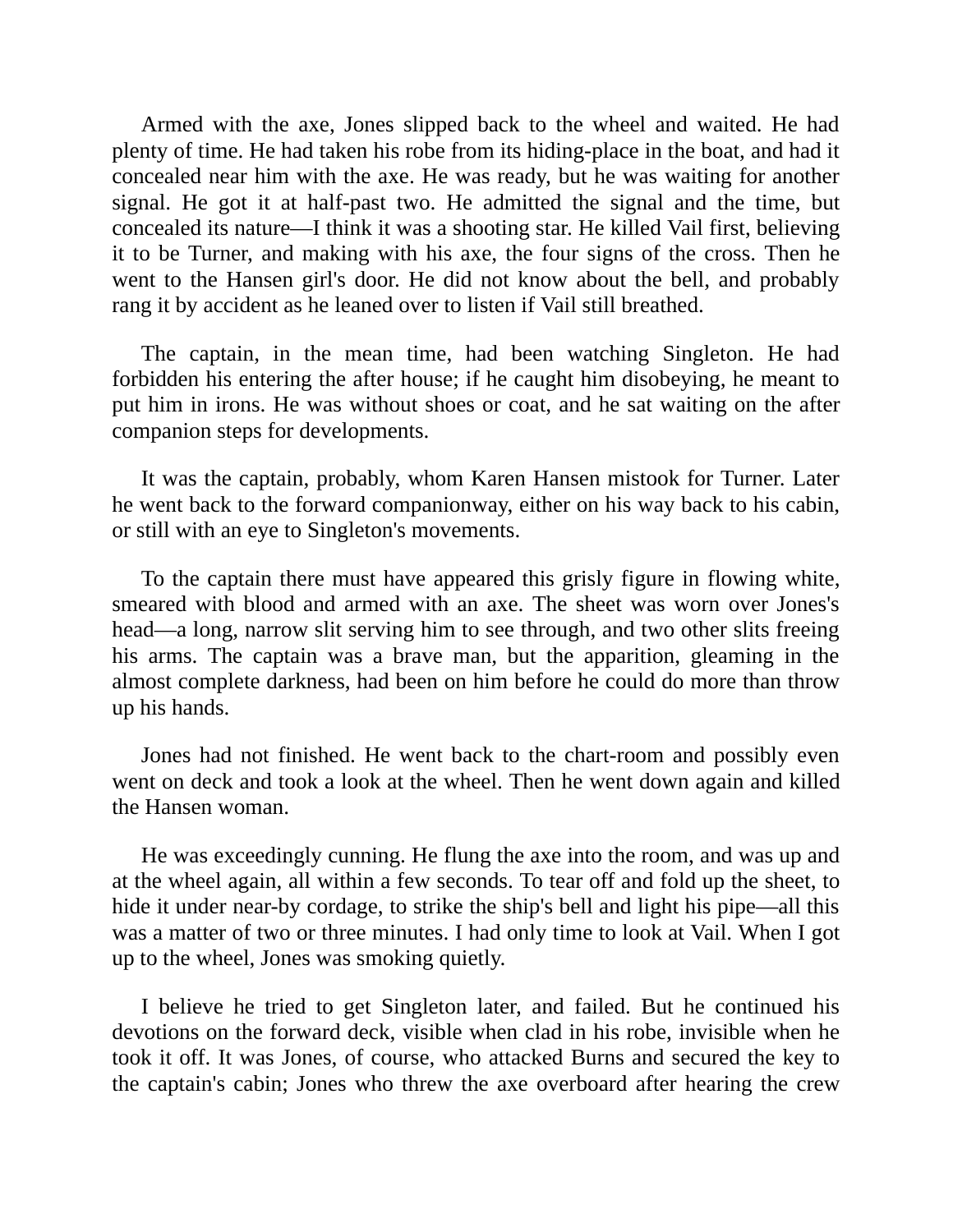Armed with the axe, Jones slipped back to the wheel and waited. He had plenty of time. He had taken his robe from its hiding-place in the boat, and had it concealed near him with the axe. He was ready, but he was waiting for another signal. He got it at half-past two. He admitted the signal and the time, but concealed its nature—I think it was a shooting star. He killed Vail first, believing it to be Turner, and making with his axe, the four signs of the cross. Then he went to the Hansen girl's door. He did not know about the bell, and probably rang it by accident as he leaned over to listen if Vail still breathed.

The captain, in the mean time, had been watching Singleton. He had forbidden his entering the after house; if he caught him disobeying, he meant to put him in irons. He was without shoes or coat, and he sat waiting on the after companion steps for developments.

It was the captain, probably, whom Karen Hansen mistook for Turner. Later he went back to the forward companionway, either on his way back to his cabin, or still with an eye to Singleton's movements.

To the captain there must have appeared this grisly figure in flowing white, smeared with blood and armed with an axe. The sheet was worn over Jones's head—a long, narrow slit serving him to see through, and two other slits freeing his arms. The captain was a brave man, but the apparition, gleaming in the almost complete darkness, had been on him before he could do more than throw up his hands.

Jones had not finished. He went back to the chart-room and possibly even went on deck and took a look at the wheel. Then he went down again and killed the Hansen woman.

He was exceedingly cunning. He flung the axe into the room, and was up and at the wheel again, all within a few seconds. To tear off and fold up the sheet, to hide it under near-by cordage, to strike the ship's bell and light his pipe—all this was a matter of two or three minutes. I had only time to look at Vail. When I got up to the wheel, Jones was smoking quietly.

I believe he tried to get Singleton later, and failed. But he continued his devotions on the forward deck, visible when clad in his robe, invisible when he took it off. It was Jones, of course, who attacked Burns and secured the key to the captain's cabin; Jones who threw the axe overboard after hearing the crew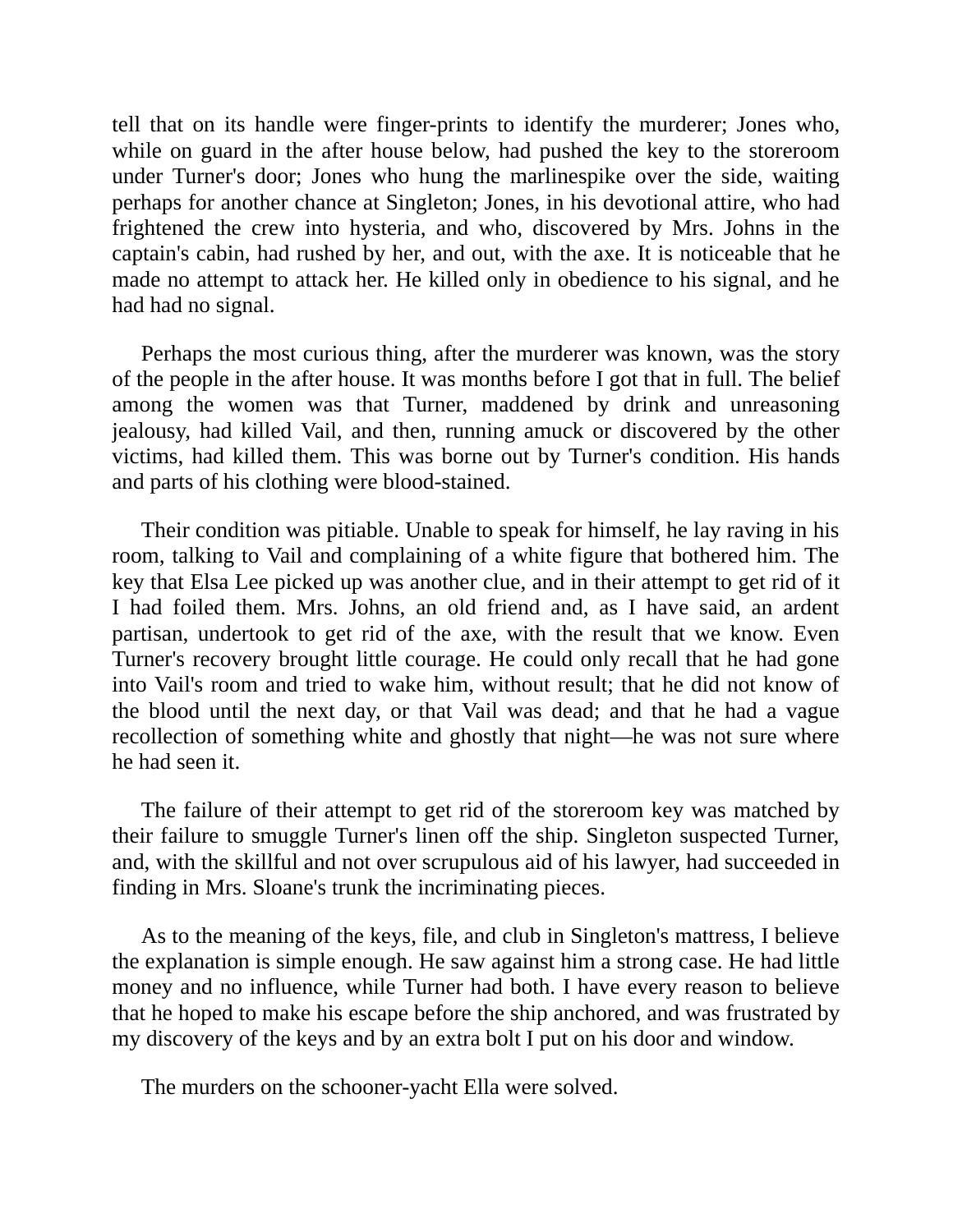tell that on its handle were finger-prints to identify the murderer; Jones who, while on guard in the after house below, had pushed the key to the storeroom under Turner's door; Jones who hung the marlinespike over the side, waiting perhaps for another chance at Singleton; Jones, in his devotional attire, who had frightened the crew into hysteria, and who, discovered by Mrs. Johns in the captain's cabin, had rushed by her, and out, with the axe. It is noticeable that he made no attempt to attack her. He killed only in obedience to his signal, and he had had no signal.

Perhaps the most curious thing, after the murderer was known, was the story of the people in the after house. It was months before I got that in full. The belief among the women was that Turner, maddened by drink and unreasoning jealousy, had killed Vail, and then, running amuck or discovered by the other victims, had killed them. This was borne out by Turner's condition. His hands and parts of his clothing were blood-stained.

Their condition was pitiable. Unable to speak for himself, he lay raving in his room, talking to Vail and complaining of a white figure that bothered him. The key that Elsa Lee picked up was another clue, and in their attempt to get rid of it I had foiled them. Mrs. Johns, an old friend and, as I have said, an ardent partisan, undertook to get rid of the axe, with the result that we know. Even Turner's recovery brought little courage. He could only recall that he had gone into Vail's room and tried to wake him, without result; that he did not know of the blood until the next day, or that Vail was dead; and that he had a vague recollection of something white and ghostly that night—he was not sure where he had seen it.

The failure of their attempt to get rid of the storeroom key was matched by their failure to smuggle Turner's linen off the ship. Singleton suspected Turner, and, with the skillful and not over scrupulous aid of his lawyer, had succeeded in finding in Mrs. Sloane's trunk the incriminating pieces.

As to the meaning of the keys, file, and club in Singleton's mattress, I believe the explanation is simple enough. He saw against him a strong case. He had little money and no influence, while Turner had both. I have every reason to believe that he hoped to make his escape before the ship anchored, and was frustrated by my discovery of the keys and by an extra bolt I put on his door and window.

The murders on the schooner-yacht Ella were solved.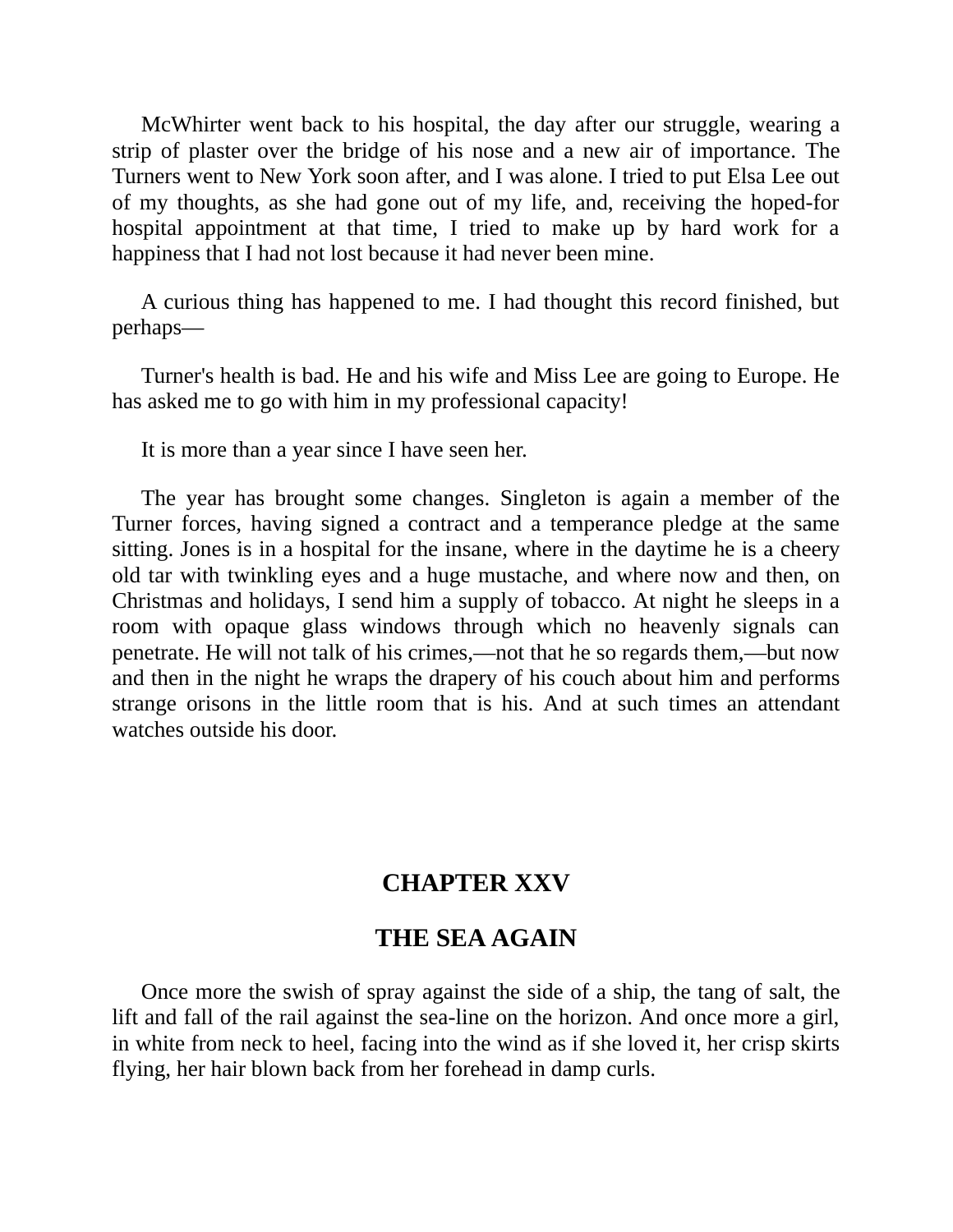McWhirter went back to his hospital, the day after our struggle, wearing a strip of plaster over the bridge of his nose and a new air of importance. The Turners went to New York soon after, and I was alone. I tried to put Elsa Lee out of my thoughts, as she had gone out of my life, and, receiving the hoped-for hospital appointment at that time, I tried to make up by hard work for a happiness that I had not lost because it had never been mine.

A curious thing has happened to me. I had thought this record finished, but perhaps—

Turner's health is bad. He and his wife and Miss Lee are going to Europe. He has asked me to go with him in my professional capacity!

It is more than a year since I have seen her.

The year has brought some changes. Singleton is again a member of the Turner forces, having signed a contract and a temperance pledge at the same sitting. Jones is in a hospital for the insane, where in the daytime he is a cheery old tar with twinkling eyes and a huge mustache, and where now and then, on Christmas and holidays, I send him a supply of tobacco. At night he sleeps in a room with opaque glass windows through which no heavenly signals can penetrate. He will not talk of his crimes,—not that he so regards them,—but now and then in the night he wraps the drapery of his couch about him and performs strange orisons in the little room that is his. And at such times an attendant watches outside his door.

# **CHAPTER XXV**

## **THE SEA AGAIN**

Once more the swish of spray against the side of a ship, the tang of salt, the lift and fall of the rail against the sea-line on the horizon. And once more a girl, in white from neck to heel, facing into the wind as if she loved it, her crisp skirts flying, her hair blown back from her forehead in damp curls.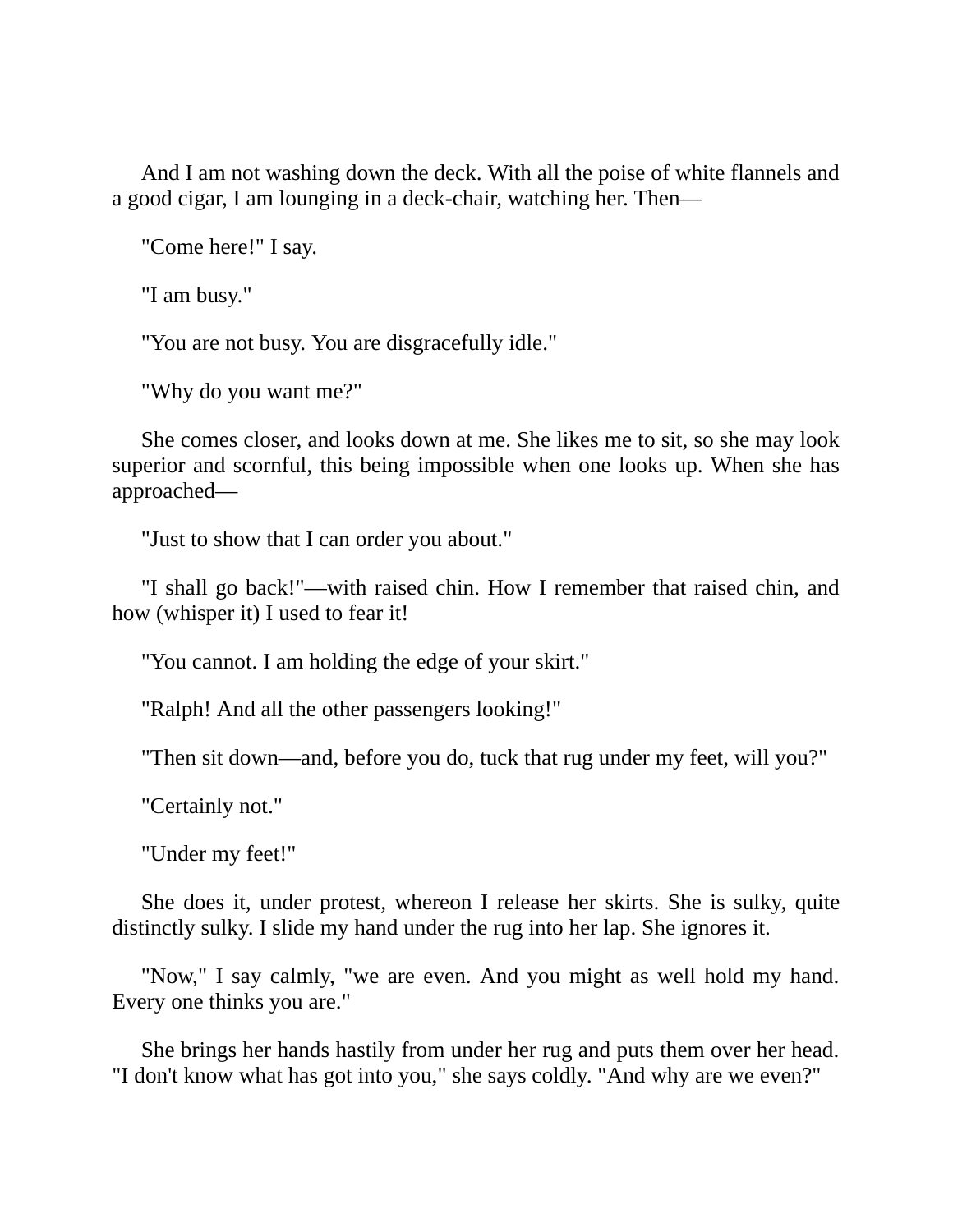And I am not washing down the deck. With all the poise of white flannels and a good cigar, I am lounging in a deck-chair, watching her. Then—

"Come here!" I say.

"I am busy."

"You are not busy. You are disgracefully idle."

"Why do you want me?"

She comes closer, and looks down at me. She likes me to sit, so she may look superior and scornful, this being impossible when one looks up. When she has approached—

"Just to show that I can order you about."

"I shall go back!"—with raised chin. How I remember that raised chin, and how (whisper it) I used to fear it!

"You cannot. I am holding the edge of your skirt."

"Ralph! And all the other passengers looking!"

"Then sit down—and, before you do, tuck that rug under my feet, will you?"

"Certainly not."

"Under my feet!"

She does it, under protest, whereon I release her skirts. She is sulky, quite distinctly sulky. I slide my hand under the rug into her lap. She ignores it.

"Now," I say calmly, "we are even. And you might as well hold my hand. Every one thinks you are."

She brings her hands hastily from under her rug and puts them over her head. "I don't know what has got into you," she says coldly. "And why are we even?"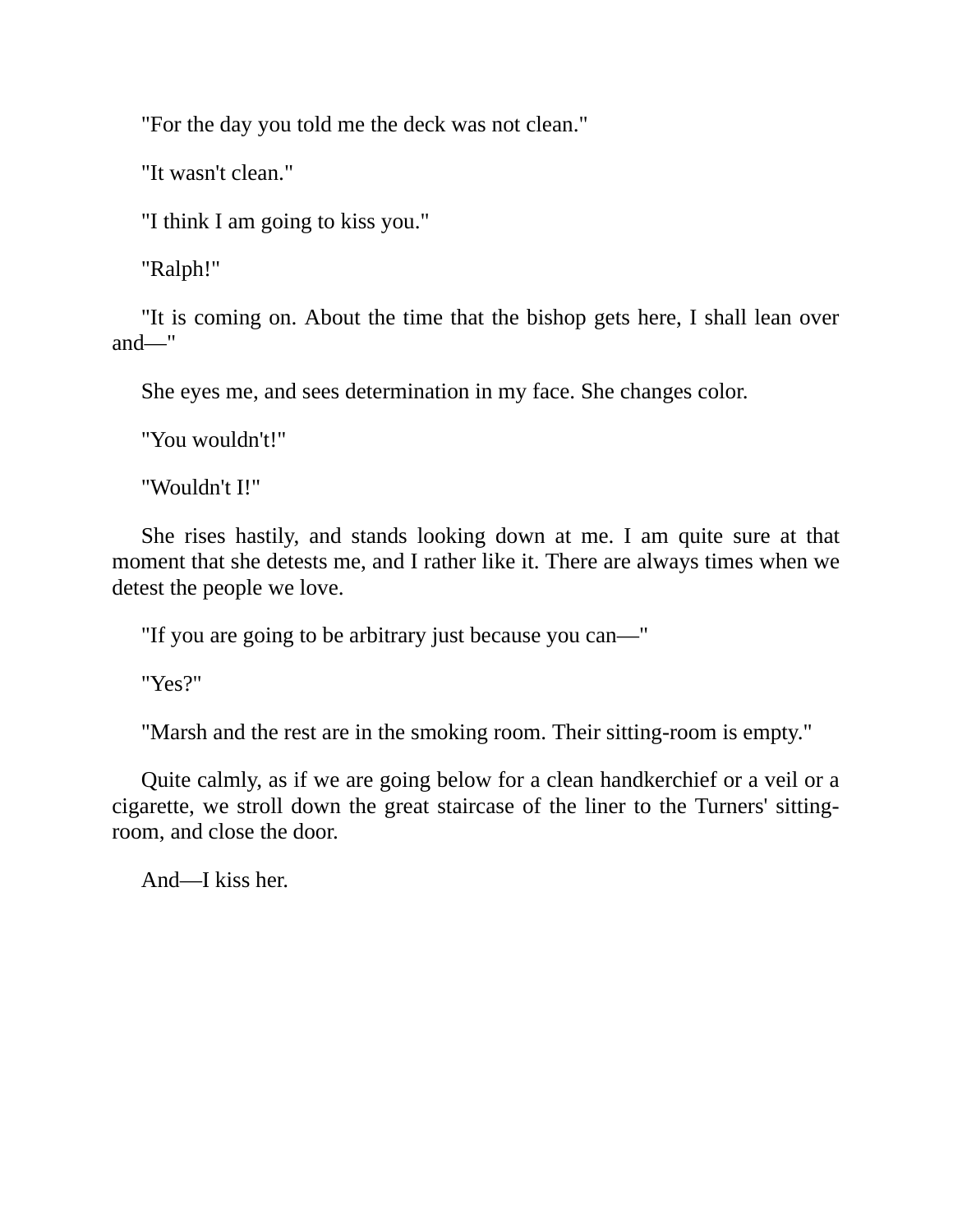"For the day you told me the deck was not clean."

"It wasn't clean."

"I think I am going to kiss you."

"Ralph!"

"It is coming on. About the time that the bishop gets here, I shall lean over and—"

She eyes me, and sees determination in my face. She changes color.

"You wouldn't!"

"Wouldn't I!"

She rises hastily, and stands looking down at me. I am quite sure at that moment that she detests me, and I rather like it. There are always times when we detest the people we love.

"If you are going to be arbitrary just because you can—"

"Yes?"

"Marsh and the rest are in the smoking room. Their sitting-room is empty."

Quite calmly, as if we are going below for a clean handkerchief or a veil or a cigarette, we stroll down the great staircase of the liner to the Turners' sittingroom, and close the door.

And—I kiss her.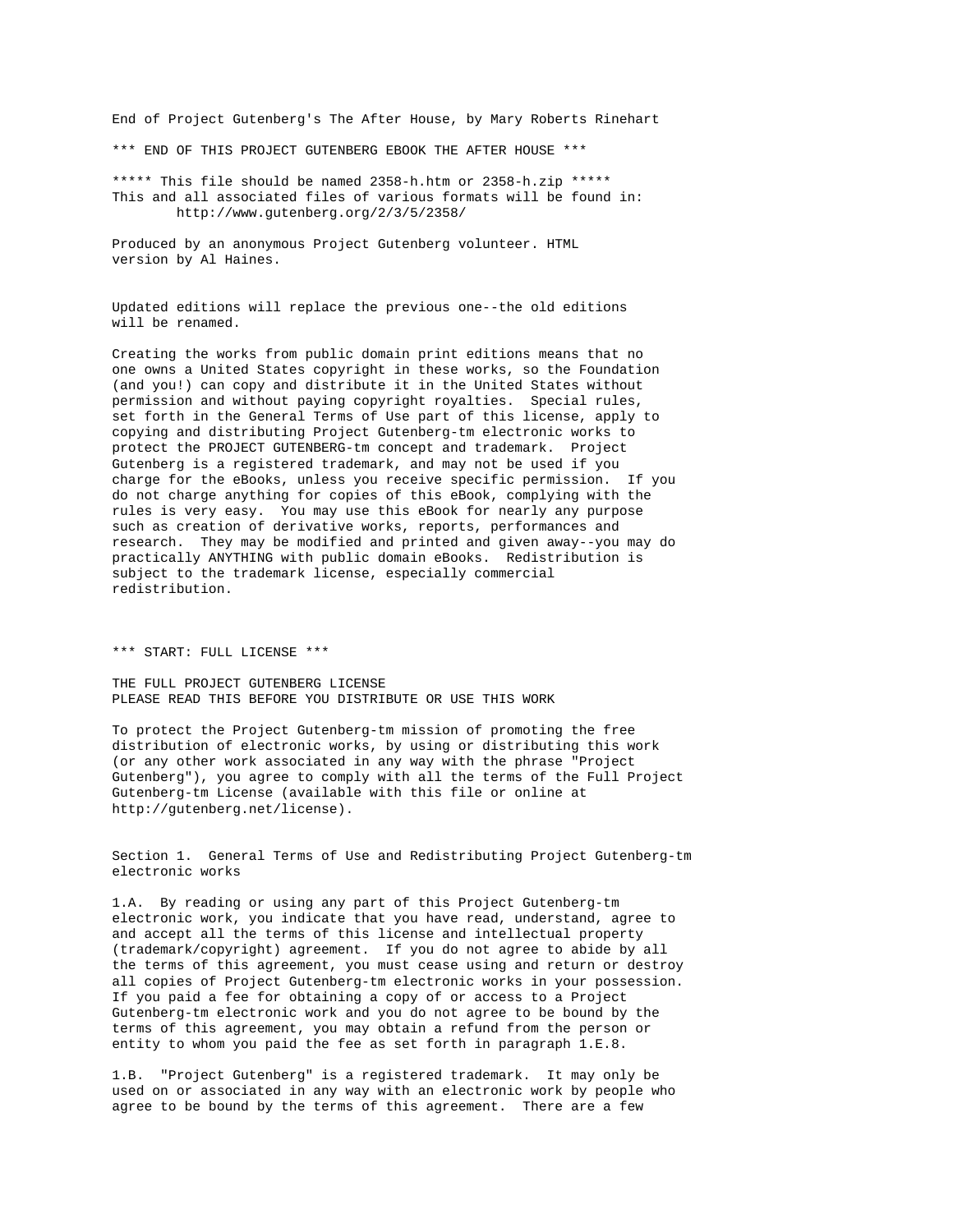End of Project Gutenberg's The After House, by Mary Roberts Rinehart

\*\*\* END OF THIS PROJECT GUTENBERG EBOOK THE AFTER HOUSE \*\*\*

\*\*\*\*\* This file should be named 2358-h.htm or 2358-h.zip \*\*\*\*\* This and all associated files of various formats will be found in: http://www.gutenberg.org/2/3/5/2358/

Produced by an anonymous Project Gutenberg volunteer. HTML version by Al Haines.

Updated editions will replace the previous one--the old editions will be renamed.

Creating the works from public domain print editions means that no one owns a United States copyright in these works, so the Foundation (and you!) can copy and distribute it in the United States without permission and without paying copyright royalties. Special rules, set forth in the General Terms of Use part of this license, apply to copying and distributing Project Gutenberg-tm electronic works to protect the PROJECT GUTENBERG-tm concept and trademark. Project Gutenberg is a registered trademark, and may not be used if you charge for the eBooks, unless you receive specific permission. If you do not charge anything for copies of this eBook, complying with the rules is very easy. You may use this eBook for nearly any purpose such as creation of derivative works, reports, performances and research. They may be modified and printed and given away--you may do practically ANYTHING with public domain eBooks. Redistribution is subject to the trademark license, especially commercial redistribution.

\*\*\* START: FULL LICENSE \*\*\*

THE FULL PROJECT GUTENBERG LICENSE PLEASE READ THIS BEFORE YOU DISTRIBUTE OR USE THIS WORK

To protect the Project Gutenberg-tm mission of promoting the free distribution of electronic works, by using or distributing this work (or any other work associated in any way with the phrase "Project Gutenberg"), you agree to comply with all the terms of the Full Project Gutenberg-tm License (available with this file or online at http://gutenberg.net/license).

Section 1. General Terms of Use and Redistributing Project Gutenberg-tm electronic works

1.A. By reading or using any part of this Project Gutenberg-tm electronic work, you indicate that you have read, understand, agree to and accept all the terms of this license and intellectual property (trademark/copyright) agreement. If you do not agree to abide by all the terms of this agreement, you must cease using and return or destroy all copies of Project Gutenberg-tm electronic works in your possession. If you paid a fee for obtaining a copy of or access to a Project Gutenberg-tm electronic work and you do not agree to be bound by the terms of this agreement, you may obtain a refund from the person or entity to whom you paid the fee as set forth in paragraph 1.E.8.

1.B. "Project Gutenberg" is a registered trademark. It may only be used on or associated in any way with an electronic work by people who agree to be bound by the terms of this agreement. There are a few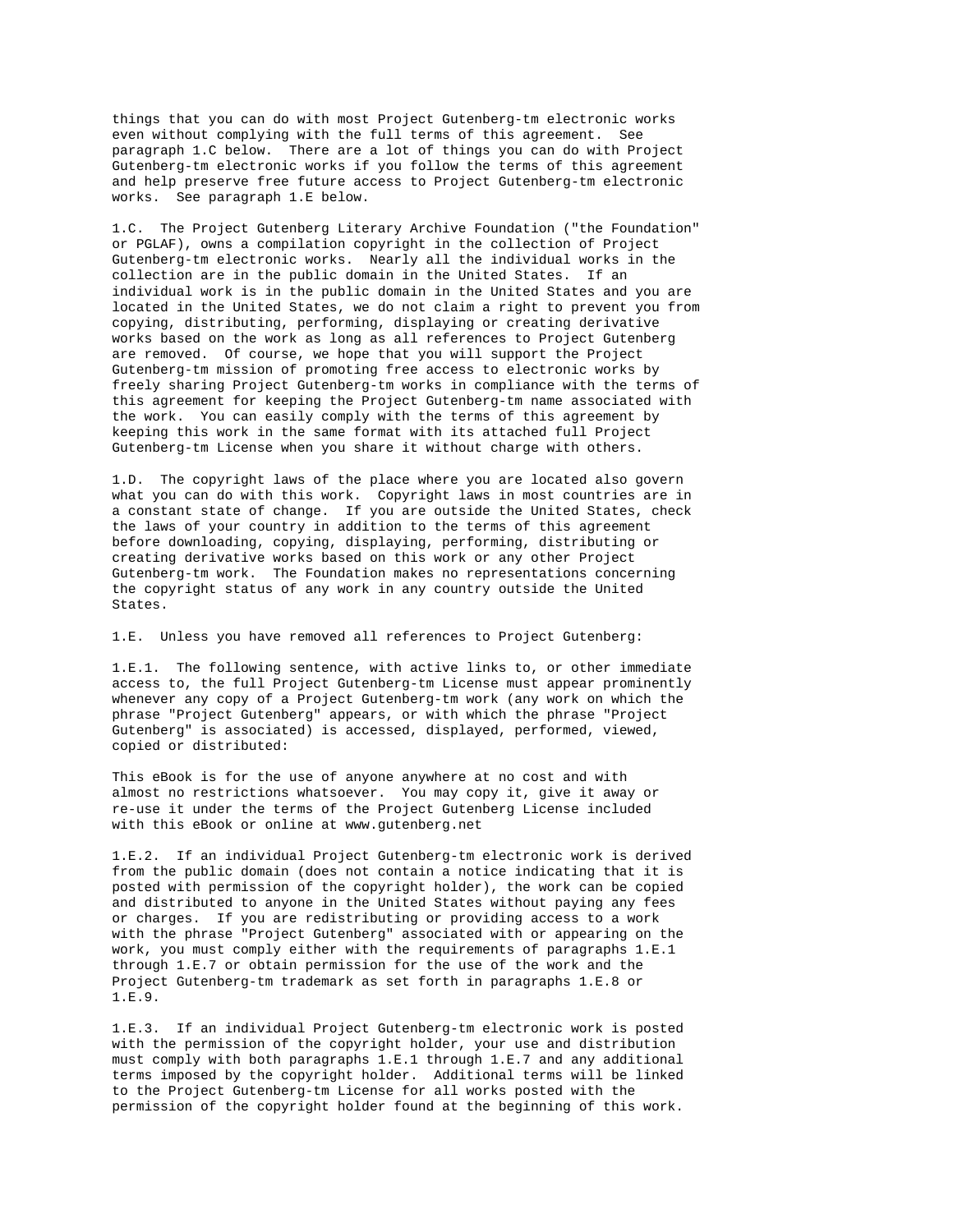things that you can do with most Project Gutenberg-tm electronic works even without complying with the full terms of this agreement. See paragraph 1.C below. There are a lot of things you can do with Project Gutenberg-tm electronic works if you follow the terms of this agreement and help preserve free future access to Project Gutenberg-tm electronic works. See paragraph 1.E below.

1.C. The Project Gutenberg Literary Archive Foundation ("the Foundation" or PGLAF), owns a compilation copyright in the collection of Project Gutenberg-tm electronic works. Nearly all the individual works in the collection are in the public domain in the United States. If an individual work is in the public domain in the United States and you are located in the United States, we do not claim a right to prevent you from copying, distributing, performing, displaying or creating derivative works based on the work as long as all references to Project Gutenberg are removed. Of course, we hope that you will support the Project Gutenberg-tm mission of promoting free access to electronic works by freely sharing Project Gutenberg-tm works in compliance with the terms of this agreement for keeping the Project Gutenberg-tm name associated with the work. You can easily comply with the terms of this agreement by keeping this work in the same format with its attached full Project Gutenberg-tm License when you share it without charge with others.

1.D. The copyright laws of the place where you are located also govern what you can do with this work. Copyright laws in most countries are in a constant state of change. If you are outside the United States, check the laws of your country in addition to the terms of this agreement before downloading, copying, displaying, performing, distributing or creating derivative works based on this work or any other Project Gutenberg-tm work. The Foundation makes no representations concerning the copyright status of any work in any country outside the United States.

1.E. Unless you have removed all references to Project Gutenberg:

1.E.1. The following sentence, with active links to, or other immediate access to, the full Project Gutenberg-tm License must appear prominently whenever any copy of a Project Gutenberg-tm work (any work on which the phrase "Project Gutenberg" appears, or with which the phrase "Project Gutenberg" is associated) is accessed, displayed, performed, viewed, copied or distributed:

This eBook is for the use of anyone anywhere at no cost and with almost no restrictions whatsoever. You may copy it, give it away or re-use it under the terms of the Project Gutenberg License included with this eBook or online at www.gutenberg.net

1.E.2. If an individual Project Gutenberg-tm electronic work is derived from the public domain (does not contain a notice indicating that it is posted with permission of the copyright holder), the work can be copied and distributed to anyone in the United States without paying any fees or charges. If you are redistributing or providing access to a work with the phrase "Project Gutenberg" associated with or appearing on the work, you must comply either with the requirements of paragraphs 1.E.1 through 1.E.7 or obtain permission for the use of the work and the Project Gutenberg-tm trademark as set forth in paragraphs 1.E.8 or 1.E.9.

1.E.3. If an individual Project Gutenberg-tm electronic work is posted with the permission of the copyright holder, your use and distribution must comply with both paragraphs 1.E.1 through 1.E.7 and any additional terms imposed by the copyright holder. Additional terms will be linked to the Project Gutenberg-tm License for all works posted with the permission of the copyright holder found at the beginning of this work.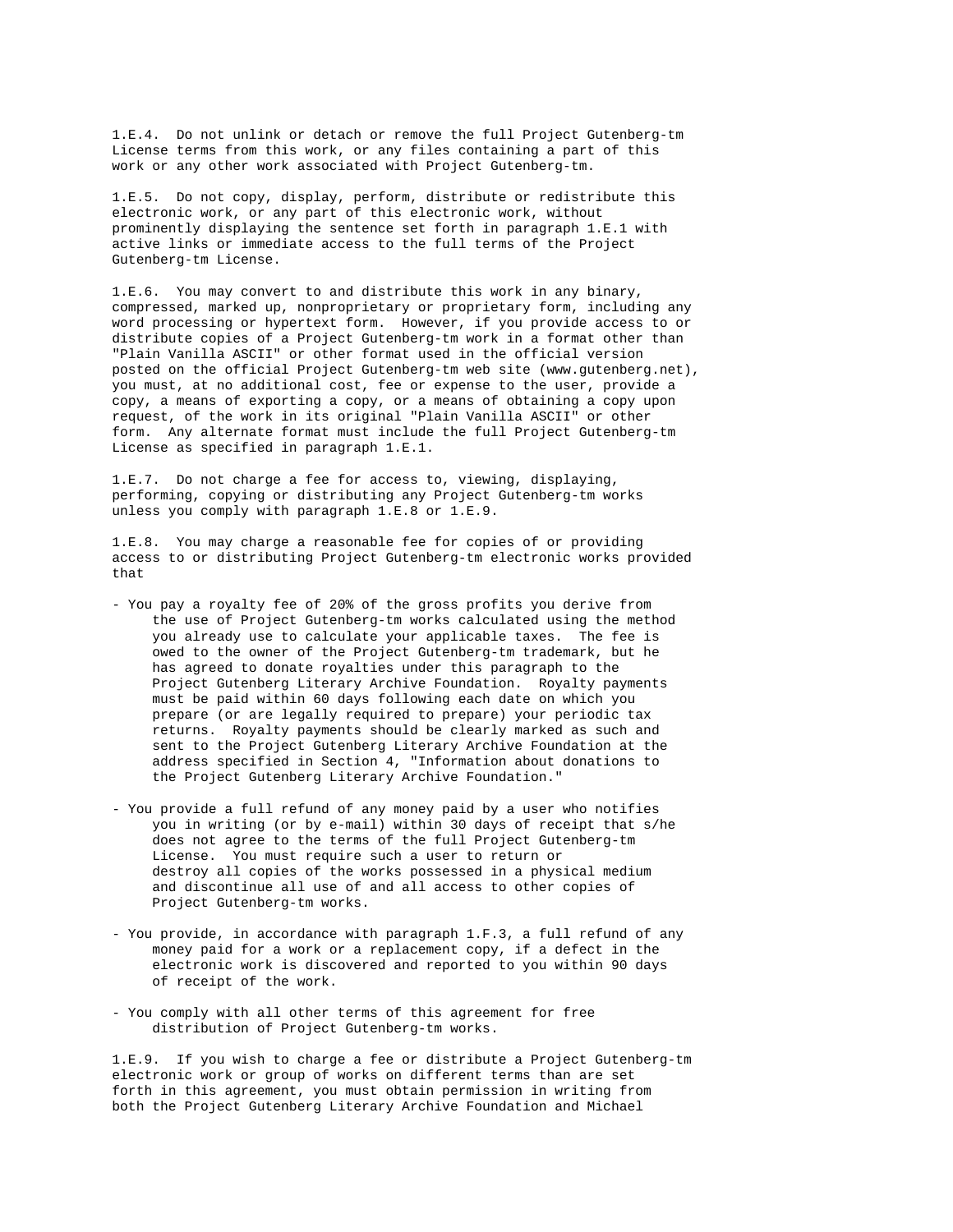1.E.4. Do not unlink or detach or remove the full Project Gutenberg-tm License terms from this work, or any files containing a part of this work or any other work associated with Project Gutenberg-tm.

1.E.5. Do not copy, display, perform, distribute or redistribute this electronic work, or any part of this electronic work, without prominently displaying the sentence set forth in paragraph 1.E.1 with active links or immediate access to the full terms of the Project Gutenberg-tm License.

1.E.6. You may convert to and distribute this work in any binary, compressed, marked up, nonproprietary or proprietary form, including any word processing or hypertext form. However, if you provide access to or distribute copies of a Project Gutenberg-tm work in a format other than "Plain Vanilla ASCII" or other format used in the official version posted on the official Project Gutenberg-tm web site (www.gutenberg.net), you must, at no additional cost, fee or expense to the user, provide a copy, a means of exporting a copy, or a means of obtaining a copy upon request, of the work in its original "Plain Vanilla ASCII" or other form. Any alternate format must include the full Project Gutenberg-tm License as specified in paragraph 1.E.1.

1.E.7. Do not charge a fee for access to, viewing, displaying, performing, copying or distributing any Project Gutenberg-tm works unless you comply with paragraph 1.E.8 or 1.E.9.

1.E.8. You may charge a reasonable fee for copies of or providing access to or distributing Project Gutenberg-tm electronic works provided that

- You pay a royalty fee of 20% of the gross profits you derive from the use of Project Gutenberg-tm works calculated using the method you already use to calculate your applicable taxes. The fee is owed to the owner of the Project Gutenberg-tm trademark, but he has agreed to donate royalties under this paragraph to the Project Gutenberg Literary Archive Foundation. Royalty payments must be paid within 60 days following each date on which you prepare (or are legally required to prepare) your periodic tax returns. Royalty payments should be clearly marked as such and sent to the Project Gutenberg Literary Archive Foundation at the address specified in Section 4, "Information about donations to the Project Gutenberg Literary Archive Foundation."
- You provide a full refund of any money paid by a user who notifies you in writing (or by e-mail) within 30 days of receipt that s/he does not agree to the terms of the full Project Gutenberg-tm License. You must require such a user to return or destroy all copies of the works possessed in a physical medium and discontinue all use of and all access to other copies of Project Gutenberg-tm works.
- You provide, in accordance with paragraph 1.F.3, a full refund of any money paid for a work or a replacement copy, if a defect in the electronic work is discovered and reported to you within 90 days of receipt of the work.
- You comply with all other terms of this agreement for free distribution of Project Gutenberg-tm works.

1.E.9. If you wish to charge a fee or distribute a Project Gutenberg-tm electronic work or group of works on different terms than are set forth in this agreement, you must obtain permission in writing from both the Project Gutenberg Literary Archive Foundation and Michael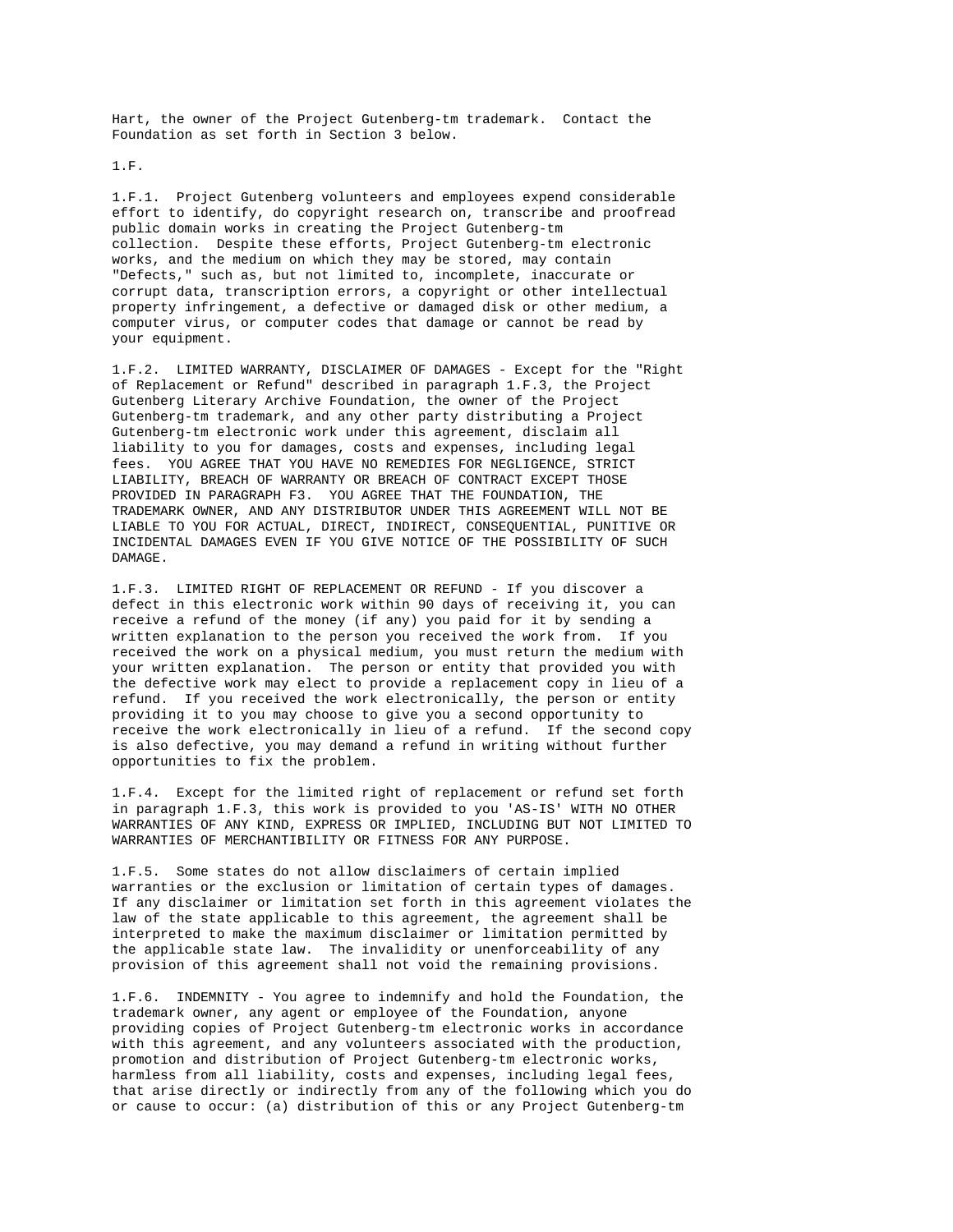Hart, the owner of the Project Gutenberg-tm trademark. Contact the Foundation as set forth in Section 3 below.

1.F.

1.F.1. Project Gutenberg volunteers and employees expend considerable effort to identify, do copyright research on, transcribe and proofread public domain works in creating the Project Gutenberg-tm collection. Despite these efforts, Project Gutenberg-tm electronic works, and the medium on which they may be stored, may contain "Defects," such as, but not limited to, incomplete, inaccurate or corrupt data, transcription errors, a copyright or other intellectual property infringement, a defective or damaged disk or other medium, a computer virus, or computer codes that damage or cannot be read by your equipment.

1.F.2. LIMITED WARRANTY, DISCLAIMER OF DAMAGES - Except for the "Right of Replacement or Refund" described in paragraph 1.F.3, the Project Gutenberg Literary Archive Foundation, the owner of the Project Gutenberg-tm trademark, and any other party distributing a Project Gutenberg-tm electronic work under this agreement, disclaim all liability to you for damages, costs and expenses, including legal fees. YOU AGREE THAT YOU HAVE NO REMEDIES FOR NEGLIGENCE, STRICT LIABILITY, BREACH OF WARRANTY OR BREACH OF CONTRACT EXCEPT THOSE PROVIDED IN PARAGRAPH F3. YOU AGREE THAT THE FOUNDATION, THE TRADEMARK OWNER, AND ANY DISTRIBUTOR UNDER THIS AGREEMENT WILL NOT BE LIABLE TO YOU FOR ACTUAL, DIRECT, INDIRECT, CONSEQUENTIAL, PUNITIVE OR INCIDENTAL DAMAGES EVEN IF YOU GIVE NOTICE OF THE POSSIBILITY OF SUCH DAMAGE.

1.F.3. LIMITED RIGHT OF REPLACEMENT OR REFUND - If you discover a defect in this electronic work within 90 days of receiving it, you can receive a refund of the money (if any) you paid for it by sending a written explanation to the person you received the work from. If you received the work on a physical medium, you must return the medium with your written explanation. The person or entity that provided you with the defective work may elect to provide a replacement copy in lieu of a refund. If you received the work electronically, the person or entity providing it to you may choose to give you a second opportunity to receive the work electronically in lieu of a refund. If the second copy is also defective, you may demand a refund in writing without further opportunities to fix the problem.

1.F.4. Except for the limited right of replacement or refund set forth in paragraph 1.F.3, this work is provided to you 'AS-IS' WITH NO OTHER WARRANTIES OF ANY KIND, EXPRESS OR IMPLIED, INCLUDING BUT NOT LIMITED TO WARRANTIES OF MERCHANTIBILITY OR FITNESS FOR ANY PURPOSE.

1.F.5. Some states do not allow disclaimers of certain implied warranties or the exclusion or limitation of certain types of damages. If any disclaimer or limitation set forth in this agreement violates the law of the state applicable to this agreement, the agreement shall be interpreted to make the maximum disclaimer or limitation permitted by the applicable state law. The invalidity or unenforceability of any provision of this agreement shall not void the remaining provisions.

1.F.6. INDEMNITY - You agree to indemnify and hold the Foundation, the trademark owner, any agent or employee of the Foundation, anyone providing copies of Project Gutenberg-tm electronic works in accordance with this agreement, and any volunteers associated with the production, promotion and distribution of Project Gutenberg-tm electronic works, harmless from all liability, costs and expenses, including legal fees, that arise directly or indirectly from any of the following which you do or cause to occur: (a) distribution of this or any Project Gutenberg-tm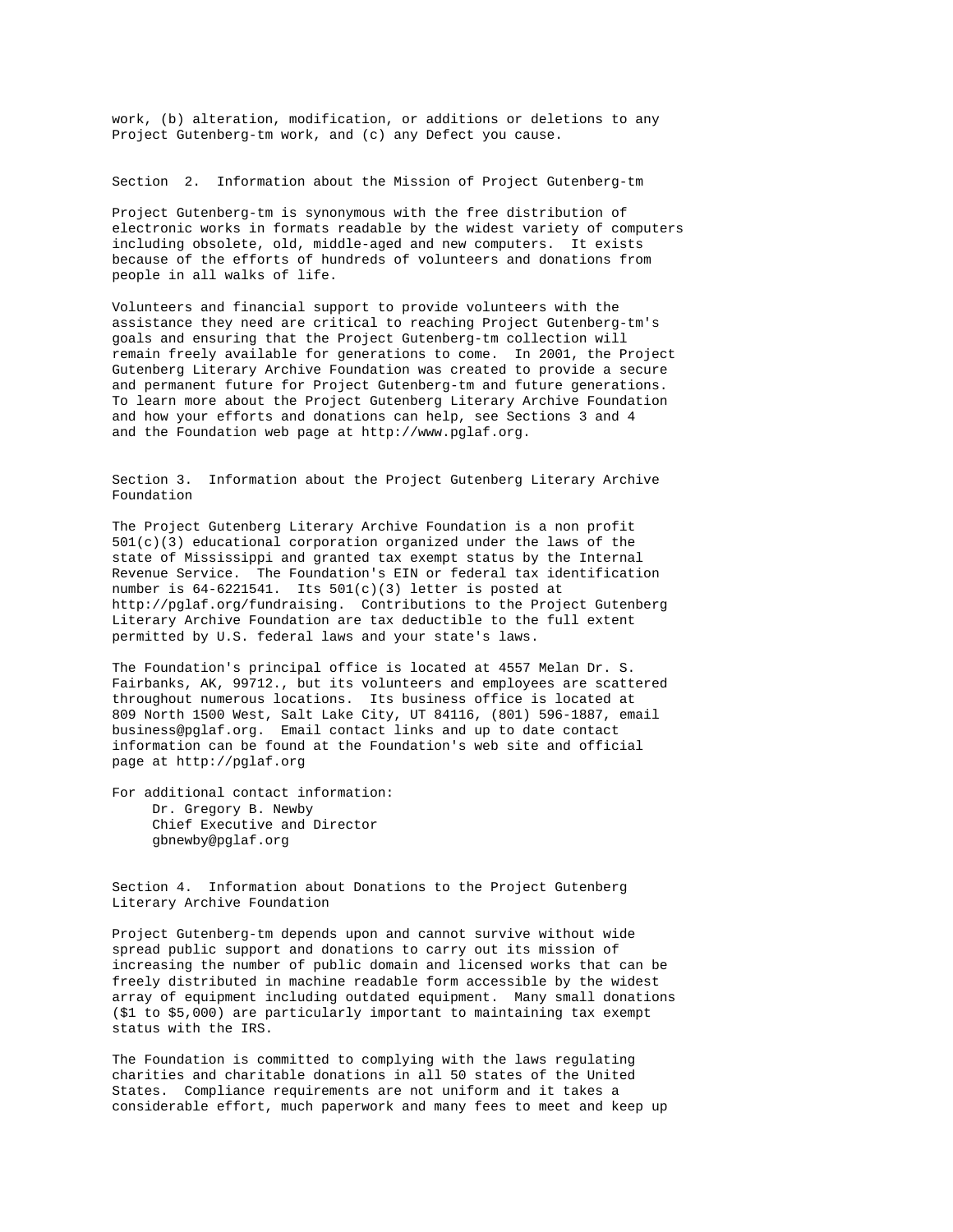work, (b) alteration, modification, or additions or deletions to any Project Gutenberg-tm work, and (c) any Defect you cause.

Section 2. Information about the Mission of Project Gutenberg-tm

Project Gutenberg-tm is synonymous with the free distribution of electronic works in formats readable by the widest variety of computers including obsolete, old, middle-aged and new computers. It exists because of the efforts of hundreds of volunteers and donations from people in all walks of life.

Volunteers and financial support to provide volunteers with the assistance they need are critical to reaching Project Gutenberg-tm's goals and ensuring that the Project Gutenberg-tm collection will remain freely available for generations to come. In 2001, the Project Gutenberg Literary Archive Foundation was created to provide a secure and permanent future for Project Gutenberg-tm and future generations. To learn more about the Project Gutenberg Literary Archive Foundation and how your efforts and donations can help, see Sections 3 and 4 and the Foundation web page at http://www.pglaf.org.

Section 3. Information about the Project Gutenberg Literary Archive Foundation

The Project Gutenberg Literary Archive Foundation is a non profit  $501(c)(3)$  educational corporation organized under the laws of the state of Mississippi and granted tax exempt status by the Internal Revenue Service. The Foundation's EIN or federal tax identification number is  $64-6221541$ . Its  $501(c)(3)$  letter is posted at http://pglaf.org/fundraising. Contributions to the Project Gutenberg Literary Archive Foundation are tax deductible to the full extent permitted by U.S. federal laws and your state's laws.

The Foundation's principal office is located at 4557 Melan Dr. S. Fairbanks, AK, 99712., but its volunteers and employees are scattered throughout numerous locations. Its business office is located at 809 North 1500 West, Salt Lake City, UT 84116, (801) 596-1887, email business@pglaf.org. Email contact links and up to date contact information can be found at the Foundation's web site and official page at http://pglaf.org

For additional contact information: Dr. Gregory B. Newby Chief Executive and Director gbnewby@pglaf.org

Section 4. Information about Donations to the Project Gutenberg Literary Archive Foundation

Project Gutenberg-tm depends upon and cannot survive without wide spread public support and donations to carry out its mission of increasing the number of public domain and licensed works that can be freely distributed in machine readable form accessible by the widest array of equipment including outdated equipment. Many small donations (\$1 to \$5,000) are particularly important to maintaining tax exempt status with the IRS.

The Foundation is committed to complying with the laws regulating charities and charitable donations in all 50 states of the United States. Compliance requirements are not uniform and it takes a considerable effort, much paperwork and many fees to meet and keep up